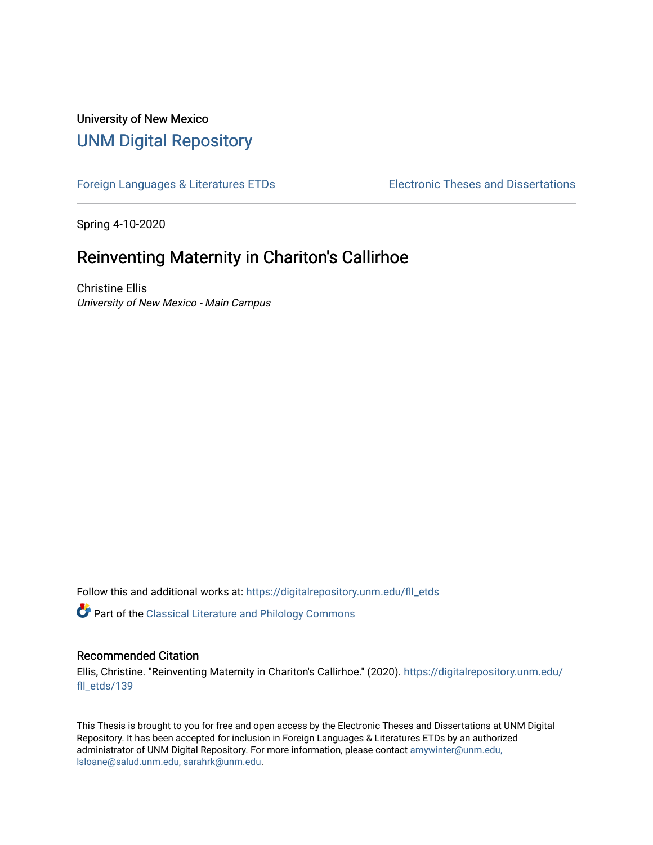## University of New Mexico [UNM Digital Repository](https://digitalrepository.unm.edu/)

[Foreign Languages & Literatures ETDs](https://digitalrepository.unm.edu/fll_etds) Electronic Theses and Dissertations

Spring 4-10-2020

# Reinventing Maternity in Chariton's Callirhoe

Christine Ellis University of New Mexico - Main Campus

Follow this and additional works at: [https://digitalrepository.unm.edu/fll\\_etds](https://digitalrepository.unm.edu/fll_etds?utm_source=digitalrepository.unm.edu%2Ffll_etds%2F139&utm_medium=PDF&utm_campaign=PDFCoverPages)

**Part of the [Classical Literature and Philology Commons](http://network.bepress.com/hgg/discipline/451?utm_source=digitalrepository.unm.edu%2Ffll_etds%2F139&utm_medium=PDF&utm_campaign=PDFCoverPages)** 

### Recommended Citation

Ellis, Christine. "Reinventing Maternity in Chariton's Callirhoe." (2020). [https://digitalrepository.unm.edu/](https://digitalrepository.unm.edu/fll_etds/139?utm_source=digitalrepository.unm.edu%2Ffll_etds%2F139&utm_medium=PDF&utm_campaign=PDFCoverPages) [fll\\_etds/139](https://digitalrepository.unm.edu/fll_etds/139?utm_source=digitalrepository.unm.edu%2Ffll_etds%2F139&utm_medium=PDF&utm_campaign=PDFCoverPages) 

This Thesis is brought to you for free and open access by the Electronic Theses and Dissertations at UNM Digital Repository. It has been accepted for inclusion in Foreign Languages & Literatures ETDs by an authorized administrator of UNM Digital Repository. For more information, please contact [amywinter@unm.edu,](mailto:amywinter@unm.edu,%20lsloane@salud.unm.edu,%20sarahrk@unm.edu) [lsloane@salud.unm.edu, sarahrk@unm.edu.](mailto:amywinter@unm.edu,%20lsloane@salud.unm.edu,%20sarahrk@unm.edu)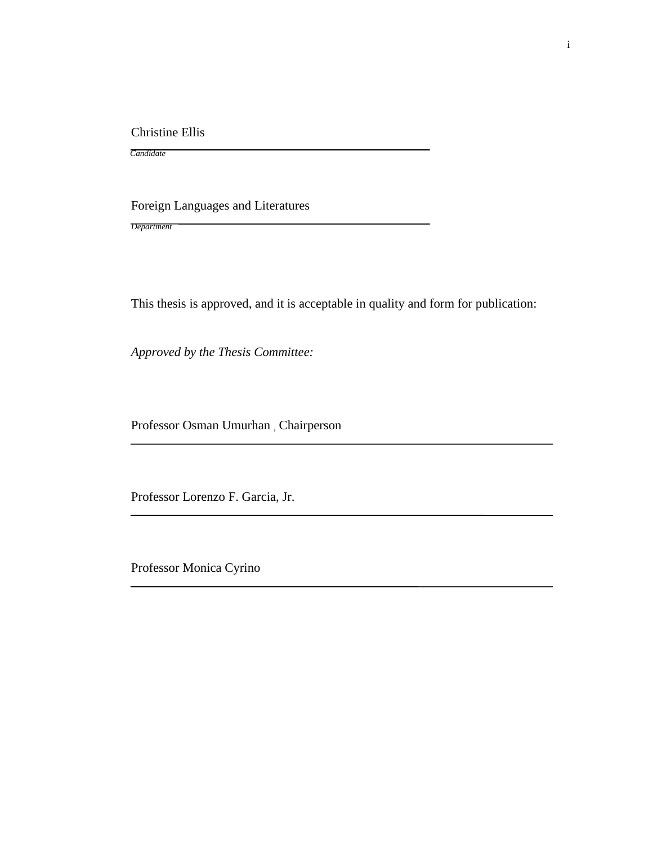Christine Ellis

Foreign Languages and Literatures

*Department*

*Candidate*

This thesis is approved, and it is acceptable in quality and form for publication:

*Approved by the Thesis Committee:*

Professor Osman Umurhan , Chairperson

Professor Lorenzo F. Garcia, Jr.

Professor Monica Cyrino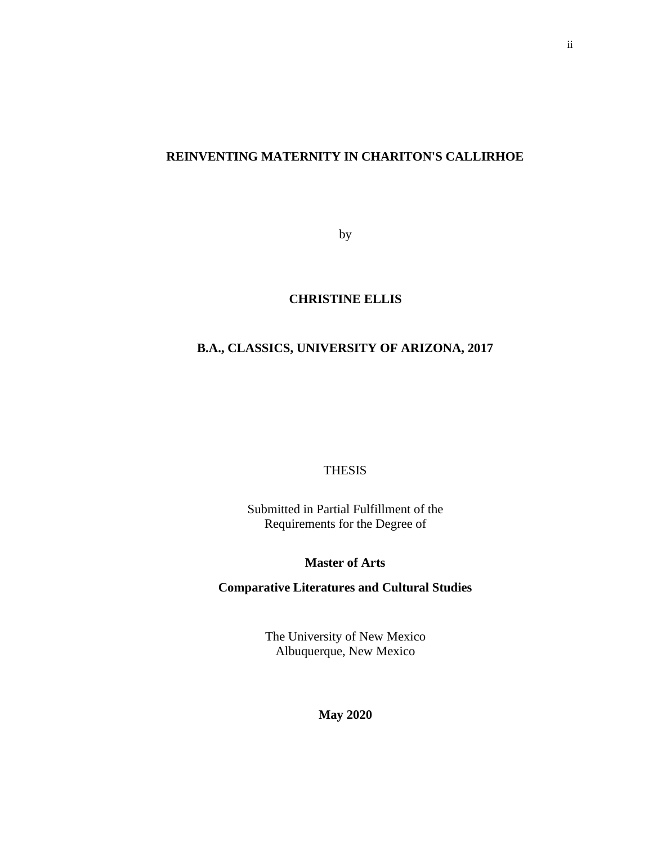## **REINVENTING MATERNITY IN CHARITON'S CALLIRHOE**

by

## **CHRISTINE ELLIS**

## **B.A., CLASSICS, UNIVERSITY OF ARIZONA, 2017**

THESIS

Submitted in Partial Fulfillment of the Requirements for the Degree of

### **Master of Arts**

## **Comparative Literatures and Cultural Studies**

The University of New Mexico Albuquerque, New Mexico

**May 2020**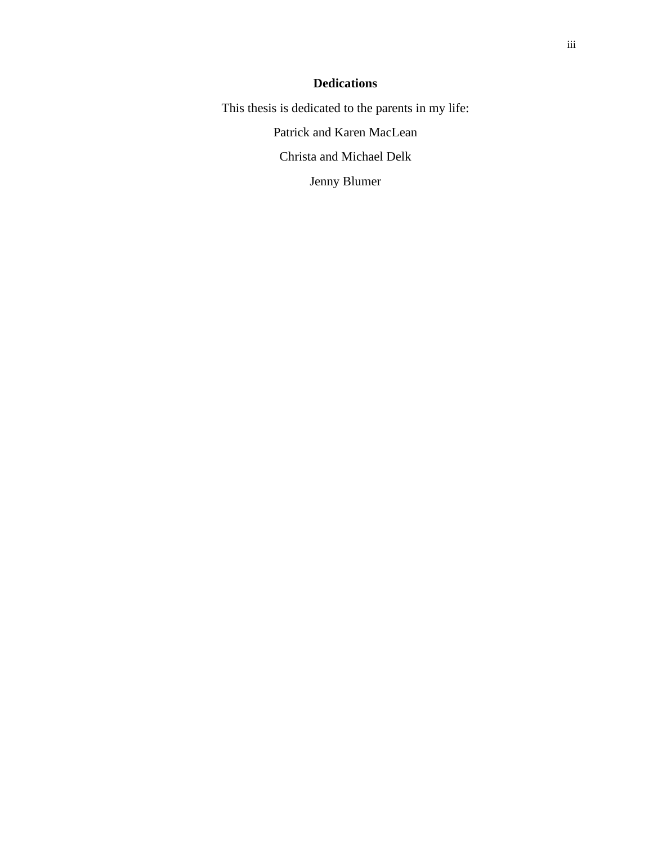## **Dedications**

This thesis is dedicated to the parents in my life:

Patrick and Karen MacLean

Christa and Michael Delk

Jenny Blumer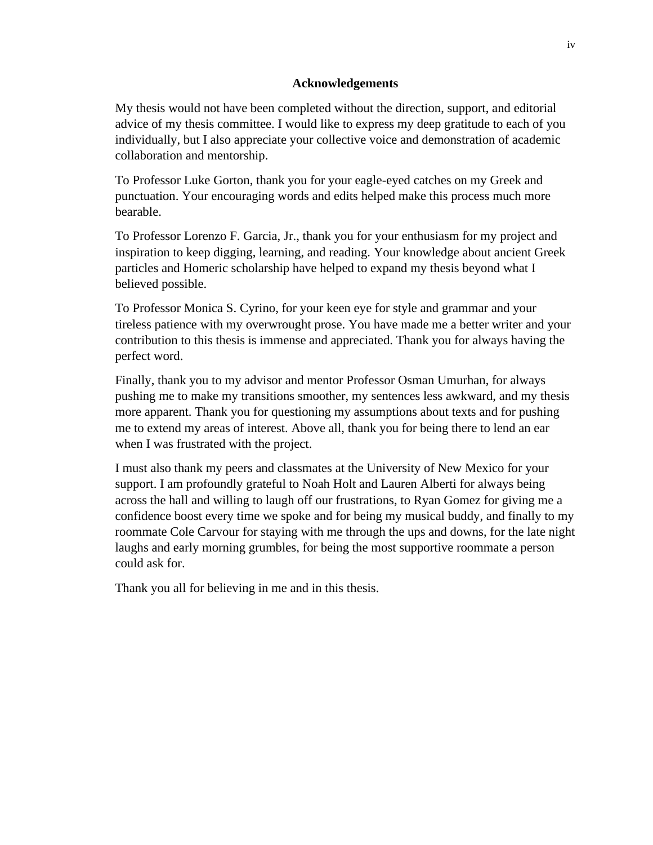### **Acknowledgements**

My thesis would not have been completed without the direction, support, and editorial advice of my thesis committee. I would like to express my deep gratitude to each of you individually, but I also appreciate your collective voice and demonstration of academic collaboration and mentorship.

To Professor Luke Gorton, thank you for your eagle-eyed catches on my Greek and punctuation. Your encouraging words and edits helped make this process much more bearable.

To Professor Lorenzo F. Garcia, Jr., thank you for your enthusiasm for my project and inspiration to keep digging, learning, and reading. Your knowledge about ancient Greek particles and Homeric scholarship have helped to expand my thesis beyond what I believed possible.

To Professor Monica S. Cyrino, for your keen eye for style and grammar and your tireless patience with my overwrought prose. You have made me a better writer and your contribution to this thesis is immense and appreciated. Thank you for always having the perfect word.

Finally, thank you to my advisor and mentor Professor Osman Umurhan, for always pushing me to make my transitions smoother, my sentences less awkward, and my thesis more apparent. Thank you for questioning my assumptions about texts and for pushing me to extend my areas of interest. Above all, thank you for being there to lend an ear when I was frustrated with the project.

I must also thank my peers and classmates at the University of New Mexico for your support. I am profoundly grateful to Noah Holt and Lauren Alberti for always being across the hall and willing to laugh off our frustrations, to Ryan Gomez for giving me a confidence boost every time we spoke and for being my musical buddy, and finally to my roommate Cole Carvour for staying with me through the ups and downs, for the late night laughs and early morning grumbles, for being the most supportive roommate a person could ask for.

Thank you all for believing in me and in this thesis.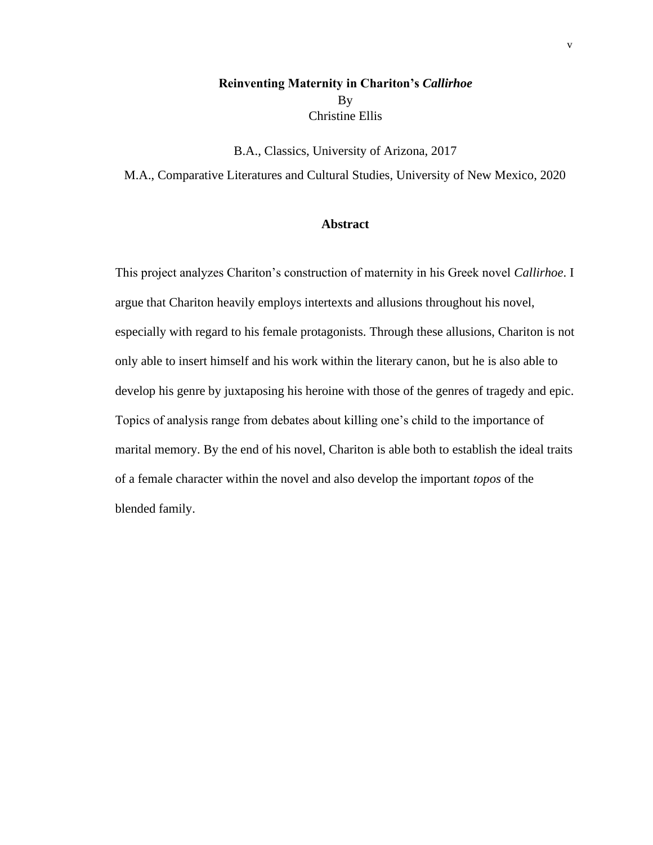## **Reinventing Maternity in Chariton's** *Callirhoe* By Christine Ellis

B.A., Classics, University of Arizona, 2017

M.A., Comparative Literatures and Cultural Studies, University of New Mexico, 2020

### **Abstract**

This project analyzes Chariton's construction of maternity in his Greek novel *Callirhoe*. I argue that Chariton heavily employs intertexts and allusions throughout his novel, especially with regard to his female protagonists. Through these allusions, Chariton is not only able to insert himself and his work within the literary canon, but he is also able to develop his genre by juxtaposing his heroine with those of the genres of tragedy and epic. Topics of analysis range from debates about killing one's child to the importance of marital memory. By the end of his novel, Chariton is able both to establish the ideal traits of a female character within the novel and also develop the important *topos* of the blended family.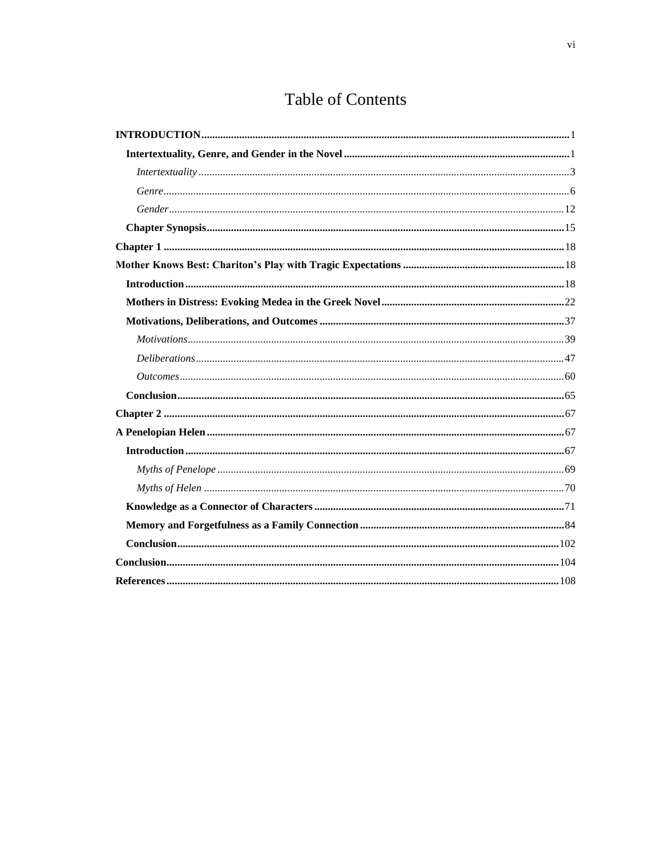# **Table of Contents**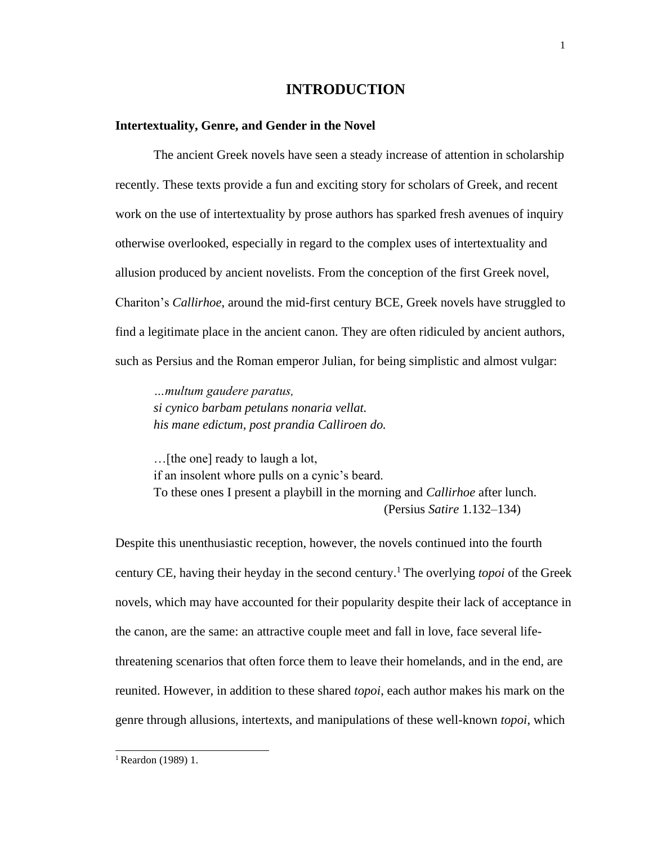## **INTRODUCTION**

### <span id="page-7-1"></span><span id="page-7-0"></span>**Intertextuality, Genre, and Gender in the Novel**

The ancient Greek novels have seen a steady increase of attention in scholarship recently. These texts provide a fun and exciting story for scholars of Greek, and recent work on the use of intertextuality by prose authors has sparked fresh avenues of inquiry otherwise overlooked, especially in regard to the complex uses of intertextuality and allusion produced by ancient novelists. From the conception of the first Greek novel, Chariton's *Callirhoe*, around the mid-first century BCE, Greek novels have struggled to find a legitimate place in the ancient canon. They are often ridiculed by ancient authors, such as Persius and the Roman emperor Julian, for being simplistic and almost vulgar:

*…multum gaudere paratus, si cynico barbam petulans nonaria vellat. his mane edictum, post prandia Calliroen do.*

…[the one] ready to laugh a lot, if an insolent whore pulls on a cynic's beard. To these ones I present a playbill in the morning and *Callirhoe* after lunch. (Persius *Satire* 1.132–134)

Despite this unenthusiastic reception, however, the novels continued into the fourth century CE, having their heyday in the second century.<sup>1</sup>The overlying *topoi* of the Greek novels, which may have accounted for their popularity despite their lack of acceptance in the canon, are the same: an attractive couple meet and fall in love, face several lifethreatening scenarios that often force them to leave their homelands, and in the end, are reunited. However, in addition to these shared *topoi*, each author makes his mark on the genre through allusions, intertexts, and manipulations of these well-known *topoi*, which

<sup>1</sup> Reardon (1989) 1.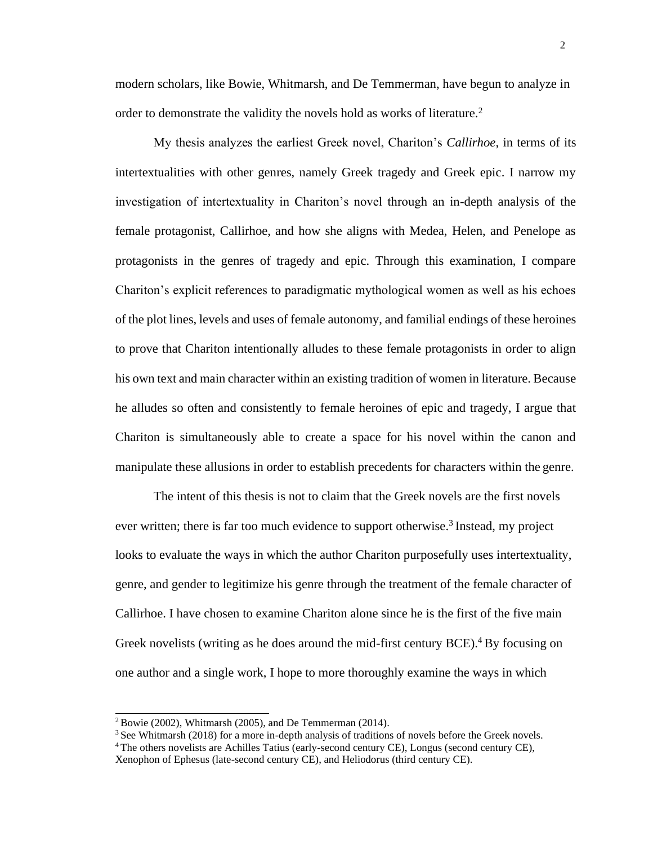modern scholars, like Bowie, Whitmarsh, and De Temmerman, have begun to analyze in order to demonstrate the validity the novels hold as works of literature.<sup>2</sup>

My thesis analyzes the earliest Greek novel, Chariton's *Callirhoe*, in terms of its intertextualities with other genres, namely Greek tragedy and Greek epic. I narrow my investigation of intertextuality in Chariton's novel through an in-depth analysis of the female protagonist, Callirhoe, and how she aligns with Medea, Helen, and Penelope as protagonists in the genres of tragedy and epic. Through this examination, I compare Chariton's explicit references to paradigmatic mythological women as well as his echoes of the plot lines, levels and uses of female autonomy, and familial endings of these heroines to prove that Chariton intentionally alludes to these female protagonists in order to align his own text and main character within an existing tradition of women in literature. Because he alludes so often and consistently to female heroines of epic and tragedy, I argue that Chariton is simultaneously able to create a space for his novel within the canon and manipulate these allusions in order to establish precedents for characters within the genre.

The intent of this thesis is not to claim that the Greek novels are the first novels ever written; there is far too much evidence to support otherwise.<sup>3</sup> Instead, my project looks to evaluate the ways in which the author Chariton purposefully uses intertextuality, genre, and gender to legitimize his genre through the treatment of the female character of Callirhoe. I have chosen to examine Chariton alone since he is the first of the five main Greek novelists (writing as he does around the mid-first century  $BCE$ ).<sup>4</sup> By focusing on one author and a single work, I hope to more thoroughly examine the ways in which

 $2$ Bowie (2002), Whitmarsh (2005), and De Temmerman (2014).

 $3$  See Whitmarsh (2018) for a more in-depth analysis of traditions of novels before the Greek novels.

<sup>4</sup>The others novelists are Achilles Tatius (early-second century CE), Longus (second century CE), Xenophon of Ephesus (late-second century CE), and Heliodorus (third century CE).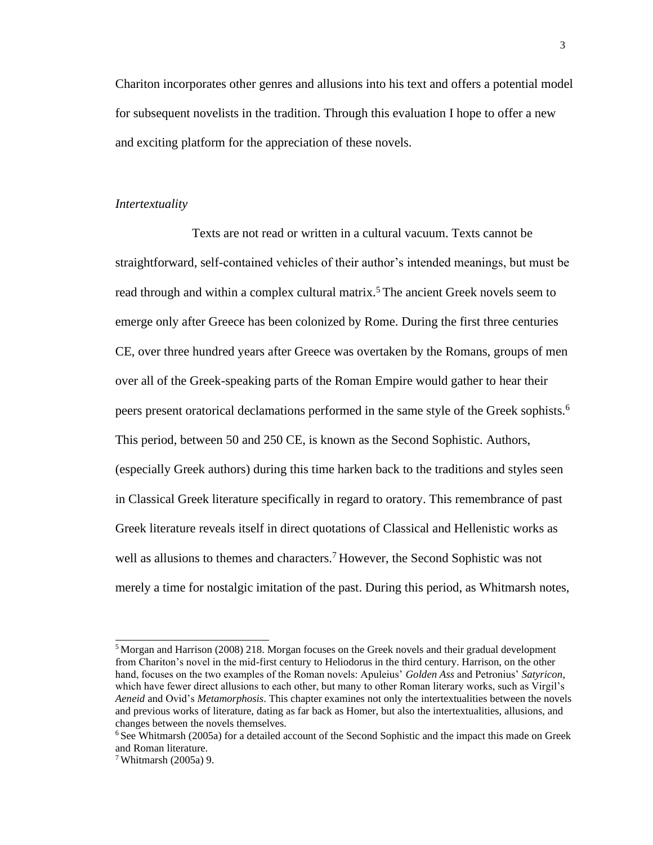Chariton incorporates other genres and allusions into his text and offers a potential model for subsequent novelists in the tradition. Through this evaluation I hope to offer a new and exciting platform for the appreciation of these novels.

### *Intertextuality*

Texts are not read or written in a cultural vacuum. Texts cannot be straightforward, self-contained vehicles of their author's intended meanings, but must be read through and within a complex cultural matrix.<sup>5</sup> The ancient Greek novels seem to emerge only after Greece has been colonized by Rome. During the first three centuries CE, over three hundred years after Greece was overtaken by the Romans, groups of men over all of the Greek-speaking parts of the Roman Empire would gather to hear their peers present oratorical declamations performed in the same style of the Greek sophists.<sup>6</sup> This period, between 50 and 250 CE, is known as the Second Sophistic. Authors, (especially Greek authors) during this time harken back to the traditions and styles seen in Classical Greek literature specifically in regard to oratory. This remembrance of past Greek literature reveals itself in direct quotations of Classical and Hellenistic works as well as allusions to themes and characters.<sup>7</sup> However, the Second Sophistic was not merely a time for nostalgic imitation of the past. During this period, as Whitmarsh notes,

<sup>&</sup>lt;sup>5</sup> Morgan and Harrison (2008) 218. Morgan focuses on the Greek novels and their gradual development from Chariton's novel in the mid-first century to Heliodorus in the third century. Harrison, on the other hand, focuses on the two examples of the Roman novels: Apuleius' *Golden Ass* and Petronius' *Satyricon*, which have fewer direct allusions to each other, but many to other Roman literary works, such as Virgil's *Aeneid* and Ovid's *Metamorphosis*. This chapter examines not only the intertextualities between the novels and previous works of literature, dating as far back as Homer, but also the intertextualities, allusions, and changes between the novels themselves.

 $6$  See Whitmarsh (2005a) for a detailed account of the Second Sophistic and the impact this made on Greek and Roman literature.

<sup>7</sup> Whitmarsh (2005a) 9.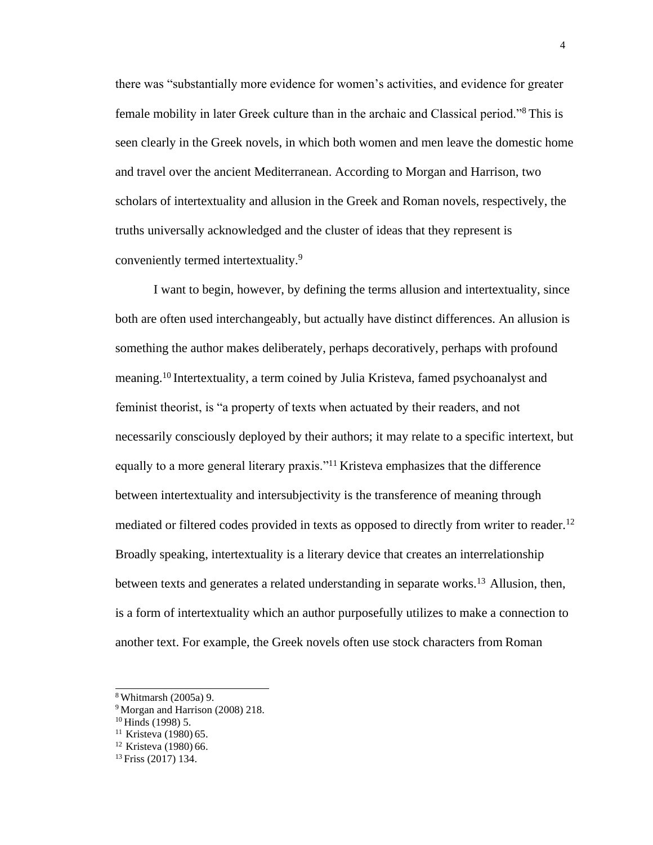there was "substantially more evidence for women's activities, and evidence for greater female mobility in later Greek culture than in the archaic and Classical period."<sup>8</sup>This is seen clearly in the Greek novels, in which both women and men leave the domestic home and travel over the ancient Mediterranean. According to Morgan and Harrison, two scholars of intertextuality and allusion in the Greek and Roman novels, respectively, the truths universally acknowledged and the cluster of ideas that they represent is conveniently termed intertextuality.<sup>9</sup>

I want to begin, however, by defining the terms allusion and intertextuality, since both are often used interchangeably, but actually have distinct differences. An allusion is something the author makes deliberately, perhaps decoratively, perhaps with profound meaning.<sup>10</sup> Intertextuality, a term coined by Julia Kristeva, famed psychoanalyst and feminist theorist, is "a property of texts when actuated by their readers, and not necessarily consciously deployed by their authors; it may relate to a specific intertext, but equally to a more general literary praxis."<sup>11</sup> Kristeva emphasizes that the difference between intertextuality and intersubjectivity is the transference of meaning through mediated or filtered codes provided in texts as opposed to directly from writer to reader.<sup>12</sup> Broadly speaking, intertextuality is a literary device that creates an interrelationship between texts and generates a related understanding in separate works.<sup>13</sup> Allusion, then, is a form of intertextuality which an author purposefully utilizes to make a connection to another text. For example, the Greek novels often use stock characters from Roman

<sup>8</sup>Whitmarsh (2005a) 9.

<sup>&</sup>lt;sup>9</sup> Morgan and Harrison (2008) 218.

 $10$  Hinds (1998) 5.

<sup>&</sup>lt;sup>11</sup> Kristeva (1980) 65.

<sup>&</sup>lt;sup>12</sup> Kristeva (1980) 66.

<sup>13</sup> Friss (2017) 134.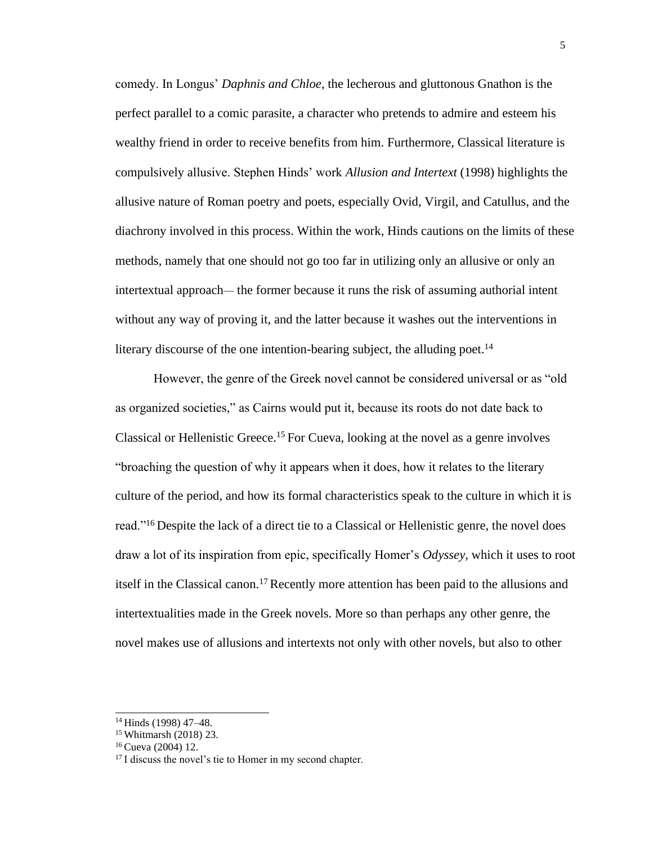comedy. In Longus' *Daphnis and Chloe*, the lecherous and gluttonous Gnathon is the perfect parallel to a comic parasite, a character who pretends to admire and esteem his wealthy friend in order to receive benefits from him. Furthermore, Classical literature is compulsively allusive. Stephen Hinds' work *Allusion and Intertext* (1998) highlights the allusive nature of Roman poetry and poets, especially Ovid, Virgil, and Catullus, and the diachrony involved in this process. Within the work, Hinds cautions on the limits of these methods, namely that one should not go too far in utilizing only an allusive or only an intertextual approach— the former because it runs the risk of assuming authorial intent without any way of proving it, and the latter because it washes out the interventions in literary discourse of the one intention-bearing subject, the alluding poet.<sup>14</sup>

However, the genre of the Greek novel cannot be considered universal or as "old as organized societies," as Cairns would put it, because its roots do not date back to Classical or Hellenistic Greece.<sup>15</sup> For Cueva, looking at the novel as a genre involves "broaching the question of why it appears when it does, how it relates to the literary culture of the period, and how its formal characteristics speak to the culture in which it is read."<sup>16</sup> Despite the lack of a direct tie to a Classical or Hellenistic genre, the novel does draw a lot of its inspiration from epic, specifically Homer's *Odyssey*, which it uses to root itself in the Classical canon.<sup>17</sup> Recently more attention has been paid to the allusions and intertextualities made in the Greek novels. More so than perhaps any other genre, the novel makes use of allusions and intertexts not only with other novels, but also to other

<sup>14</sup>Hinds (1998) 47–48.

<sup>15</sup>Whitmarsh (2018) 23.

<sup>16</sup>Cueva (2004) 12.

<sup>&</sup>lt;sup>17</sup> I discuss the novel's tie to Homer in my second chapter.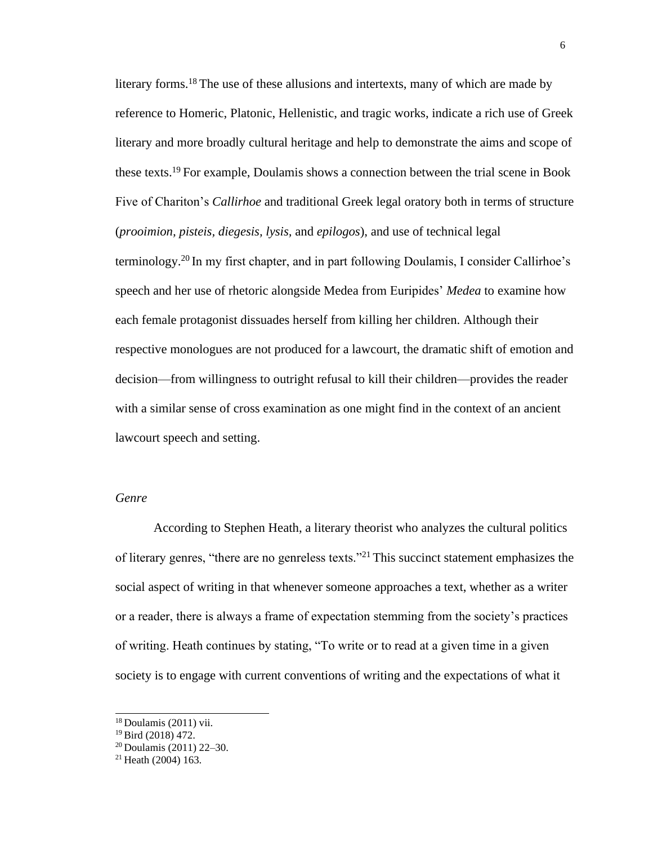literary forms.<sup>18</sup> The use of these allusions and intertexts, many of which are made by reference to Homeric, Platonic, Hellenistic, and tragic works, indicate a rich use of Greek literary and more broadly cultural heritage and help to demonstrate the aims and scope of these texts.<sup>19</sup> For example, Doulamis shows a connection between the trial scene in Book Five of Chariton's *Callirhoe* and traditional Greek legal oratory both in terms of structure (*prooimion, pisteis, diegesis, lysis,* and *epilogos*), and use of technical legal terminology.<sup>20</sup> In my first chapter, and in part following Doulamis, I consider Callirhoe's speech and her use of rhetoric alongside Medea from Euripides' *Medea* to examine how each female protagonist dissuades herself from killing her children. Although their respective monologues are not produced for a lawcourt, the dramatic shift of emotion and decision—from willingness to outright refusal to kill their children—provides the reader with a similar sense of cross examination as one might find in the context of an ancient lawcourt speech and setting.

### *Genre*

According to Stephen Heath, a literary theorist who analyzes the cultural politics of literary genres, "there are no genreless texts."<sup>21</sup> This succinct statement emphasizes the social aspect of writing in that whenever someone approaches a text, whether as a writer or a reader, there is always a frame of expectation stemming from the society's practices of writing. Heath continues by stating, "To write or to read at a given time in a given society is to engage with current conventions of writing and the expectations of what it

 $18$  Doulamis (2011) vii.

 $19$  Bird (2018) 472.

<sup>20</sup>Doulamis (2011) 22–30.

<sup>21</sup> Heath (2004) 163.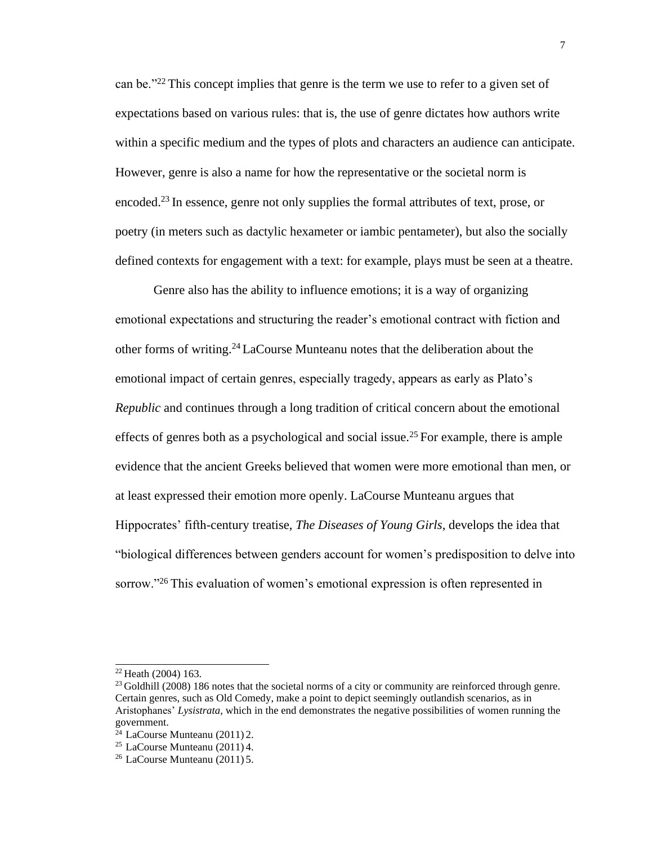can be."<sup>22</sup>This concept implies that genre is the term we use to refer to a given set of expectations based on various rules: that is, the use of genre dictates how authors write within a specific medium and the types of plots and characters an audience can anticipate. However, genre is also a name for how the representative or the societal norm is encoded.<sup>23</sup> In essence, genre not only supplies the formal attributes of text, prose, or poetry (in meters such as dactylic hexameter or iambic pentameter), but also the socially defined contexts for engagement with a text: for example, plays must be seen at a theatre.

Genre also has the ability to influence emotions; it is a way of organizing emotional expectations and structuring the reader's emotional contract with fiction and other forms of writing.<sup>24</sup>LaCourse Munteanu notes that the deliberation about the emotional impact of certain genres, especially tragedy, appears as early as Plato's *Republic* and continues through a long tradition of critical concern about the emotional effects of genres both as a psychological and social issue.<sup>25</sup> For example, there is ample evidence that the ancient Greeks believed that women were more emotional than men, or at least expressed their emotion more openly. LaCourse Munteanu argues that Hippocrates' fifth-century treatise, *The Diseases of Young Girls*, develops the idea that "biological differences between genders account for women's predisposition to delve into sorrow."<sup>26</sup>This evaluation of women's emotional expression is often represented in

 $22$  Heath (2004) 163.

<sup>&</sup>lt;sup>23</sup> Goldhill (2008) 186 notes that the societal norms of a city or community are reinforced through genre. Certain genres, such as Old Comedy, make a point to depict seemingly outlandish scenarios, as in Aristophanes' *Lysistrata*, which in the end demonstrates the negative possibilities of women running the government.

 $^{24}$  LaCourse Munteanu (2011) 2.

<sup>&</sup>lt;sup>25</sup> LaCourse Munteanu (2011) 4.

<sup>26</sup>LaCourse Munteanu (2011) 5.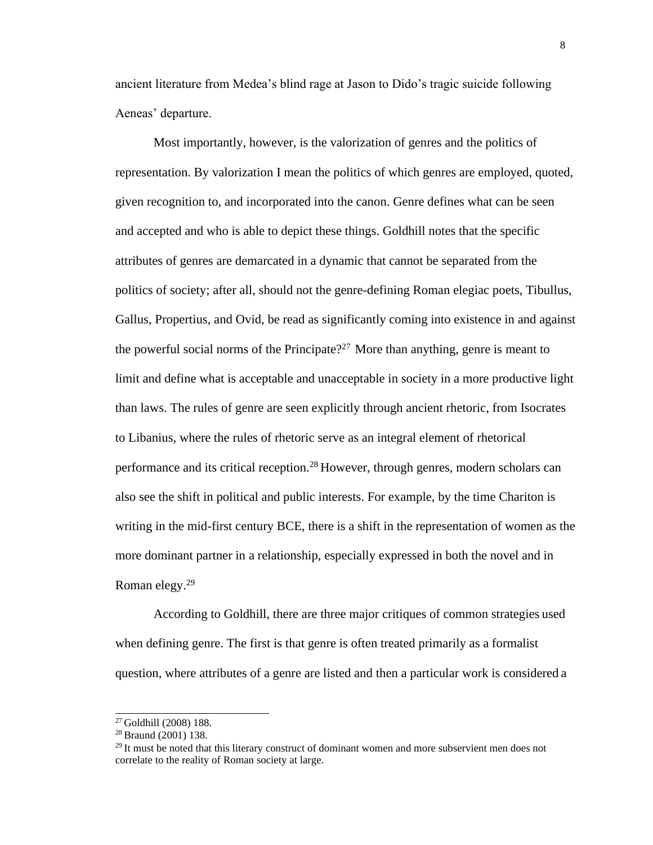ancient literature from Medea's blind rage at Jason to Dido's tragic suicide following Aeneas' departure.

Most importantly, however, is the valorization of genres and the politics of representation. By valorization I mean the politics of which genres are employed, quoted, given recognition to, and incorporated into the canon. Genre defines what can be seen and accepted and who is able to depict these things. Goldhill notes that the specific attributes of genres are demarcated in a dynamic that cannot be separated from the politics of society; after all, should not the genre-defining Roman elegiac poets, Tibullus, Gallus, Propertius, and Ovid, be read as significantly coming into existence in and against the powerful social norms of the Principate?<sup>27</sup> More than anything, genre is meant to limit and define what is acceptable and unacceptable in society in a more productive light than laws. The rules of genre are seen explicitly through ancient rhetoric, from Isocrates to Libanius, where the rules of rhetoric serve as an integral element of rhetorical performance and its critical reception.<sup>28</sup> However, through genres, modern scholars can also see the shift in political and public interests. For example, by the time Chariton is writing in the mid-first century BCE, there is a shift in the representation of women as the more dominant partner in a relationship, especially expressed in both the novel and in Roman elegy.<sup>29</sup>

According to Goldhill, there are three major critiques of common strategies used when defining genre. The first is that genre is often treated primarily as a formalist question, where attributes of a genre are listed and then a particular work is considered a

<sup>27</sup>Goldhill (2008) 188.

<sup>&</sup>lt;sup>28</sup> Braund (2001) 138.

 $29$  It must be noted that this literary construct of dominant women and more subservient men does not correlate to the reality of Roman society at large.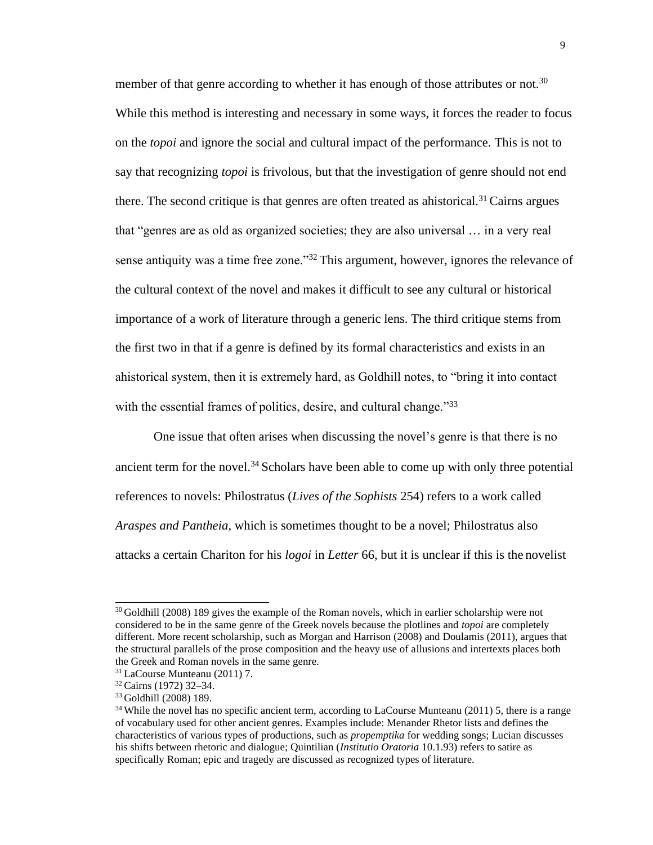member of that genre according to whether it has enough of those attributes or not.<sup>30</sup> While this method is interesting and necessary in some ways, it forces the reader to focus on the *topoi* and ignore the social and cultural impact of the performance. This is not to say that recognizing *topoi* is frivolous, but that the investigation of genre should not end there. The second critique is that genres are often treated as ahistorical.<sup>31</sup> Cairns argues that "genres are as old as organized societies; they are also universal … in a very real sense antiquity was a time free zone."<sup>32</sup> This argument, however, ignores the relevance of the cultural context of the novel and makes it difficult to see any cultural or historical importance of a work of literature through a generic lens. The third critique stems from the first two in that if a genre is defined by its formal characteristics and exists in an ahistorical system, then it is extremely hard, as Goldhill notes, to "bring it into contact with the essential frames of politics, desire, and cultural change."<sup>33</sup>

One issue that often arises when discussing the novel's genre is that there is no ancient term for the novel.<sup>34</sup> Scholars have been able to come up with only three potential references to novels: Philostratus (*Lives of the Sophists* 254) refers to a work called *Araspes and Pantheia*, which is sometimes thought to be a novel; Philostratus also attacks a certain Chariton for his *logoi* in *Letter* 66, but it is unclear if this is the novelist

<sup>&</sup>lt;sup>30</sup> Goldhill (2008) 189 gives the example of the Roman novels, which in earlier scholarship were not considered to be in the same genre of the Greek novels because the plotlines and *topoi* are completely different. More recent scholarship, such as Morgan and Harrison (2008) and Doulamis (2011), argues that the structural parallels of the prose composition and the heavy use of allusions and intertexts places both the Greek and Roman novels in the same genre.

<sup>31</sup>LaCourse Munteanu (2011) 7.

<sup>32</sup>Cairns (1972) 32–34.

<sup>33</sup>Goldhill (2008) 189.

<sup>&</sup>lt;sup>34</sup> While the novel has no specific ancient term, according to LaCourse Munteanu (2011) 5, there is a range of vocabulary used for other ancient genres. Examples include: Menander Rhetor lists and defines the characteristics of various types of productions, such as *propemptika* for wedding songs; Lucian discusses his shifts between rhetoric and dialogue; Quintilian (*Institutio Oratoria* 10.1.93) refers to satire as specifically Roman; epic and tragedy are discussed as recognized types of literature.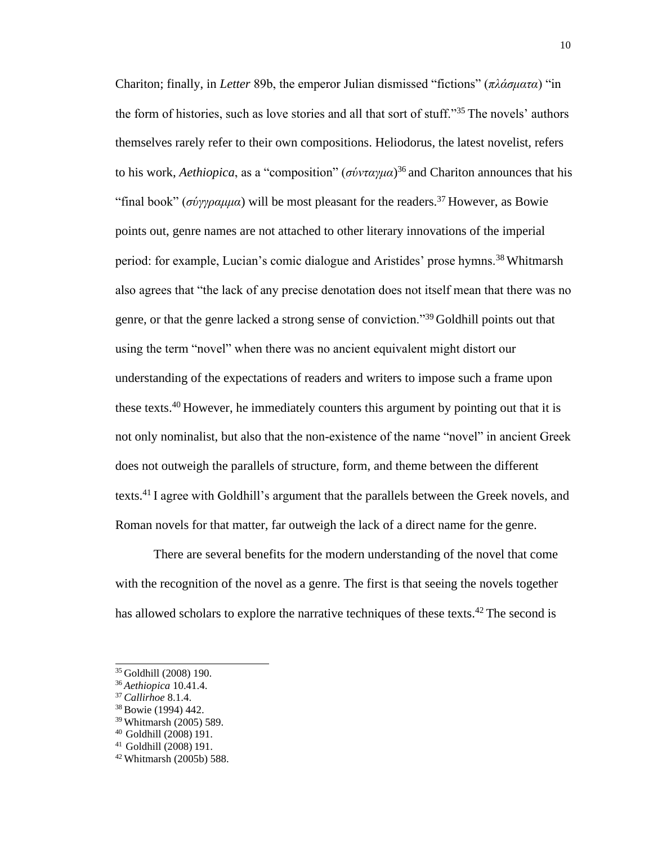Chariton; finally, in *Letter* 89b, the emperor Julian dismissed "fictions" (*πλάσματα*) "in the form of histories, such as love stories and all that sort of stuff."<sup>35</sup>The novels' authors themselves rarely refer to their own compositions. Heliodorus, the latest novelist, refers to his work, *Aethiopica*, as a "composition" (*σύνταγμα*) <sup>36</sup>and Chariton announces that his "final book" ( $\sigma \nu \nu \rho \alpha \mu \mu \alpha$ ) will be most pleasant for the readers.<sup>37</sup> However, as Bowie points out, genre names are not attached to other literary innovations of the imperial period: for example, Lucian's comic dialogue and Aristides' prose hymns.<sup>38</sup> Whitmarsh also agrees that "the lack of any precise denotation does not itself mean that there was no genre, or that the genre lacked a strong sense of conviction."<sup>39</sup>Goldhill points out that using the term "novel" when there was no ancient equivalent might distort our understanding of the expectations of readers and writers to impose such a frame upon these texts.<sup>40</sup>However, he immediately counters this argument by pointing out that it is not only nominalist, but also that the non-existence of the name "novel" in ancient Greek does not outweigh the parallels of structure, form, and theme between the different texts.<sup>41</sup>I agree with Goldhill's argument that the parallels between the Greek novels, and Roman novels for that matter, far outweigh the lack of a direct name for the genre.

There are several benefits for the modern understanding of the novel that come with the recognition of the novel as a genre. The first is that seeing the novels together has allowed scholars to explore the narrative techniques of these texts.<sup>42</sup> The second is

<sup>35</sup>Goldhill (2008) 190.

<sup>36</sup>*Aethiopica* 10.41.4.

<sup>37</sup>*Callirhoe* 8.1.4.

<sup>38</sup>Bowie (1994) 442.

<sup>39</sup>Whitmarsh (2005) 589.

<sup>&</sup>lt;sup>40</sup> Goldhill (2008) 191.

<sup>&</sup>lt;sup>41</sup> Goldhill (2008) 191.

<sup>42</sup> Whitmarsh (2005b) 588.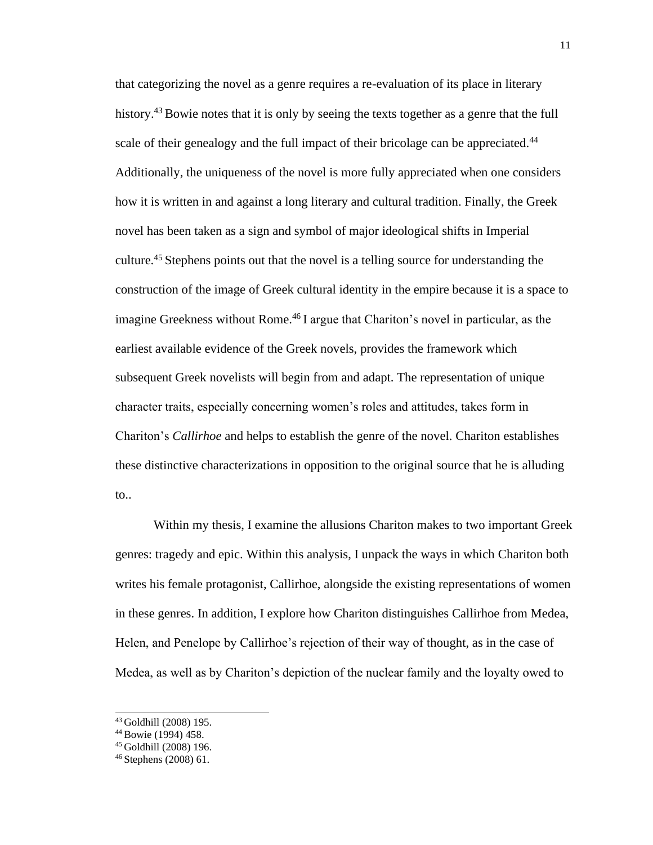that categorizing the novel as a genre requires a re-evaluation of its place in literary history.<sup>43</sup> Bowie notes that it is only by seeing the texts together as a genre that the full scale of their genealogy and the full impact of their bricolage can be appreciated.<sup>44</sup> Additionally, the uniqueness of the novel is more fully appreciated when one considers how it is written in and against a long literary and cultural tradition. Finally, the Greek novel has been taken as a sign and symbol of major ideological shifts in Imperial culture.<sup>45</sup>Stephens points out that the novel is a telling source for understanding the construction of the image of Greek cultural identity in the empire because it is a space to imagine Greekness without Rome.<sup>46</sup> I argue that Chariton's novel in particular, as the earliest available evidence of the Greek novels, provides the framework which subsequent Greek novelists will begin from and adapt. The representation of unique character traits, especially concerning women's roles and attitudes, takes form in Chariton's *Callirhoe* and helps to establish the genre of the novel. Chariton establishes these distinctive characterizations in opposition to the original source that he is alluding to..

Within my thesis, I examine the allusions Chariton makes to two important Greek genres: tragedy and epic. Within this analysis, I unpack the ways in which Chariton both writes his female protagonist, Callirhoe, alongside the existing representations of women in these genres. In addition, I explore how Chariton distinguishes Callirhoe from Medea, Helen, and Penelope by Callirhoe's rejection of their way of thought, as in the case of Medea, as well as by Chariton's depiction of the nuclear family and the loyalty owed to

<sup>43</sup>Goldhill (2008) 195.

<sup>44</sup>Bowie (1994) 458.

<sup>45</sup> Goldhill (2008) 196.

<sup>46</sup> Stephens (2008) 61.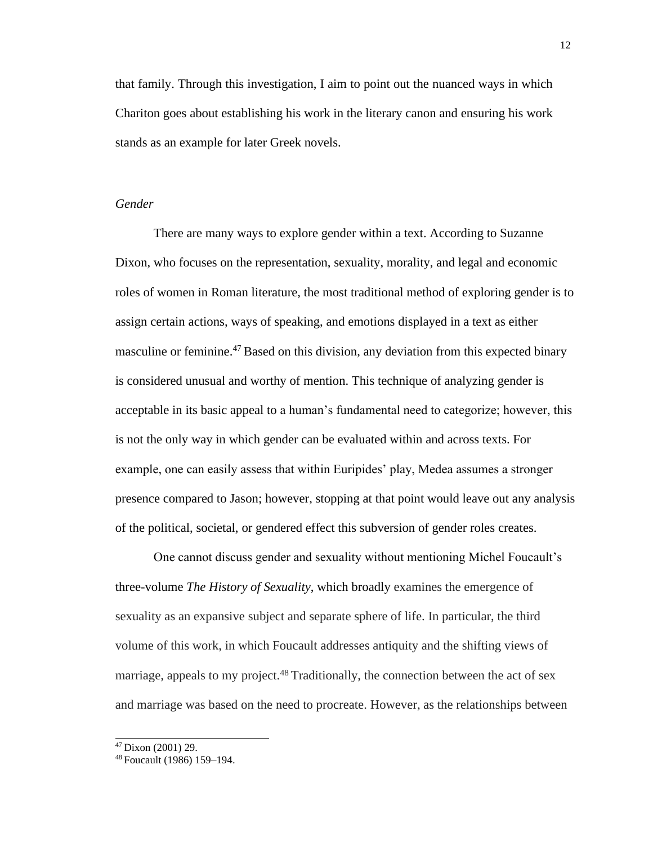that family. Through this investigation, I aim to point out the nuanced ways in which Chariton goes about establishing his work in the literary canon and ensuring his work stands as an example for later Greek novels.

### *Gender*

There are many ways to explore gender within a text. According to Suzanne Dixon, who focuses on the representation, sexuality, morality, and legal and economic roles of women in Roman literature, the most traditional method of exploring gender is to assign certain actions, ways of speaking, and emotions displayed in a text as either masculine or feminine.<sup>47</sup> Based on this division, any deviation from this expected binary is considered unusual and worthy of mention. This technique of analyzing gender is acceptable in its basic appeal to a human's fundamental need to categorize; however, this is not the only way in which gender can be evaluated within and across texts. For example, one can easily assess that within Euripides' play, Medea assumes a stronger presence compared to Jason; however, stopping at that point would leave out any analysis of the political, societal, or gendered effect this subversion of gender roles creates.

One cannot discuss gender and sexuality without mentioning Michel Foucault's three-volume *The History of Sexuality*, which broadly examines the emergence of sexuality as an expansive subject and separate sphere of life. In particular, the third volume of this work, in which Foucault addresses antiquity and the shifting views of marriage, appeals to my project. $48$  Traditionally, the connection between the act of sex and marriage was based on the need to procreate. However, as the relationships between

<sup>47</sup>Dixon (2001) 29.

<sup>48</sup> Foucault (1986) 159–194.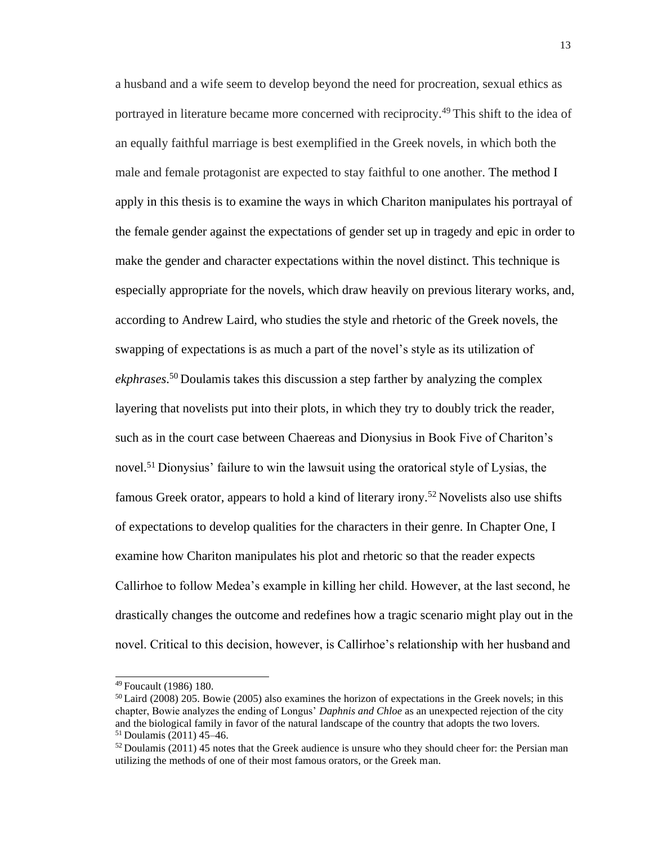a husband and a wife seem to develop beyond the need for procreation, sexual ethics as portrayed in literature became more concerned with reciprocity.<sup>49</sup>This shift to the idea of an equally faithful marriage is best exemplified in the Greek novels, in which both the male and female protagonist are expected to stay faithful to one another. The method I apply in this thesis is to examine the ways in which Chariton manipulates his portrayal of the female gender against the expectations of gender set up in tragedy and epic in order to make the gender and character expectations within the novel distinct. This technique is especially appropriate for the novels, which draw heavily on previous literary works, and, according to Andrew Laird, who studies the style and rhetoric of the Greek novels, the swapping of expectations is as much a part of the novel's style as its utilization of ekphrases.<sup>50</sup> Doulamis takes this discussion a step farther by analyzing the complex layering that novelists put into their plots, in which they try to doubly trick the reader, such as in the court case between Chaereas and Dionysius in Book Five of Chariton's novel.<sup>51</sup> Dionysius' failure to win the lawsuit using the oratorical style of Lysias, the famous Greek orator, appears to hold a kind of literary irony.<sup>52</sup> Novelists also use shifts of expectations to develop qualities for the characters in their genre. In Chapter One, I examine how Chariton manipulates his plot and rhetoric so that the reader expects Callirhoe to follow Medea's example in killing her child. However, at the last second, he drastically changes the outcome and redefines how a tragic scenario might play out in the novel. Critical to this decision, however, is Callirhoe's relationship with her husband and

<sup>49</sup>Foucault (1986) 180.

<sup>50</sup>Laird (2008) 205. Bowie (2005) also examines the horizon of expectations in the Greek novels; in this chapter, Bowie analyzes the ending of Longus' *Daphnis and Chloe* as an unexpected rejection of the city and the biological family in favor of the natural landscape of the country that adopts the two lovers.  $51$  Doulamis (2011) 45–46.

 $52$  Doulamis (2011) 45 notes that the Greek audience is unsure who they should cheer for: the Persian man utilizing the methods of one of their most famous orators, or the Greek man.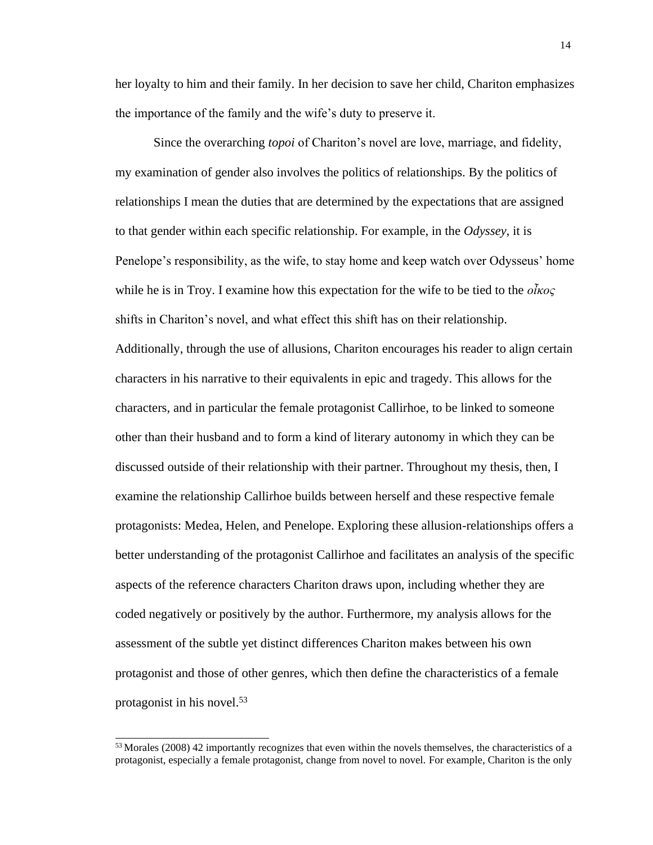her loyalty to him and their family. In her decision to save her child, Chariton emphasizes the importance of the family and the wife's duty to preserve it.

Since the overarching *topoi* of Chariton's novel are love, marriage, and fidelity, my examination of gender also involves the politics of relationships. By the politics of relationships I mean the duties that are determined by the expectations that are assigned to that gender within each specific relationship. For example, in the *Odyssey*, it is Penelope's responsibility, as the wife, to stay home and keep watch over Odysseus' home while he is in Troy. I examine how this expectation for the wife to be tied to the *οἶκος*  shifts in Chariton's novel, and what effect this shift has on their relationship. Additionally, through the use of allusions, Chariton encourages his reader to align certain characters in his narrative to their equivalents in epic and tragedy. This allows for the characters, and in particular the female protagonist Callirhoe, to be linked to someone other than their husband and to form a kind of literary autonomy in which they can be discussed outside of their relationship with their partner. Throughout my thesis, then, I examine the relationship Callirhoe builds between herself and these respective female protagonists: Medea, Helen, and Penelope. Exploring these allusion-relationships offers a better understanding of the protagonist Callirhoe and facilitates an analysis of the specific aspects of the reference characters Chariton draws upon, including whether they are coded negatively or positively by the author. Furthermore, my analysis allows for the assessment of the subtle yet distinct differences Chariton makes between his own protagonist and those of other genres, which then define the characteristics of a female protagonist in his novel.<sup>53</sup>

<sup>&</sup>lt;sup>53</sup> Morales (2008) 42 importantly recognizes that even within the novels themselves, the characteristics of a protagonist, especially a female protagonist, change from novel to novel. For example, Chariton is the only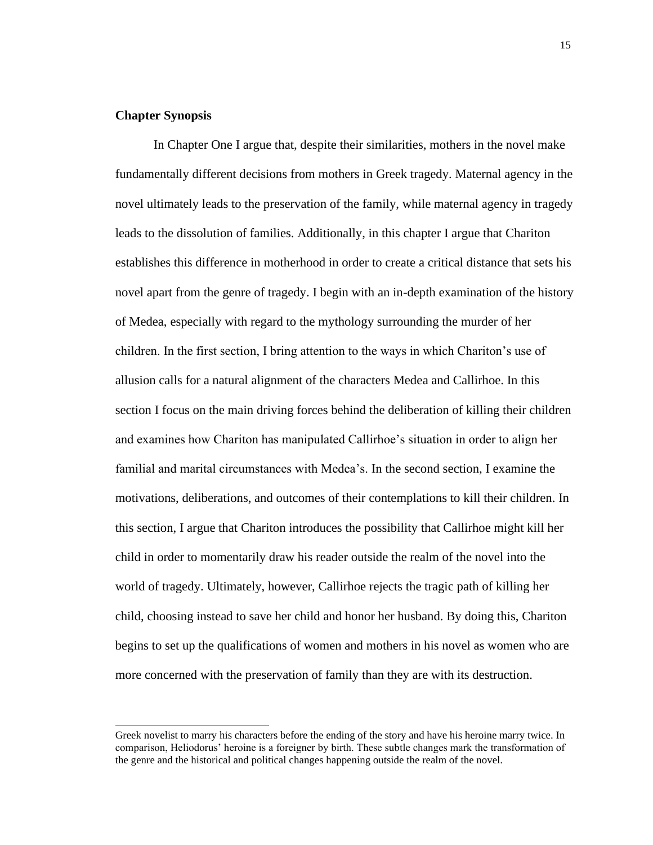### <span id="page-21-0"></span>**Chapter Synopsis**

In Chapter One I argue that, despite their similarities, mothers in the novel make fundamentally different decisions from mothers in Greek tragedy. Maternal agency in the novel ultimately leads to the preservation of the family, while maternal agency in tragedy leads to the dissolution of families. Additionally, in this chapter I argue that Chariton establishes this difference in motherhood in order to create a critical distance that sets his novel apart from the genre of tragedy. I begin with an in-depth examination of the history of Medea, especially with regard to the mythology surrounding the murder of her children. In the first section, I bring attention to the ways in which Chariton's use of allusion calls for a natural alignment of the characters Medea and Callirhoe. In this section I focus on the main driving forces behind the deliberation of killing their children and examines how Chariton has manipulated Callirhoe's situation in order to align her familial and marital circumstances with Medea's. In the second section, I examine the motivations, deliberations, and outcomes of their contemplations to kill their children. In this section, I argue that Chariton introduces the possibility that Callirhoe might kill her child in order to momentarily draw his reader outside the realm of the novel into the world of tragedy. Ultimately, however, Callirhoe rejects the tragic path of killing her child, choosing instead to save her child and honor her husband. By doing this, Chariton begins to set up the qualifications of women and mothers in his novel as women who are more concerned with the preservation of family than they are with its destruction.

Greek novelist to marry his characters before the ending of the story and have his heroine marry twice. In comparison, Heliodorus' heroine is a foreigner by birth. These subtle changes mark the transformation of the genre and the historical and political changes happening outside the realm of the novel.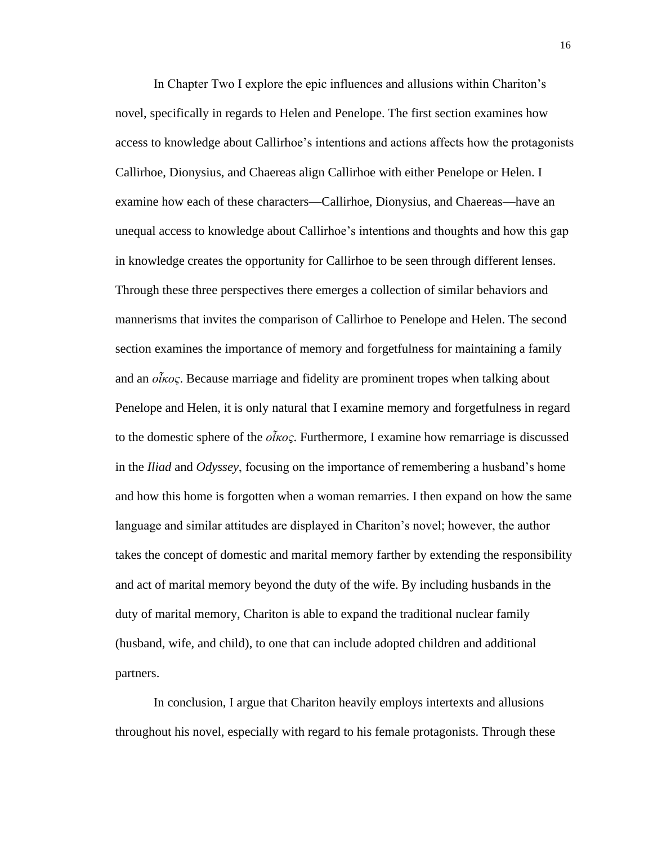In Chapter Two I explore the epic influences and allusions within Chariton's novel, specifically in regards to Helen and Penelope. The first section examines how access to knowledge about Callirhoe's intentions and actions affects how the protagonists Callirhoe, Dionysius, and Chaereas align Callirhoe with either Penelope or Helen. I examine how each of these characters—Callirhoe, Dionysius, and Chaereas—have an unequal access to knowledge about Callirhoe's intentions and thoughts and how this gap in knowledge creates the opportunity for Callirhoe to be seen through different lenses. Through these three perspectives there emerges a collection of similar behaviors and mannerisms that invites the comparison of Callirhoe to Penelope and Helen. The second section examines the importance of memory and forgetfulness for maintaining a family and an *οἶκος*. Because marriage and fidelity are prominent tropes when talking about Penelope and Helen, it is only natural that I examine memory and forgetfulness in regard to the domestic sphere of the *οἶκος*. Furthermore, I examine how remarriage is discussed in the *Iliad* and *Odyssey*, focusing on the importance of remembering a husband's home and how this home is forgotten when a woman remarries. I then expand on how the same language and similar attitudes are displayed in Chariton's novel; however, the author takes the concept of domestic and marital memory farther by extending the responsibility and act of marital memory beyond the duty of the wife. By including husbands in the duty of marital memory, Chariton is able to expand the traditional nuclear family (husband, wife, and child), to one that can include adopted children and additional partners.

In conclusion, I argue that Chariton heavily employs intertexts and allusions throughout his novel, especially with regard to his female protagonists. Through these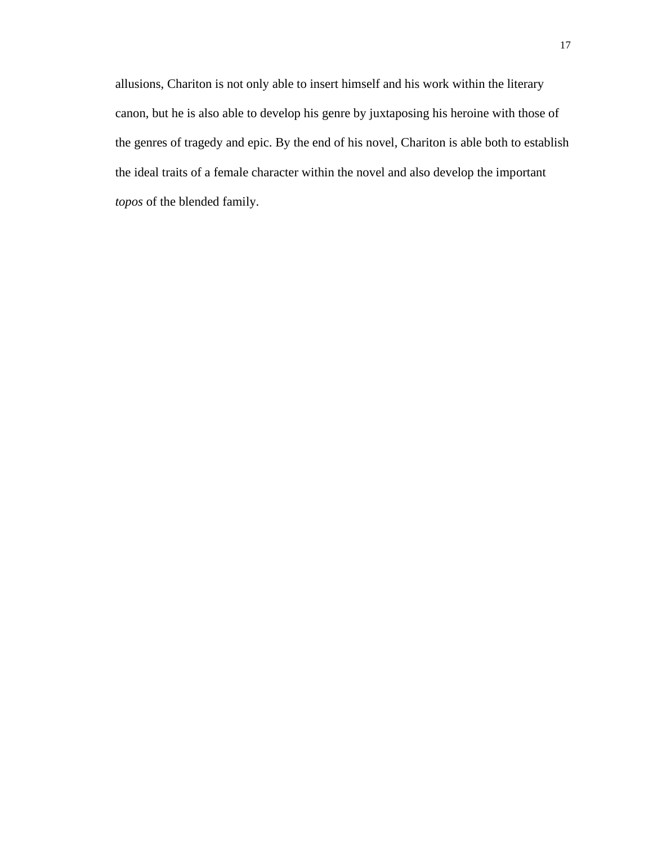allusions, Chariton is not only able to insert himself and his work within the literary canon, but he is also able to develop his genre by juxtaposing his heroine with those of the genres of tragedy and epic. By the end of his novel, Chariton is able both to establish the ideal traits of a female character within the novel and also develop the important *topos* of the blended family.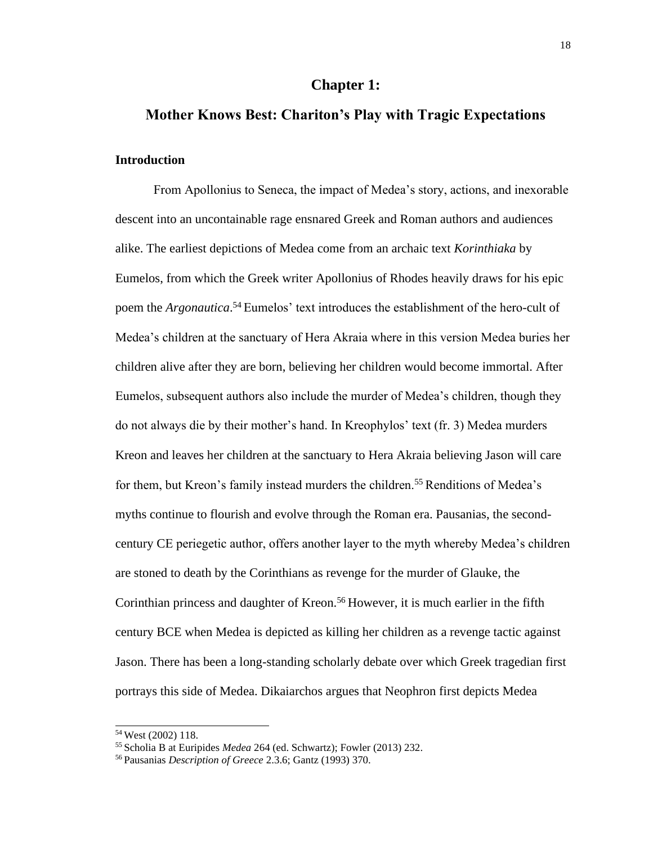### **Chapter 1:**

### <span id="page-24-0"></span>**Mother Knows Best: Chariton's Play with Tragic Expectations**

### <span id="page-24-2"></span><span id="page-24-1"></span>**Introduction**

From Apollonius to Seneca, the impact of Medea's story, actions, and inexorable descent into an uncontainable rage ensnared Greek and Roman authors and audiences alike. The earliest depictions of Medea come from an archaic text *Korinthiaka* by Eumelos, from which the Greek writer Apollonius of Rhodes heavily draws for his epic poem the *Argonautica*.<sup>54</sup> Eumelos' text introduces the establishment of the hero-cult of Medea's children at the sanctuary of Hera Akraia where in this version Medea buries her children alive after they are born, believing her children would become immortal. After Eumelos, subsequent authors also include the murder of Medea's children, though they do not always die by their mother's hand. In Kreophylos' text (fr. 3) Medea murders Kreon and leaves her children at the sanctuary to Hera Akraia believing Jason will care for them, but Kreon's family instead murders the children.<sup>55</sup> Renditions of Medea's myths continue to flourish and evolve through the Roman era. Pausanias, the secondcentury CE periegetic author, offers another layer to the myth whereby Medea's children are stoned to death by the Corinthians as revenge for the murder of Glauke, the Corinthian princess and daughter of Kreon.<sup>56</sup> However, it is much earlier in the fifth century BCE when Medea is depicted as killing her children as a revenge tactic against Jason. There has been a long-standing scholarly debate over which Greek tragedian first portrays this side of Medea. Dikaiarchos argues that Neophron first depicts Medea

<sup>54</sup>West (2002) 118.

<sup>55</sup>Scholia B at Euripides *Medea* 264 (ed. Schwartz); Fowler (2013) 232.

<sup>56</sup> Pausanias *Description of Greece* 2.3.6; Gantz (1993) 370.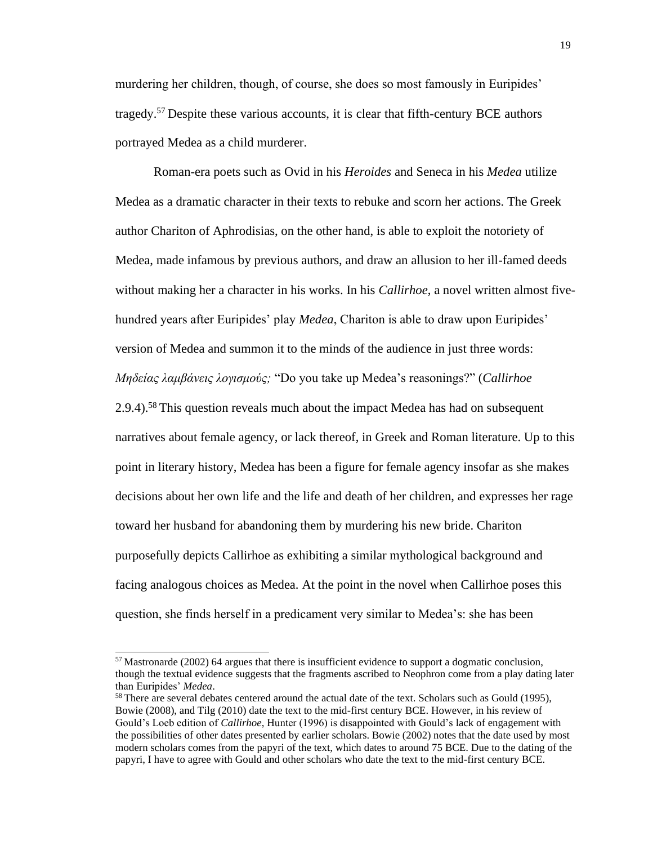murdering her children, though, of course, she does so most famously in Euripides' tragedy.<sup>57</sup>Despite these various accounts, it is clear that fifth-century BCE authors portrayed Medea as a child murderer.

Roman-era poets such as Ovid in his *Heroides* and Seneca in his *Medea* utilize Medea as a dramatic character in their texts to rebuke and scorn her actions. The Greek author Chariton of Aphrodisias, on the other hand, is able to exploit the notoriety of Medea, made infamous by previous authors, and draw an allusion to her ill-famed deeds without making her a character in his works. In his *Callirhoe*, a novel written almost fivehundred years after Euripides' play *Medea*, Chariton is able to draw upon Euripides' version of Medea and summon it to the minds of the audience in just three words: *Μηδείας λαμβάνεις λογισμούς;* "Do you take up Medea's reasonings?" (*Callirhoe*  2.9.4).<sup>58</sup> This question reveals much about the impact Medea has had on subsequent narratives about female agency, or lack thereof, in Greek and Roman literature. Up to this point in literary history, Medea has been a figure for female agency insofar as she makes decisions about her own life and the life and death of her children, and expresses her rage toward her husband for abandoning them by murdering his new bride. Chariton purposefully depicts Callirhoe as exhibiting a similar mythological background and facing analogous choices as Medea. At the point in the novel when Callirhoe poses this question, she finds herself in a predicament very similar to Medea's: she has been

 $57$  Mastronarde (2002) 64 argues that there is insufficient evidence to support a dogmatic conclusion, though the textual evidence suggests that the fragments ascribed to Neophron come from a play dating later than Euripides' *Medea*.

<sup>&</sup>lt;sup>58</sup> There are several debates centered around the actual date of the text. Scholars such as Gould (1995), Bowie (2008), and Tilg (2010) date the text to the mid-first century BCE. However, in his review of Gould's Loeb edition of *Callirhoe*, Hunter (1996) is disappointed with Gould's lack of engagement with the possibilities of other dates presented by earlier scholars. Bowie (2002) notes that the date used by most modern scholars comes from the papyri of the text, which dates to around 75 BCE. Due to the dating of the papyri, I have to agree with Gould and other scholars who date the text to the mid-first century BCE.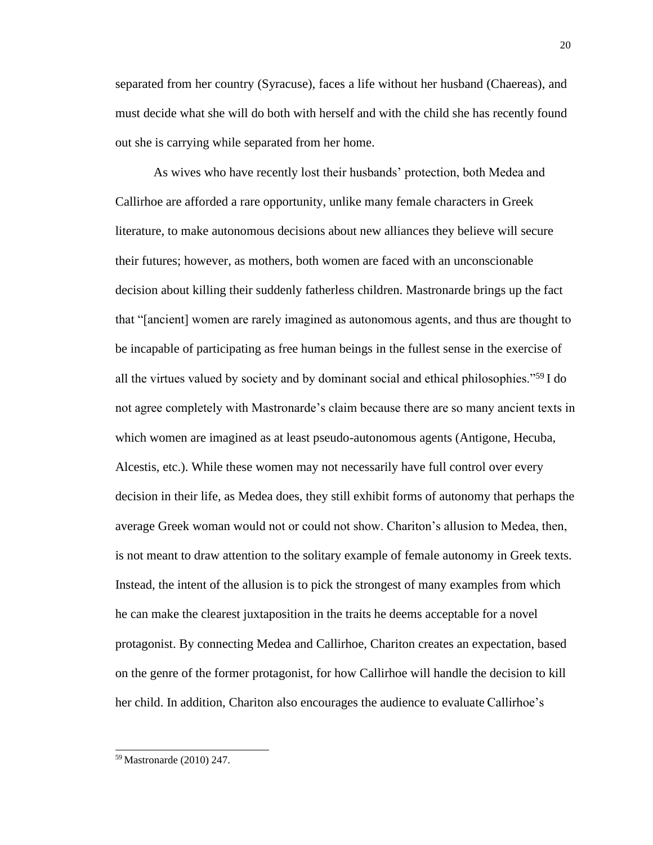separated from her country (Syracuse), faces a life without her husband (Chaereas), and must decide what she will do both with herself and with the child she has recently found out she is carrying while separated from her home.

As wives who have recently lost their husbands' protection, both Medea and Callirhoe are afforded a rare opportunity, unlike many female characters in Greek literature, to make autonomous decisions about new alliances they believe will secure their futures; however, as mothers, both women are faced with an unconscionable decision about killing their suddenly fatherless children. Mastronarde brings up the fact that "[ancient] women are rarely imagined as autonomous agents, and thus are thought to be incapable of participating as free human beings in the fullest sense in the exercise of all the virtues valued by society and by dominant social and ethical philosophies."<sup>59</sup>I do not agree completely with Mastronarde's claim because there are so many ancient texts in which women are imagined as at least pseudo-autonomous agents (Antigone, Hecuba, Alcestis, etc.). While these women may not necessarily have full control over every decision in their life, as Medea does, they still exhibit forms of autonomy that perhaps the average Greek woman would not or could not show. Chariton's allusion to Medea, then, is not meant to draw attention to the solitary example of female autonomy in Greek texts. Instead, the intent of the allusion is to pick the strongest of many examples from which he can make the clearest juxtaposition in the traits he deems acceptable for a novel protagonist. By connecting Medea and Callirhoe, Chariton creates an expectation, based on the genre of the former protagonist, for how Callirhoe will handle the decision to kill her child. In addition, Chariton also encourages the audience to evaluate Callirhoe's

<sup>59</sup> Mastronarde (2010) 247.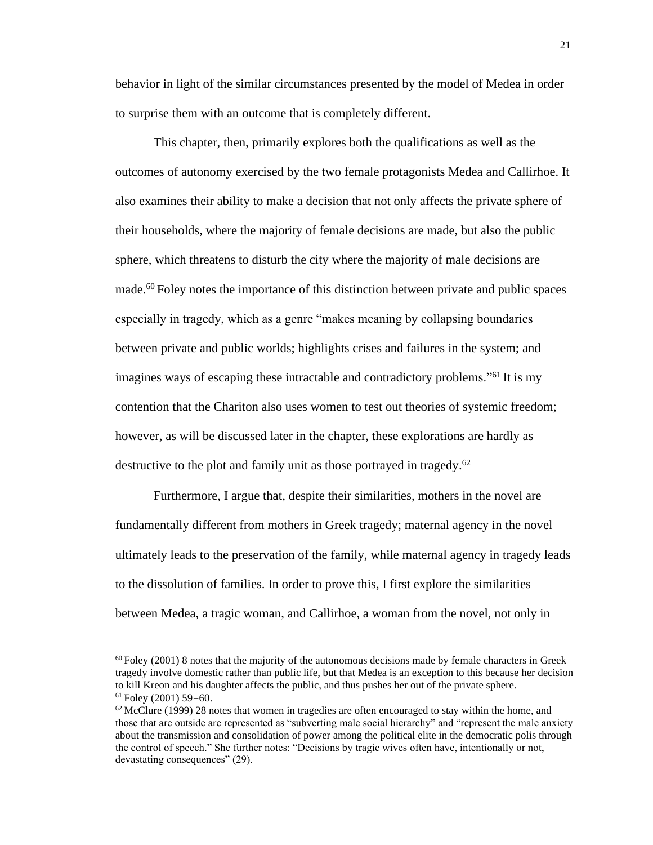behavior in light of the similar circumstances presented by the model of Medea in order to surprise them with an outcome that is completely different.

This chapter, then, primarily explores both the qualifications as well as the outcomes of autonomy exercised by the two female protagonists Medea and Callirhoe. It also examines their ability to make a decision that not only affects the private sphere of their households, where the majority of female decisions are made, but also the public sphere, which threatens to disturb the city where the majority of male decisions are made.<sup>60</sup> Foley notes the importance of this distinction between private and public spaces especially in tragedy, which as a genre "makes meaning by collapsing boundaries between private and public worlds; highlights crises and failures in the system; and imagines ways of escaping these intractable and contradictory problems."<sup>61</sup> It is my contention that the Chariton also uses women to test out theories of systemic freedom; however, as will be discussed later in the chapter, these explorations are hardly as destructive to the plot and family unit as those portrayed in tragedy. 62

Furthermore, I argue that, despite their similarities, mothers in the novel are fundamentally different from mothers in Greek tragedy; maternal agency in the novel ultimately leads to the preservation of the family, while maternal agency in tragedy leads to the dissolution of families. In order to prove this, I first explore the similarities between Medea, a tragic woman, and Callirhoe, a woman from the novel, not only in

 $60$  Foley (2001) 8 notes that the majority of the autonomous decisions made by female characters in Greek tragedy involve domestic rather than public life, but that Medea is an exception to this because her decision to kill Kreon and his daughter affects the public, and thus pushes her out of the private sphere.  $61$  Foley (2001) 59-60.

 $62$  McClure (1999) 28 notes that women in tragedies are often encouraged to stay within the home, and those that are outside are represented as "subverting male social hierarchy" and "represent the male anxiety about the transmission and consolidation of power among the political elite in the democratic polis through the control of speech." She further notes: "Decisions by tragic wives often have, intentionally or not, devastating consequences" (29).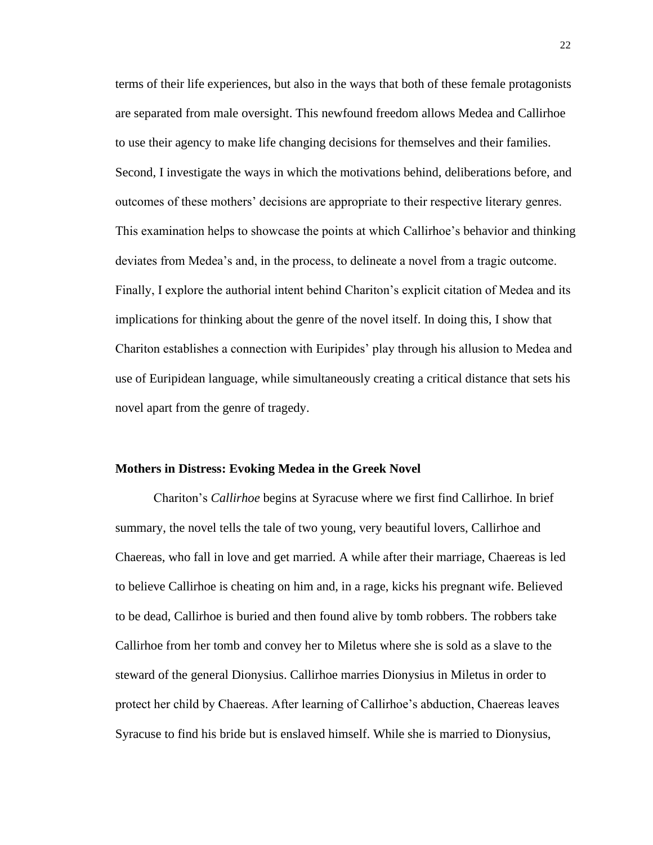terms of their life experiences, but also in the ways that both of these female protagonists are separated from male oversight. This newfound freedom allows Medea and Callirhoe to use their agency to make life changing decisions for themselves and their families. Second, I investigate the ways in which the motivations behind, deliberations before, and outcomes of these mothers' decisions are appropriate to their respective literary genres. This examination helps to showcase the points at which Callirhoe's behavior and thinking deviates from Medea's and, in the process, to delineate a novel from a tragic outcome. Finally, I explore the authorial intent behind Chariton's explicit citation of Medea and its implications for thinking about the genre of the novel itself. In doing this, I show that Chariton establishes a connection with Euripides' play through his allusion to Medea and use of Euripidean language, while simultaneously creating a critical distance that sets his novel apart from the genre of tragedy.

### <span id="page-28-0"></span>**Mothers in Distress: Evoking Medea in the Greek Novel**

Chariton's *Callirhoe* begins at Syracuse where we first find Callirhoe. In brief summary, the novel tells the tale of two young, very beautiful lovers, Callirhoe and Chaereas, who fall in love and get married. A while after their marriage, Chaereas is led to believe Callirhoe is cheating on him and, in a rage, kicks his pregnant wife. Believed to be dead, Callirhoe is buried and then found alive by tomb robbers. The robbers take Callirhoe from her tomb and convey her to Miletus where she is sold as a slave to the steward of the general Dionysius. Callirhoe marries Dionysius in Miletus in order to protect her child by Chaereas. After learning of Callirhoe's abduction, Chaereas leaves Syracuse to find his bride but is enslaved himself. While she is married to Dionysius,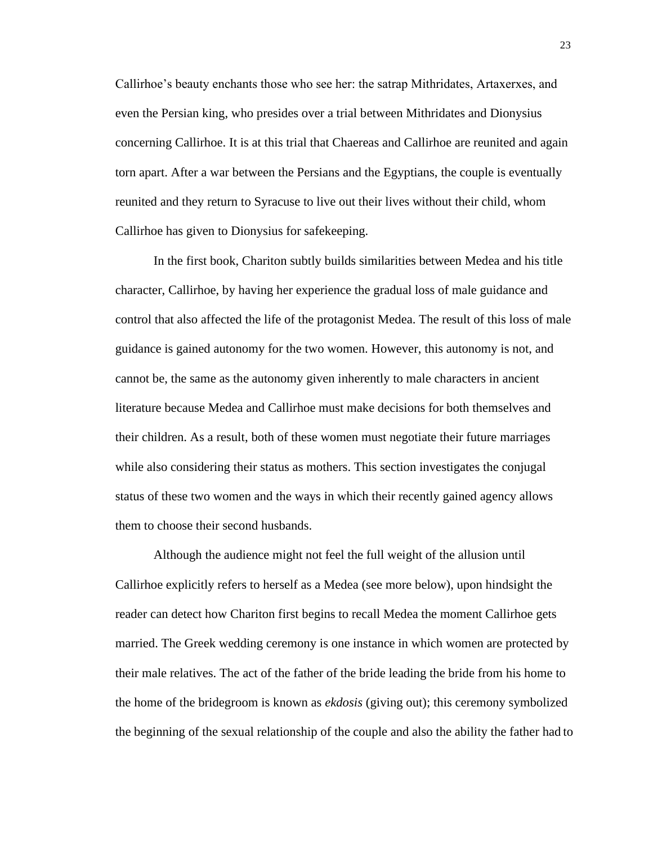Callirhoe's beauty enchants those who see her: the satrap Mithridates, Artaxerxes, and even the Persian king, who presides over a trial between Mithridates and Dionysius concerning Callirhoe. It is at this trial that Chaereas and Callirhoe are reunited and again torn apart. After a war between the Persians and the Egyptians, the couple is eventually reunited and they return to Syracuse to live out their lives without their child, whom Callirhoe has given to Dionysius for safekeeping.

In the first book, Chariton subtly builds similarities between Medea and his title character, Callirhoe, by having her experience the gradual loss of male guidance and control that also affected the life of the protagonist Medea. The result of this loss of male guidance is gained autonomy for the two women. However, this autonomy is not, and cannot be, the same as the autonomy given inherently to male characters in ancient literature because Medea and Callirhoe must make decisions for both themselves and their children. As a result, both of these women must negotiate their future marriages while also considering their status as mothers. This section investigates the conjugal status of these two women and the ways in which their recently gained agency allows them to choose their second husbands.

Although the audience might not feel the full weight of the allusion until Callirhoe explicitly refers to herself as a Medea (see more below), upon hindsight the reader can detect how Chariton first begins to recall Medea the moment Callirhoe gets married. The Greek wedding ceremony is one instance in which women are protected by their male relatives. The act of the father of the bride leading the bride from his home to the home of the bridegroom is known as *ekdosis* (giving out); this ceremony symbolized the beginning of the sexual relationship of the couple and also the ability the father had to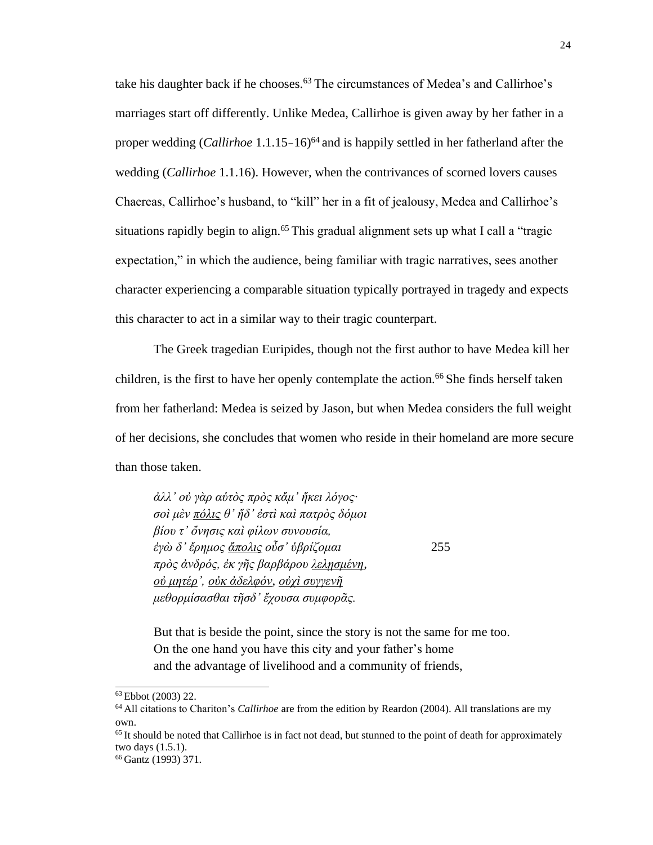take his daughter back if he chooses.<sup>63</sup> The circumstances of Medea's and Callirhoe's marriages start off differently. Unlike Medea, Callirhoe is given away by her father in a proper wedding (*Callirhoe* 1.1.15–16)<sup>64</sup> and is happily settled in her fatherland after the wedding (*Callirhoe* 1.1.16). However, when the contrivances of scorned lovers causes Chaereas, Callirhoe's husband, to "kill" her in a fit of jealousy, Medea and Callirhoe's situations rapidly begin to align.<sup>65</sup> This gradual alignment sets up what I call a "tragic expectation," in which the audience, being familiar with tragic narratives, sees another character experiencing a comparable situation typically portrayed in tragedy and expects this character to act in a similar way to their tragic counterpart.

The Greek tragedian Euripides, though not the first author to have Medea kill her children, is the first to have her openly contemplate the action.<sup>66</sup> She finds herself taken from her fatherland: Medea is seized by Jason, but when Medea considers the full weight of her decisions, she concludes that women who reside in their homeland are more secure than those taken.

*ἀλλ' οὐ γὰρ αὑτὸς πρὸς κἄμ' ἥκει λόγος· σοὶ μὲν πόλις θ' ἥδ' ἐστὶ καὶ πατρὸς δόμοι βίου τ' ὄνησις καὶ φίλων συνουσία, ἐγὼ δ' ἔρημος ἄπολις οὖσ' ὑβρίζομαι* 255 *πρὸς ἀνδρός, ἐκ γῆς βαρβάρου λελῃσμένη, οὐ μητέρ', οὐκ ἀδελφόν, οὐχὶ συγγενῆ μεθορμίσασθαι τῆσδ' ἔχουσα συμφορᾶς.*

But that is beside the point, since the story is not the same for me too. On the one hand you have this city and your father's home and the advantage of livelihood and a community of friends,

<sup>63</sup>Ebbot (2003) 22.

<sup>64</sup>All citations to Chariton's *Callirhoe* are from the edition by Reardon (2004). All translations are my own.

<sup>&</sup>lt;sup>65</sup>It should be noted that Callirhoe is in fact not dead, but stunned to the point of death for approximately two days (1.5.1).

<sup>66</sup> Gantz (1993) 371.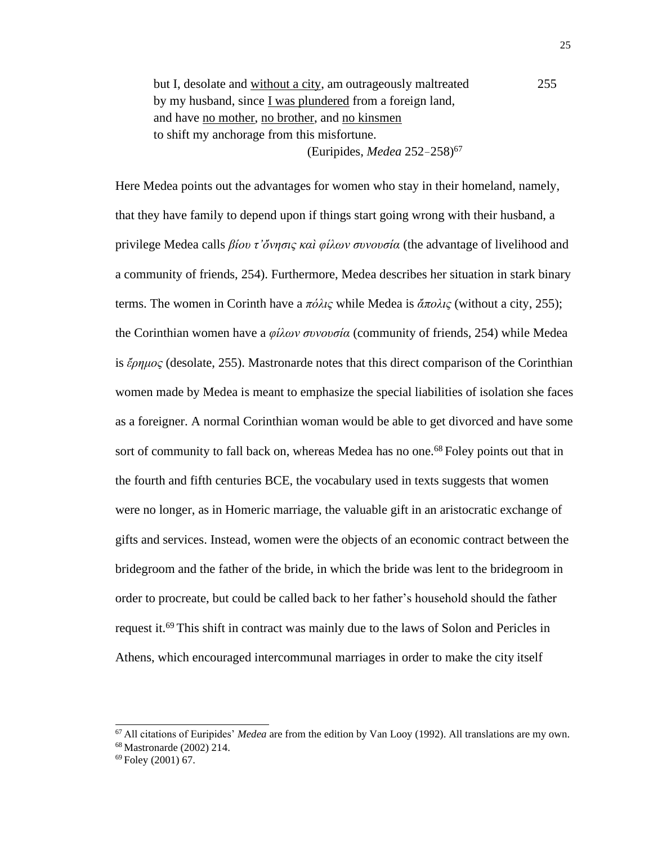but I, desolate and without a city, am outrageously maltreated 255 by my husband, since I was plundered from a foreign land, and have no mother, no brother, and no kinsmen to shift my anchorage from this misfortune. (Euripides, *Medea* 252–258) 67

Here Medea points out the advantages for women who stay in their homeland, namely, that they have family to depend upon if things start going wrong with their husband, a privilege Medea calls *βίου τ'ὄνησις καὶ φίλων συνουσία* (the advantage of livelihood and a community of friends, 254). Furthermore, Medea describes her situation in stark binary terms. The women in Corinth have a *πόλις* while Medea is *ἄπολις* (without a city, 255); the Corinthian women have a *φίλων συνουσία* (community of friends, 254) while Medea is *ἔρημος* (desolate, 255). Mastronarde notes that this direct comparison of the Corinthian women made by Medea is meant to emphasize the special liabilities of isolation she faces as a foreigner. A normal Corinthian woman would be able to get divorced and have some sort of community to fall back on, whereas Medea has no one.<sup>68</sup> Foley points out that in the fourth and fifth centuries BCE, the vocabulary used in texts suggests that women were no longer, as in Homeric marriage, the valuable gift in an aristocratic exchange of gifts and services. Instead, women were the objects of an economic contract between the bridegroom and the father of the bride, in which the bride was lent to the bridegroom in order to procreate, but could be called back to her father's household should the father request it.<sup>69</sup> This shift in contract was mainly due to the laws of Solon and Pericles in Athens, which encouraged intercommunal marriages in order to make the city itself

<sup>67</sup>All citations of Euripides' *Medea* are from the edition by Van Looy (1992). All translations are my own. <sup>68</sup>Mastronarde (2002) 214.

<sup>69</sup> Foley (2001) 67.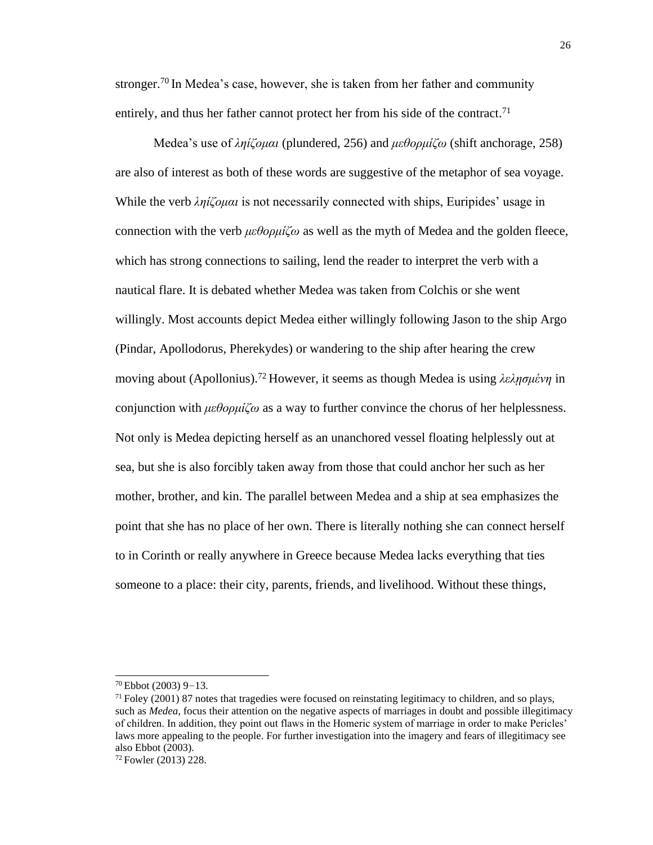stronger.<sup>70</sup> In Medea's case, however, she is taken from her father and community entirely, and thus her father cannot protect her from his side of the contract.<sup>71</sup>

Medea's use of *ληίζομαι* (plundered, 256) and *μεθορμίζω* (shift anchorage, 258) are also of interest as both of these words are suggestive of the metaphor of sea voyage. While the verb *ληίζομαι* is not necessarily connected with ships, Euripides' usage in connection with the verb *μεθορμίζω* as well as the myth of Medea and the golden fleece, which has strong connections to sailing, lend the reader to interpret the verb with a nautical flare. It is debated whether Medea was taken from Colchis or she went willingly. Most accounts depict Medea either willingly following Jason to the ship Argo (Pindar, Apollodorus, Pherekydes) or wandering to the ship after hearing the crew moving about (Apollonius).<sup>72</sup>However, it seems as though Medea is using *λελῃσμένη* in conjunction with *μεθορμίζω* as a way to further convince the chorus of her helplessness. Not only is Medea depicting herself as an unanchored vessel floating helplessly out at sea, but she is also forcibly taken away from those that could anchor her such as her mother, brother, and kin. The parallel between Medea and a ship at sea emphasizes the point that she has no place of her own. There is literally nothing she can connect herself to in Corinth or really anywhere in Greece because Medea lacks everything that ties someone to a place: their city, parents, friends, and livelihood. Without these things,

<sup>70</sup>Ebbot (2003) 9–13.

 $71$  Foley (2001) 87 notes that tragedies were focused on reinstating legitimacy to children, and so plays, such as *Medea*, focus their attention on the negative aspects of marriages in doubt and possible illegitimacy of children. In addition, they point out flaws in the Homeric system of marriage in order to make Pericles' laws more appealing to the people. For further investigation into the imagery and fears of illegitimacy see also Ebbot (2003).

<sup>72</sup> Fowler (2013) 228.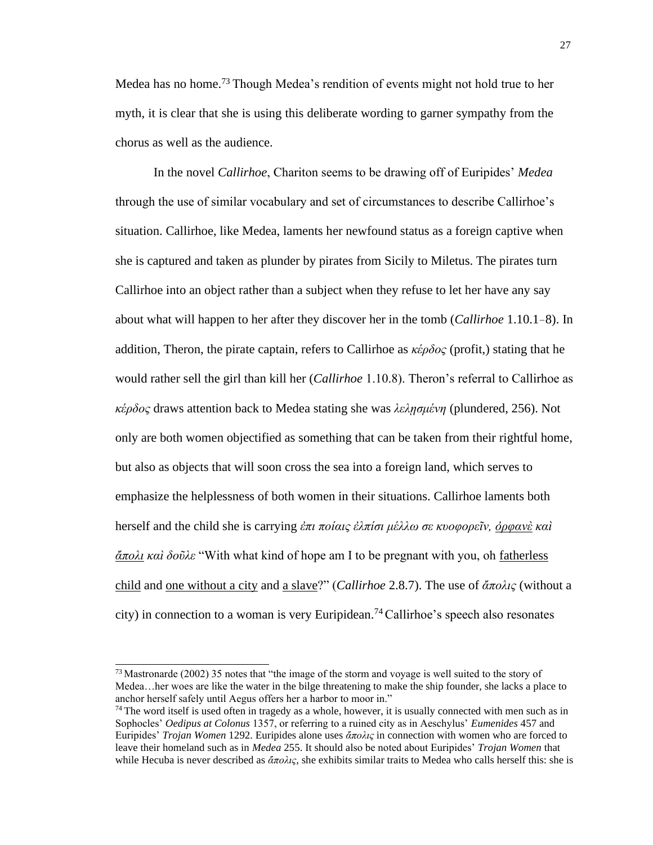Medea has no home.<sup>73</sup> Though Medea's rendition of events might not hold true to her myth, it is clear that she is using this deliberate wording to garner sympathy from the chorus as well as the audience.

In the novel *Callirhoe*, Chariton seems to be drawing off of Euripides' *Medea*  through the use of similar vocabulary and set of circumstances to describe Callirhoe's situation. Callirhoe, like Medea, laments her newfound status as a foreign captive when she is captured and taken as plunder by pirates from Sicily to Miletus. The pirates turn Callirhoe into an object rather than a subject when they refuse to let her have any say about what will happen to her after they discover her in the tomb (*Callirhoe* 1.10.1–8). In addition, Theron, the pirate captain, refers to Callirhoe as *κέρδος* (profit,) stating that he would rather sell the girl than kill her (*Callirhoe* 1.10.8). Theron's referral to Callirhoe as *κέρδος* draws attention back to Medea stating she was *λελῃσμένη* (plundered, 256). Not only are both women objectified as something that can be taken from their rightful home, but also as objects that will soon cross the sea into a foreign land, which serves to emphasize the helplessness of both women in their situations. Callirhoe laments both herself and the child she is carrying *ἐπι ποίαις ἐλπίσι μέλλω σε κυοφορεῖν, ὀρφανὲ καὶ ἄπολι καὶ δοῦλε* "With what kind of hope am I to be pregnant with you, oh fatherless child and one without a city and a slave?" (*Callirhoe* 2.8.7). The use of *ἄπολις* (without a city) in connection to a woman is very Euripidean.<sup>74</sup>Callirhoe's speech also resonates

 $^{73}$  Mastronarde (2002) 35 notes that "the image of the storm and voyage is well suited to the story of Medea…her woes are like the water in the bilge threatening to make the ship founder, she lacks a place to anchor herself safely until Aegus offers her a harbor to moor in."

 $74$  The word itself is used often in tragedy as a whole, however, it is usually connected with men such as in Sophocles' *Oedipus at Colonus* 1357, or referring to a ruined city as in Aeschylus' *Eumenides* 457 and Euripides' *Trojan Women* 1292. Euripides alone uses *ἄπολις* in connection with women who are forced to leave their homeland such as in *Medea* 255. It should also be noted about Euripides' *Trojan Women* that while Hecuba is never described as *ἄπολις*, she exhibits similar traits to Medea who calls herself this: she is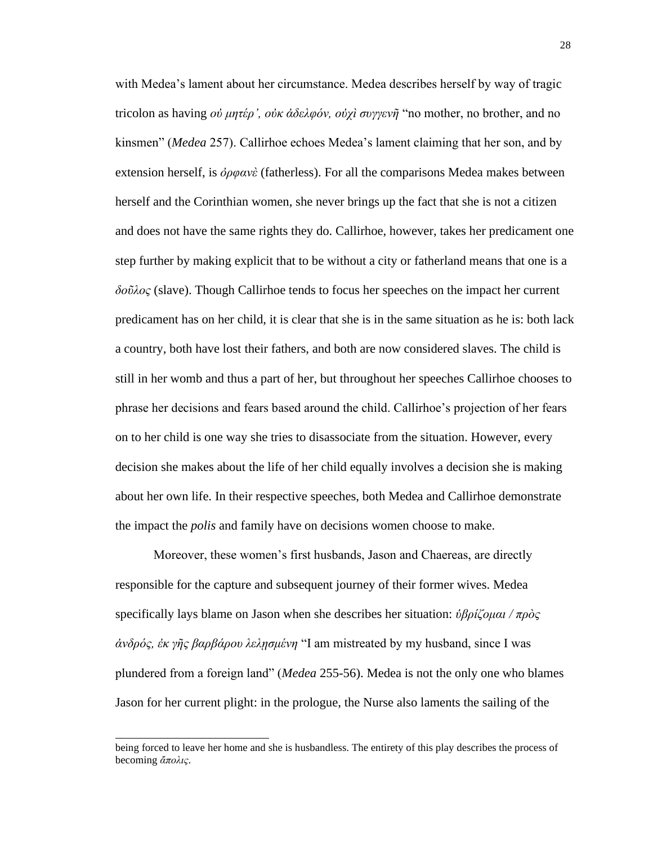with Medea's lament about her circumstance. Medea describes herself by way of tragic tricolon as having *οὐ μητέρ', οὐκ ἀδελφόν, οὐχὶ συγγενῆ* "no mother, no brother, and no kinsmen" (*Medea* 257). Callirhoe echoes Medea's lament claiming that her son, and by extension herself, is *ὀρφανὲ* (fatherless). For all the comparisons Medea makes between herself and the Corinthian women, she never brings up the fact that she is not a citizen and does not have the same rights they do. Callirhoe, however, takes her predicament one step further by making explicit that to be without a city or fatherland means that one is a *δοῦλος* (slave). Though Callirhoe tends to focus her speeches on the impact her current predicament has on her child, it is clear that she is in the same situation as he is: both lack a country, both have lost their fathers, and both are now considered slaves. The child is still in her womb and thus a part of her, but throughout her speeches Callirhoe chooses to phrase her decisions and fears based around the child. Callirhoe's projection of her fears on to her child is one way she tries to disassociate from the situation. However, every decision she makes about the life of her child equally involves a decision she is making about her own life. In their respective speeches, both Medea and Callirhoe demonstrate the impact the *polis* and family have on decisions women choose to make.

Moreover, these women's first husbands, Jason and Chaereas, are directly responsible for the capture and subsequent journey of their former wives. Medea specifically lays blame on Jason when she describes her situation: *ὑβρίζομαι / πρὸς ἀνδρός, ἐκ γῆς βαρβάρου λελῃσμένη* "I am mistreated by my husband, since I was plundered from a foreign land" (*Medea* 255-56). Medea is not the only one who blames Jason for her current plight: in the prologue, the Nurse also laments the sailing of the

being forced to leave her home and she is husbandless. The entirety of this play describes the process of becoming *ἄπολις*.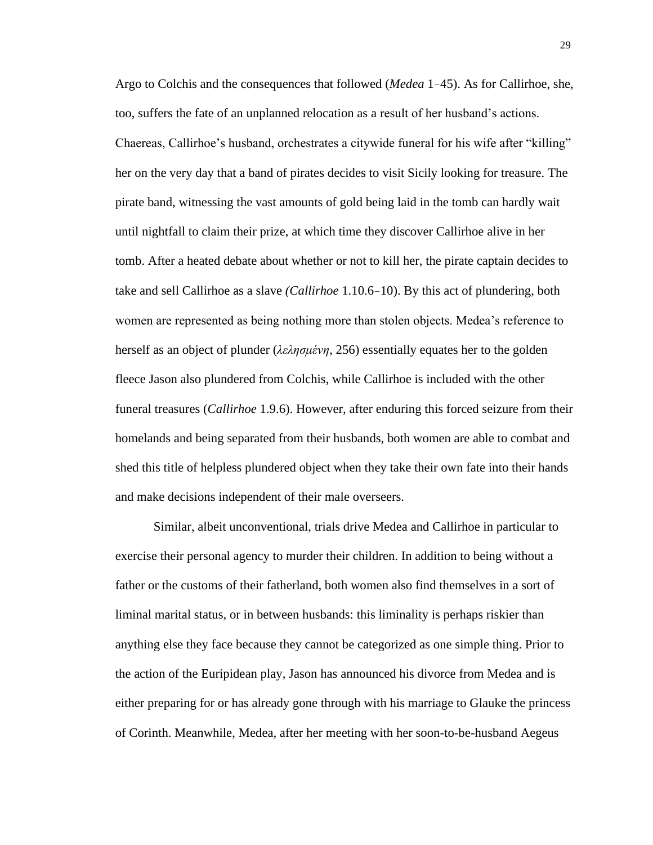Argo to Colchis and the consequences that followed (*Medea* 1–45). As for Callirhoe, she, too, suffers the fate of an unplanned relocation as a result of her husband's actions. Chaereas, Callirhoe's husband, orchestrates a citywide funeral for his wife after "killing" her on the very day that a band of pirates decides to visit Sicily looking for treasure. The pirate band, witnessing the vast amounts of gold being laid in the tomb can hardly wait until nightfall to claim their prize, at which time they discover Callirhoe alive in her tomb. After a heated debate about whether or not to kill her, the pirate captain decides to take and sell Callirhoe as a slave *(Callirhoe* 1.10.6–10). By this act of plundering, both women are represented as being nothing more than stolen objects. Medea's reference to herself as an object of plunder (*λελησμένη*, 256) essentially equates her to the golden fleece Jason also plundered from Colchis, while Callirhoe is included with the other funeral treasures (*Callirhoe* 1.9.6). However, after enduring this forced seizure from their homelands and being separated from their husbands, both women are able to combat and shed this title of helpless plundered object when they take their own fate into their hands and make decisions independent of their male overseers.

Similar, albeit unconventional, trials drive Medea and Callirhoe in particular to exercise their personal agency to murder their children. In addition to being without a father or the customs of their fatherland, both women also find themselves in a sort of liminal marital status, or in between husbands: this liminality is perhaps riskier than anything else they face because they cannot be categorized as one simple thing. Prior to the action of the Euripidean play, Jason has announced his divorce from Medea and is either preparing for or has already gone through with his marriage to Glauke the princess of Corinth. Meanwhile, Medea, after her meeting with her soon-to-be-husband Aegeus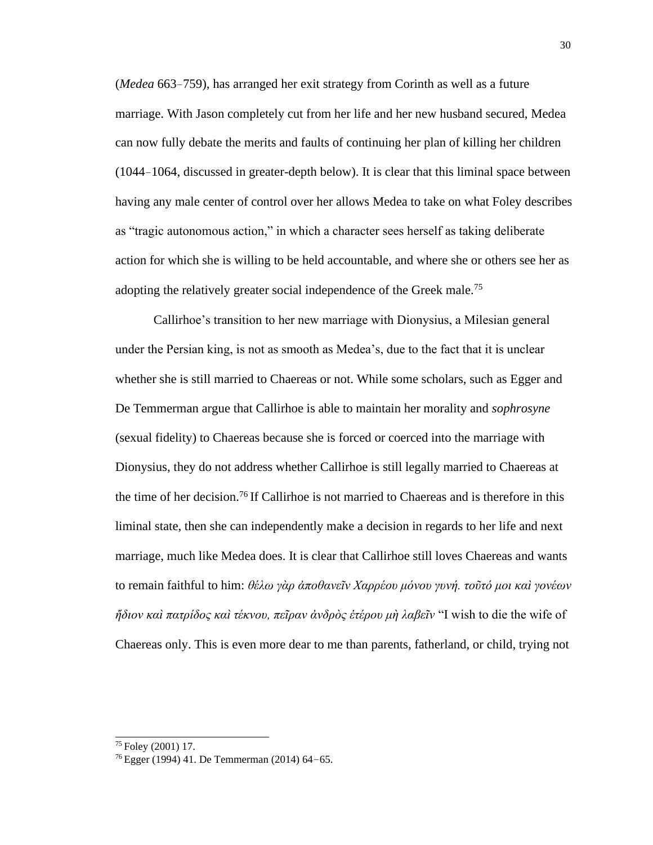(*Medea* 663–759), has arranged her exit strategy from Corinth as well as a future marriage. With Jason completely cut from her life and her new husband secured, Medea can now fully debate the merits and faults of continuing her plan of killing her children (1044–1064, discussed in greater-depth below). It is clear that this liminal space between having any male center of control over her allows Medea to take on what Foley describes as "tragic autonomous action," in which a character sees herself as taking deliberate action for which she is willing to be held accountable, and where she or others see her as adopting the relatively greater social independence of the Greek male.<sup>75</sup>

Callirhoe's transition to her new marriage with Dionysius, a Milesian general under the Persian king, is not as smooth as Medea's, due to the fact that it is unclear whether she is still married to Chaereas or not. While some scholars, such as Egger and De Temmerman argue that Callirhoe is able to maintain her morality and *sophrosyne*  (sexual fidelity) to Chaereas because she is forced or coerced into the marriage with Dionysius, they do not address whether Callirhoe is still legally married to Chaereas at the time of her decision.<sup>76</sup>If Callirhoe is not married to Chaereas and is therefore in this liminal state, then she can independently make a decision in regards to her life and next marriage, much like Medea does. It is clear that Callirhoe still loves Chaereas and wants to remain faithful to him: *θέλω γὰρ ἀποθανεῖν Χαρρέου μόνου γυνή. τοῦτό μοι καὶ γονέων ἥδιον καὶ πατρίδος καὶ τέκνου, πεῖραν ἀνδρὸς ἑτέρου μὴ λαβεῖν* "I wish to die the wife of Chaereas only. This is even more dear to me than parents, fatherland, or child, trying not

<sup>75</sup>Foley (2001) 17.

<sup>76</sup> Egger (1994) 41. De Temmerman (2014) 64–65.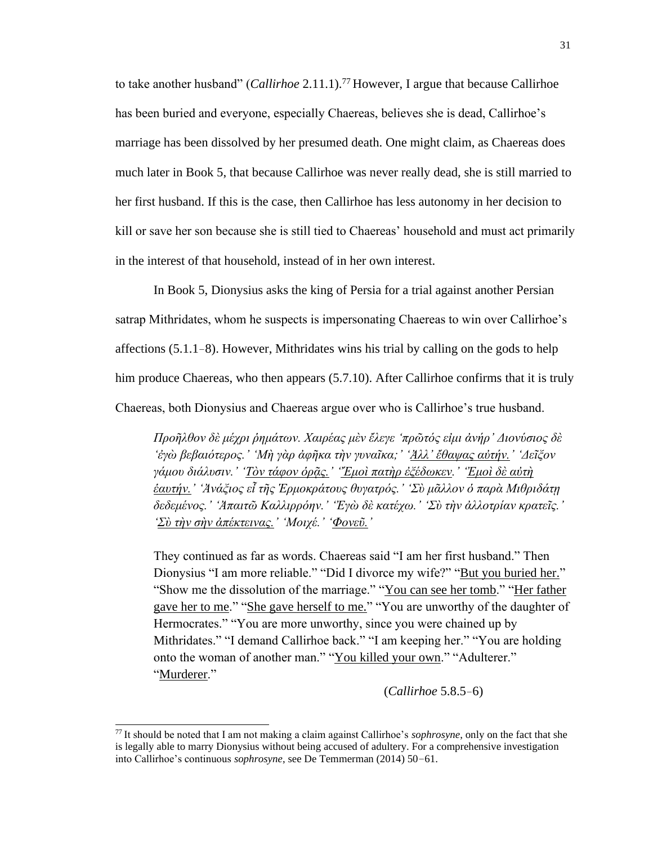to take another husband" (*Callirhoe* 2.11.1).<sup>77</sup>However, I argue that because Callirhoe has been buried and everyone, especially Chaereas, believes she is dead, Callirhoe's marriage has been dissolved by her presumed death. One might claim, as Chaereas does much later in Book 5, that because Callirhoe was never really dead, she is still married to her first husband. If this is the case, then Callirhoe has less autonomy in her decision to kill or save her son because she is still tied to Chaereas' household and must act primarily in the interest of that household, instead of in her own interest.

In Book 5, Dionysius asks the king of Persia for a trial against another Persian satrap Mithridates, whom he suspects is impersonating Chaereas to win over Callirhoe's affections (5.1.1–8). However, Mithridates wins his trial by calling on the gods to help him produce Chaereas, who then appears  $(5.7.10)$ . After Callirhoe confirms that it is truly Chaereas, both Dionysius and Chaereas argue over who is Callirhoe's true husband.

*Προῆλθον δὲ μέχρι ῥημάτων. Χαιρέας μὲν ἔλεγε 'πρῶτός εἰμι ἀνήρ' Διονύσιος δὲ 'ἐγὼ βεβαιότερος.' 'Μὴ γὰρ ἀφῆκα τὴν γυναῖκα;' 'Ἀλλ' ἔθαψας αὐτήν.' 'Δεῖξον γάμου διάλυσιν.' 'Τὸν τάφον ὁρᾷς.' 'Ἔμοὶ πατὴρ ἐξέδωκεν.' 'Ἐμοὶ δὲ αὐτὴ ἑαυτήν.' 'Ἀνάξιος εἶ τῆς Ἑρμοκράτους θυγατρός.' 'Σὺ μᾶλλον ὁ παρὰ Μιθριδάτῃ δεδεμένος.' 'Ἀπαιτῶ Καλλιρρόην.' 'Ἐγὼ δὲ κατέχω.' 'Σὺ τὴν ἀλλοτρίαν κρατεῖς.' 'Σὺ τὴν σὴν ἀπέκτεινας.' 'Μοιχέ.' 'Φονεῦ.'*

They continued as far as words. Chaereas said "I am her first husband." Then Dionysius "I am more reliable." "Did I divorce my wife?" "But you buried her." "Show me the dissolution of the marriage." "You can see her tomb." "Her father gave her to me." "She gave herself to me." "You are unworthy of the daughter of Hermocrates." "You are more unworthy, since you were chained up by Mithridates." "I demand Callirhoe back." "I am keeping her." "You are holding onto the woman of another man." "You killed your own." "Adulterer." "Murderer."

(*Callirhoe* 5.8.5–6)

<sup>77</sup>It should be noted that I am not making a claim against Callirhoe's *sophrosyne*, only on the fact that she is legally able to marry Dionysius without being accused of adultery. For a comprehensive investigation into Callirhoe's continuous *sophrosyne*, see De Temmerman (2014) 50–61.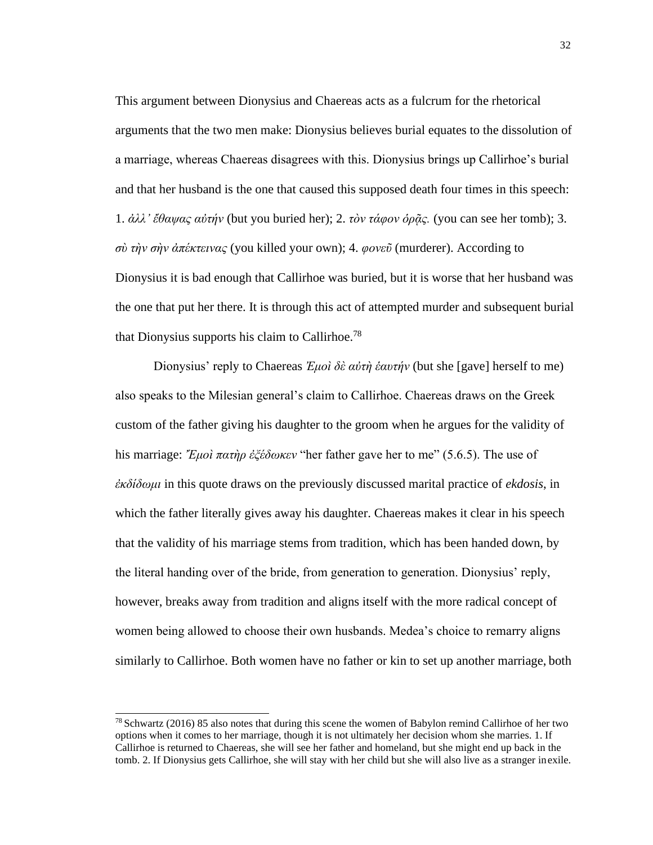This argument between Dionysius and Chaereas acts as a fulcrum for the rhetorical arguments that the two men make: Dionysius believes burial equates to the dissolution of a marriage, whereas Chaereas disagrees with this. Dionysius brings up Callirhoe's burial and that her husband is the one that caused this supposed death four times in this speech: 1. *ἀλλ' ἔθαψας αὐτήν* (but you buried her); 2. *τὸν τάφον ὁρᾷς.* (you can see her tomb); 3. *σὺ τὴν σὴν ἀπέκτεινας* (you killed your own); 4. *φονεῦ* (murderer). According to Dionysius it is bad enough that Callirhoe was buried, but it is worse that her husband was the one that put her there. It is through this act of attempted murder and subsequent burial that Dionysius supports his claim to Callirhoe.<sup>78</sup>

Dionysius' reply to Chaereas *Ἐμοὶ δὲ αὐτὴ ἑαυτήν* (but she [gave] herself to me) also speaks to the Milesian general's claim to Callirhoe. Chaereas draws on the Greek custom of the father giving his daughter to the groom when he argues for the validity of his marriage: *Ἔμοὶ πατὴρ ἐξέδωκεν* "her father gave her to me" (5.6.5). The use of *ἐκδίδωμι* in this quote draws on the previously discussed marital practice of *ekdosis*, in which the father literally gives away his daughter. Chaereas makes it clear in his speech that the validity of his marriage stems from tradition, which has been handed down, by the literal handing over of the bride, from generation to generation. Dionysius' reply, however, breaks away from tradition and aligns itself with the more radical concept of women being allowed to choose their own husbands. Medea's choice to remarry aligns similarly to Callirhoe. Both women have no father or kin to set up another marriage, both

<sup>78</sup>Schwartz (2016) 85 also notes that during this scene the women of Babylon remind Callirhoe of her two options when it comes to her marriage, though it is not ultimately her decision whom she marries. 1. If Callirhoe is returned to Chaereas, she will see her father and homeland, but she might end up back in the tomb. 2. If Dionysius gets Callirhoe, she will stay with her child but she will also live as a stranger inexile.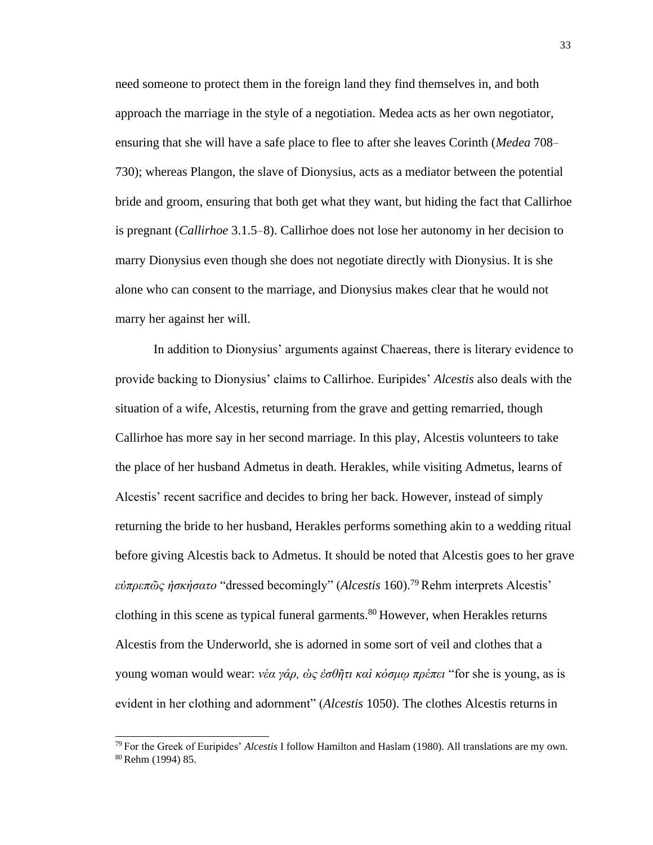need someone to protect them in the foreign land they find themselves in, and both approach the marriage in the style of a negotiation. Medea acts as her own negotiator, ensuring that she will have a safe place to flee to after she leaves Corinth (*Medea* 708– 730); whereas Plangon, the slave of Dionysius, acts as a mediator between the potential bride and groom, ensuring that both get what they want, but hiding the fact that Callirhoe is pregnant (*Callirhoe* 3.1.5–8). Callirhoe does not lose her autonomy in her decision to marry Dionysius even though she does not negotiate directly with Dionysius. It is she alone who can consent to the marriage, and Dionysius makes clear that he would not marry her against her will.

In addition to Dionysius' arguments against Chaereas, there is literary evidence to provide backing to Dionysius' claims to Callirhoe. Euripides' *Alcestis* also deals with the situation of a wife, Alcestis, returning from the grave and getting remarried, though Callirhoe has more say in her second marriage. In this play, Alcestis volunteers to take the place of her husband Admetus in death. Herakles, while visiting Admetus, learns of Alcestis' recent sacrifice and decides to bring her back. However, instead of simply returning the bride to her husband, Herakles performs something akin to a wedding ritual before giving Alcestis back to Admetus. It should be noted that Alcestis goes to her grave *εὐπρεπῶς ἠσκήσατο* "dressed becomingly" (*Alcestis* 160).<sup>79</sup>Rehm interprets Alcestis' clothing in this scene as typical funeral garments. $80$  However, when Herakles returns Alcestis from the Underworld, she is adorned in some sort of veil and clothes that a young woman would wear: *νέα γάρ, ὡς ἐσθῆτι καὶ κόσμῳ πρέπει* "for she is young, as is evident in her clothing and adornment" (*Alcestis* 1050). The clothes Alcestis returnsin

<sup>79</sup>For the Greek of Euripides' *Alcestis* I follow Hamilton and Haslam (1980). All translations are my own. 80 Rehm (1994) 85.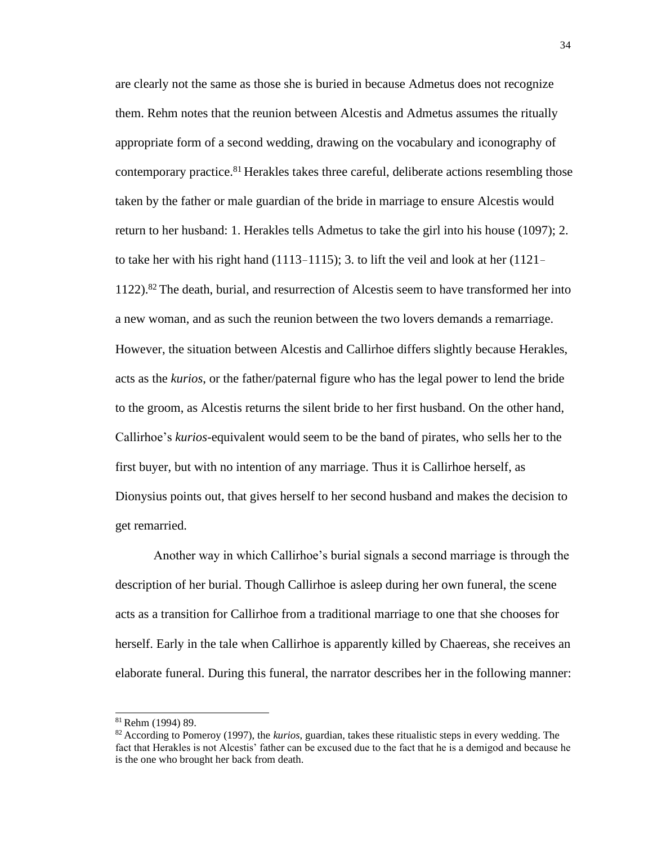are clearly not the same as those she is buried in because Admetus does not recognize them. Rehm notes that the reunion between Alcestis and Admetus assumes the ritually appropriate form of a second wedding, drawing on the vocabulary and iconography of contemporary practice.<sup>81</sup> Herakles takes three careful, deliberate actions resembling those taken by the father or male guardian of the bride in marriage to ensure Alcestis would return to her husband: 1. Herakles tells Admetus to take the girl into his house (1097); 2. to take her with his right hand (1113–1115); 3. to lift the veil and look at her (1121–  $1122$ ).<sup>82</sup> The death, burial, and resurrection of Alcestis seem to have transformed her into a new woman, and as such the reunion between the two lovers demands a remarriage. However, the situation between Alcestis and Callirhoe differs slightly because Herakles, acts as the *kurios*, or the father/paternal figure who has the legal power to lend the bride to the groom, as Alcestis returns the silent bride to her first husband. On the other hand, Callirhoe's *kurios*-equivalent would seem to be the band of pirates, who sells her to the first buyer, but with no intention of any marriage. Thus it is Callirhoe herself, as Dionysius points out, that gives herself to her second husband and makes the decision to get remarried.

Another way in which Callirhoe's burial signals a second marriage is through the description of her burial. Though Callirhoe is asleep during her own funeral, the scene acts as a transition for Callirhoe from a traditional marriage to one that she chooses for herself. Early in the tale when Callirhoe is apparently killed by Chaereas, she receives an elaborate funeral. During this funeral, the narrator describes her in the following manner:

<sup>81</sup>Rehm (1994) 89.

<sup>82</sup>According to Pomeroy (1997), the *kurios*, guardian, takes these ritualistic steps in every wedding. The fact that Herakles is not Alcestis' father can be excused due to the fact that he is a demigod and because he is the one who brought her back from death.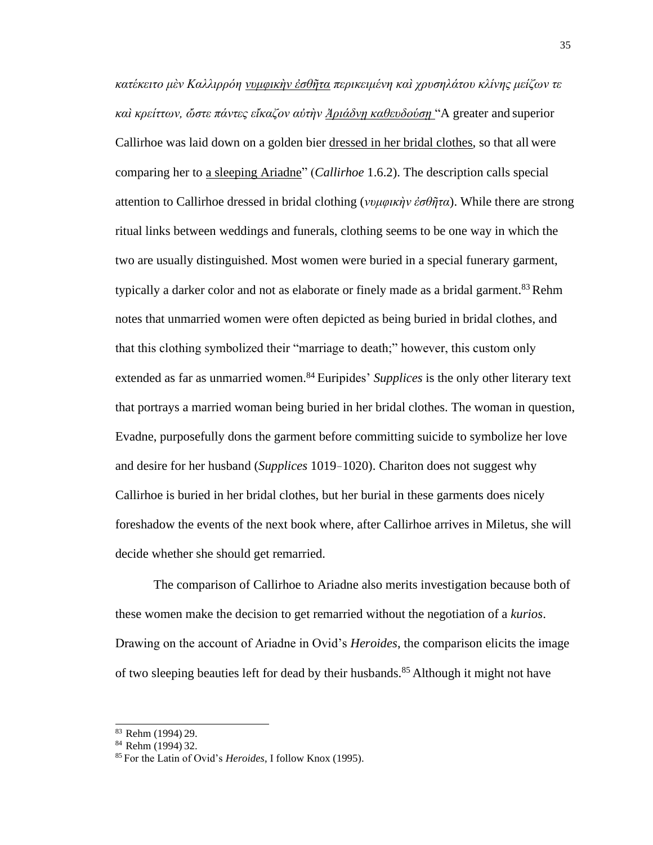*κατέκειτο μὲν Καλλιρρόη νυμφικὴν ἐσθῆτα περικειμένη καὶ χρυσηλάτου κλίνης μείζων τε καὶ κρείττων, ὤστε πάντες εἴκαζον αὐτὴν Ἀριάδνῃ καθευδούσῃ* "A greater and superior Callirhoe was laid down on a golden bier dressed in her bridal clothes, so that all were comparing her to a sleeping Ariadne" (*Callirhoe* 1.6.2). The description calls special attention to Callirhoe dressed in bridal clothing (*νυμφικὴν ἐσθῆτα*). While there are strong ritual links between weddings and funerals, clothing seems to be one way in which the two are usually distinguished. Most women were buried in a special funerary garment, typically a darker color and not as elaborate or finely made as a bridal garment.<sup>83</sup> Rehm notes that unmarried women were often depicted as being buried in bridal clothes, and that this clothing symbolized their "marriage to death;" however, this custom only extended as far as unmarried women.<sup>84</sup> Euripides' *Supplices* is the only other literary text that portrays a married woman being buried in her bridal clothes. The woman in question, Evadne, purposefully dons the garment before committing suicide to symbolize her love and desire for her husband (*Supplices* 1019–1020). Chariton does not suggest why Callirhoe is buried in her bridal clothes, but her burial in these garments does nicely foreshadow the events of the next book where, after Callirhoe arrives in Miletus, she will decide whether she should get remarried.

The comparison of Callirhoe to Ariadne also merits investigation because both of these women make the decision to get remarried without the negotiation of a *kurios*. Drawing on the account of Ariadne in Ovid's *Heroides*, the comparison elicits the image of two sleeping beauties left for dead by their husbands.<sup>85</sup> Although it might not have

<sup>83</sup> Rehm (1994) 29.

<sup>84</sup> Rehm (1994) 32.

<sup>85</sup> For the Latin of Ovid's *Heroides*, I follow Knox (1995).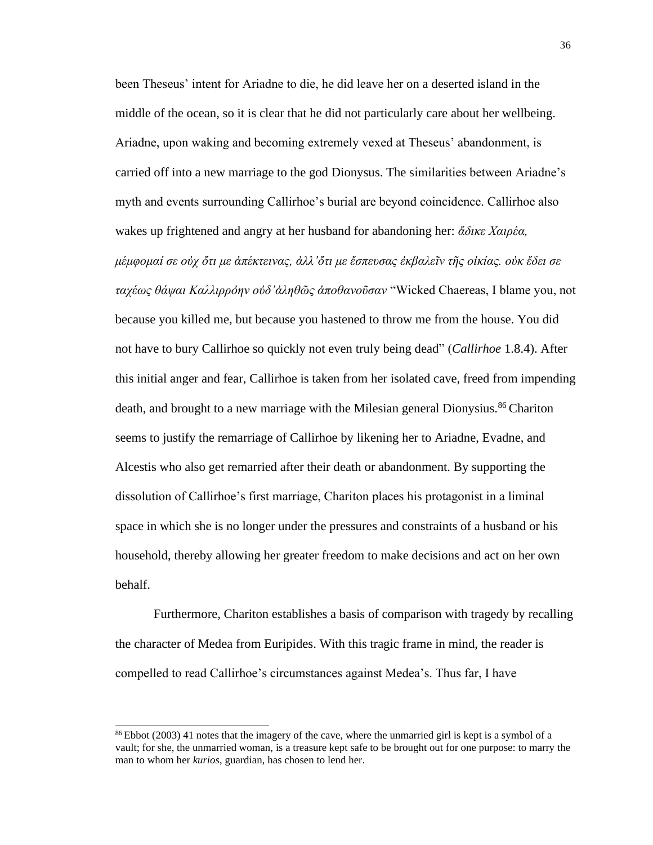been Theseus' intent for Ariadne to die, he did leave her on a deserted island in the middle of the ocean, so it is clear that he did not particularly care about her wellbeing. Ariadne, upon waking and becoming extremely vexed at Theseus' abandonment, is carried off into a new marriage to the god Dionysus. The similarities between Ariadne's myth and events surrounding Callirhoe's burial are beyond coincidence. Callirhoe also wakes up frightened and angry at her husband for abandoning her: *ἄδικε Χαιρέα, μέμφομαί σε οὐχ ὄτι με ἀπέκτεινας, ἀλλ'ὄτι με ἔσπευσας ἐκβαλεῖν τῆς οἰκίας. οὐκ ἔδει σε ταχέως θάψαι Καλλιρρὀην οὐδ'ἀληθῶς ἀποθανοῦσαν* "Wicked Chaereas, I blame you, not because you killed me, but because you hastened to throw me from the house. You did not have to bury Callirhoe so quickly not even truly being dead" (*Callirhoe* 1.8.4). After this initial anger and fear, Callirhoe is taken from her isolated cave, freed from impending death, and brought to a new marriage with the Milesian general Dionysius.<sup>86</sup> Chariton seems to justify the remarriage of Callirhoe by likening her to Ariadne, Evadne, and Alcestis who also get remarried after their death or abandonment. By supporting the dissolution of Callirhoe's first marriage, Chariton places his protagonist in a liminal space in which she is no longer under the pressures and constraints of a husband or his household, thereby allowing her greater freedom to make decisions and act on her own behalf.

Furthermore, Chariton establishes a basis of comparison with tragedy by recalling the character of Medea from Euripides. With this tragic frame in mind, the reader is compelled to read Callirhoe's circumstances against Medea's. Thus far, I have

<sup>86</sup>Ebbot (2003) 41 notes that the imagery of the cave, where the unmarried girl is kept is a symbol of a vault; for she, the unmarried woman, is a treasure kept safe to be brought out for one purpose: to marry the man to whom her *kurios*, guardian, has chosen to lend her.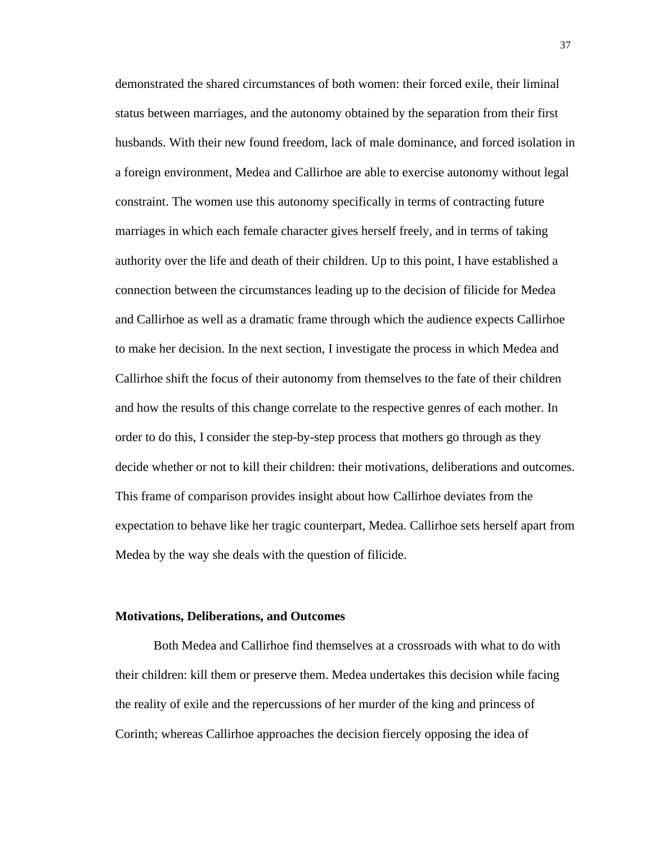demonstrated the shared circumstances of both women: their forced exile, their liminal status between marriages, and the autonomy obtained by the separation from their first husbands. With their new found freedom, lack of male dominance, and forced isolation in a foreign environment, Medea and Callirhoe are able to exercise autonomy without legal constraint. The women use this autonomy specifically in terms of contracting future marriages in which each female character gives herself freely, and in terms of taking authority over the life and death of their children. Up to this point, I have established a connection between the circumstances leading up to the decision of filicide for Medea and Callirhoe as well as a dramatic frame through which the audience expects Callirhoe to make her decision. In the next section, I investigate the process in which Medea and Callirhoe shift the focus of their autonomy from themselves to the fate of their children and how the results of this change correlate to the respective genres of each mother. In order to do this, I consider the step-by-step process that mothers go through as they decide whether or not to kill their children: their motivations, deliberations and outcomes. This frame of comparison provides insight about how Callirhoe deviates from the expectation to behave like her tragic counterpart, Medea. Callirhoe sets herself apart from Medea by the way she deals with the question of filicide.

### **Motivations, Deliberations, and Outcomes**

Both Medea and Callirhoe find themselves at a crossroads with what to do with their children: kill them or preserve them. Medea undertakes this decision while facing the reality of exile and the repercussions of her murder of the king and princess of Corinth; whereas Callirhoe approaches the decision fiercely opposing the idea of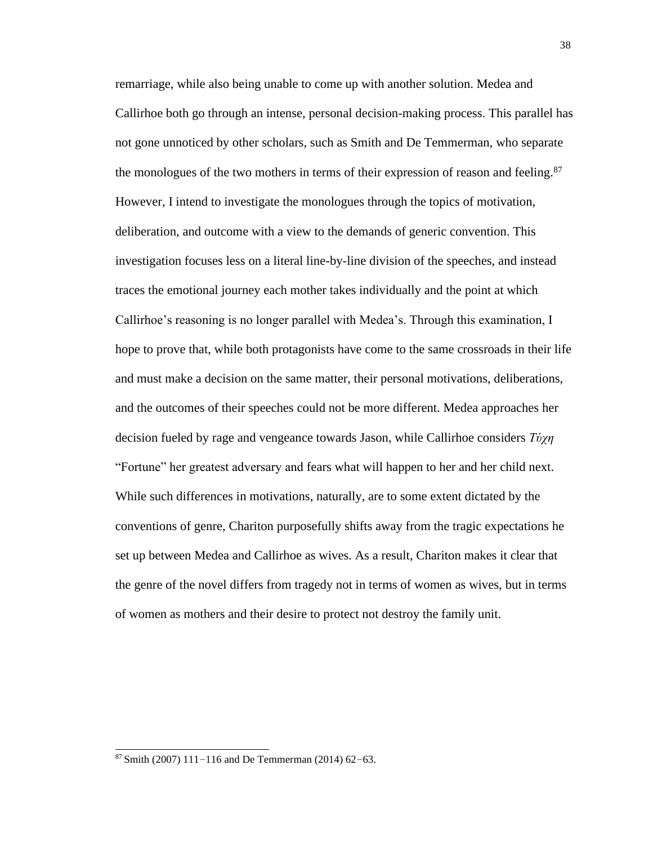remarriage, while also being unable to come up with another solution. Medea and Callirhoe both go through an intense, personal decision-making process. This parallel has not gone unnoticed by other scholars, such as Smith and De Temmerman, who separate the monologues of the two mothers in terms of their expression of reason and feeling.<sup>87</sup> However, I intend to investigate the monologues through the topics of motivation, deliberation, and outcome with a view to the demands of generic convention. This investigation focuses less on a literal line-by-line division of the speeches, and instead traces the emotional journey each mother takes individually and the point at which Callirhoe's reasoning is no longer parallel with Medea's. Through this examination, I hope to prove that, while both protagonists have come to the same crossroads in their life and must make a decision on the same matter, their personal motivations, deliberations, and the outcomes of their speeches could not be more different. Medea approaches her decision fueled by rage and vengeance towards Jason, while Callirhoe considers *Τύχη*  "Fortune" her greatest adversary and fears what will happen to her and her child next. While such differences in motivations, naturally, are to some extent dictated by the conventions of genre, Chariton purposefully shifts away from the tragic expectations he set up between Medea and Callirhoe as wives. As a result, Chariton makes it clear that the genre of the novel differs from tragedy not in terms of women as wives, but in terms of women as mothers and their desire to protect not destroy the family unit.

 $87$  Smith (2007) 111–116 and De Temmerman (2014) 62–63.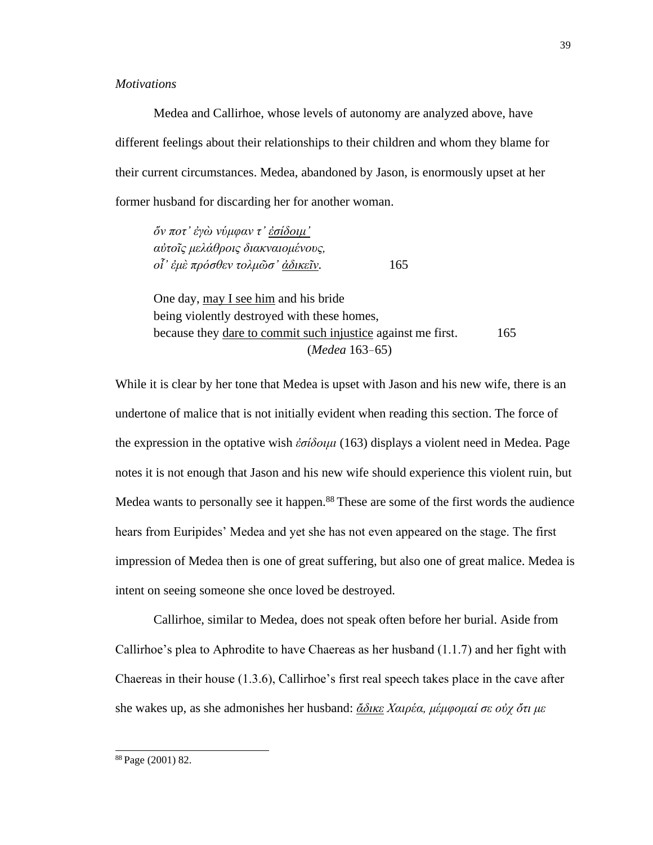## *Motivations*

Medea and Callirhoe, whose levels of autonomy are analyzed above, have different feelings about their relationships to their children and whom they blame for their current circumstances. Medea, abandoned by Jason, is enormously upset at her former husband for discarding her for another woman.

*ὅν ποτ' ἐγὼ νύμφαν τ' ἐσίδοιμ' αὐτοῖς μελάθροις διακναιομένους, οἷ' ἐμὲ πρόσθεν τολμῶσ' ἀδικεῖν.* 165

One day, may I see him and his bride being violently destroyed with these homes, because they dare to commit such injustice against me first. 165 (*Medea* 163–65)

While it is clear by her tone that Medea is upset with Jason and his new wife, there is an undertone of malice that is not initially evident when reading this section. The force of the expression in the optative wish *ἐσίδοιμι* (163) displays a violent need in Medea. Page notes it is not enough that Jason and his new wife should experience this violent ruin, but Medea wants to personally see it happen.<sup>88</sup> These are some of the first words the audience hears from Euripides' Medea and yet she has not even appeared on the stage. The first impression of Medea then is one of great suffering, but also one of great malice. Medea is intent on seeing someone she once loved be destroyed.

Callirhoe, similar to Medea, does not speak often before her burial. Aside from Callirhoe's plea to Aphrodite to have Chaereas as her husband (1.1.7) and her fight with Chaereas in their house (1.3.6), Callirhoe's first real speech takes place in the cave after she wakes up, as she admonishes her husband: *ἄδικε Χαιρέα, μέμφομαί σε οὐχ ὄτι με*

<sup>88</sup> Page (2001) 82.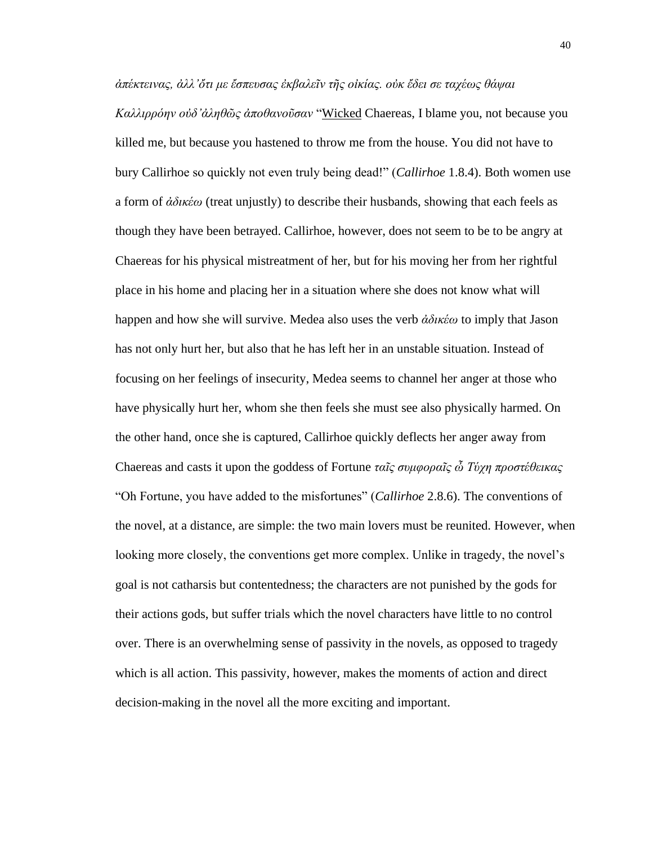*ἀπέκτεινας, ἀλλ'ὄτι με ἔσπευσας ἐκβαλεῖν τῆς οἰκίας. οὐκ ἔδει σε ταχέως θάψαι Καλλιρρόην οὐδ'ἀληθῶς ἀποθανοῦσαν* "Wicked Chaereas, I blame you, not because you killed me, but because you hastened to throw me from the house. You did not have to bury Callirhoe so quickly not even truly being dead!" (*Callirhoe* 1.8.4). Both women use a form of *ἀδικέω* (treat unjustly) to describe their husbands, showing that each feels as though they have been betrayed. Callirhoe, however, does not seem to be to be angry at Chaereas for his physical mistreatment of her, but for his moving her from her rightful place in his home and placing her in a situation where she does not know what will happen and how she will survive. Medea also uses the verb *ἀδικέω* to imply that Jason has not only hurt her, but also that he has left her in an unstable situation. Instead of focusing on her feelings of insecurity, Medea seems to channel her anger at those who have physically hurt her, whom she then feels she must see also physically harmed. On the other hand, once she is captured, Callirhoe quickly deflects her anger away from Chaereas and casts it upon the goddess of Fortune *ταῖς συμφοραῖς ὦ Τύχη προστέθεικας*  "Oh Fortune, you have added to the misfortunes" (*Callirhoe* 2.8.6). The conventions of the novel, at a distance, are simple: the two main lovers must be reunited. However, when looking more closely, the conventions get more complex. Unlike in tragedy, the novel's goal is not catharsis but contentedness; the characters are not punished by the gods for their actions gods, but suffer trials which the novel characters have little to no control over. There is an overwhelming sense of passivity in the novels, as opposed to tragedy which is all action. This passivity, however, makes the moments of action and direct decision-making in the novel all the more exciting and important.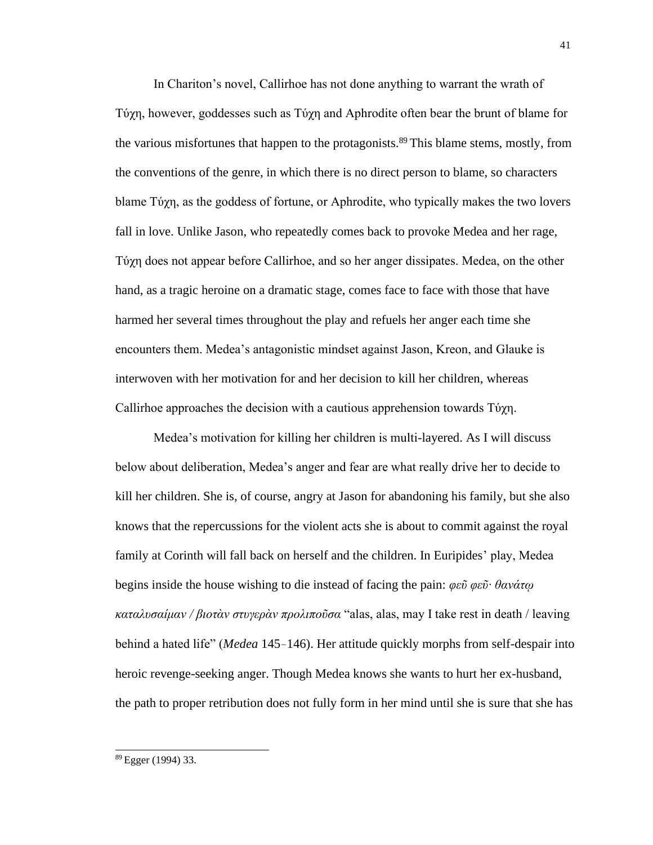In Chariton's novel, Callirhoe has not done anything to warrant the wrath of Τύχη, however, goddesses such as Τύχη and Aphrodite often bear the brunt of blame for the various misfortunes that happen to the protagonists.<sup>89</sup> This blame stems, mostly, from the conventions of the genre, in which there is no direct person to blame, so characters blame Τύχη, as the goddess of fortune, or Aphrodite, who typically makes the two lovers fall in love. Unlike Jason, who repeatedly comes back to provoke Medea and her rage, Τύχη does not appear before Callirhoe, and so her anger dissipates. Medea, on the other hand, as a tragic heroine on a dramatic stage, comes face to face with those that have harmed her several times throughout the play and refuels her anger each time she encounters them. Medea's antagonistic mindset against Jason, Kreon, and Glauke is interwoven with her motivation for and her decision to kill her children, whereas Callirhoe approaches the decision with a cautious apprehension towards Τύχη.

Medea's motivation for killing her children is multi-layered. As I will discuss below about deliberation, Medea's anger and fear are what really drive her to decide to kill her children. She is, of course, angry at Jason for abandoning his family, but she also knows that the repercussions for the violent acts she is about to commit against the royal family at Corinth will fall back on herself and the children. In Euripides' play, Medea begins inside the house wishing to die instead of facing the pain: *φεῦ φεῦ· θανάτῳ καταλυσαίμαν / βιοτὰν στυγερὰν προλιποῦσα* "alas, alas, may I take rest in death / leaving behind a hated life" (*Medea* 145–146). Her attitude quickly morphs from self-despair into heroic revenge-seeking anger. Though Medea knows she wants to hurt her ex-husband, the path to proper retribution does not fully form in her mind until she is sure that she has

<sup>89</sup> Egger (1994) 33.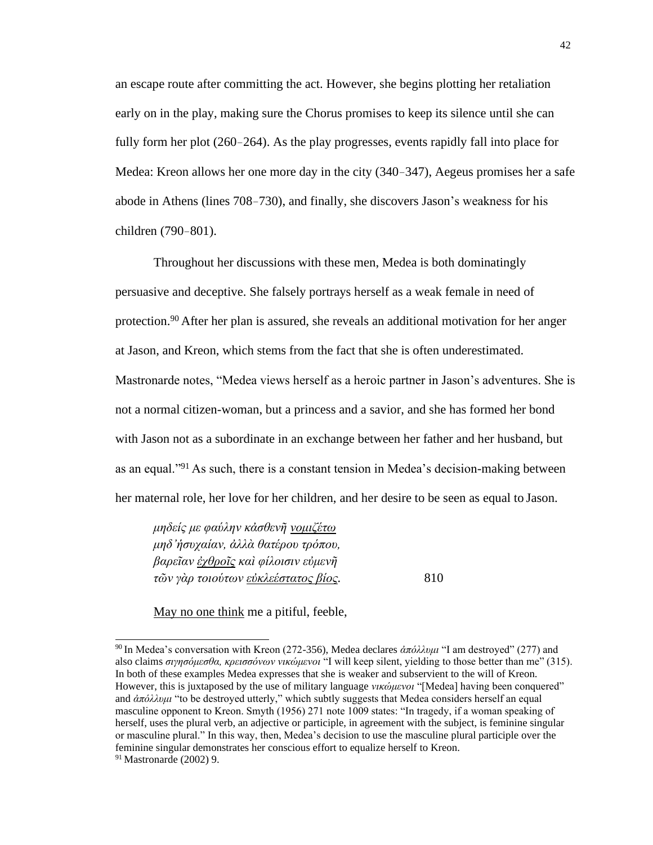an escape route after committing the act. However, she begins plotting her retaliation early on in the play, making sure the Chorus promises to keep its silence until she can fully form her plot (260–264). As the play progresses, events rapidly fall into place for Medea: Kreon allows her one more day in the city (340–347), Aegeus promises her a safe abode in Athens (lines 708–730), and finally, she discovers Jason's weakness for his children (790–801).

Throughout her discussions with these men, Medea is both dominatingly persuasive and deceptive. She falsely portrays herself as a weak female in need of protection.<sup>90</sup>After her plan is assured, she reveals an additional motivation for her anger at Jason, and Kreon, which stems from the fact that she is often underestimated. Mastronarde notes, "Medea views herself as a heroic partner in Jason's adventures. She is not a normal citizen-woman, but a princess and a savior, and she has formed her bond with Jason not as a subordinate in an exchange between her father and her husband, but as an equal."<sup>91</sup> As such, there is a constant tension in Medea's decision-making between her maternal role, her love for her children, and her desire to be seen as equal to Jason.

*μηδείς με φαύλην κἀσθενῆ νομιζέτω μηδ'ἡσυχαίαν, ἀλλὰ θατέρου τρόπου, βαρεῖαν ἐχθροῖς καὶ φίλοισιν εὐμενῆ τῶν γὰρ τοιούτων εὐκλεέστατος βίος.* 810

May no one think me a pitiful, feeble,

<sup>90</sup>In Medea's conversation with Kreon (272-356), Medea declares *ἀπόλλυμι* "I am destroyed" (277) and also claims *σιγησόμεσθα, κρεισσόνων νικώμενοι* "I will keep silent, yielding to those better than me" (315). In both of these examples Medea expresses that she is weaker and subservient to the will of Kreon. However, this is juxtaposed by the use of military language *νικώμενοι* "[Medea] having been conquered" and *ἀπόλλυμι* "to be destroyed utterly," which subtly suggests that Medea considers herself an equal masculine opponent to Kreon. Smyth (1956) 271 note 1009 states: "In tragedy, if a woman speaking of herself, uses the plural verb, an adjective or participle, in agreement with the subject, is feminine singular or masculine plural." In this way, then, Medea's decision to use the masculine plural participle over the feminine singular demonstrates her conscious effort to equalize herself to Kreon.

<sup>91</sup> Mastronarde (2002) 9.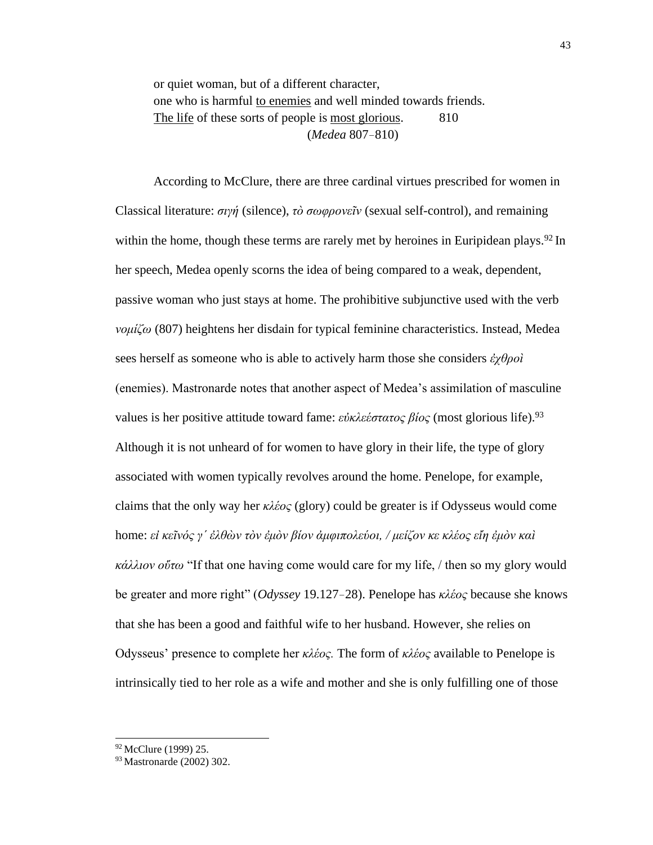or quiet woman, but of a different character, one who is harmful to enemies and well minded towards friends. The life of these sorts of people is most glorious. 810 (*Medea* 807–810)

According to McClure, there are three cardinal virtues prescribed for women in Classical literature: *σιγή* (silence), *τὸ σωφρονεῖν* (sexual self-control), and remaining within the home, though these terms are rarely met by heroines in Euripidean plays.<sup>92</sup> In her speech, Medea openly scorns the idea of being compared to a weak, dependent, passive woman who just stays at home. The prohibitive subjunctive used with the verb *νομίζω* (807) heightens her disdain for typical feminine characteristics. Instead, Medea sees herself as someone who is able to actively harm those she considers *ἐχθροὶ*  (enemies). Mastronarde notes that another aspect of Medea's assimilation of masculine values is her positive attitude toward fame: *εὐκλεέστατος βίος* (most glorious life).<sup>93</sup> Although it is not unheard of for women to have glory in their life, the type of glory associated with women typically revolves around the home. Penelope, for example, claims that the only way her *κλέος* (glory) could be greater is if Odysseus would come home: *εἰ κεῖνός γ΄ ἐλθὼν τὸν ἐμὸν βίον ἀμφιπολεύοι, / μείζον κε κλέος εἴη ἐμὸν καὶ κάλλιον οὕτω* "If that one having come would care for my life, / then so my glory would be greater and more right" (*Odyssey* 19.127–28). Penelope has *κλέος* because she knows that she has been a good and faithful wife to her husband. However, she relies on Odysseus' presence to complete her *κλέος.* The form of *κλέος* available to Penelope is intrinsically tied to her role as a wife and mother and she is only fulfilling one of those

<sup>92</sup> McClure (1999) 25.

<sup>93</sup> Mastronarde (2002) 302.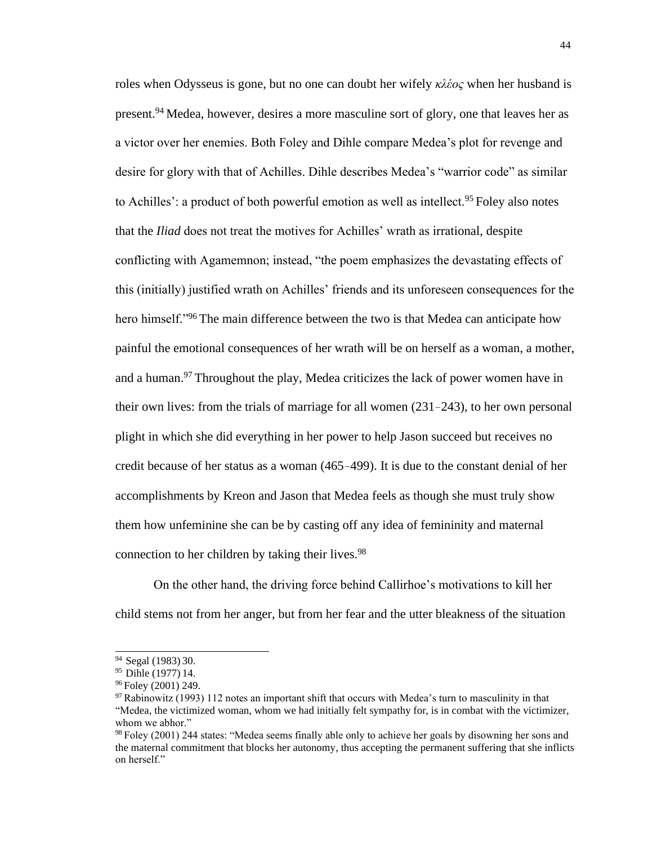roles when Odysseus is gone, but no one can doubt her wifely *κλέος* when her husband is present.<sup>94</sup>Medea, however, desires a more masculine sort of glory, one that leaves her as a victor over her enemies. Both Foley and Dihle compare Medea's plot for revenge and desire for glory with that of Achilles. Dihle describes Medea's "warrior code" as similar to Achilles': a product of both powerful emotion as well as intellect.<sup>95</sup> Foley also notes that the *Iliad* does not treat the motives for Achilles' wrath as irrational, despite conflicting with Agamemnon; instead, "the poem emphasizes the devastating effects of this (initially) justified wrath on Achilles' friends and its unforeseen consequences for the hero himself.<sup>"96</sup>The main difference between the two is that Medea can anticipate how painful the emotional consequences of her wrath will be on herself as a woman, a mother, and a human.<sup>97</sup> Throughout the play, Medea criticizes the lack of power women have in their own lives: from the trials of marriage for all women (231–243), to her own personal plight in which she did everything in her power to help Jason succeed but receives no credit because of her status as a woman (465–499). It is due to the constant denial of her accomplishments by Kreon and Jason that Medea feels as though she must truly show them how unfeminine she can be by casting off any idea of femininity and maternal connection to her children by taking their lives.<sup>98</sup>

On the other hand, the driving force behind Callirhoe's motivations to kill her child stems not from her anger, but from her fear and the utter bleakness of the situation

<sup>&</sup>lt;sup>94</sup> Segal (1983) 30.

<sup>&</sup>lt;sup>95</sup> Dihle (1977) 14.

<sup>&</sup>lt;sup>96</sup> Foley (2001) 249.

<sup>97</sup>Rabinowitz (1993) 112 notes an important shift that occurs with Medea's turn to masculinity in that "Medea, the victimized woman, whom we had initially felt sympathy for, is in combat with the victimizer, whom we abhor."

<sup>98</sup>Foley (2001) 244 states: "Medea seems finally able only to achieve her goals by disowning her sons and the maternal commitment that blocks her autonomy, thus accepting the permanent suffering that she inflicts on herself."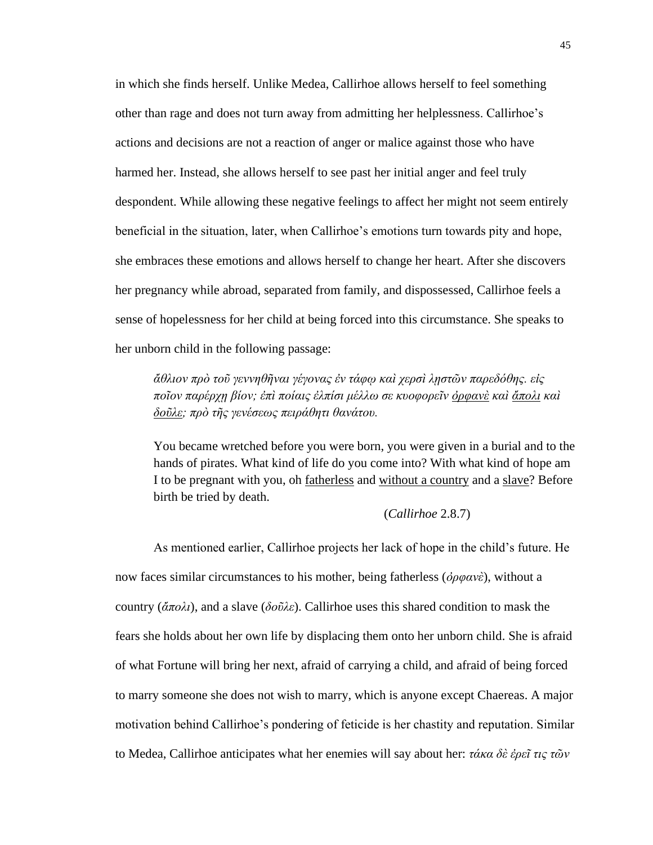in which she finds herself. Unlike Medea, Callirhoe allows herself to feel something other than rage and does not turn away from admitting her helplessness. Callirhoe's actions and decisions are not a reaction of anger or malice against those who have harmed her. Instead, she allows herself to see past her initial anger and feel truly despondent. While allowing these negative feelings to affect her might not seem entirely beneficial in the situation, later, when Callirhoe's emotions turn towards pity and hope, she embraces these emotions and allows herself to change her heart. After she discovers her pregnancy while abroad, separated from family, and dispossessed, Callirhoe feels a sense of hopelessness for her child at being forced into this circumstance. She speaks to her unborn child in the following passage:

*ἄθλιον πρὸ τοῦ γεννηθῆναι γέγονας ἐν τάφῳ καὶ χερσὶ λῃστῶν παρεδόθης. εἰς ποῖον παρέρχῃ βίον; ἐπὶ ποίαις ἐλπίσι μέλλω σε κυοφορεῖν ὀρφανὲ καὶ ἄπολι καὶ δοῦλε; πρὸ τῆς γενέσεως πειράθητι θανάτου.*

You became wretched before you were born, you were given in a burial and to the hands of pirates. What kind of life do you come into? With what kind of hope am I to be pregnant with you, oh fatherless and without a country and a slave? Before birth be tried by death.

#### (*Callirhoe* 2.8.7)

As mentioned earlier, Callirhoe projects her lack of hope in the child's future. He now faces similar circumstances to his mother, being fatherless (*ὀρφανὲ*), without a country (*ἄπολι*), and a slave (*δοῦλε*). Callirhoe uses this shared condition to mask the fears she holds about her own life by displacing them onto her unborn child. She is afraid of what Fortune will bring her next, afraid of carrying a child, and afraid of being forced to marry someone she does not wish to marry, which is anyone except Chaereas. A major motivation behind Callirhoe's pondering of feticide is her chastity and reputation. Similar to Medea, Callirhoe anticipates what her enemies will say about her: *τάκα δὲ ἐρεῖ τις τῶν*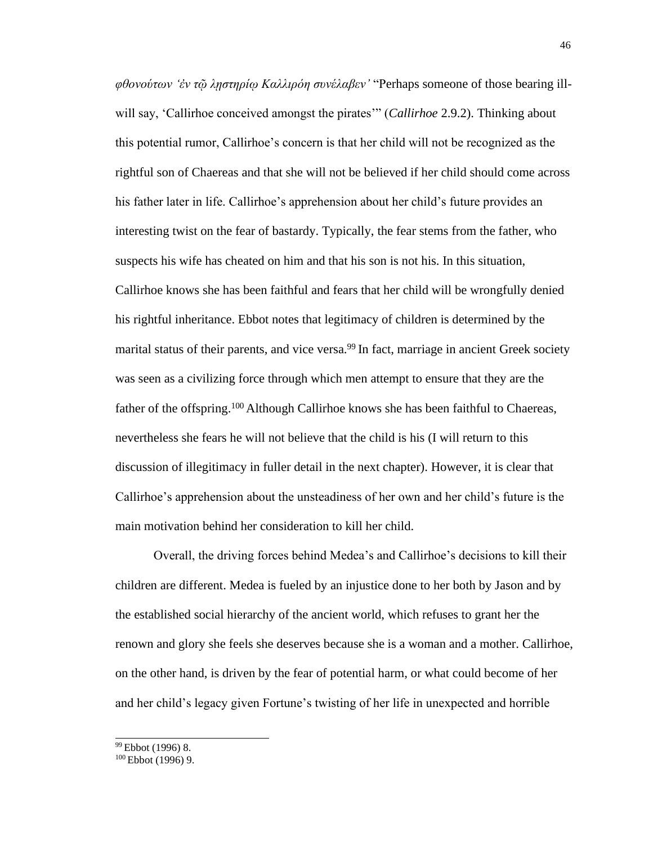*φθονούτων 'ἐν τῷ λῃστηρίῳ Καλλιρόη συνέλαβεν'* "Perhaps someone of those bearing illwill say, 'Callirhoe conceived amongst the pirates'" (*Callirhoe* 2.9.2). Thinking about this potential rumor, Callirhoe's concern is that her child will not be recognized as the rightful son of Chaereas and that she will not be believed if her child should come across his father later in life. Callirhoe's apprehension about her child's future provides an interesting twist on the fear of bastardy. Typically, the fear stems from the father, who suspects his wife has cheated on him and that his son is not his. In this situation, Callirhoe knows she has been faithful and fears that her child will be wrongfully denied his rightful inheritance. Ebbot notes that legitimacy of children is determined by the marital status of their parents, and vice versa.<sup>99</sup> In fact, marriage in ancient Greek society was seen as a civilizing force through which men attempt to ensure that they are the father of the offspring.<sup>100</sup> Although Callirhoe knows she has been faithful to Chaereas, nevertheless she fears he will not believe that the child is his (I will return to this discussion of illegitimacy in fuller detail in the next chapter). However, it is clear that Callirhoe's apprehension about the unsteadiness of her own and her child's future is the main motivation behind her consideration to kill her child.

Overall, the driving forces behind Medea's and Callirhoe's decisions to kill their children are different. Medea is fueled by an injustice done to her both by Jason and by the established social hierarchy of the ancient world, which refuses to grant her the renown and glory she feels she deserves because she is a woman and a mother. Callirhoe, on the other hand, is driven by the fear of potential harm, or what could become of her and her child's legacy given Fortune's twisting of her life in unexpected and horrible

<sup>99</sup>Ebbot (1996) 8.

 $100$  Ebbot (1996) 9.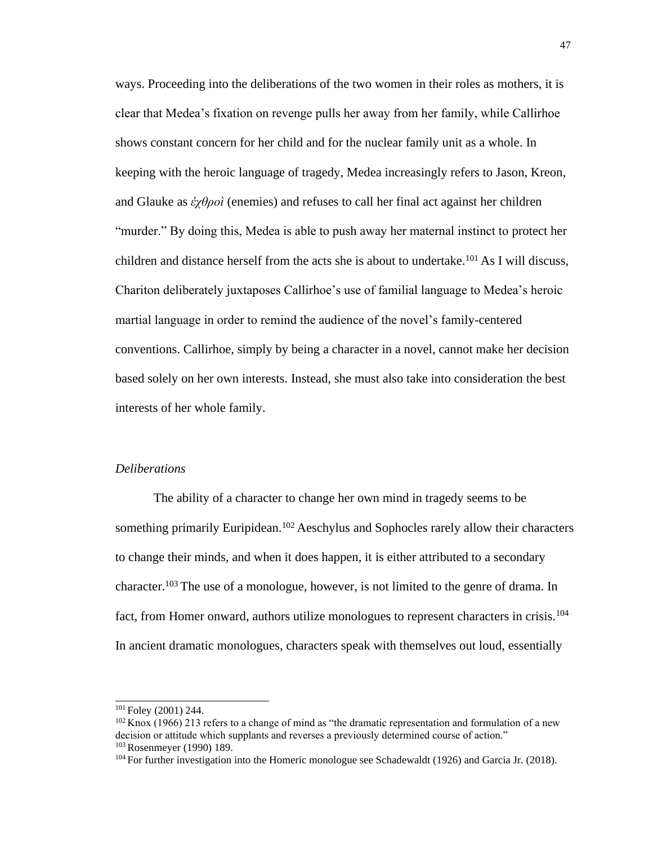ways. Proceeding into the deliberations of the two women in their roles as mothers, it is clear that Medea's fixation on revenge pulls her away from her family, while Callirhoe shows constant concern for her child and for the nuclear family unit as a whole. In keeping with the heroic language of tragedy, Medea increasingly refers to Jason, Kreon, and Glauke as *ἐχθροὶ* (enemies) and refuses to call her final act against her children "murder." By doing this, Medea is able to push away her maternal instinct to protect her children and distance herself from the acts she is about to undertake.<sup>101</sup> As I will discuss, Chariton deliberately juxtaposes Callirhoe's use of familial language to Medea's heroic martial language in order to remind the audience of the novel's family-centered conventions. Callirhoe, simply by being a character in a novel, cannot make her decision based solely on her own interests. Instead, she must also take into consideration the best interests of her whole family.

# *Deliberations*

The ability of a character to change her own mind in tragedy seems to be something primarily Euripidean.<sup>102</sup> Aeschylus and Sophocles rarely allow their characters to change their minds, and when it does happen, it is either attributed to a secondary character.<sup>103</sup> The use of a monologue, however, is not limited to the genre of drama. In fact, from Homer onward, authors utilize monologues to represent characters in crisis.<sup>104</sup> In ancient dramatic monologues, characters speak with themselves out loud, essentially

 $101$  Foley (2001) 244.

 $102$  Knox (1966) 213 refers to a change of mind as "the dramatic representation and formulation of a new decision or attitude which supplants and reverses a previously determined course of action." <sup>103</sup>Rosenmeyer (1990) 189.

<sup>&</sup>lt;sup>104</sup> For further investigation into the Homeric monologue see Schadewaldt (1926) and Garcia Jr. (2018).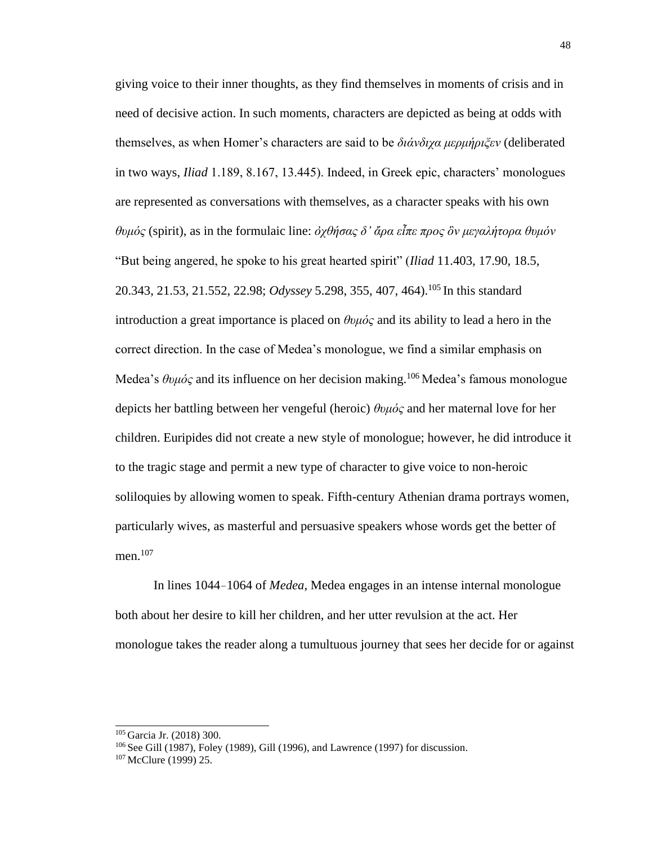giving voice to their inner thoughts, as they find themselves in moments of crisis and in need of decisive action. In such moments, characters are depicted as being at odds with themselves, as when Homer's characters are said to be *διάνδιχα μερμήριξεν* (deliberated in two ways, *Iliad* 1.189, 8.167, 13.445). Indeed, in Greek epic, characters' monologues are represented as conversations with themselves, as a character speaks with his own *θυμός* (spirit), as in the formulaic line: *ὀχθήσας δ' ἄρα εἶπε προς ὃν μεγαλήτορα θυμόν*  "But being angered, he spoke to his great hearted spirit" (*Iliad* 11.403, 17.90, 18.5, 20.343, 21.53, 21.552, 22.98; *Odyssey* 5.298, 355, 407, 464).<sup>105</sup>In this standard introduction a great importance is placed on *θυμός* and its ability to lead a hero in the correct direction. In the case of Medea's monologue, we find a similar emphasis on Medea's θυμός and its influence on her decision making.<sup>106</sup> Medea's famous monologue depicts her battling between her vengeful (heroic) *θυμός* and her maternal love for her children. Euripides did not create a new style of monologue; however, he did introduce it to the tragic stage and permit a new type of character to give voice to non-heroic soliloquies by allowing women to speak. Fifth-century Athenian drama portrays women, particularly wives, as masterful and persuasive speakers whose words get the better of men.<sup>107</sup>

In lines 1044–1064 of *Medea*, Medea engages in an intense internal monologue both about her desire to kill her children, and her utter revulsion at the act. Her monologue takes the reader along a tumultuous journey that sees her decide for or against

<sup>105</sup>Garcia Jr. (2018) 300.

<sup>&</sup>lt;sup>106</sup> See Gill (1987), Foley (1989), Gill (1996), and Lawrence (1997) for discussion.

<sup>107</sup> McClure (1999) 25.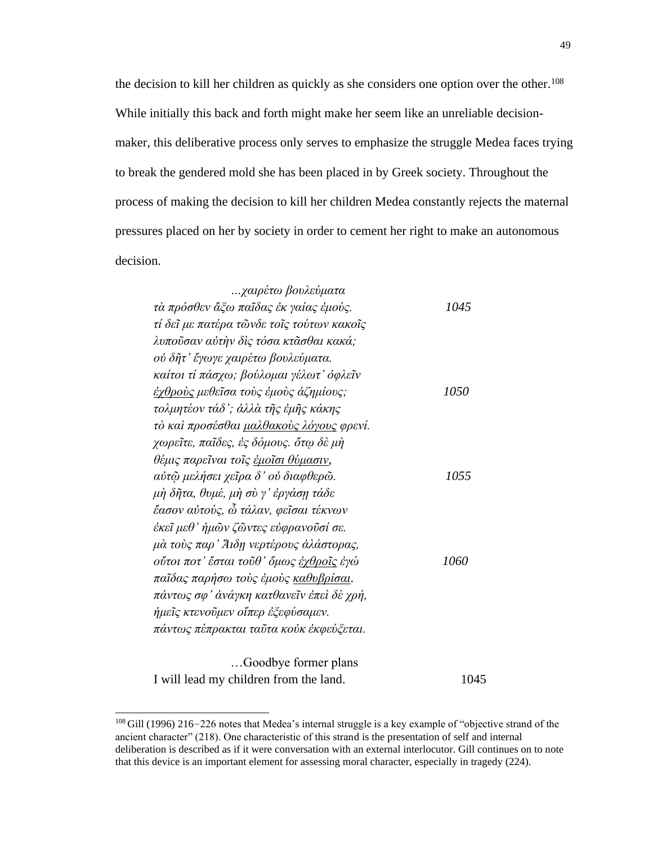the decision to kill her children as quickly as she considers one option over the other.<sup>108</sup> While initially this back and forth might make her seem like an unreliable decisionmaker, this deliberative process only serves to emphasize the struggle Medea faces trying to break the gendered mold she has been placed in by Greek society. Throughout the process of making the decision to kill her children Medea constantly rejects the maternal pressures placed on her by society in order to cement her right to make an autonomous decision.

| χαιρέτω βουλεύματα                              |      |
|-------------------------------------------------|------|
| τὰ πρόσθεν ἄξω παῖδας ἐκ γαίας ἐμούς.           | 1045 |
| τί δεῖ με πατέρα τῶνδε τοῖς τούτων κακοῖς       |      |
| λυποῦσαν αὐτὴν δὶς τόσα κτᾶσθαι κακά;           |      |
| ού δῆτ' ἔγωγε χαιρέτω βουλεύματα.               |      |
| καίτοι τί πάσχω; βούλομαι γέλωτ' όφλεῖν         |      |
| <u>ἐχθροὺς</u> μεθεῖσα τοὺς ἐμοὺς ἀζημίους;     | 1050 |
| τολμητέον τάδ'; άλλὰ τῆς ἐμῆς κάκης             |      |
| τὸ καὶ προσέσθαι <u>μαλθακοὺς λόγους</u> φρενί. |      |
| χωρεῖτε, παῖδες, ἐς δόμους. ὅτῳ δὲ μὴ           |      |
| θέμις παρεῖναι τοῖς <u>ἐμοῖσι θύμασιν</u> ,     |      |
| αύτῷ μελήσει χεῖρα δ' οὐ διαφθερῶ.              | 1055 |
| μὴ δῆτα, θυμέ, μὴ σὺ γ' ἐργάσῃ τάδε             |      |
| ἔασον αὐτούς, ὦ τάλαν, φεῖσαι τέκνων            |      |
| έκεῖ μεθ' ἡμῶν ζῶντες εὐφρανοῦσί σε.            |      |
| μὰ τοὺς παρ' Άιδη νερτέρους ἀλάστορας,          |      |
| οὔτοι ποτ' ἔσται τοῦθ' ὅμως <u>ἐχθροῖς</u> ἐγώ  | 1060 |
| παῖδας παρήσω τοὺς ἐμοὺς <u>καθυβρίσαι</u> .    |      |
| πάντως σφ' άνάγκη κατθανεῖν ἐπεὶ δὲ χρή,        |      |
| ήμεῖς κτενοῦμεν οἴπερ ἐζεφύσαμεν.               |      |
| πάντως πέπρακται ταῦτα κοὐκ ἐκφεύζεται.         |      |
|                                                 |      |
|                                                 |      |

…Goodbye former plans I will lead my children from the land. 1045

<sup>&</sup>lt;sup>108</sup>Gill (1996) 216–226 notes that Medea's internal struggle is a key example of "objective strand of the ancient character" (218). One characteristic of this strand is the presentation of self and internal deliberation is described as if it were conversation with an external interlocutor. Gill continues on to note that this device is an important element for assessing moral character, especially in tragedy (224).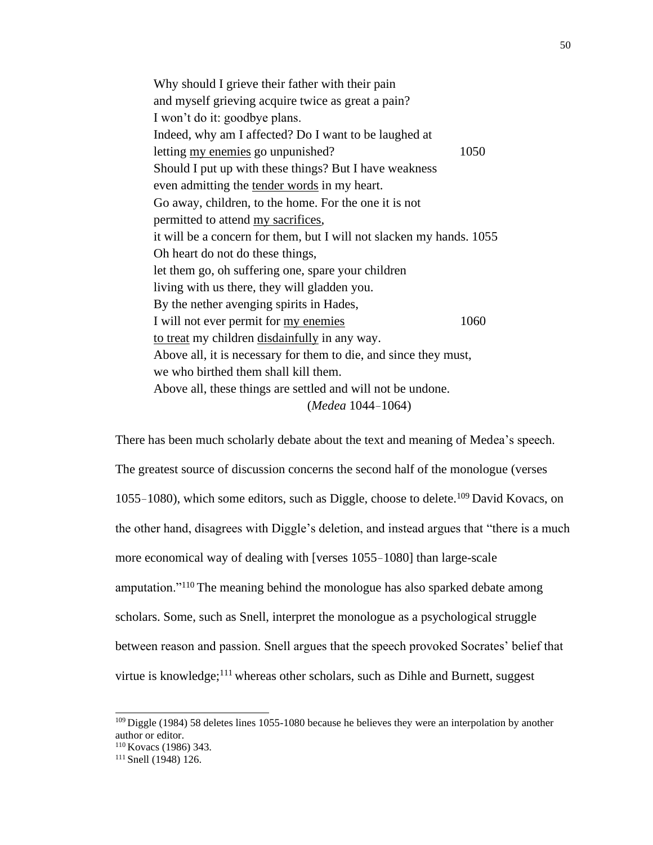Why should I grieve their father with their pain and myself grieving acquire twice as great a pain? I won't do it: goodbye plans. Indeed, why am I affected? Do I want to be laughed at letting <u>my enemies</u> go unpunished? 1050 Should I put up with these things? But I have weakness even admitting the tender words in my heart. Go away, children, to the home. For the one it is not permitted to attend my sacrifices, it will be a concern for them, but I will not slacken my hands. 1055 Oh heart do not do these things, let them go, oh suffering one, spare your children living with us there, they will gladden you. By the nether avenging spirits in Hades, I will not ever permit for my enemies 1060 to treat my children disdainfully in any way. Above all, it is necessary for them to die, and since they must, we who birthed them shall kill them. Above all, these things are settled and will not be undone. (*Medea* 1044–1064)

There has been much scholarly debate about the text and meaning of Medea's speech. The greatest source of discussion concerns the second half of the monologue (verses 1055–1080), which some editors, such as Diggle, choose to delete.<sup>109</sup> David Kovacs, on the other hand, disagrees with Diggle's deletion, and instead argues that "there is a much more economical way of dealing with [verses 1055–1080] than large-scale amputation."<sup>110</sup>The meaning behind the monologue has also sparked debate among scholars. Some, such as Snell, interpret the monologue as a psychological struggle between reason and passion. Snell argues that the speech provoked Socrates' belief that virtue is knowledge;<sup>111</sup> whereas other scholars, such as Dihle and Burnett, suggest

<sup>&</sup>lt;sup>109</sup> Diggle (1984) 58 deletes lines 1055-1080 because he believes they were an interpolation by another author or editor.

<sup>&</sup>lt;sup>110</sup> Kovacs (1986) 343.

<sup>111</sup> Snell (1948) 126.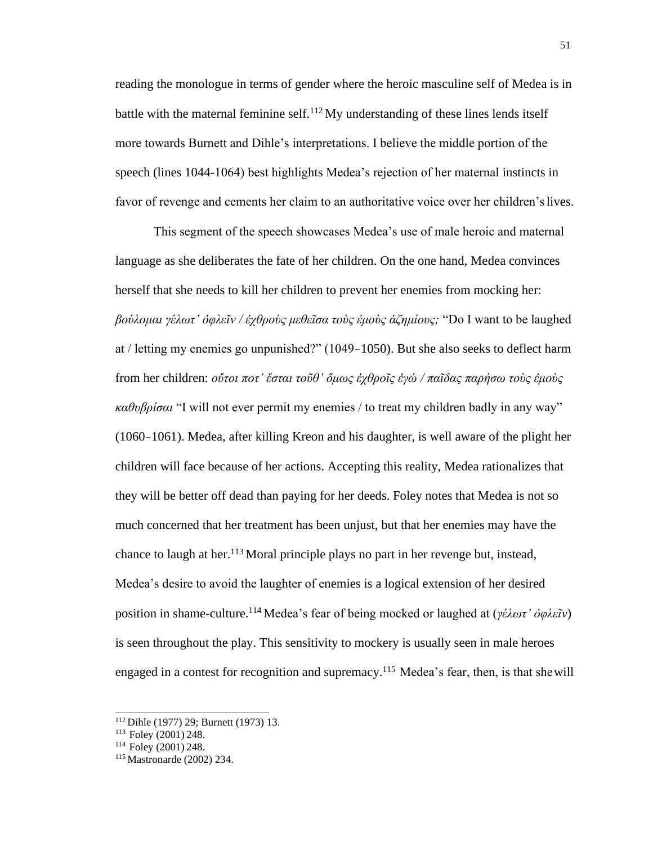reading the monologue in terms of gender where the heroic masculine self of Medea is in battle with the maternal feminine self.<sup>112</sup>My understanding of these lines lends itself more towards Burnett and Dihle's interpretations. I believe the middle portion of the speech (lines 1044-1064) best highlights Medea's rejection of her maternal instincts in favor of revenge and cements her claim to an authoritative voice over her children'slives.

This segment of the speech showcases Medea's use of male heroic and maternal language as she deliberates the fate of her children. On the one hand, Medea convinces herself that she needs to kill her children to prevent her enemies from mocking her: *βούλομαι γέλωτ' ὀφλεῖν / ἐχθροὺς μεθεῖσα τοὺς ἐμοὺς ἀζημίους;* "Do I want to be laughed at / letting my enemies go unpunished?" (1049–1050). But she also seeks to deflect harm from her children: *οὔτοι ποτ' ἔσται τοῦθ' ὅμως ἐχθροῖς ἐγώ / παῖδας παρήσω τοὺς ἐμοὺς καθυβρίσαι* "I will not ever permit my enemies / to treat my children badly in any way" (1060–1061). Medea, after killing Kreon and his daughter, is well aware of the plight her children will face because of her actions. Accepting this reality, Medea rationalizes that they will be better off dead than paying for her deeds. Foley notes that Medea is not so much concerned that her treatment has been unjust, but that her enemies may have the chance to laugh at her.<sup>113</sup> Moral principle plays no part in her revenge but, instead, Medea's desire to avoid the laughter of enemies is a logical extension of her desired position in shame-culture.<sup>114</sup>Medea's fear of being mocked or laughed at (*γέλωτ' ὀφλεῖν*) is seen throughout the play. This sensitivity to mockery is usually seen in male heroes engaged in a contest for recognition and supremacy.<sup>115</sup> Medea's fear, then, is that she will

<sup>112</sup>Dihle (1977) 29; Burnett (1973) 13.

<sup>&</sup>lt;sup>113</sup> Foley (2001) 248.

 $114$  Foley (2001) 248.

<sup>115</sup> Mastronarde (2002) 234.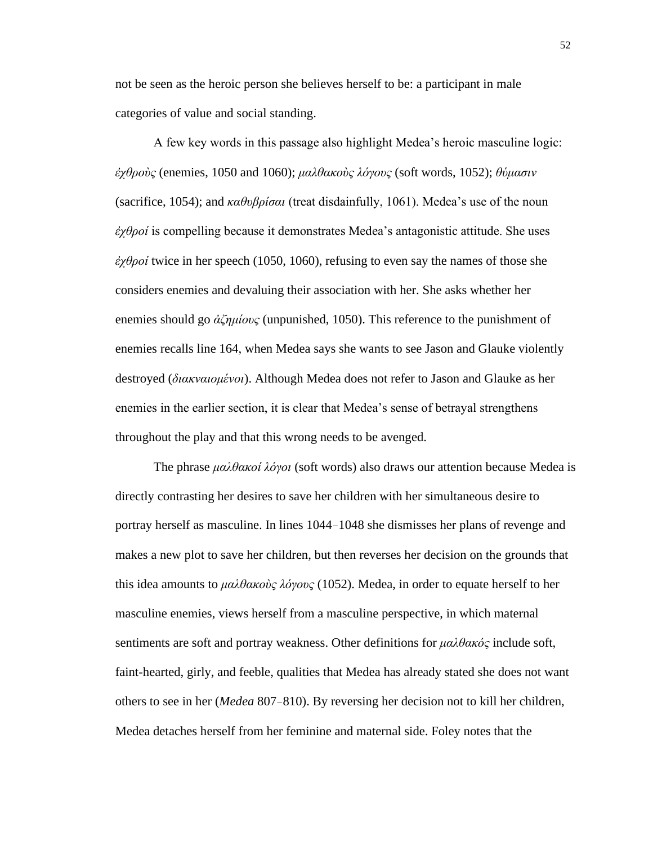not be seen as the heroic person she believes herself to be: a participant in male categories of value and social standing.

A few key words in this passage also highlight Medea's heroic masculine logic: *ἐχθροὺς* (enemies, 1050 and 1060); *μαλθακοὺς λόγους* (soft words, 1052); *θύμασιν*  (sacrifice, 1054); and *καθυβρίσαι* (treat disdainfully, 1061). Medea's use of the noun *ἐχθροί* is compelling because it demonstrates Medea's antagonistic attitude. She uses *ἐχθροί* twice in her speech (1050, 1060), refusing to even say the names of those she considers enemies and devaluing their association with her. She asks whether her enemies should go *ἀζημίους* (unpunished, 1050). This reference to the punishment of enemies recalls line 164, when Medea says she wants to see Jason and Glauke violently destroyed (*διακναιομένοι*). Although Medea does not refer to Jason and Glauke as her enemies in the earlier section, it is clear that Medea's sense of betrayal strengthens throughout the play and that this wrong needs to be avenged.

The phrase *μαλθακοί λόγοι* (soft words) also draws our attention because Medea is directly contrasting her desires to save her children with her simultaneous desire to portray herself as masculine. In lines 1044–1048 she dismisses her plans of revenge and makes a new plot to save her children, but then reverses her decision on the grounds that this idea amounts to *μαλθακοὺς λόγους* (1052). Medea, in order to equate herself to her masculine enemies, views herself from a masculine perspective, in which maternal sentiments are soft and portray weakness. Other definitions for *μαλθακός* include soft, faint-hearted, girly, and feeble, qualities that Medea has already stated she does not want others to see in her (*Medea* 807–810). By reversing her decision not to kill her children, Medea detaches herself from her feminine and maternal side. Foley notes that the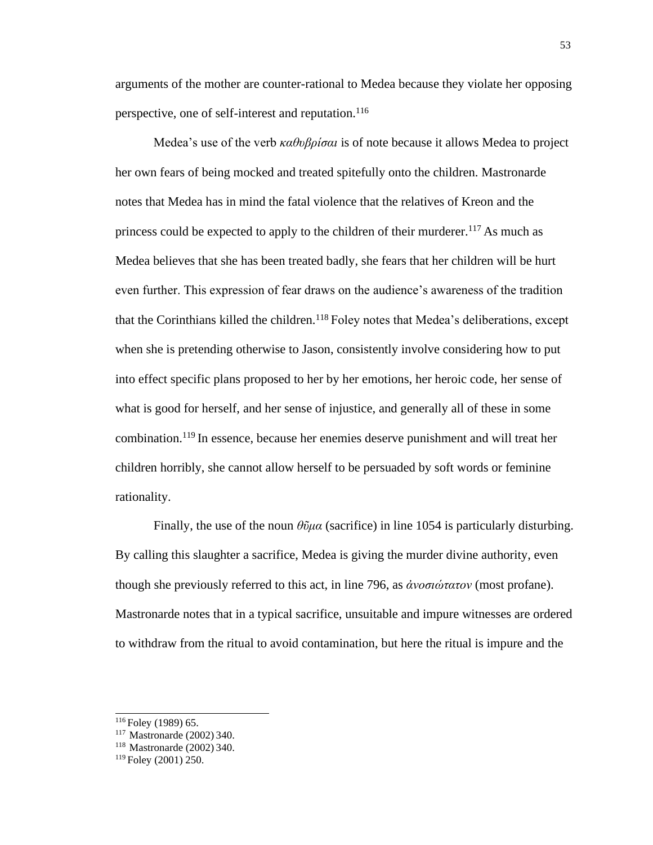arguments of the mother are counter-rational to Medea because they violate her opposing perspective, one of self-interest and reputation.<sup>116</sup>

Medea's use of the verb *καθυβρίσαι* is of note because it allows Medea to project her own fears of being mocked and treated spitefully onto the children. Mastronarde notes that Medea has in mind the fatal violence that the relatives of Kreon and the princess could be expected to apply to the children of their murderer.<sup>117</sup> As much as Medea believes that she has been treated badly, she fears that her children will be hurt even further. This expression of fear draws on the audience's awareness of the tradition that the Corinthians killed the children.<sup>118</sup> Foley notes that Medea's deliberations, except when she is pretending otherwise to Jason, consistently involve considering how to put into effect specific plans proposed to her by her emotions, her heroic code, her sense of what is good for herself, and her sense of injustice, and generally all of these in some combination.<sup>119</sup> In essence, because her enemies deserve punishment and will treat her children horribly, she cannot allow herself to be persuaded by soft words or feminine rationality.

Finally, the use of the noun *θῦμα* (sacrifice) in line 1054 is particularly disturbing. By calling this slaughter a sacrifice, Medea is giving the murder divine authority, even though she previously referred to this act, in line 796, as *ἀνοσιώτατον* (most profane). Mastronarde notes that in a typical sacrifice, unsuitable and impure witnesses are ordered to withdraw from the ritual to avoid contamination, but here the ritual is impure and the

<sup>&</sup>lt;sup>116</sup> Foley (1989) 65.

<sup>&</sup>lt;sup>117</sup> Mastronarde (2002) 340.

<sup>&</sup>lt;sup>118</sup> Mastronarde (2002) 340.

<sup>119</sup> Foley (2001) 250.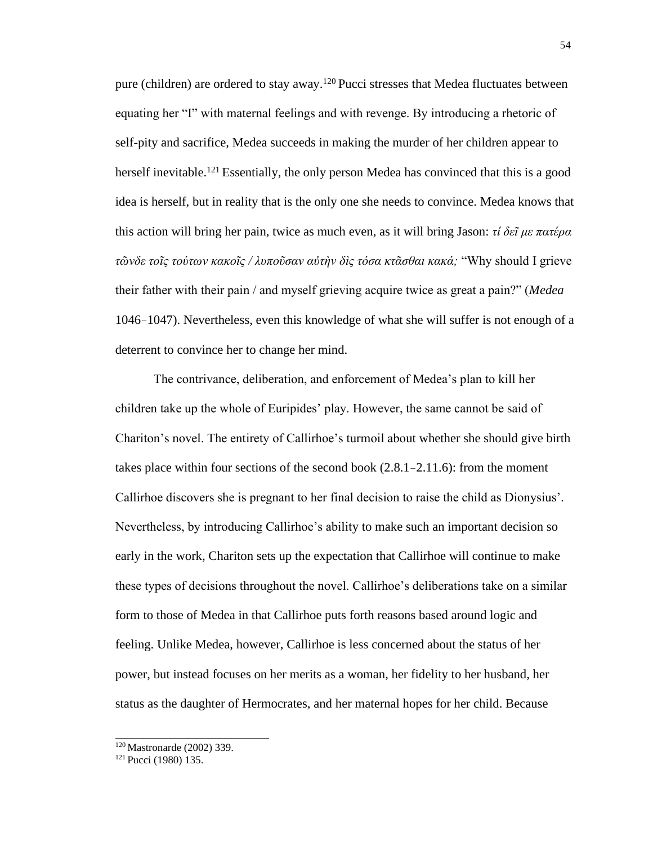pure (children) are ordered to stay away.<sup>120</sup> Pucci stresses that Medea fluctuates between equating her "I" with maternal feelings and with revenge. By introducing a rhetoric of self-pity and sacrifice, Medea succeeds in making the murder of her children appear to herself inevitable.<sup>121</sup> Essentially, the only person Medea has convinced that this is a good idea is herself, but in reality that is the only one she needs to convince. Medea knows that this action will bring her pain, twice as much even, as it will bring Jason: *τί δεῖ με πατέρα τῶνδε τοῖς τούτων κακοῖς / λυποῦσαν αὐτὴν δὶς τόσα κτᾶσθαι κακά;* "Why should I grieve their father with their pain / and myself grieving acquire twice as great a pain?" (*Medea*  1046–1047). Nevertheless, even this knowledge of what she will suffer is not enough of a deterrent to convince her to change her mind.

The contrivance, deliberation, and enforcement of Medea's plan to kill her children take up the whole of Euripides' play. However, the same cannot be said of Chariton's novel. The entirety of Callirhoe's turmoil about whether she should give birth takes place within four sections of the second book (2.8.1–2.11.6): from the moment Callirhoe discovers she is pregnant to her final decision to raise the child as Dionysius'. Nevertheless, by introducing Callirhoe's ability to make such an important decision so early in the work, Chariton sets up the expectation that Callirhoe will continue to make these types of decisions throughout the novel. Callirhoe's deliberations take on a similar form to those of Medea in that Callirhoe puts forth reasons based around logic and feeling. Unlike Medea, however, Callirhoe is less concerned about the status of her power, but instead focuses on her merits as a woman, her fidelity to her husband, her status as the daughter of Hermocrates, and her maternal hopes for her child. Because

<sup>120</sup>Mastronarde (2002) 339.

<sup>121</sup> Pucci (1980) 135.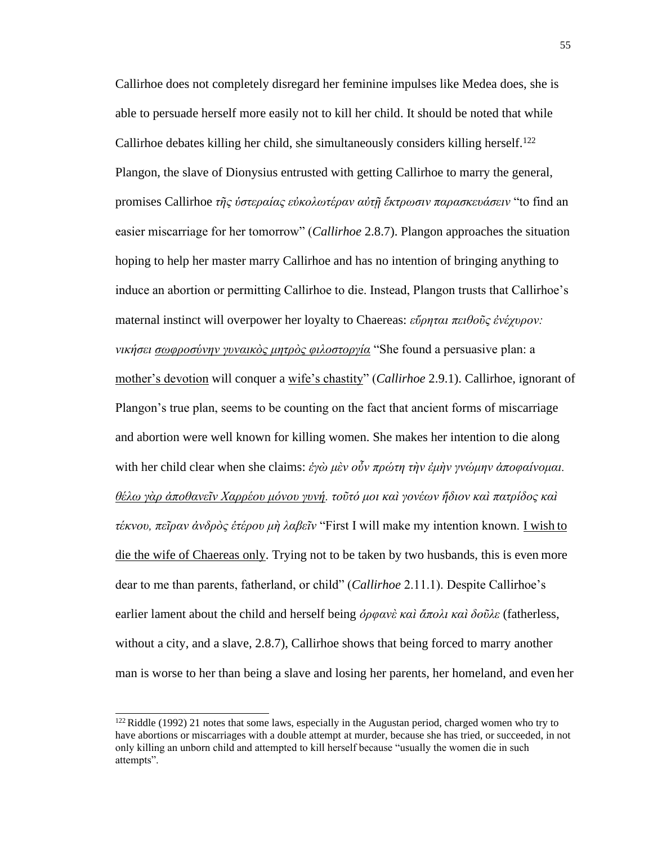Callirhoe does not completely disregard her feminine impulses like Medea does, she is able to persuade herself more easily not to kill her child. It should be noted that while Callirhoe debates killing her child, she simultaneously considers killing herself.<sup>122</sup> Plangon, the slave of Dionysius entrusted with getting Callirhoe to marry the general, promises Callirhoe *τῆς ὑστεραίας εὐκολωτέραν αὐτῇ ἔκτρωσιν παρασκευάσειν* "to find an easier miscarriage for her tomorrow" (*Callirhoe* 2.8.7). Plangon approaches the situation hoping to help her master marry Callirhoe and has no intention of bringing anything to induce an abortion or permitting Callirhoe to die. Instead, Plangon trusts that Callirhoe's maternal instinct will overpower her loyalty to Chaereas: *εὕρηται πειθοῦς ἐνέχυρον: νικήσει σωφροσύνην γυναικὸς μητρὸς φιλοστοργία* "She found a persuasive plan: a mother's devotion will conquer a wife's chastity" (*Callirhoe* 2.9.1). Callirhoe, ignorant of Plangon's true plan, seems to be counting on the fact that ancient forms of miscarriage and abortion were well known for killing women. She makes her intention to die along with her child clear when she claims: *ἐγὼ μὲν οὖν πρώτη τὴν ἐμὴν γνώμην ἀποφαίνομαι. θέλω γὰρ ἀποθανεῖν Χαρρέου μόνου γυνή. τοῦτό μοι καὶ γονέων ἥδιον καὶ πατρίδος καὶ τέκνου, πεῖραν ἀνδρὸς ἑτέρου μὴ λαβεῖν* "First I will make my intention known. I wish to die the wife of Chaereas only. Trying not to be taken by two husbands, this is even more dear to me than parents, fatherland, or child" (*Callirhoe* 2.11.1). Despite Callirhoe's earlier lament about the child and herself being *ὀρφανὲ καὶ ἄπολι καὶ δοῦλε* (fatherless, without a city, and a slave, 2.8.7), Callirhoe shows that being forced to marry another man is worse to her than being a slave and losing her parents, her homeland, and even her

 $122$  Riddle (1992) 21 notes that some laws, especially in the Augustan period, charged women who try to have abortions or miscarriages with a double attempt at murder, because she has tried, or succeeded, in not only killing an unborn child and attempted to kill herself because "usually the women die in such attempts".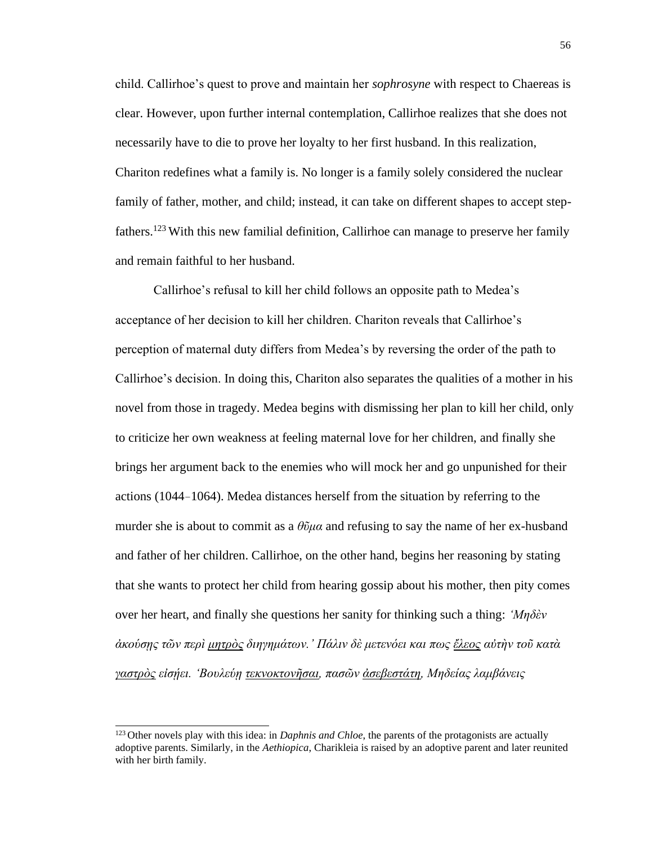child. Callirhoe's quest to prove and maintain her *sophrosyne* with respect to Chaereas is clear. However, upon further internal contemplation, Callirhoe realizes that she does not necessarily have to die to prove her loyalty to her first husband. In this realization, Chariton redefines what a family is. No longer is a family solely considered the nuclear family of father, mother, and child; instead, it can take on different shapes to accept stepfathers.<sup>123</sup> With this new familial definition, Callirhoe can manage to preserve her family and remain faithful to her husband.

Callirhoe's refusal to kill her child follows an opposite path to Medea's acceptance of her decision to kill her children. Chariton reveals that Callirhoe's perception of maternal duty differs from Medea's by reversing the order of the path to Callirhoe's decision. In doing this, Chariton also separates the qualities of a mother in his novel from those in tragedy. Medea begins with dismissing her plan to kill her child, only to criticize her own weakness at feeling maternal love for her children, and finally she brings her argument back to the enemies who will mock her and go unpunished for their actions (1044–1064). Medea distances herself from the situation by referring to the murder she is about to commit as a *θῦμα* and refusing to say the name of her ex-husband and father of her children. Callirhoe, on the other hand, begins her reasoning by stating that she wants to protect her child from hearing gossip about his mother, then pity comes over her heart, and finally she questions her sanity for thinking such a thing: *'Μηδὲν ἀκούσῃς τῶν περὶ μητρὸς διηγημάτων.' Πάλιν δὲ μετενόει και πως ἔλεος αὐτὴν τοῦ κατὰ γαστρὸς εἰσῄει. 'Βουλεύῃ τεκνοκτονῆσαι, πασῶν ἀσεβεστάτη, Μηδείας λαμβάνεις*

<sup>&</sup>lt;sup>123</sup> Other novels play with this idea: in *Daphnis and Chloe*, the parents of the protagonists are actually adoptive parents. Similarly, in the *Aethiopica*, Charikleia is raised by an adoptive parent and later reunited with her birth family.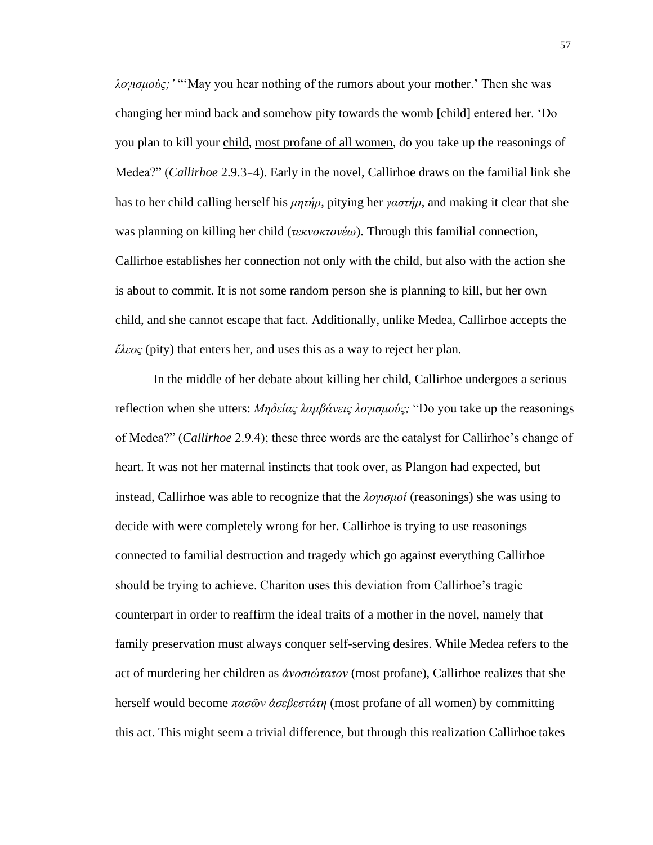*λογισμούς;'* "'May you hear nothing of the rumors about your mother.' Then she was changing her mind back and somehow pity towards the womb [child] entered her. 'Do you plan to kill your child, most profane of all women, do you take up the reasonings of Medea?" (*Callirhoe* 2.9.3–4). Early in the novel, Callirhoe draws on the familial link she has to her child calling herself his *μητήρ*, pitying her *γαστήρ*, and making it clear that she was planning on killing her child (*τεκνοκτονέω*). Through this familial connection, Callirhoe establishes her connection not only with the child, but also with the action she is about to commit. It is not some random person she is planning to kill, but her own child, and she cannot escape that fact. Additionally, unlike Medea, Callirhoe accepts the *ἔλεος* (pity) that enters her, and uses this as a way to reject her plan.

In the middle of her debate about killing her child, Callirhoe undergoes a serious reflection when she utters: *Μηδείας λαμβάνεις λογισμούς;* "Do you take up the reasonings of Medea?" (*Callirhoe* 2.9.4); these three words are the catalyst for Callirhoe's change of heart. It was not her maternal instincts that took over, as Plangon had expected, but instead, Callirhoe was able to recognize that the *λογισμοί* (reasonings) she was using to decide with were completely wrong for her. Callirhoe is trying to use reasonings connected to familial destruction and tragedy which go against everything Callirhoe should be trying to achieve. Chariton uses this deviation from Callirhoe's tragic counterpart in order to reaffirm the ideal traits of a mother in the novel, namely that family preservation must always conquer self-serving desires. While Medea refers to the act of murdering her children as *ἀνοσιώτατον* (most profane), Callirhoe realizes that she herself would become *πασῶν ἀσεβεστάτη* (most profane of all women) by committing this act. This might seem a trivial difference, but through this realization Callirhoe takes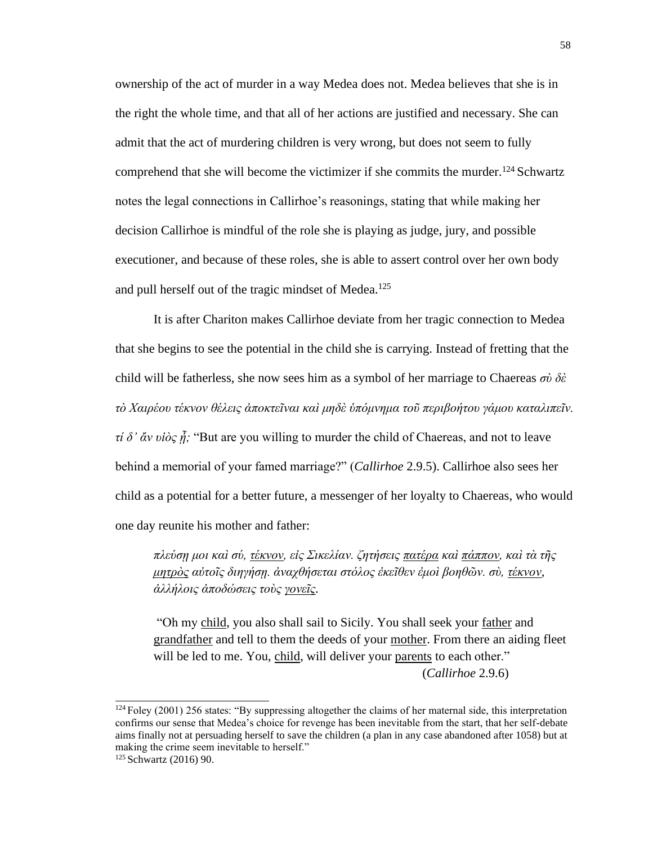ownership of the act of murder in a way Medea does not. Medea believes that she is in the right the whole time, and that all of her actions are justified and necessary. She can admit that the act of murdering children is very wrong, but does not seem to fully comprehend that she will become the victimizer if she commits the murder.<sup>124</sup> Schwartz notes the legal connections in Callirhoe's reasonings, stating that while making her decision Callirhoe is mindful of the role she is playing as judge, jury, and possible executioner, and because of these roles, she is able to assert control over her own body and pull herself out of the tragic mindset of Medea.<sup>125</sup>

It is after Chariton makes Callirhoe deviate from her tragic connection to Medea that she begins to see the potential in the child she is carrying. Instead of fretting that the child will be fatherless, she now sees him as a symbol of her marriage to Chaereas *σὺ δὲ τὸ Χαιρέου τέκνον θέλεις ἀποκτεῖναι καὶ μηδὲ ὑπόμνημα τοῦ περιβοήτου γάμου καταλιπεῖν. τί δ' ἄν υἱὸς ᾖ;* "But are you willing to murder the child of Chaereas, and not to leave behind a memorial of your famed marriage?" (*Callirhoe* 2.9.5). Callirhoe also sees her child as a potential for a better future, a messenger of her loyalty to Chaereas, who would one day reunite his mother and father:

*πλεύσῃ μοι καὶ σύ, τέκνον, εἰς Σικελίαν. ζητήσεις πατέρα καὶ πάππον, καὶ τὰ τῆς μητρὸς αὐτοῖς διηγήσῃ. ἀναχθήσεται στόλος ἐκεῖθεν ἐμοὶ βοηθῶν. σὺ, τέκνον, ἀλλήλοις ἀποδώσεις τοὺς γονεῖς.*

"Oh my child, you also shall sail to Sicily. You shall seek your father and grandfather and tell to them the deeds of your mother. From there an aiding fleet will be led to me. You, child, will deliver your parents to each other." (*Callirhoe* 2.9.6)

<sup>&</sup>lt;sup>124</sup> Foley (2001) 256 states: "By suppressing altogether the claims of her maternal side, this interpretation confirms our sense that Medea's choice for revenge has been inevitable from the start, that her self-debate aims finally not at persuading herself to save the children (a plan in any case abandoned after 1058) but at making the crime seem inevitable to herself."

<sup>125</sup> Schwartz (2016) 90.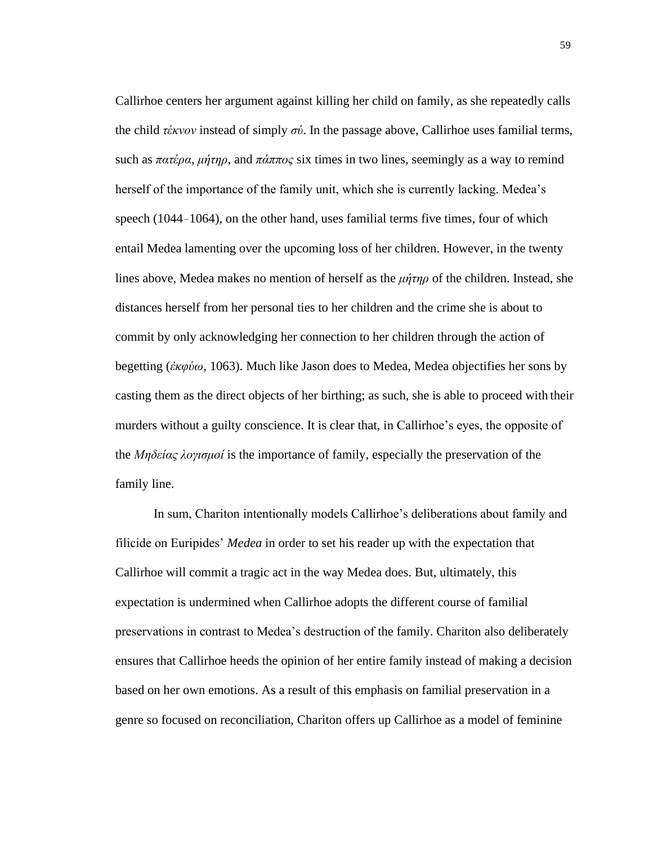Callirhoe centers her argument against killing her child on family, as she repeatedly calls the child *τέκνον* instead of simply *σύ*. In the passage above, Callirhoe uses familial terms, such as *πατέρα*, *μήτηρ*, and *πάππος* six times in two lines, seemingly as a way to remind herself of the importance of the family unit, which she is currently lacking. Medea's speech (1044–1064), on the other hand, uses familial terms five times, four of which entail Medea lamenting over the upcoming loss of her children. However, in the twenty lines above, Medea makes no mention of herself as the *μήτηρ* of the children. Instead, she distances herself from her personal ties to her children and the crime she is about to commit by only acknowledging her connection to her children through the action of begetting (*ἐκφύω*, 1063). Much like Jason does to Medea, Medea objectifies her sons by casting them as the direct objects of her birthing; as such, she is able to proceed with their murders without a guilty conscience. It is clear that, in Callirhoe's eyes, the opposite of the *Μηδείας λογισμοί* is the importance of family, especially the preservation of the family line.

In sum, Chariton intentionally models Callirhoe's deliberations about family and filicide on Euripides' *Medea* in order to set his reader up with the expectation that Callirhoe will commit a tragic act in the way Medea does. But, ultimately, this expectation is undermined when Callirhoe adopts the different course of familial preservations in contrast to Medea's destruction of the family. Chariton also deliberately ensures that Callirhoe heeds the opinion of her entire family instead of making a decision based on her own emotions. As a result of this emphasis on familial preservation in a genre so focused on reconciliation, Chariton offers up Callirhoe as a model of feminine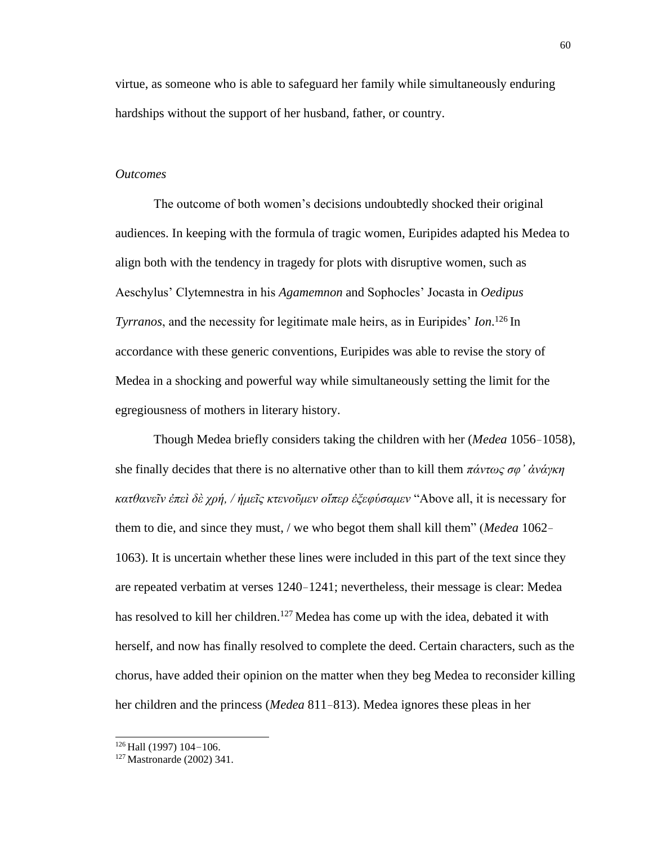virtue, as someone who is able to safeguard her family while simultaneously enduring hardships without the support of her husband, father, or country.

#### *Outcomes*

The outcome of both women's decisions undoubtedly shocked their original audiences. In keeping with the formula of tragic women, Euripides adapted his Medea to align both with the tendency in tragedy for plots with disruptive women, such as Aeschylus' Clytemnestra in his *Agamemnon* and Sophocles' Jocasta in *Oedipus Tyrranos*, and the necessity for legitimate male heirs, as in Euripides' *Ion*. <sup>126</sup>In accordance with these generic conventions, Euripides was able to revise the story of Medea in a shocking and powerful way while simultaneously setting the limit for the egregiousness of mothers in literary history.

Though Medea briefly considers taking the children with her (*Medea* 1056–1058), she finally decides that there is no alternative other than to kill them *πάντως σφ' ἀνάγκη κατθανεῖν ἐπεὶ δὲ χρή, / ἡμεῖς κτενοῦμεν οἵπερ ἐξεφύσαμεν* "Above all, it is necessary for them to die, and since they must, / we who begot them shall kill them" (*Medea* 1062– 1063). It is uncertain whether these lines were included in this part of the text since they are repeated verbatim at verses 1240–1241; nevertheless, their message is clear: Medea has resolved to kill her children.<sup>127</sup> Medea has come up with the idea, debated it with herself, and now has finally resolved to complete the deed. Certain characters, such as the chorus, have added their opinion on the matter when they beg Medea to reconsider killing her children and the princess (*Medea* 811–813). Medea ignores these pleas in her

 $126$  Hall (1997) 104-106.

<sup>127</sup> Mastronarde (2002) 341.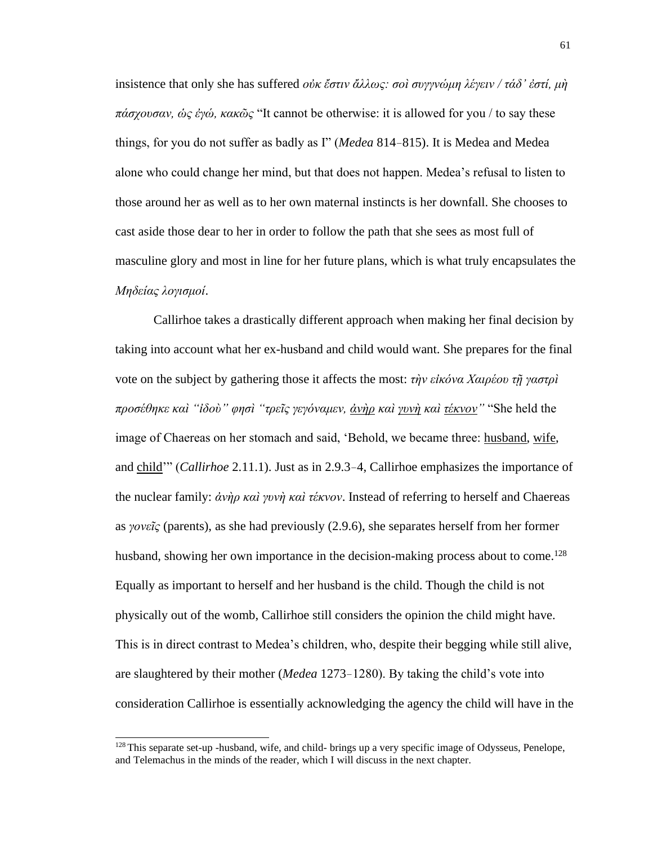insistence that only she has suffered *οὐκ ἔστιν ἄλλως: σοὶ συγγνώμη λέγειν / τάδ' ἐστί, μὴ πάσχουσαν, ὡς ἐγώ, κακῶς* "It cannot be otherwise: it is allowed for you / to say these things, for you do not suffer as badly as I" (*Medea* 814–815). It is Medea and Medea alone who could change her mind, but that does not happen. Medea's refusal to listen to those around her as well as to her own maternal instincts is her downfall. She chooses to cast aside those dear to her in order to follow the path that she sees as most full of masculine glory and most in line for her future plans, which is what truly encapsulates the *Μηδείας λογισμοί*.

Callirhoe takes a drastically different approach when making her final decision by taking into account what her ex-husband and child would want. She prepares for the final vote on the subject by gathering those it affects the most: *τὴν εἰκόνα Χαιρέου τῇ γαστρὶ προσέθηκε καὶ "ἰδοὺ" φησὶ "τρεῖς γεγόναμεν, ἀνὴρ καὶ γυνὴ καὶ τέκνον"* "She held the image of Chaereas on her stomach and said, 'Behold, we became three: husband, wife, and child'" (*Callirhoe* 2.11.1). Just as in 2.9.3–4, Callirhoe emphasizes the importance of the nuclear family: *ἀνὴρ καὶ γυνὴ καὶ τέκνον*. Instead of referring to herself and Chaereas as *γονεῖς* (parents), as she had previously (2.9.6), she separates herself from her former husband, showing her own importance in the decision-making process about to come.<sup>128</sup> Equally as important to herself and her husband is the child. Though the child is not physically out of the womb, Callirhoe still considers the opinion the child might have. This is in direct contrast to Medea's children, who, despite their begging while still alive, are slaughtered by their mother (*Medea* 1273–1280). By taking the child's vote into consideration Callirhoe is essentially acknowledging the agency the child will have in the

<sup>&</sup>lt;sup>128</sup> This separate set-up -husband, wife, and child- brings up a very specific image of Odysseus, Penelope, and Telemachus in the minds of the reader, which I will discuss in the next chapter.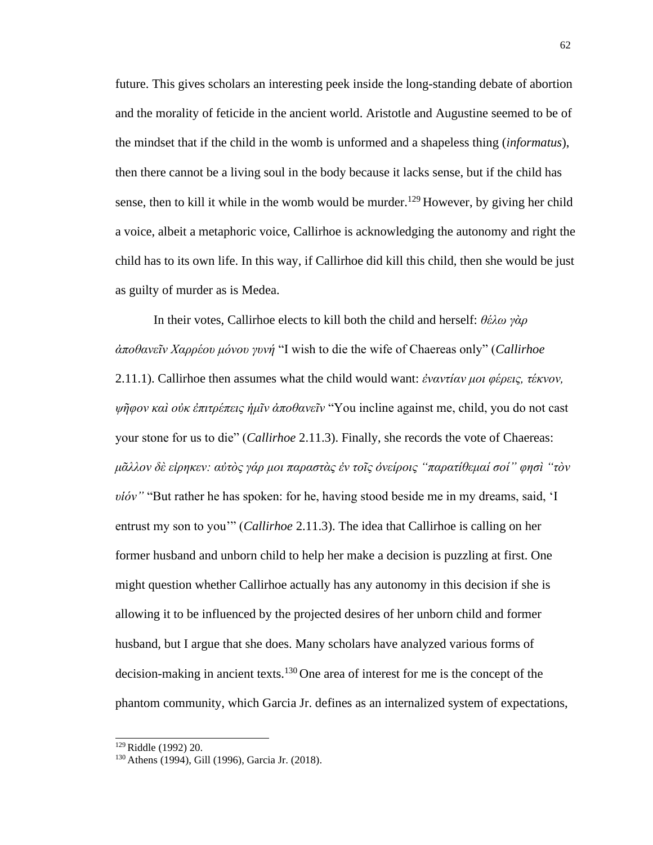future. This gives scholars an interesting peek inside the long-standing debate of abortion and the morality of feticide in the ancient world. Aristotle and Augustine seemed to be of the mindset that if the child in the womb is unformed and a shapeless thing (*informatus*), then there cannot be a living soul in the body because it lacks sense, but if the child has sense, then to kill it while in the womb would be murder.<sup>129</sup> However, by giving her child a voice, albeit a metaphoric voice, Callirhoe is acknowledging the autonomy and right the child has to its own life. In this way, if Callirhoe did kill this child, then she would be just as guilty of murder as is Medea.

In their votes, Callirhoe elects to kill both the child and herself: *θέλω γὰρ ἀποθανεῖν Χαρρέου μόνου γυνή* "I wish to die the wife of Chaereas only" (*Callirhoe*  2.11.1). Callirhoe then assumes what the child would want: *ἐναντίαν μοι φέρεις, τέκνον, ψῆφον καὶ οὐκ ἐπιτρέπεις ἡμῖν ἀποθανεῖν* "You incline against me, child, you do not cast your stone for us to die" (*Callirhoe* 2.11.3). Finally, she records the vote of Chaereas: *μᾶλλον δὲ εἰρηκεν: αὐτὸς γάρ μοι παραστὰς ἐν τοῖς ὀνείροις "παρατίθεμαί σοί" φησὶ "τὸν υἱόν"* "But rather he has spoken: for he, having stood beside me in my dreams, said, 'I entrust my son to you'" (*Callirhoe* 2.11.3). The idea that Callirhoe is calling on her former husband and unborn child to help her make a decision is puzzling at first. One might question whether Callirhoe actually has any autonomy in this decision if she is allowing it to be influenced by the projected desires of her unborn child and former husband, but I argue that she does. Many scholars have analyzed various forms of decision-making in ancient texts.<sup>130</sup> One area of interest for me is the concept of the phantom community, which Garcia Jr. defines as an internalized system of expectations,

<sup>129</sup>Riddle (1992) 20.

<sup>130</sup> Athens (1994), Gill (1996), Garcia Jr. (2018).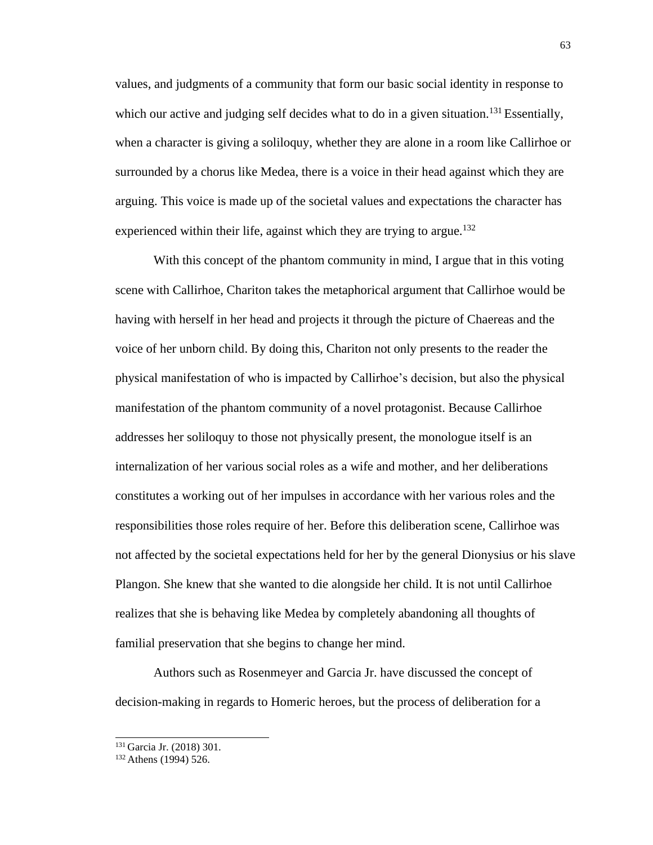values, and judgments of a community that form our basic social identity in response to which our active and judging self decides what to do in a given situation.<sup>131</sup> Essentially, when a character is giving a soliloquy, whether they are alone in a room like Callirhoe or surrounded by a chorus like Medea, there is a voice in their head against which they are arguing. This voice is made up of the societal values and expectations the character has experienced within their life, against which they are trying to argue.<sup>132</sup>

With this concept of the phantom community in mind, I argue that in this voting scene with Callirhoe, Chariton takes the metaphorical argument that Callirhoe would be having with herself in her head and projects it through the picture of Chaereas and the voice of her unborn child. By doing this, Chariton not only presents to the reader the physical manifestation of who is impacted by Callirhoe's decision, but also the physical manifestation of the phantom community of a novel protagonist. Because Callirhoe addresses her soliloquy to those not physically present, the monologue itself is an internalization of her various social roles as a wife and mother, and her deliberations constitutes a working out of her impulses in accordance with her various roles and the responsibilities those roles require of her. Before this deliberation scene, Callirhoe was not affected by the societal expectations held for her by the general Dionysius or his slave Plangon. She knew that she wanted to die alongside her child. It is not until Callirhoe realizes that she is behaving like Medea by completely abandoning all thoughts of familial preservation that she begins to change her mind.

Authors such as Rosenmeyer and Garcia Jr. have discussed the concept of decision-making in regards to Homeric heroes, but the process of deliberation for a

<sup>131</sup>Garcia Jr. (2018) 301.

<sup>&</sup>lt;sup>132</sup> Athens (1994) 526.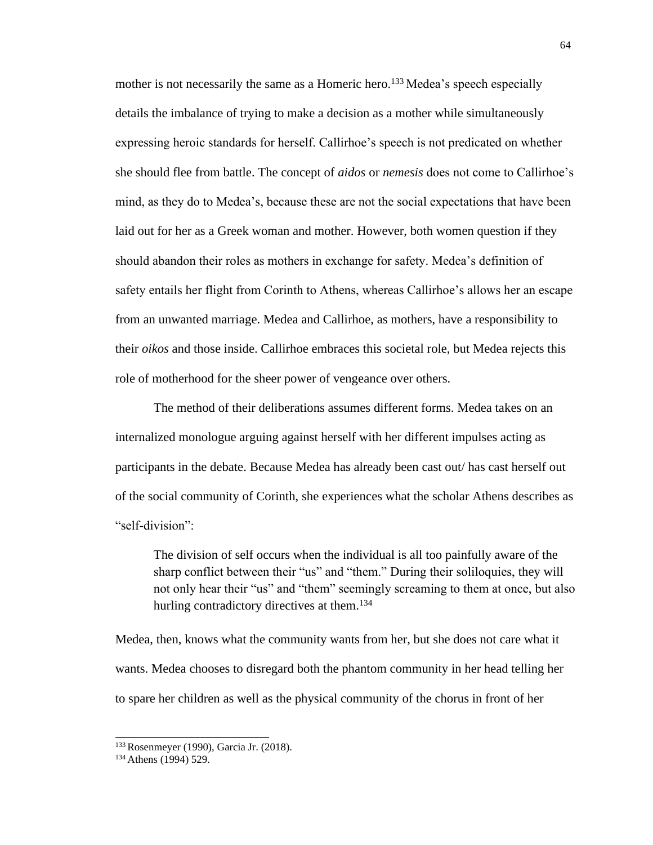mother is not necessarily the same as a Homeric hero.<sup>133</sup> Medea's speech especially details the imbalance of trying to make a decision as a mother while simultaneously expressing heroic standards for herself. Callirhoe's speech is not predicated on whether she should flee from battle. The concept of *aidos* or *nemesis* does not come to Callirhoe's mind, as they do to Medea's, because these are not the social expectations that have been laid out for her as a Greek woman and mother. However, both women question if they should abandon their roles as mothers in exchange for safety. Medea's definition of safety entails her flight from Corinth to Athens, whereas Callirhoe's allows her an escape from an unwanted marriage. Medea and Callirhoe, as mothers, have a responsibility to their *oikos* and those inside. Callirhoe embraces this societal role, but Medea rejects this role of motherhood for the sheer power of vengeance over others.

The method of their deliberations assumes different forms. Medea takes on an internalized monologue arguing against herself with her different impulses acting as participants in the debate. Because Medea has already been cast out/ has cast herself out of the social community of Corinth, she experiences what the scholar Athens describes as "self-division":

The division of self occurs when the individual is all too painfully aware of the sharp conflict between their "us" and "them." During their soliloquies, they will not only hear their "us" and "them" seemingly screaming to them at once, but also hurling contradictory directives at them.<sup>134</sup>

Medea, then, knows what the community wants from her, but she does not care what it wants. Medea chooses to disregard both the phantom community in her head telling her to spare her children as well as the physical community of the chorus in front of her

<sup>133</sup>Rosenmeyer (1990), Garcia Jr. (2018).

<sup>&</sup>lt;sup>134</sup> Athens (1994) 529.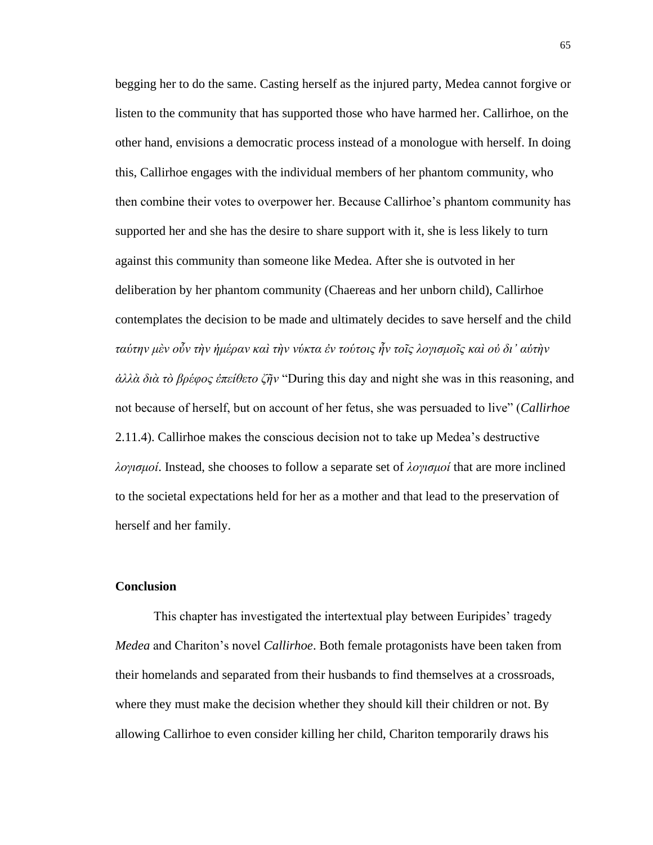begging her to do the same. Casting herself as the injured party, Medea cannot forgive or listen to the community that has supported those who have harmed her. Callirhoe, on the other hand, envisions a democratic process instead of a monologue with herself. In doing this, Callirhoe engages with the individual members of her phantom community, who then combine their votes to overpower her. Because Callirhoe's phantom community has supported her and she has the desire to share support with it, she is less likely to turn against this community than someone like Medea. After she is outvoted in her deliberation by her phantom community (Chaereas and her unborn child), Callirhoe contemplates the decision to be made and ultimately decides to save herself and the child *ταύτην μὲν οὖν τὴν ἡμέραν καὶ τὴν νύκτα ἐν τούτοις ἦν τοῖς λογισμοῖς καὶ οὐ δι' αὑτὴν ἀλλὰ διὰ τὸ βρέφος ἐπείθετο ζῆν* "During this day and night she was in this reasoning, and not because of herself, but on account of her fetus, she was persuaded to live" (*Callirhoe*  2.11.4). Callirhoe makes the conscious decision not to take up Medea's destructive *λογισμοί*. Instead, she chooses to follow a separate set of *λογισμοί* that are more inclined to the societal expectations held for her as a mother and that lead to the preservation of herself and her family.

### **Conclusion**

This chapter has investigated the intertextual play between Euripides' tragedy *Medea* and Chariton's novel *Callirhoe*. Both female protagonists have been taken from their homelands and separated from their husbands to find themselves at a crossroads, where they must make the decision whether they should kill their children or not. By allowing Callirhoe to even consider killing her child, Chariton temporarily draws his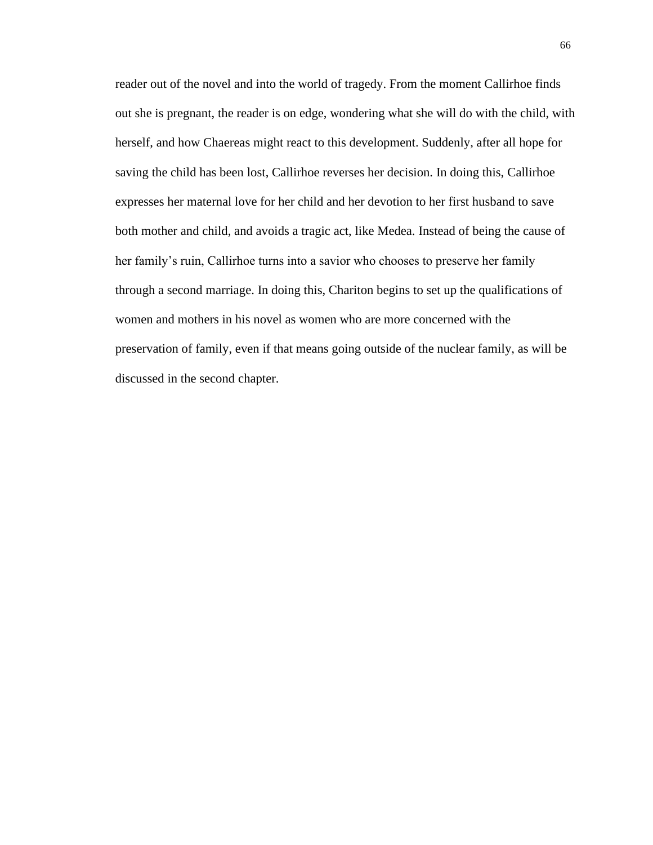reader out of the novel and into the world of tragedy. From the moment Callirhoe finds out she is pregnant, the reader is on edge, wondering what she will do with the child, with herself, and how Chaereas might react to this development. Suddenly, after all hope for saving the child has been lost, Callirhoe reverses her decision. In doing this, Callirhoe expresses her maternal love for her child and her devotion to her first husband to save both mother and child, and avoids a tragic act, like Medea. Instead of being the cause of her family's ruin, Callirhoe turns into a savior who chooses to preserve her family through a second marriage. In doing this, Chariton begins to set up the qualifications of women and mothers in his novel as women who are more concerned with the preservation of family, even if that means going outside of the nuclear family, as will be discussed in the second chapter.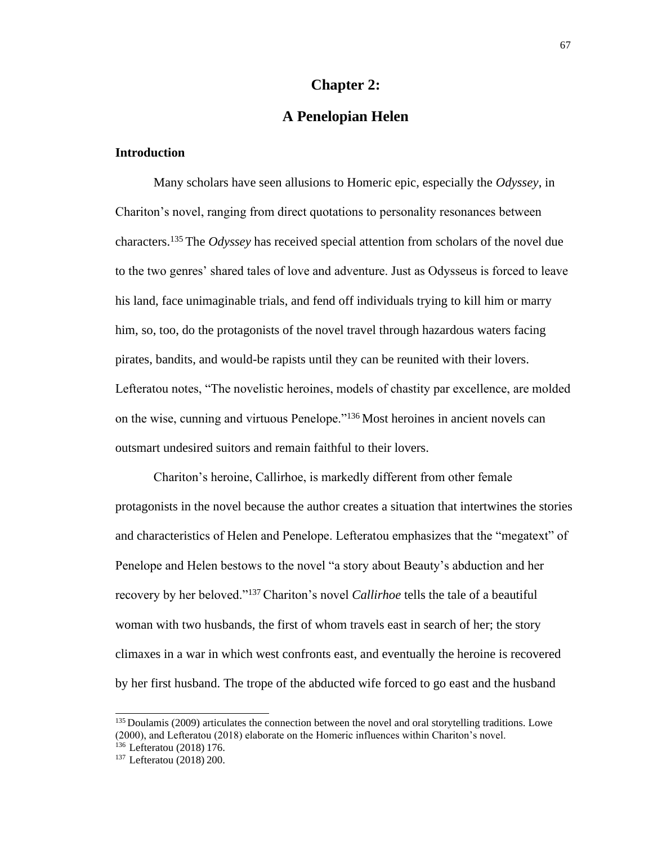### **Chapter 2:**

# **A Penelopian Helen**

# **Introduction**

Many scholars have seen allusions to Homeric epic, especially the *Odyssey*, in Chariton's novel, ranging from direct quotations to personality resonances between characters.<sup>135</sup>The *Odyssey* has received special attention from scholars of the novel due to the two genres' shared tales of love and adventure. Just as Odysseus is forced to leave his land, face unimaginable trials, and fend off individuals trying to kill him or marry him, so, too, do the protagonists of the novel travel through hazardous waters facing pirates, bandits, and would-be rapists until they can be reunited with their lovers. Lefteratou notes, "The novelistic heroines, models of chastity par excellence, are molded on the wise, cunning and virtuous Penelope."<sup>136</sup>Most heroines in ancient novels can outsmart undesired suitors and remain faithful to their lovers.

Chariton's heroine, Callirhoe, is markedly different from other female protagonists in the novel because the author creates a situation that intertwines the stories and characteristics of Helen and Penelope. Lefteratou emphasizes that the "megatext" of Penelope and Helen bestows to the novel "a story about Beauty's abduction and her recovery by her beloved."<sup>137</sup>Chariton's novel *Callirhoe* tells the tale of a beautiful woman with two husbands, the first of whom travels east in search of her; the story climaxes in a war in which west confronts east, and eventually the heroine is recovered by her first husband. The trope of the abducted wife forced to go east and the husband

<sup>&</sup>lt;sup>135</sup> Doulamis (2009) articulates the connection between the novel and oral storytelling traditions. Lowe (2000), and Lefteratou (2018) elaborate on the Homeric influences within Chariton's novel. <sup>136</sup> Lefteratou (2018) 176.

<sup>137</sup>Lefteratou (2018) 200.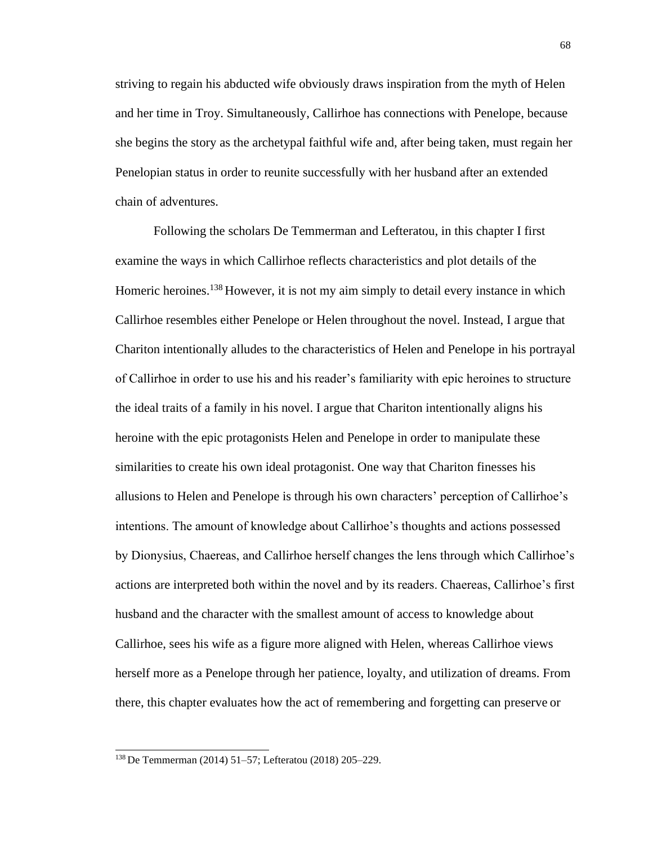striving to regain his abducted wife obviously draws inspiration from the myth of Helen and her time in Troy. Simultaneously, Callirhoe has connections with Penelope, because she begins the story as the archetypal faithful wife and, after being taken, must regain her Penelopian status in order to reunite successfully with her husband after an extended chain of adventures.

Following the scholars De Temmerman and Lefteratou, in this chapter I first examine the ways in which Callirhoe reflects characteristics and plot details of the Homeric heroines.<sup>138</sup> However, it is not my aim simply to detail every instance in which Callirhoe resembles either Penelope or Helen throughout the novel. Instead, I argue that Chariton intentionally alludes to the characteristics of Helen and Penelope in his portrayal of Callirhoe in order to use his and his reader's familiarity with epic heroines to structure the ideal traits of a family in his novel. I argue that Chariton intentionally aligns his heroine with the epic protagonists Helen and Penelope in order to manipulate these similarities to create his own ideal protagonist. One way that Chariton finesses his allusions to Helen and Penelope is through his own characters' perception of Callirhoe's intentions. The amount of knowledge about Callirhoe's thoughts and actions possessed by Dionysius, Chaereas, and Callirhoe herself changes the lens through which Callirhoe's actions are interpreted both within the novel and by its readers. Chaereas, Callirhoe's first husband and the character with the smallest amount of access to knowledge about Callirhoe, sees his wife as a figure more aligned with Helen, whereas Callirhoe views herself more as a Penelope through her patience, loyalty, and utilization of dreams. From there, this chapter evaluates how the act of remembering and forgetting can preserve or

<sup>138</sup> De Temmerman (2014) 51–57; Lefteratou (2018) 205–229.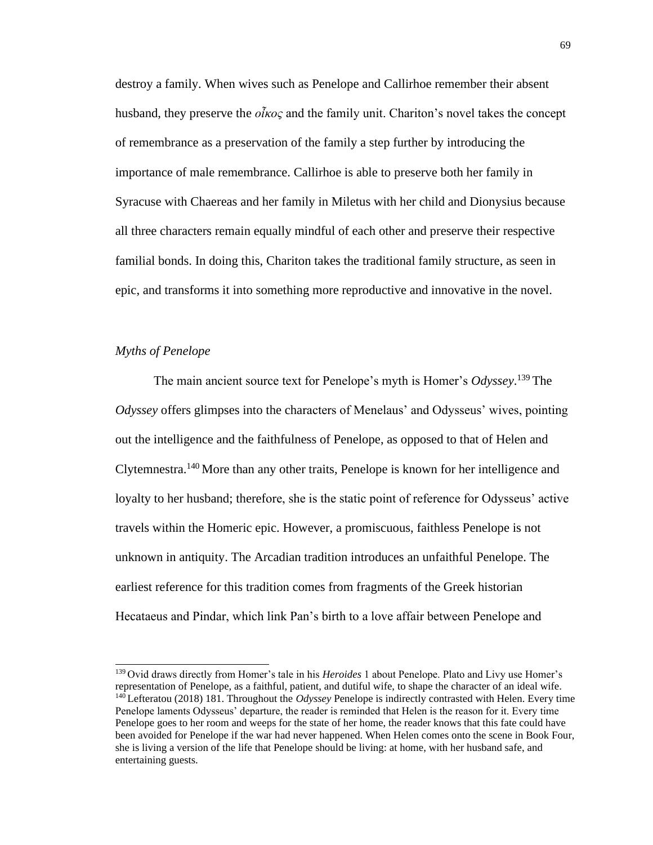destroy a family. When wives such as Penelope and Callirhoe remember their absent husband, they preserve the *οἶκος* and the family unit. Chariton's novel takes the concept of remembrance as a preservation of the family a step further by introducing the importance of male remembrance. Callirhoe is able to preserve both her family in Syracuse with Chaereas and her family in Miletus with her child and Dionysius because all three characters remain equally mindful of each other and preserve their respective familial bonds. In doing this, Chariton takes the traditional family structure, as seen in epic, and transforms it into something more reproductive and innovative in the novel.

### *Myths of Penelope*

The main ancient source text for Penelope's myth is Homer's *Odyssey*. <sup>139</sup>The *Odyssey* offers glimpses into the characters of Menelaus' and Odysseus' wives, pointing out the intelligence and the faithfulness of Penelope, as opposed to that of Helen and Clytemnestra.<sup>140</sup>More than any other traits, Penelope is known for her intelligence and loyalty to her husband; therefore, she is the static point of reference for Odysseus' active travels within the Homeric epic. However, a promiscuous, faithless Penelope is not unknown in antiquity. The Arcadian tradition introduces an unfaithful Penelope. The earliest reference for this tradition comes from fragments of the Greek historian Hecataeus and Pindar, which link Pan's birth to a love affair between Penelope and

<sup>139</sup>Ovid draws directly from Homer's tale in his *Heroides* 1 about Penelope. Plato and Livy use Homer's representation of Penelope, as a faithful, patient, and dutiful wife, to shape the character of an ideal wife. <sup>140</sup>Lefteratou (2018) 181. Throughout the *Odyssey* Penelope is indirectly contrasted with Helen. Every time Penelope laments Odysseus' departure, the reader is reminded that Helen is the reason for it. Every time Penelope goes to her room and weeps for the state of her home, the reader knows that this fate could have been avoided for Penelope if the war had never happened. When Helen comes onto the scene in Book Four, she is living a version of the life that Penelope should be living: at home, with her husband safe, and entertaining guests.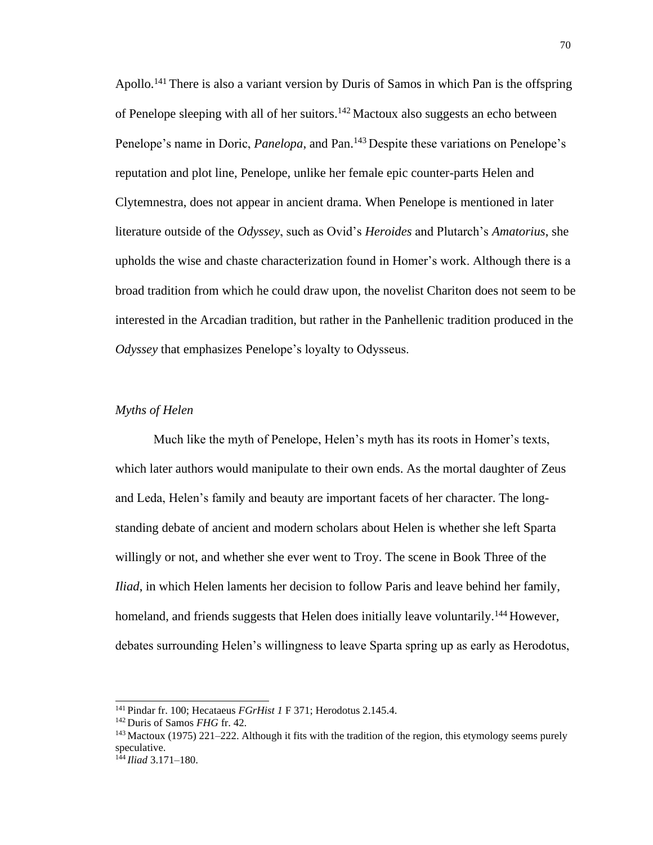Apollo.<sup>141</sup> There is also a variant version by Duris of Samos in which Pan is the offspring of Penelope sleeping with all of her suitors.<sup>142</sup> Mactoux also suggests an echo between Penelope's name in Doric, *Panelopa*, and Pan.<sup>143</sup> Despite these variations on Penelope's reputation and plot line, Penelope, unlike her female epic counter-parts Helen and Clytemnestra, does not appear in ancient drama. When Penelope is mentioned in later literature outside of the *Odyssey*, such as Ovid's *Heroides* and Plutarch's *Amatorius*, she upholds the wise and chaste characterization found in Homer's work. Although there is a broad tradition from which he could draw upon, the novelist Chariton does not seem to be interested in the Arcadian tradition, but rather in the Panhellenic tradition produced in the *Odyssey* that emphasizes Penelope's loyalty to Odysseus.

### *Myths of Helen*

Much like the myth of Penelope, Helen's myth has its roots in Homer's texts, which later authors would manipulate to their own ends. As the mortal daughter of Zeus and Leda, Helen's family and beauty are important facets of her character. The longstanding debate of ancient and modern scholars about Helen is whether she left Sparta willingly or not, and whether she ever went to Troy. The scene in Book Three of the *Iliad*, in which Helen laments her decision to follow Paris and leave behind her family, homeland, and friends suggests that Helen does initially leave voluntarily.<sup>144</sup> However, debates surrounding Helen's willingness to leave Sparta spring up as early as Herodotus,

<sup>141</sup>Pindar fr. 100; Hecataeus *FGrHist 1* F 371; Herodotus 2.145.4.

<sup>142</sup>Duris of Samos *FHG* fr. 42.

 $143$  Mactoux (1975) 221–222. Although it fits with the tradition of the region, this etymology seems purely speculative.

<sup>144</sup> *Iliad* 3.171–180.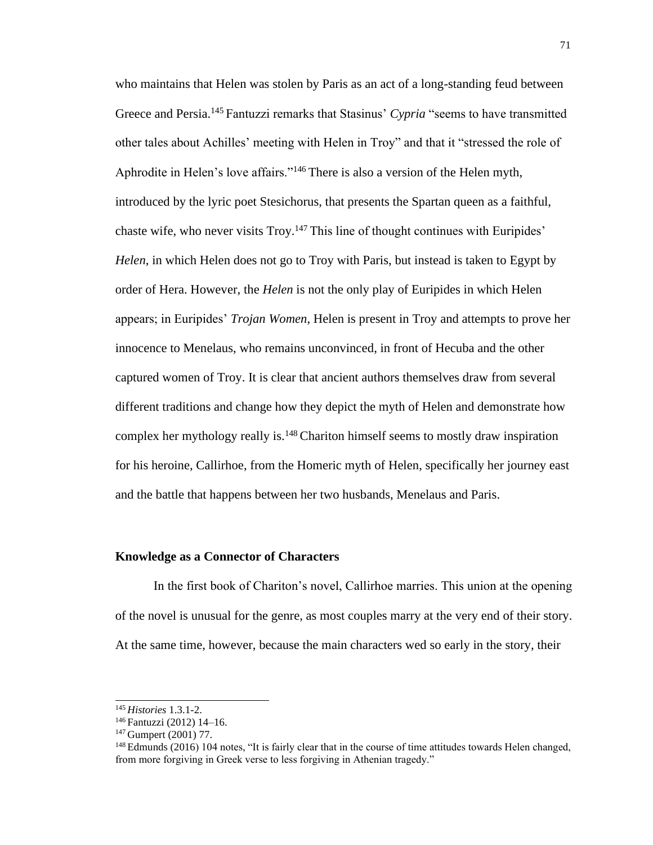who maintains that Helen was stolen by Paris as an act of a long-standing feud between Greece and Persia.<sup>145</sup> Fantuzzi remarks that Stasinus' *Cypria* "seems to have transmitted other tales about Achilles' meeting with Helen in Troy" and that it "stressed the role of Aphrodite in Helen's love affairs."<sup>146</sup> There is also a version of the Helen myth, introduced by the lyric poet Stesichorus, that presents the Spartan queen as a faithful, chaste wife, who never visits Troy.<sup>147</sup> This line of thought continues with Euripides' *Helen*, in which Helen does not go to Troy with Paris, but instead is taken to Egypt by order of Hera. However, the *Helen* is not the only play of Euripides in which Helen appears; in Euripides' *Trojan Women*, Helen is present in Troy and attempts to prove her innocence to Menelaus, who remains unconvinced, in front of Hecuba and the other captured women of Troy. It is clear that ancient authors themselves draw from several different traditions and change how they depict the myth of Helen and demonstrate how complex her mythology really is.<sup>148</sup> Chariton himself seems to mostly draw inspiration for his heroine, Callirhoe, from the Homeric myth of Helen, specifically her journey east and the battle that happens between her two husbands, Menelaus and Paris.

#### **Knowledge as a Connector of Characters**

In the first book of Chariton's novel, Callirhoe marries. This union at the opening of the novel is unusual for the genre, as most couples marry at the very end of their story. At the same time, however, because the main characters wed so early in the story, their

<sup>145</sup>*Histories* 1.3.1-2.

<sup>&</sup>lt;sup>146</sup> Fantuzzi (2012) 14-16.

<sup>147</sup>Gumpert (2001) 77.

<sup>&</sup>lt;sup>148</sup> Edmunds (2016) 104 notes, "It is fairly clear that in the course of time attitudes towards Helen changed, from more forgiving in Greek verse to less forgiving in Athenian tragedy."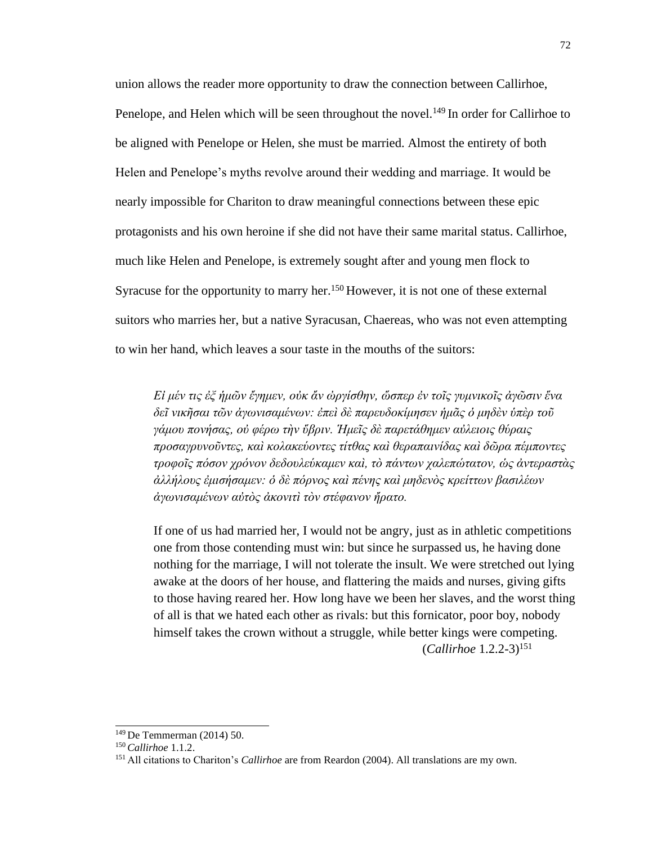union allows the reader more opportunity to draw the connection between Callirhoe, Penelope, and Helen which will be seen throughout the novel.<sup>149</sup> In order for Callirhoe to be aligned with Penelope or Helen, she must be married. Almost the entirety of both Helen and Penelope's myths revolve around their wedding and marriage. It would be nearly impossible for Chariton to draw meaningful connections between these epic protagonists and his own heroine if she did not have their same marital status. Callirhoe, much like Helen and Penelope, is extremely sought after and young men flock to Syracuse for the opportunity to marry her.<sup>150</sup> However, it is not one of these external suitors who marries her, but a native Syracusan, Chaereas, who was not even attempting to win her hand, which leaves a sour taste in the mouths of the suitors:

*Εἰ μέν τις ἐξ ἡμῶν ἔγημεν, οὐκ ἄν ὠργίσθην, ὥσπερ ἐν τοῖς γυμνικοῖς ἀγῶσιν ἕνα δεῖ νικῆσαι τῶν ἀγωνισαμένων: ἐπεὶ δὲ παρευδοκίμησεν ἡμᾶς ὁ μηδὲν ὑπὲρ τοῦ γάμου πονήσας, οὐ φέρω τὴν ὕβριν. Ἡμεῖς δὲ παρετάθημεν αὐλειοις θύραις προσαγρυνοῦντες, καὶ κολακεύοντες τίτθας καὶ θεραπαινίδας καὶ δῶρα πέμποντες τροφοῖς πόσον χρόνον δεδουλεύκαμεν καὶ, τὸ πάντων χαλεπώτατον, ὡς ἀντεραστὰς ἀλλήλους ἐμισήσαμεν: ὁ δὲ πόρνος καὶ πένης καὶ μηδενὸς κρείττων βασιλέων ἀγωνισαμένων αὐτὸς ἀκονιτὶ τὸν στέφανον ἤρατο.*

If one of us had married her, I would not be angry, just as in athletic competitions one from those contending must win: but since he surpassed us, he having done nothing for the marriage, I will not tolerate the insult. We were stretched out lying awake at the doors of her house, and flattering the maids and nurses, giving gifts to those having reared her. How long have we been her slaves, and the worst thing of all is that we hated each other as rivals: but this fornicator, poor boy, nobody himself takes the crown without a struggle, while better kings were competing. (*Callirhoe* 1.2.2-3)<sup>151</sup>

<sup>149</sup>De Temmerman (2014) 50.

<sup>150</sup>*Callirhoe* 1.1.2.

<sup>151</sup> All citations to Chariton's *Callirhoe* are from Reardon (2004). All translations are my own.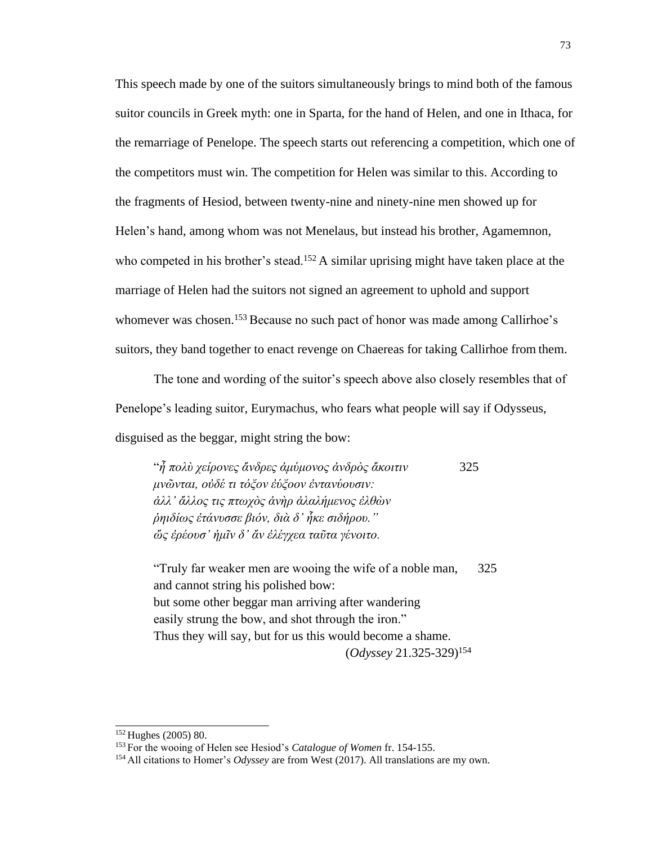This speech made by one of the suitors simultaneously brings to mind both of the famous suitor councils in Greek myth: one in Sparta, for the hand of Helen, and one in Ithaca, for the remarriage of Penelope. The speech starts out referencing a competition, which one of the competitors must win. The competition for Helen was similar to this. According to the fragments of Hesiod, between twenty-nine and ninety-nine men showed up for Helen's hand, among whom was not Menelaus, but instead his brother, Agamemnon, who competed in his brother's stead.<sup>152</sup> A similar uprising might have taken place at the marriage of Helen had the suitors not signed an agreement to uphold and support whomever was chosen.<sup>153</sup> Because no such pact of honor was made among Callirhoe's suitors, they band together to enact revenge on Chaereas for taking Callirhoe from them.

The tone and wording of the suitor's speech above also closely resembles that of Penelope's leading suitor, Eurymachus, who fears what people will say if Odysseus, disguised as the beggar, might string the bow:

"*ἦ πολὺ χείρονες ἄνδρες ἀμύμονος ἀνδρὸς ἄκοιτιν* 325 *μνῶνται, οὐδέ τι τόξον ἐύξοον ἐντανύουσιν: ἀλλ' ἄλλος τις πτωχὸς ἀνὴρ ἀλαλήμενος ἐλθὼν ῥηιδίως ἐτάνυσσε βιόν, διὰ δ' ἧκε σιδήρου." ὥς ἐρέουσ' ἡμῖν δ' ἄν ἐλέγχεα ταῦτα γένοιτο.*

"Truly far weaker men are wooing the wife of a noble man, 325 and cannot string his polished bow: but some other beggar man arriving after wandering easily strung the bow, and shot through the iron." Thus they will say, but for us this would become a shame. (*Odyssey* 21.325-329)<sup>154</sup>

 $152$  Hughes (2005) 80.

<sup>153</sup>For the wooing of Helen see Hesiod's *Catalogue of Women* fr. 154-155.

<sup>154</sup> All citations to Homer's *Odyssey* are from West (2017). All translations are my own.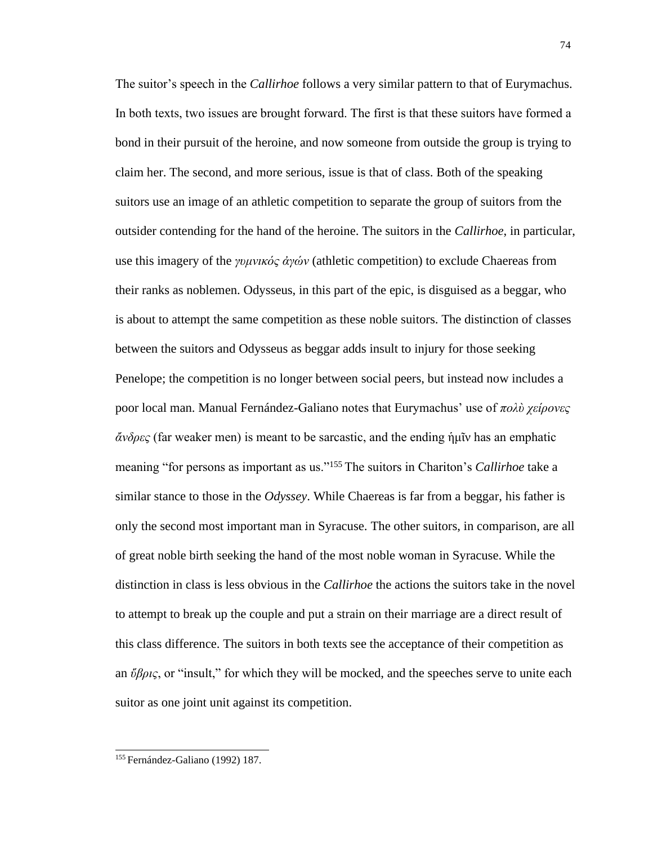The suitor's speech in the *Callirhoe* follows a very similar pattern to that of Eurymachus. In both texts, two issues are brought forward. Τhe first is that these suitors have formed a bond in their pursuit of the heroine, and now someone from outside the group is trying to claim her. The second, and more serious, issue is that of class. Both of the speaking suitors use an image of an athletic competition to separate the group of suitors from the outsider contending for the hand of the heroine. The suitors in the *Callirhoe*, in particular, use this imagery of the *γυμνικός ἀγών* (athletic competition) to exclude Chaereas from their ranks as noblemen. Odysseus, in this part of the epic, is disguised as a beggar, who is about to attempt the same competition as these noble suitors. The distinction of classes between the suitors and Odysseus as beggar adds insult to injury for those seeking Penelope; the competition is no longer between social peers, but instead now includes a poor local man. Manual Fernández-Galiano notes that Eurymachus' use of *πολὺ χείρονες ἄνδρες* (far weaker men) is meant to be sarcastic, and the ending ἡμῖν has an emphatic meaning "for persons as important as us."<sup>155</sup>The suitors in Chariton's *Callirhoe* take a similar stance to those in the *Odyssey*. While Chaereas is far from a beggar, his father is only the second most important man in Syracuse. The other suitors, in comparison, are all of great noble birth seeking the hand of the most noble woman in Syracuse. While the distinction in class is less obvious in the *Callirhoe* the actions the suitors take in the novel to attempt to break up the couple and put a strain on their marriage are a direct result of this class difference. The suitors in both texts see the acceptance of their competition as an *ὕβρις*, or "insult," for which they will be mocked, and the speeches serve to unite each suitor as one joint unit against its competition.

<sup>74</sup>

<sup>155</sup> Fernández-Galiano (1992) 187.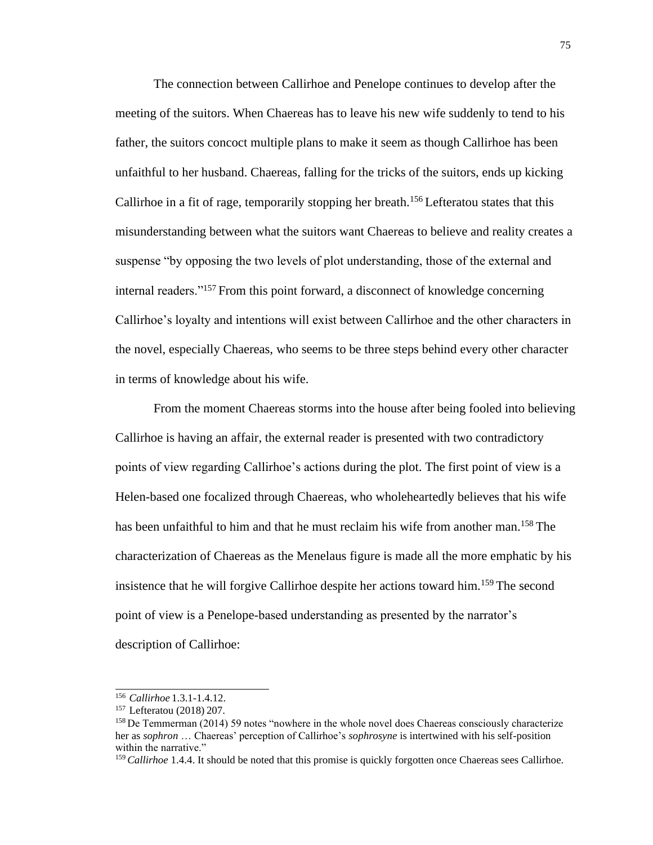The connection between Callirhoe and Penelope continues to develop after the meeting of the suitors. When Chaereas has to leave his new wife suddenly to tend to his father, the suitors concoct multiple plans to make it seem as though Callirhoe has been unfaithful to her husband. Chaereas, falling for the tricks of the suitors, ends up kicking Callirhoe in a fit of rage, temporarily stopping her breath.<sup>156</sup> Lefteratou states that this misunderstanding between what the suitors want Chaereas to believe and reality creates a suspense "by opposing the two levels of plot understanding, those of the external and internal readers."<sup>157</sup> From this point forward, a disconnect of knowledge concerning Callirhoe's loyalty and intentions will exist between Callirhoe and the other characters in the novel, especially Chaereas, who seems to be three steps behind every other character in terms of knowledge about his wife.

From the moment Chaereas storms into the house after being fooled into believing Callirhoe is having an affair, the external reader is presented with two contradictory points of view regarding Callirhoe's actions during the plot. The first point of view is a Helen-based one focalized through Chaereas, who wholeheartedly believes that his wife has been unfaithful to him and that he must reclaim his wife from another man.<sup>158</sup> The characterization of Chaereas as the Menelaus figure is made all the more emphatic by his insistence that he will forgive Callirhoe despite her actions toward him.<sup>159</sup>The second point of view is a Penelope-based understanding as presented by the narrator's description of Callirhoe:

<sup>156</sup>*Callirhoe* 1.3.1-1.4.12.

<sup>&</sup>lt;sup>157</sup> Lefteratou (2018) 207.

<sup>&</sup>lt;sup>158</sup> De Temmerman (2014) 59 notes "nowhere in the whole novel does Chaereas consciously characterize her as *sophron* … Chaereas' perception of Callirhoe's *sophrosyne* is intertwined with his self-position within the narrative."

<sup>&</sup>lt;sup>159</sup> Callirhoe 1.4.4. It should be noted that this promise is quickly forgotten once Chaereas sees Callirhoe.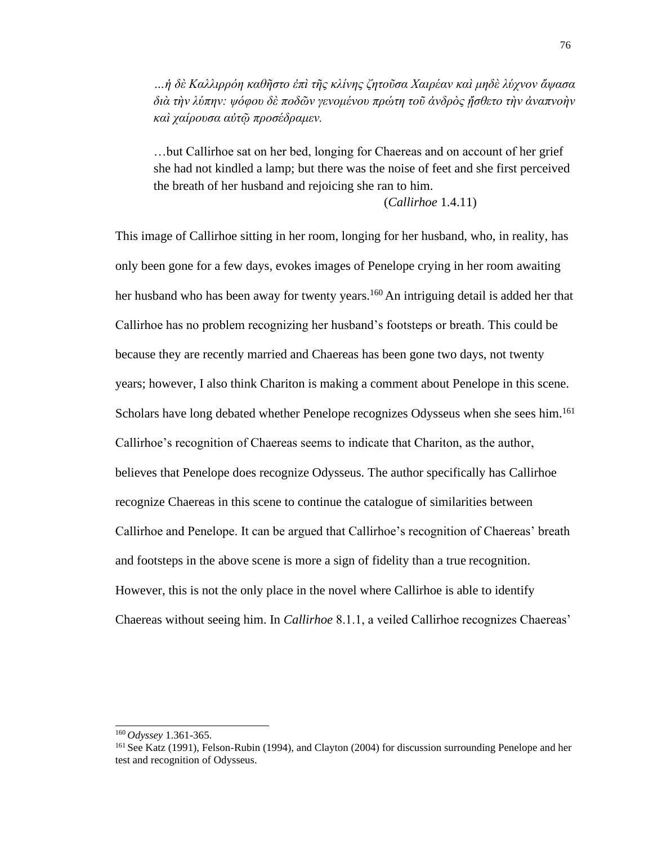*…ἡ δὲ Καλλιρρόη καθῆστο ἐπὶ τῆς κλίνης ζητοῦσα Χαιρέαν καὶ μηδὲ λύχνον ἅψασα διὰ τὴν λύπην: ψόφου δὲ ποδῶν γενομένου πρώτη τοῦ ἀνδρὸς ᾔσθετο τὴν ἀναπνοὴν καὶ χαίρουσα αὐτῷ προσέδραμεν.*

…but Callirhoe sat on her bed, longing for Chaereas and on account of her grief she had not kindled a lamp; but there was the noise of feet and she first perceived the breath of her husband and rejoicing she ran to him.

(*Callirhoe* 1.4.11)

This image of Callirhoe sitting in her room, longing for her husband, who, in reality, has only been gone for a few days, evokes images of Penelope crying in her room awaiting her husband who has been away for twenty years.<sup>160</sup> An intriguing detail is added her that Callirhoe has no problem recognizing her husband's footsteps or breath. This could be because they are recently married and Chaereas has been gone two days, not twenty years; however, I also think Chariton is making a comment about Penelope in this scene. Scholars have long debated whether Penelope recognizes Odysseus when she sees him.<sup>161</sup> Callirhoe's recognition of Chaereas seems to indicate that Chariton, as the author, believes that Penelope does recognize Odysseus. The author specifically has Callirhoe recognize Chaereas in this scene to continue the catalogue of similarities between Callirhoe and Penelope. It can be argued that Callirhoe's recognition of Chaereas' breath and footsteps in the above scene is more a sign of fidelity than a true recognition. However, this is not the only place in the novel where Callirhoe is able to identify Chaereas without seeing him. In *Callirhoe* 8.1.1, a veiled Callirhoe recognizes Chaereas'

<sup>160</sup>*Odyssey* 1.361-365.

<sup>&</sup>lt;sup>161</sup> See Katz (1991), Felson-Rubin (1994), and Clayton (2004) for discussion surrounding Penelope and her test and recognition of Odysseus.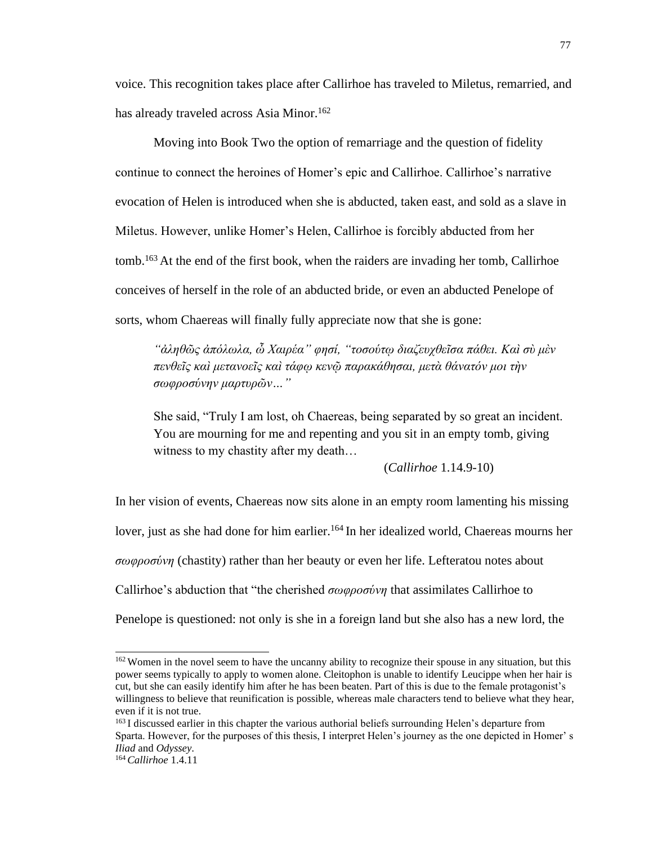voice. This recognition takes place after Callirhoe has traveled to Miletus, remarried, and has already traveled across Asia Minor.<sup>162</sup>

Moving into Book Two the option of remarriage and the question of fidelity continue to connect the heroines of Homer's epic and Callirhoe. Callirhoe's narrative evocation of Helen is introduced when she is abducted, taken east, and sold as a slave in Miletus. However, unlike Homer's Helen, Callirhoe is forcibly abducted from her tomb.<sup>163</sup>At the end of the first book, when the raiders are invading her tomb, Callirhoe conceives of herself in the role of an abducted bride, or even an abducted Penelope of sorts, whom Chaereas will finally fully appreciate now that she is gone:

*"ἀληθῶς ἀπόλωλα, ὦ Χαιρέα" φησί, "τοσούτῳ διαζευχθεῖσα πάθει. Καὶ σὺ μὲν πενθεῖς καὶ μετανοεῖς καὶ τάφῳ κενῷ παρακάθησαι, μετὰ θάνατόν μοι τὴν σωφροσύνην μαρτυρῶν…"*

She said, "Truly I am lost, oh Chaereas, being separated by so great an incident. You are mourning for me and repenting and you sit in an empty tomb, giving witness to my chastity after my death…

(*Callirhoe* 1.14.9-10)

In her vision of events, Chaereas now sits alone in an empty room lamenting his missing lover, just as she had done for him earlier.<sup>164</sup> In her idealized world, Chaereas mourns her *σωφροσύνη* (chastity) rather than her beauty or even her life. Lefteratou notes about Callirhoe's abduction that "the cherished *σωφροσύνη* that assimilates Callirhoe to Penelope is questioned: not only is she in a foreign land but she also has a new lord, the

<sup>&</sup>lt;sup>162</sup> Women in the novel seem to have the uncanny ability to recognize their spouse in any situation, but this power seems typically to apply to women alone. Cleitophon is unable to identify Leucippe when her hair is cut, but she can easily identify him after he has been beaten. Part of this is due to the female protagonist's willingness to believe that reunification is possible, whereas male characters tend to believe what they hear, even if it is not true.

<sup>&</sup>lt;sup>163</sup> I discussed earlier in this chapter the various authorial beliefs surrounding Helen's departure from Sparta. However, for the purposes of this thesis, I interpret Helen's journey as the one depicted in Homer' s *Iliad* and *Odyssey*.

<sup>164</sup> *Callirhoe* 1.4.11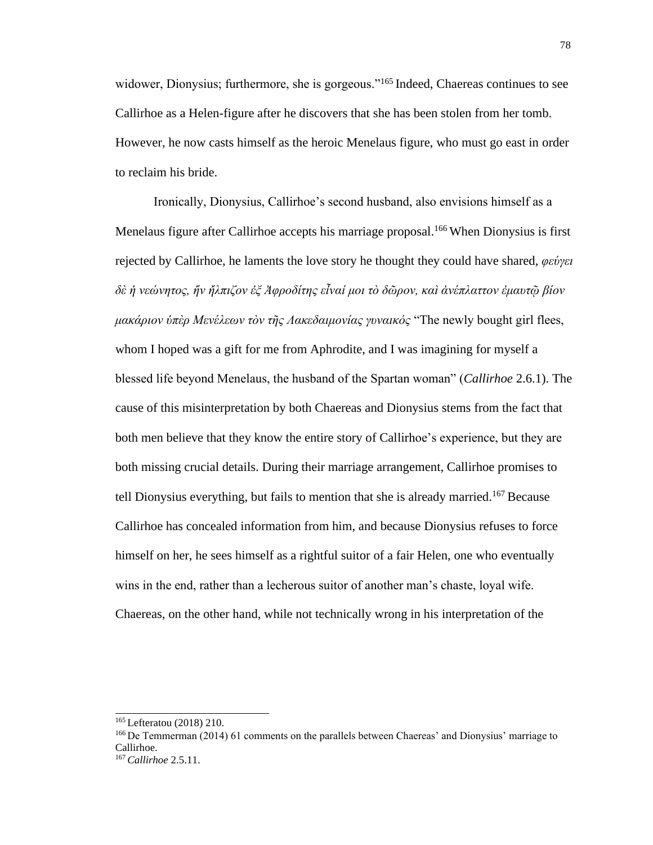widower, Dionysius; furthermore, she is gorgeous."<sup>165</sup> Indeed, Chaereas continues to see Callirhoe as a Helen-figure after he discovers that she has been stolen from her tomb. However, he now casts himself as the heroic Menelaus figure, who must go east in order to reclaim his bride.

Ironically, Dionysius, Callirhoe's second husband, also envisions himself as a Menelaus figure after Callirhoe accepts his marriage proposal.<sup>166</sup> When Dionysius is first rejected by Callirhoe, he laments the love story he thought they could have shared, *φεύγει δὲ ἡ νεώνητος, ἥν ἤλπιζον ἐξ Ἀφροδίτης εἶναί μοι τὸ δῶρον, καὶ ἀνέπλαττον ἐμαυτῷ βίον μακάριον ὑπὲρ Μενέλεων τὸν τῆς Λακεδαιμονίας γυναικός* "The newly bought girl flees, whom I hoped was a gift for me from Aphrodite, and I was imagining for myself a blessed life beyond Menelaus, the husband of the Spartan woman" (*Callirhoe* 2.6.1). The cause of this misinterpretation by both Chaereas and Dionysius stems from the fact that both men believe that they know the entire story of Callirhoe's experience, but they are both missing crucial details. During their marriage arrangement, Callirhoe promises to tell Dionysius everything, but fails to mention that she is already married.<sup>167</sup> Because Callirhoe has concealed information from him, and because Dionysius refuses to force himself on her, he sees himself as a rightful suitor of a fair Helen, one who eventually wins in the end, rather than a lecherous suitor of another man's chaste, loyal wife. Chaereas, on the other hand, while not technically wrong in his interpretation of the

<sup>&</sup>lt;sup>165</sup> Lefteratou (2018) 210.

<sup>&</sup>lt;sup>166</sup> De Temmerman (2014) 61 comments on the parallels between Chaereas' and Dionysius' marriage to Callirhoe.

<sup>167</sup> *Callirhoe* 2.5.11.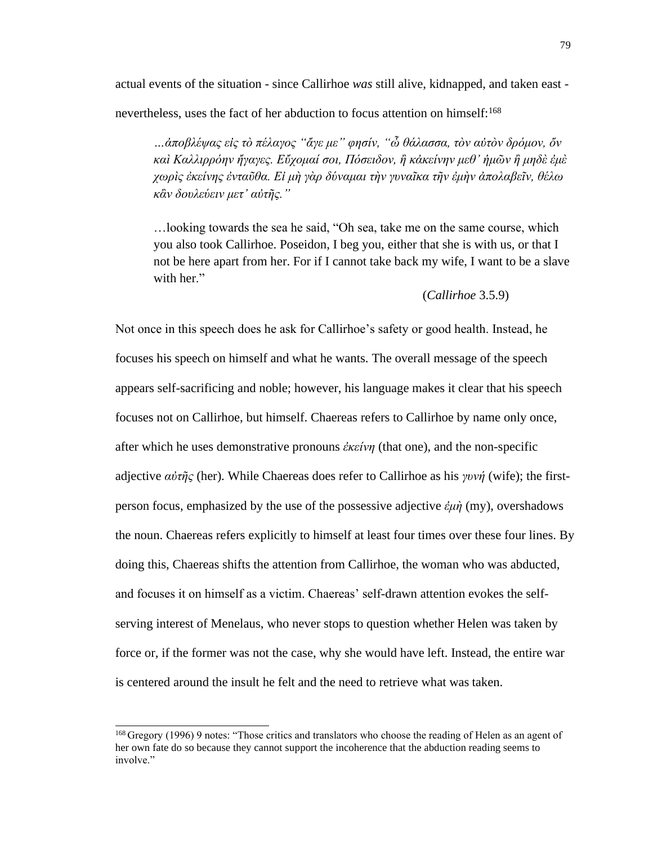actual events of the situation - since Callirhoe *was* still alive, kidnapped, and taken east -

nevertheless, uses the fact of her abduction to focus attention on himself:<sup>168</sup>

*…ἀποβλέψας εἰς τὸ πέλαγος "ἄγε με" φησίν, "ὦ θάλασσα, τὸν αὐτὸν δρόμον, ὅν καὶ Καλλιρρόην ἤγαγες. Εὔχομαί σοι, Πόσειδον, ἢ κἀκείνην μεθ' ἡμῶν ἢ μηδὲ ἐμὲ χωρὶς ἐκείνης ἐνταῦθα. Εἰ μὴ γὰρ δύναμαι τὴν γυναῖκα τῆν ἐμὴν ἀπολαβεῖν, θέλω κἂν δουλεύειν μετ' αὐτῆς."*

…looking towards the sea he said, "Oh sea, take me on the same course, which you also took Callirhoe. Poseidon, I beg you, either that she is with us, or that I not be here apart from her. For if I cannot take back my wife, I want to be a slave with her."

### (*Callirhoe* 3.5.9)

Not once in this speech does he ask for Callirhoe's safety or good health. Instead, he focuses his speech on himself and what he wants. The overall message of the speech appears self-sacrificing and noble; however, his language makes it clear that his speech focuses not on Callirhoe, but himself. Chaereas refers to Callirhoe by name only once, after which he uses demonstrative pronouns *ἐκείνη* (that one), and the non-specific adjective *αὐτῆς* (her). While Chaereas does refer to Callirhoe as his *γυνή* (wife); the firstperson focus, emphasized by the use of the possessive adjective *ἐμὴ* (my), overshadows the noun. Chaereas refers explicitly to himself at least four times over these four lines. By doing this, Chaereas shifts the attention from Callirhoe, the woman who was abducted, and focuses it on himself as a victim. Chaereas' self-drawn attention evokes the selfserving interest of Menelaus, who never stops to question whether Helen was taken by force or, if the former was not the case, why she would have left. Instead, the entire war is centered around the insult he felt and the need to retrieve what was taken.

<sup>168</sup>Gregory (1996) 9 notes: "Those critics and translators who choose the reading of Helen as an agent of her own fate do so because they cannot support the incoherence that the abduction reading seems to involve."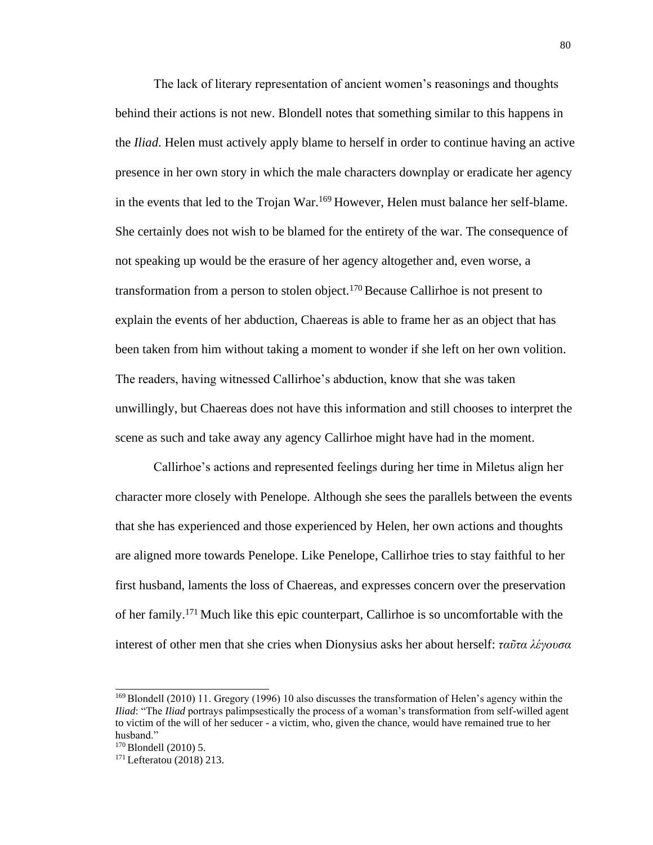The lack of literary representation of ancient women's reasonings and thoughts behind their actions is not new. Blondell notes that something similar to this happens in the *Iliad*. Helen must actively apply blame to herself in order to continue having an active presence in her own story in which the male characters downplay or eradicate her agency in the events that led to the Trojan War.<sup>169</sup> However, Helen must balance her self-blame. She certainly does not wish to be blamed for the entirety of the war. The consequence of not speaking up would be the erasure of her agency altogether and, even worse, a transformation from a person to stolen object.<sup>170</sup> Because Callirhoe is not present to explain the events of her abduction, Chaereas is able to frame her as an object that has been taken from him without taking a moment to wonder if she left on her own volition. The readers, having witnessed Callirhoe's abduction, know that she was taken unwillingly, but Chaereas does not have this information and still chooses to interpret the scene as such and take away any agency Callirhoe might have had in the moment.

Callirhoe's actions and represented feelings during her time in Miletus align her character more closely with Penelope. Although she sees the parallels between the events that she has experienced and those experienced by Helen, her own actions and thoughts are aligned more towards Penelope. Like Penelope, Callirhoe tries to stay faithful to her first husband, laments the loss of Chaereas, and expresses concern over the preservation of her family.<sup>171</sup>Much like this epic counterpart, Callirhoe is so uncomfortable with the interest of other men that she cries when Dionysius asks her about herself: *ταῦτα λέγουσα*

<sup>&</sup>lt;sup>169</sup> Blondell (2010) 11. Gregory (1996) 10 also discusses the transformation of Helen's agency within the *Iliad*: "The *Iliad* portrays palimpsestically the process of a woman's transformation from self-willed agent to victim of the will of her seducer - a victim, who, given the chance, would have remained true to her husband."

<sup>&</sup>lt;sup>170</sup> Blondell (2010) 5.

<sup>171</sup> Lefteratou (2018) 213.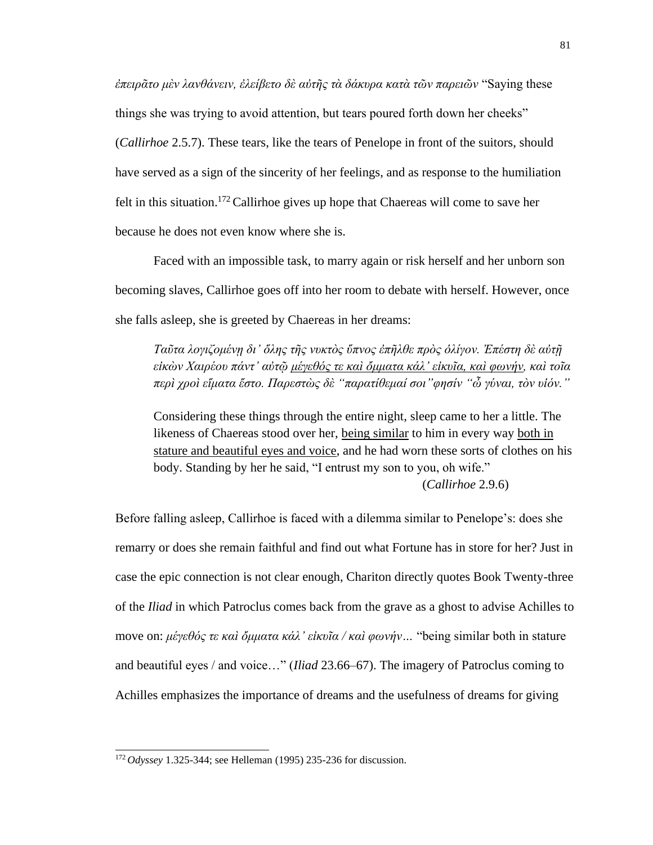*ἐπειρᾶτο μὲν λανθάνειν, ἐλείβετο δὲ αὐτῆς τὰ δάκυρα κατὰ τῶν παρειῶν* "Saying these things she was trying to avoid attention, but tears poured forth down her cheeks" (*Callirhoe* 2.5.7). These tears, like the tears of Penelope in front of the suitors, should have served as a sign of the sincerity of her feelings, and as response to the humiliation felt in this situation.<sup>172</sup> Callirhoe gives up hope that Chaereas will come to save her because he does not even know where she is.

Faced with an impossible task, to marry again or risk herself and her unborn son becoming slaves, Callirhoe goes off into her room to debate with herself. However, once she falls asleep, she is greeted by Chaereas in her dreams:

*Ταῦτα λογιζομένῃ δι' ὅλης τῆς νυκτὸς ὕπνος ἐπῆλθε πρὸς ὁλίγον. Ἐπέστη δὲ αὐτῇ εἰκὼν Χαιρέου πάντ' αὐτῷ μέγεθός τε καὶ ὄμματα κάλ' εἰκυῖα, καὶ φωνήν, καὶ τοῖα περὶ χροὶ εἵματα ἕστο. Παρεστὼς δὲ "παρατίθεμαί σοι"φησίν "ὦ γύναι, τὸν υἱόν."*

Considering these things through the entire night, sleep came to her a little. The likeness of Chaereas stood over her, being similar to him in every way both in stature and beautiful eyes and voice, and he had worn these sorts of clothes on his body. Standing by her he said, "I entrust my son to you, oh wife." (*Callirhoe* 2.9.6)

Before falling asleep, Callirhoe is faced with a dilemma similar to Penelope's: does she remarry or does she remain faithful and find out what Fortune has in store for her? Just in case the epic connection is not clear enough, Chariton directly quotes Book Twenty-three of the *Iliad* in which Patroclus comes back from the grave as a ghost to advise Achilles to move on: *μέγεθός τε καὶ ὄμματα κάλ' εἰκυῖα / καὶ φωνήν…* "being similar both in stature and beautiful eyes / and voice…" (*Iliad* 23.66–67). The imagery of Patroclus coming to Achilles emphasizes the importance of dreams and the usefulness of dreams for giving

<sup>172</sup> *Odyssey* 1.325-344; see Helleman (1995) 235-236 for discussion.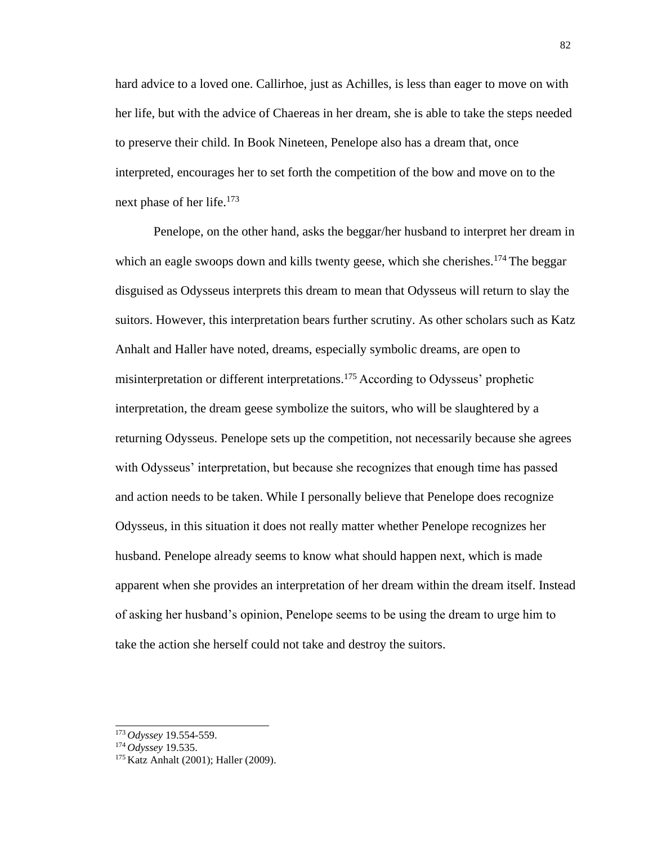hard advice to a loved one. Callirhoe, just as Achilles, is less than eager to move on with her life, but with the advice of Chaereas in her dream, she is able to take the steps needed to preserve their child. In Book Nineteen, Penelope also has a dream that, once interpreted, encourages her to set forth the competition of the bow and move on to the next phase of her life.<sup>173</sup>

Penelope, on the other hand, asks the beggar/her husband to interpret her dream in which an eagle swoops down and kills twenty geese, which she cherishes.<sup>174</sup> The beggar disguised as Odysseus interprets this dream to mean that Odysseus will return to slay the suitors. However, this interpretation bears further scrutiny. As other scholars such as Katz Anhalt and Haller have noted, dreams, especially symbolic dreams, are open to misinterpretation or different interpretations.<sup>175</sup> According to Odysseus' prophetic interpretation, the dream geese symbolize the suitors, who will be slaughtered by a returning Odysseus. Penelope sets up the competition, not necessarily because she agrees with Odysseus' interpretation, but because she recognizes that enough time has passed and action needs to be taken. While I personally believe that Penelope does recognize Odysseus, in this situation it does not really matter whether Penelope recognizes her husband. Penelope already seems to know what should happen next, which is made apparent when she provides an interpretation of her dream within the dream itself. Instead of asking her husband's opinion, Penelope seems to be using the dream to urge him to take the action she herself could not take and destroy the suitors.

<sup>173</sup>*Odyssey* 19.554-559.

<sup>174</sup>*Odyssey* 19.535.

<sup>175</sup> Katz Anhalt (2001); Haller (2009).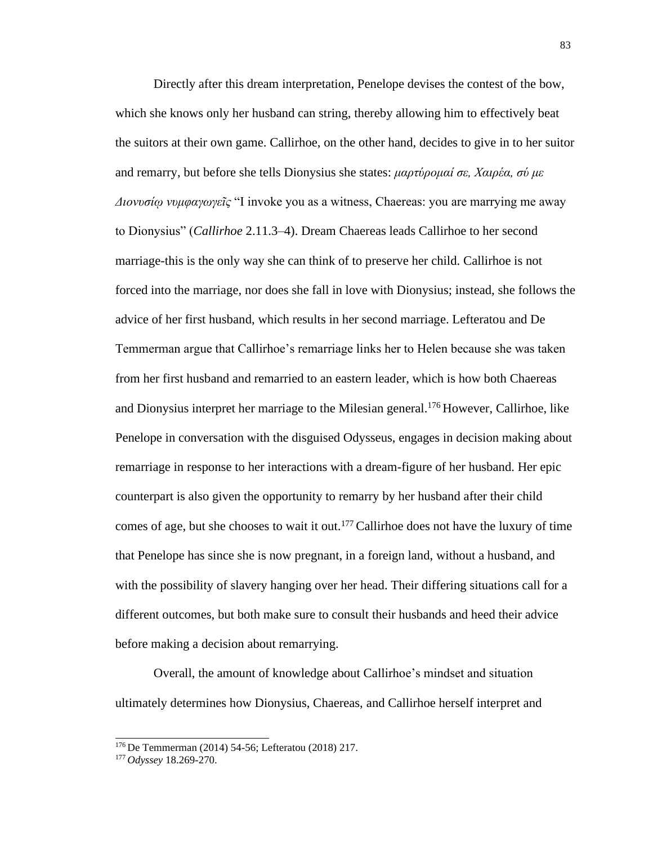Directly after this dream interpretation, Penelope devises the contest of the bow, which she knows only her husband can string, thereby allowing him to effectively beat the suitors at their own game. Callirhoe, on the other hand, decides to give in to her suitor and remarry, but before she tells Dionysius she states: *μαρτύρομαί σε, Χαιρέα, σύ με Διονυσίῳ νυμφαγωγεῖς* "I invoke you as a witness, Chaereas: you are marrying me away to Dionysius" (*Callirhoe* 2.11.3–4). Dream Chaereas leads Callirhoe to her second marriage-this is the only way she can think of to preserve her child. Callirhoe is not forced into the marriage, nor does she fall in love with Dionysius; instead, she follows the advice of her first husband, which results in her second marriage. Lefteratou and De Temmerman argue that Callirhoe's remarriage links her to Helen because she was taken from her first husband and remarried to an eastern leader, which is how both Chaereas and Dionysius interpret her marriage to the Milesian general.<sup>176</sup> However, Callirhoe, like Penelope in conversation with the disguised Odysseus, engages in decision making about remarriage in response to her interactions with a dream-figure of her husband. Her epic counterpart is also given the opportunity to remarry by her husband after their child comes of age, but she chooses to wait it out.<sup>177</sup> Callirhoe does not have the luxury of time that Penelope has since she is now pregnant, in a foreign land, without a husband, and with the possibility of slavery hanging over her head. Their differing situations call for a different outcomes, but both make sure to consult their husbands and heed their advice before making a decision about remarrying.

Overall, the amount of knowledge about Callirhoe's mindset and situation ultimately determines how Dionysius, Chaereas, and Callirhoe herself interpret and

<sup>176</sup>De Temmerman (2014) 54-56; Lefteratou (2018) 217.

<sup>177</sup> *Odyssey* 18.269-270.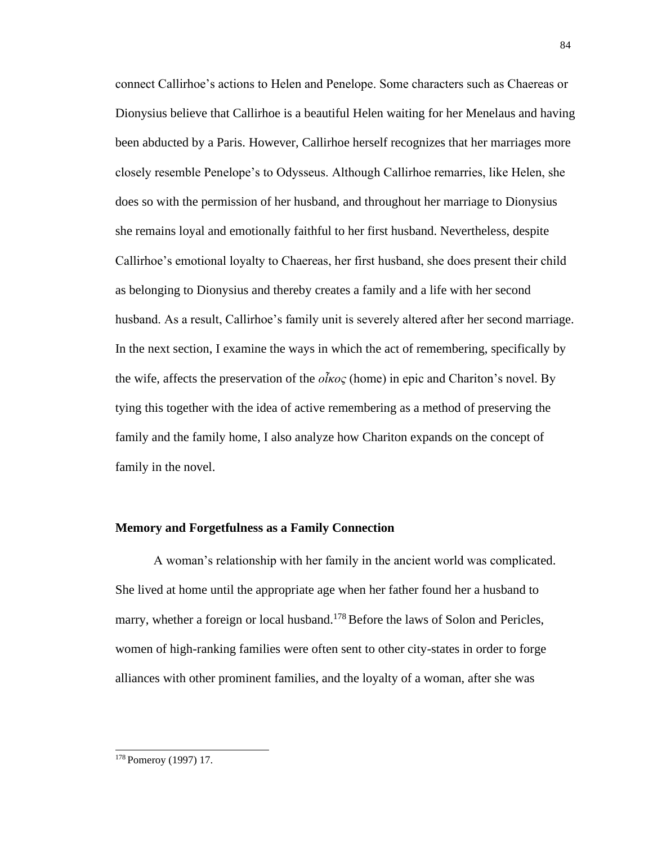connect Callirhoe's actions to Helen and Penelope. Some characters such as Chaereas or Dionysius believe that Callirhoe is a beautiful Helen waiting for her Menelaus and having been abducted by a Paris. However, Callirhoe herself recognizes that her marriages more closely resemble Penelope's to Odysseus. Although Callirhoe remarries, like Helen, she does so with the permission of her husband, and throughout her marriage to Dionysius she remains loyal and emotionally faithful to her first husband. Nevertheless, despite Callirhoe's emotional loyalty to Chaereas, her first husband, she does present their child as belonging to Dionysius and thereby creates a family and a life with her second husband. As a result, Callirhoe's family unit is severely altered after her second marriage. In the next section, I examine the ways in which the act of remembering, specifically by the wife, affects the preservation of the *οἶκος* (home) in epic and Chariton's novel. By tying this together with the idea of active remembering as a method of preserving the family and the family home, I also analyze how Chariton expands on the concept of family in the novel.

### **Memory and Forgetfulness as a Family Connection**

A woman's relationship with her family in the ancient world was complicated. She lived at home until the appropriate age when her father found her a husband to marry, whether a foreign or local husband.<sup>178</sup> Before the laws of Solon and Pericles, women of high-ranking families were often sent to other city-states in order to forge alliances with other prominent families, and the loyalty of a woman, after she was

<sup>178</sup> Pomeroy (1997) 17.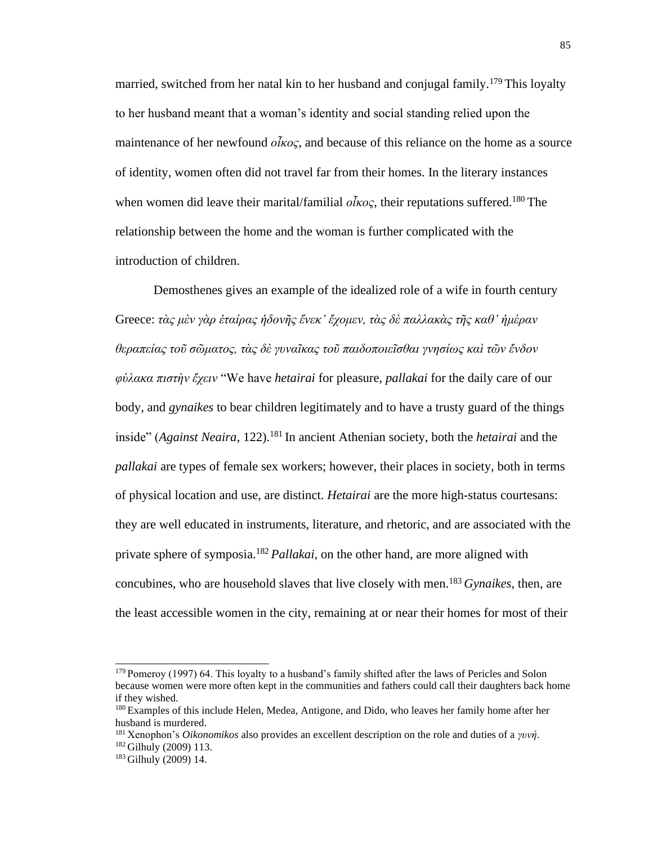married, switched from her natal kin to her husband and conjugal family.<sup>179</sup> This loyalty to her husband meant that a woman's identity and social standing relied upon the maintenance of her newfound *οἶκος*, and because of this reliance on the home as a source of identity, women often did not travel far from their homes. In the literary instances when women did leave their marital/familial  $\partial \tilde{k} \alpha \varsigma$ , their reputations suffered.<sup>180</sup> The relationship between the home and the woman is further complicated with the introduction of children.

Demosthenes gives an example of the idealized role of a wife in fourth century Greece: *τὰς μὲν γὰρ ἑταίρας ἡδονῆς ἕνεκ' ἔχομεν, τὰς δὲ παλλακὰς τῆς καθ' ἡμέραν θεραπείας τοῦ σῶματος, τὰς δὲ γυναῖκας τοῦ παιδοποιεῖσθαι γνησίως καὶ τῶν ἔνδον φύλακα πιστὴν ἔχειν* "We have *hetairai* for pleasure, *pallakai* for the daily care of our body, and *gynaikes* to bear children legitimately and to have a trusty guard of the things inside" (*Against Neaira*, 122).<sup>181</sup> In ancient Athenian society, both the *hetairai* and the *pallakai* are types of female sex workers; however, their places in society, both in terms of physical location and use, are distinct. *Hetairai* are the more high-status courtesans: they are well educated in instruments, literature, and rhetoric, and are associated with the private sphere of symposia.<sup>182</sup>*Pallakai*, on the other hand, are more aligned with concubines, who are household slaves that live closely with men.<sup>183</sup>*Gynaikes*, then, are the least accessible women in the city, remaining at or near their homes for most of their

 $179$  Pomeroy (1997) 64. This loyalty to a husband's family shifted after the laws of Pericles and Solon because women were more often kept in the communities and fathers could call their daughters back home if they wished.

<sup>&</sup>lt;sup>180</sup> Examples of this include Helen, Medea, Antigone, and Dido, who leaves her family home after her husband is murdered.

<sup>181</sup>Xenophon's *Oikonomikos* also provides an excellent description on the role and duties of a *γυνή*. <sup>182</sup>Gilhuly (2009) 113.

<sup>183</sup> Gilhuly (2009) 14.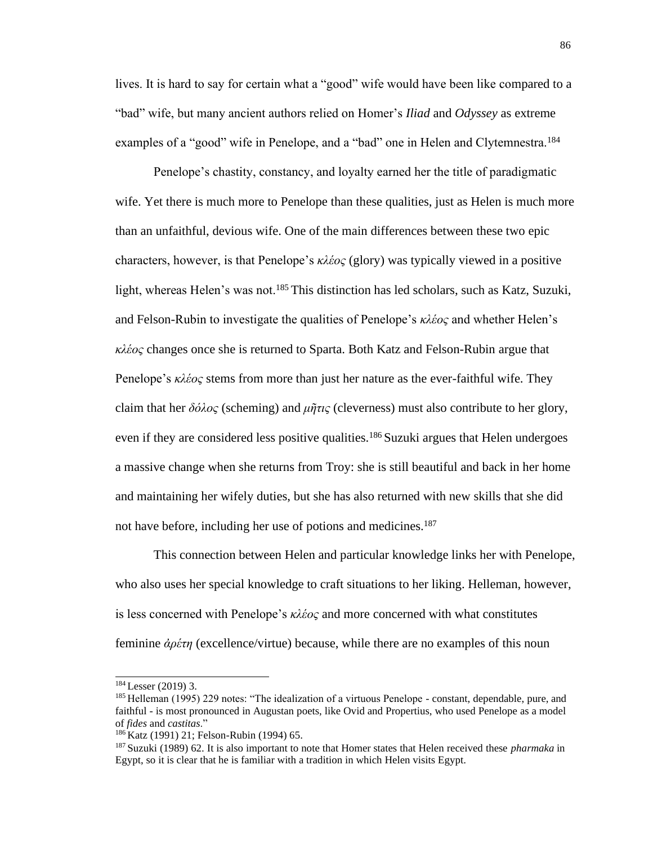lives. It is hard to say for certain what a "good" wife would have been like compared to a "bad" wife, but many ancient authors relied on Homer's *Iliad* and *Odyssey* as extreme examples of a "good" wife in Penelope, and a "bad" one in Helen and Clytemnestra.<sup>184</sup>

Penelope's chastity, constancy, and loyalty earned her the title of paradigmatic wife. Yet there is much more to Penelope than these qualities, just as Helen is much more than an unfaithful, devious wife. One of the main differences between these two epic characters, however, is that Penelope's *κλέος* (glory) was typically viewed in a positive light, whereas Helen's was not.<sup>185</sup> This distinction has led scholars, such as Katz, Suzuki, and Felson-Rubin to investigate the qualities of Penelope's *κλέος* and whether Helen's *κλέος* changes once she is returned to Sparta. Both Katz and Felson-Rubin argue that Penelope's *κλέος* stems from more than just her nature as the ever-faithful wife. They claim that her *δόλος* (scheming) and *μῆτις* (cleverness) must also contribute to her glory, even if they are considered less positive qualities.<sup>186</sup> Suzuki argues that Helen undergoes a massive change when she returns from Troy: she is still beautiful and back in her home and maintaining her wifely duties, but she has also returned with new skills that she did not have before, including her use of potions and medicines.<sup>187</sup>

This connection between Helen and particular knowledge links her with Penelope, who also uses her special knowledge to craft situations to her liking. Helleman, however, is less concerned with Penelope's *κλέος* and more concerned with what constitutes feminine *ἀρέτη* (excellence/virtue) because, while there are no examples of this noun

<sup>184</sup>Lesser (2019) 3.

<sup>&</sup>lt;sup>185</sup> Helleman (1995) 229 notes: "The idealization of a virtuous Penelope - constant, dependable, pure, and faithful - is most pronounced in Augustan poets, like Ovid and Propertius, who used Penelope as a model of *fides* and *castitas*."

<sup>&</sup>lt;sup>186</sup> Katz (1991) 21; Felson-Rubin (1994) 65.

<sup>187</sup>Suzuki (1989) 62. It is also important to note that Homer states that Helen received these *pharmaka* in Egypt, so it is clear that he is familiar with a tradition in which Helen visits Egypt.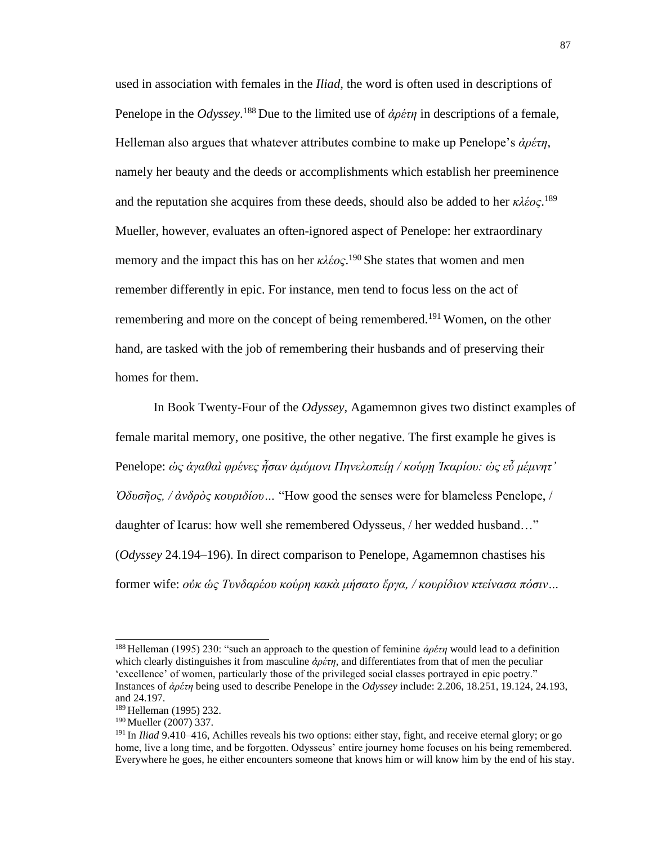used in association with females in the *Iliad,* the word is often used in descriptions of Penelope in the *Odyssey*. <sup>188</sup>Due to the limited use of *ἀρέτη* in descriptions of a female, Helleman also argues that whatever attributes combine to make up Penelope's *ἀρέτη*, namely her beauty and the deeds or accomplishments which establish her preeminence and the reputation she acquires from these deeds, should also be added to her *κλέος*. 189 Mueller, however, evaluates an often-ignored aspect of Penelope: her extraordinary memory and the impact this has on her  $\kappa\lambda\acute{\epsilon}o\varsigma$ .<sup>190</sup> She states that women and men remember differently in epic. For instance, men tend to focus less on the act of remembering and more on the concept of being remembered.<sup>191</sup> Women, on the other hand, are tasked with the job of remembering their husbands and of preserving their homes for them.

In Book Twenty-Four of the *Odyssey*, Agamemnon gives two distinct examples of female marital memory, one positive, the other negative. The first example he gives is Penelope: *ὡς ἀγαθαὶ φρένες ἦσαν ἀμύμονι Πηνελοπείῃ / κούρῃ Ἰκαρίου: ὡς εὖ μέμνητ' Ὀδυσῆος, / ἀνδρὸς κουριδίου…* "How good the senses were for blameless Penelope, / daughter of Icarus: how well she remembered Odysseus, / her wedded husband…" (*Odyssey* 24.194–196). In direct comparison to Penelope, Agamemnon chastises his former wife: *οὐκ ὡς Τυνδαρέου κούρη κακὰ μήσατο ἔργα, / κουρίδιον κτείνασα πόσιν…*

<sup>188</sup>Helleman (1995) 230: "such an approach to the question of feminine *ἀρέτη* would lead to a definition which clearly distinguishes it from masculine *ἀρέτη*, and differentiates from that of men the peculiar 'excellence' of women, particularly those of the privileged social classes portrayed in epic poetry." Instances of *ἀρέτη* being used to describe Penelope in the *Odyssey* include: 2.206, 18.251, 19.124, 24.193, and 24.197.

<sup>189</sup>Helleman (1995) 232.

<sup>&</sup>lt;sup>190</sup> Mueller (2007) 337.

<sup>191</sup>In *Iliad* 9.410–416, Achilles reveals his two options: either stay, fight, and receive eternal glory; or go home, live a long time, and be forgotten. Odysseus' entire journey home focuses on his being remembered. Everywhere he goes, he either encounters someone that knows him or will know him by the end of his stay.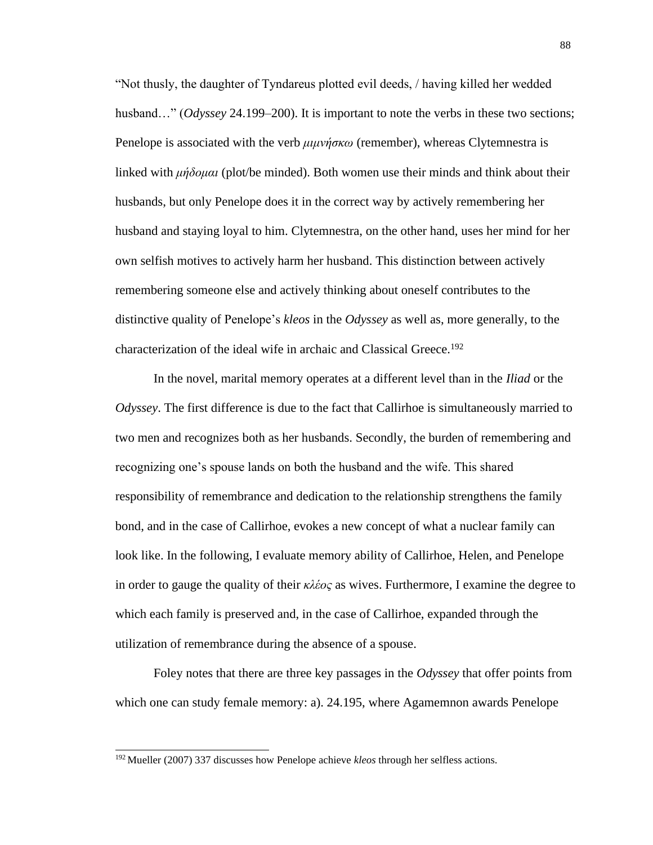"Not thusly, the daughter of Tyndareus plotted evil deeds, / having killed her wedded husband..." (*Odyssey* 24.199–200). It is important to note the verbs in these two sections; Penelope is associated with the verb *μιμνήσκω* (remember), whereas Clytemnestra is linked with *μήδομαι* (plot/be minded). Both women use their minds and think about their husbands, but only Penelope does it in the correct way by actively remembering her husband and staying loyal to him. Clytemnestra, on the other hand, uses her mind for her own selfish motives to actively harm her husband. This distinction between actively remembering someone else and actively thinking about oneself contributes to the distinctive quality of Penelope's *kleos* in the *Odyssey* as well as, more generally, to the characterization of the ideal wife in archaic and Classical Greece.<sup>192</sup>

In the novel, marital memory operates at a different level than in the *Iliad* or the *Odyssey*. The first difference is due to the fact that Callirhoe is simultaneously married to two men and recognizes both as her husbands. Secondly, the burden of remembering and recognizing one's spouse lands on both the husband and the wife. This shared responsibility of remembrance and dedication to the relationship strengthens the family bond, and in the case of Callirhoe, evokes a new concept of what a nuclear family can look like. In the following, I evaluate memory ability of Callirhoe, Helen, and Penelope in order to gauge the quality of their *κλέος* as wives. Furthermore, I examine the degree to which each family is preserved and, in the case of Callirhoe, expanded through the utilization of remembrance during the absence of a spouse.

Foley notes that there are three key passages in the *Odyssey* that offer points from which one can study female memory: a). 24.195, where Agamemnon awards Penelope

<sup>192</sup> Mueller (2007) 337 discusses how Penelope achieve *kleos* through her selfless actions.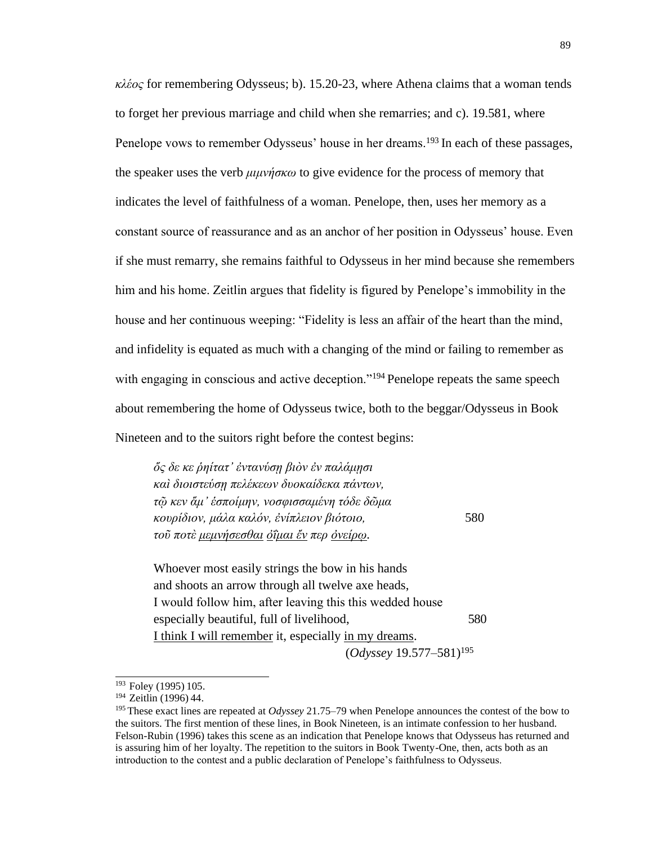*κλέος* for remembering Odysseus; b). 15.20-23, where Athena claims that a woman tends to forget her previous marriage and child when she remarries; and c). 19.581, where Penelope vows to remember Odysseus' house in her dreams.<sup>193</sup> In each of these passages, the speaker uses the verb *μιμνήσκω* to give evidence for the process of memory that indicates the level of faithfulness of a woman. Penelope, then, uses her memory as a constant source of reassurance and as an anchor of her position in Odysseus' house. Even if she must remarry, she remains faithful to Odysseus in her mind because she remembers him and his home. Zeitlin argues that fidelity is figured by Penelope's immobility in the house and her continuous weeping: "Fidelity is less an affair of the heart than the mind, and infidelity is equated as much with a changing of the mind or failing to remember as with engaging in conscious and active deception."<sup>194</sup> Penelope repeats the same speech about remembering the home of Odysseus twice, both to the beggar/Odysseus in Book Nineteen and to the suitors right before the contest begins:

*ὅς δε κε ῥηίτατ' ἐντανύσῃ βιὸν ἐν παλάμῃσι καὶ διοιστεύσῃ πελέκεων δυοκαίδεκα πάντων, τῷ κεν ἅμ' ἑσποίμην, νοσφισσαμένη τόδε δῶμα κουρίδιον, μάλα καλόν, ἐνίπλειον βιότοιο,* 580 *τοῦ ποτὲ μεμνήσεσθαι ὀΐμαι ἔν περ ὀνείρῳ.*

Whoever most easily strings the bow in his hands and shoots an arrow through all twelve axe heads, Ι would follow him, after leaving this this wedded house especially beautiful, full of livelihood, 580 I think I will remember it, especially in my dreams. (*Odyssey* 19.577–581)<sup>195</sup>

<sup>&</sup>lt;sup>193</sup> Foley (1995) 105.

<sup>&</sup>lt;sup>194</sup> Zeitlin (1996) 44.

<sup>195</sup>These exact lines are repeated at *Odyssey* 21.75–79 when Penelope announces the contest of the bow to the suitors. The first mention of these lines, in Book Nineteen, is an intimate confession to her husband. Felson-Rubin (1996) takes this scene as an indication that Penelope knows that Odysseus has returned and is assuring him of her loyalty. The repetition to the suitors in Book Twenty-One, then, acts both as an introduction to the contest and a public declaration of Penelope's faithfulness to Odysseus.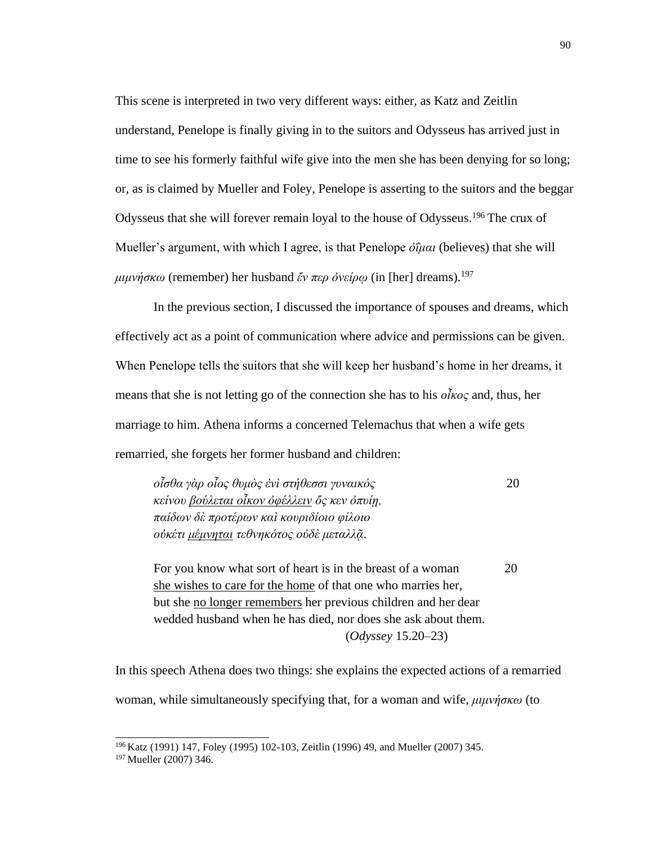This scene is interpreted in two very different ways: either, as Katz and Zeitlin understand, Penelope is finally giving in to the suitors and Odysseus has arrived just in time to see his formerly faithful wife give into the men she has been denying for so long; or, as is claimed by Mueller and Foley, Penelope is asserting to the suitors and the beggar Odysseus that she will forever remain loyal to the house of Odysseus.<sup>196</sup>The crux of Mueller's argument, with which I agree, is that Penelope *ὀΐμαι* (believes) that she will *μιμνήσκω* (remember) her husband *ἔν περ ὀνείρῳ* (in [her] dreams).<sup>197</sup>

In the previous section, I discussed the importance of spouses and dreams, which effectively act as a point of communication where advice and permissions can be given. When Penelope tells the suitors that she will keep her husband's home in her dreams, it means that she is not letting go of the connection she has to his *οἶκος* and, thus, her marriage to him. Athena informs a concerned Telemachus that when a wife gets remarried, she forgets her former husband and children:

*οἶσθα γὰρ οἷος θυμὸς ἐνὶ στήθεσσι γυναικός* 20 *κείνου βούλεται οἶκον ὀφέλλειν ὅς κεν ὀπυίῃ, παίδων δὲ προτέρων καὶ κουριδίοιο φίλοιο οὐκέτι μέμνηται τεθνηκότος οὐδὲ μεταλλᾷ*.

For you know what sort of heart is in the breast of a woman 20 she wishes to care for the home of that one who marries her, but she no longer remembers her previous children and her dear wedded husband when he has died, nor does she ask about them. (*Odyssey* 15.20–23)

In this speech Athena does two things: she explains the expected actions of a remarried woman, while simultaneously specifying that, for a woman and wife, *μιμνήσκω* (to

<sup>196</sup>Katz (1991) 147, Foley (1995) 102-103, Zeitlin (1996) 49, and Mueller (2007) 345.

<sup>197</sup> Mueller (2007) 346.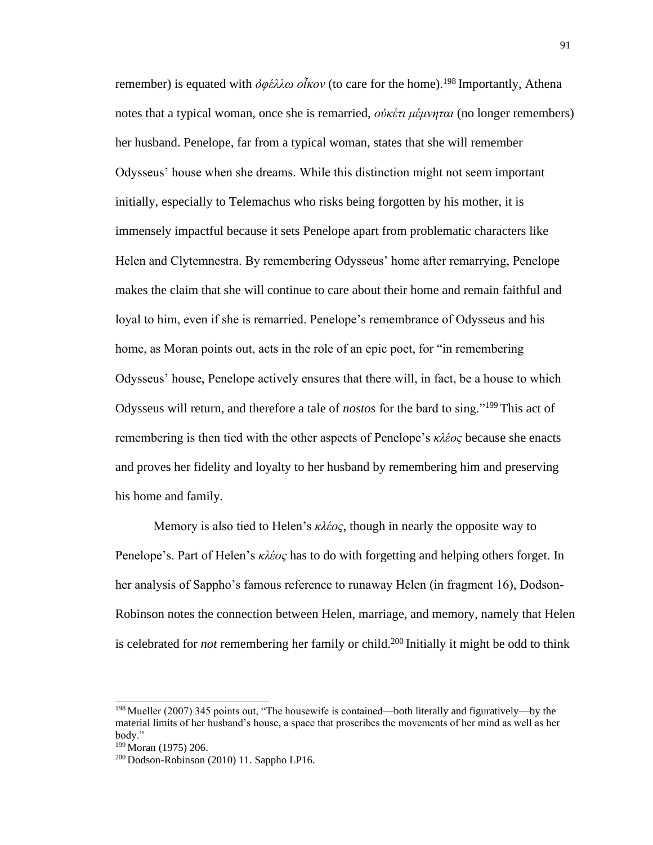remember) is equated with *ὀφέλλω οἶκον* (to care for the home).<sup>198</sup>Importantly, Athena notes that a typical woman, once she is remarried, *οὐκέτι μέμνηται* (no longer remembers) her husband. Penelope, far from a typical woman, states that she will remember Odysseus' house when she dreams. While this distinction might not seem important initially, especially to Telemachus who risks being forgotten by his mother, it is immensely impactful because it sets Penelope apart from problematic characters like Helen and Clytemnestra. By remembering Odysseus' home after remarrying, Penelope makes the claim that she will continue to care about their home and remain faithful and loyal to him, even if she is remarried. Penelope's remembrance of Odysseus and his home, as Moran points out, acts in the role of an epic poet, for "in remembering Odysseus' house, Penelope actively ensures that there will, in fact, be a house to which Odysseus will return, and therefore a tale of *nostos* for the bard to sing."<sup>199</sup> This act of remembering is then tied with the other aspects of Penelope's *κλέος* because she enacts and proves her fidelity and loyalty to her husband by remembering him and preserving his home and family.

Memory is also tied to Helen's *κλέος*, though in nearly the opposite way to Penelope's. Part of Helen's *κλέος* has to do with forgetting and helping others forget. In her analysis of Sappho's famous reference to runaway Helen (in fragment 16), Dodson-Robinson notes the connection between Helen, marriage, and memory, namely that Helen is celebrated for *not* remembering her family or child.<sup>200</sup> Initially it might be odd to think

<sup>198</sup>Mueller (2007) 345 points out, "The housewife is contained—both literally and figuratively—by the material limits of her husband's house, a space that proscribes the movements of her mind as well as her body."

<sup>&</sup>lt;sup>199</sup> Moran (1975) 206.

<sup>200</sup> Dodson-Robinson (2010) 11. Sappho LP16.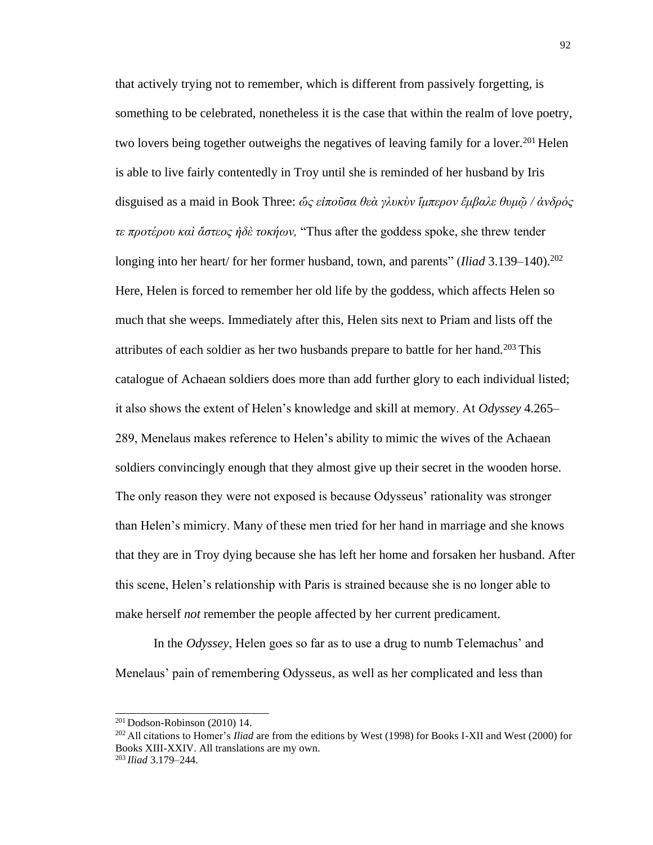that actively trying not to remember, which is different from passively forgetting, is something to be celebrated, nonetheless it is the case that within the realm of love poetry, two lovers being together outweighs the negatives of leaving family for a lover.<sup>201</sup> Helen is able to live fairly contentedly in Troy until she is reminded of her husband by Iris disguised as a maid in Book Three: *ὥς εἰποῦσα θεὰ γλυκὺν ἵμπερον ἔμβαλε θυμῷ / ἀνδρός τε προτέρου καὶ ἄστεος ἠδὲ τοκήων,* "Thus after the goddess spoke, she threw tender longing into her heart/ for her former husband, town, and parents" (*Iliad* 3.139–140).<sup>202</sup> Here, Helen is forced to remember her old life by the goddess, which affects Helen so much that she weeps. Immediately after this, Helen sits next to Priam and lists off the attributes of each soldier as her two husbands prepare to battle for her hand.<sup>203</sup> This catalogue of Achaean soldiers does more than add further glory to each individual listed; it also shows the extent of Helen's knowledge and skill at memory. At *Odyssey* 4.265– 289, Menelaus makes reference to Helen's ability to mimic the wives of the Achaean soldiers convincingly enough that they almost give up their secret in the wooden horse. The only reason they were not exposed is because Odysseus' rationality was stronger than Helen's mimicry. Many of these men tried for her hand in marriage and she knows that they are in Troy dying because she has left her home and forsaken her husband. After this scene, Helen's relationship with Paris is strained because she is no longer able to make herself *not* remember the people affected by her current predicament.

In the *Odyssey*, Helen goes so far as to use a drug to numb Telemachus' and Menelaus' pain of remembering Odysseus, as well as her complicated and less than

<sup>201</sup>Dodson-Robinson (2010) 14.

<sup>202</sup>All citations to Homer's *Iliad* are from the editions by West (1998) for Books I-XII and West (2000) for Books XIII-XXIV. All translations are my own. 203 *Iliad* 3.179–244.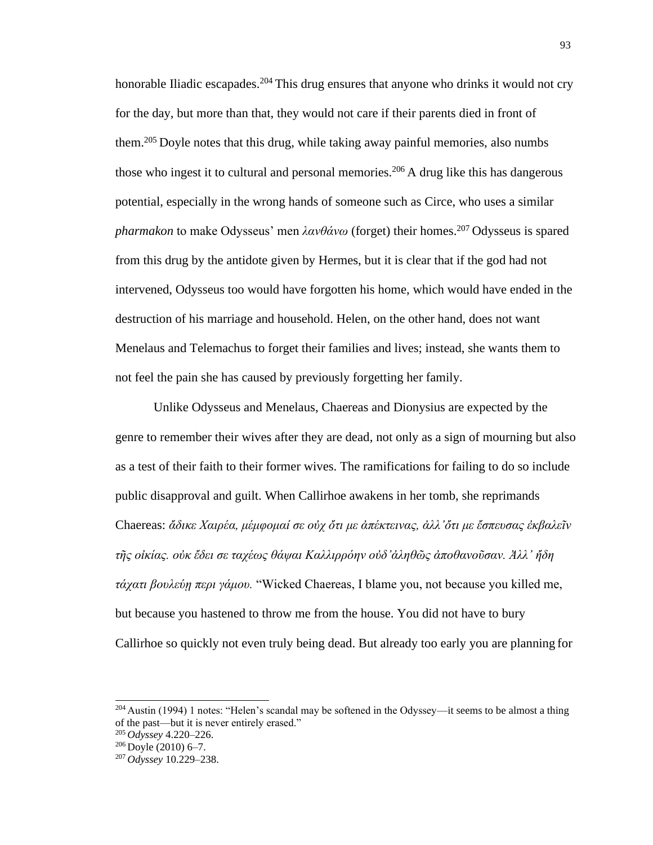honorable Iliadic escapades.<sup>204</sup> This drug ensures that anyone who drinks it would not cry for the day, but more than that, they would not care if their parents died in front of them.<sup>205</sup> Doyle notes that this drug, while taking away painful memories, also numbs those who ingest it to cultural and personal memories.<sup>206</sup> A drug like this has dangerous potential, especially in the wrong hands of someone such as Circe, who uses a similar *pharmakon* to make Odysseus' men *λανθάνω* (forget) their homes.<sup>207</sup> Odysseus is spared from this drug by the antidote given by Hermes, but it is clear that if the god had not intervened, Odysseus too would have forgotten his home, which would have ended in the destruction of his marriage and household. Helen, on the other hand, does not want Menelaus and Telemachus to forget their families and lives; instead, she wants them to not feel the pain she has caused by previously forgetting her family.

Unlike Odysseus and Menelaus, Chaereas and Dionysius are expected by the genre to remember their wives after they are dead, not only as a sign of mourning but also as a test of their faith to their former wives. The ramifications for failing to do so include public disapproval and guilt. When Callirhoe awakens in her tomb, she reprimands Chaereas: *ἄδικε Χαιρέα, μέμφομαί σε οὐχ ὄτι με ἀπέκτεινας, ἀλλ'ὄτι με ἔσπευσας ἐκβαλεῖν τῆς οἰκίας. οὐκ ἔδει σε ταχέως θάψαι Καλλιρρόην οὐδ'ἀληθῶς ἀποθανοῦσαν. Ἀλλ' ἤδη τάχατι βουλεύῃ περι γάμου.* "Wicked Chaereas, I blame you, not because you killed me, but because you hastened to throw me from the house. You did not have to bury Callirhoe so quickly not even truly being dead. But already too early you are planning for

 $204$  Austin (1994) 1 notes: "Helen's scandal may be softened in the Odyssey—it seems to be almost a thing of the past—but it is never entirely erased."

<sup>205</sup>*Odyssey* 4.220–226.

 $206$  Doyle (2010) 6–7.

<sup>207</sup> *Odyssey* 10.229–238.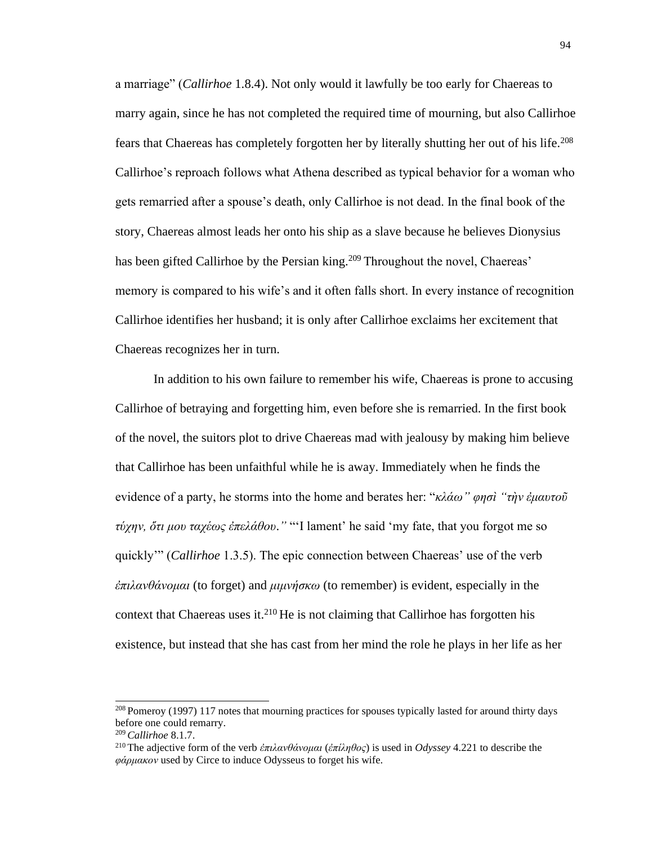a marriage" (*Callirhoe* 1.8.4). Not only would it lawfully be too early for Chaereas to marry again, since he has not completed the required time of mourning, but also Callirhoe fears that Chaereas has completely forgotten her by literally shutting her out of his life.<sup>208</sup> Callirhoe's reproach follows what Athena described as typical behavior for a woman who gets remarried after a spouse's death, only Callirhoe is not dead. In the final book of the story, Chaereas almost leads her onto his ship as a slave because he believes Dionysius has been gifted Callirhoe by the Persian king.<sup>209</sup> Throughout the novel, Chaereas' memory is compared to his wife's and it often falls short. In every instance of recognition Callirhoe identifies her husband; it is only after Callirhoe exclaims her excitement that Chaereas recognizes her in turn.

In addition to his own failure to remember his wife, Chaereas is prone to accusing Callirhoe of betraying and forgetting him, even before she is remarried. In the first book of the novel, the suitors plot to drive Chaereas mad with jealousy by making him believe that Callirhoe has been unfaithful while he is away. Immediately when he finds the evidence of a party, he storms into the home and berates her: "*κλάω" φησὶ "τὴν ἐμαυτοῦ τύχην, ὅτι μου ταχέως ἐπελάθου*.*"* "'I lament' he said 'my fate, that you forgot me so quickly'" (*Callirhoe* 1.3.5). The epic connection between Chaereas' use of the verb *ἐπιλανθάνομαι* (to forget) and *μιμνήσκω* (to remember) is evident, especially in the context that Chaereas uses it. $2^{10}$  He is not claiming that Callirhoe has forgotten his existence, but instead that she has cast from her mind the role he plays in her life as her

<sup>&</sup>lt;sup>208</sup> Pomeroy (1997) 117 notes that mourning practices for spouses typically lasted for around thirty days before one could remarry.

<sup>209</sup>*Callirhoe* 8.1.7.

<sup>210</sup>The adjective form of the verb *ἐπιλανθάνομαι* (*ἐπίληθος*) is used in *Odyssey* 4.221 to describe the *φάρμακον* used by Circe to induce Odysseus to forget his wife.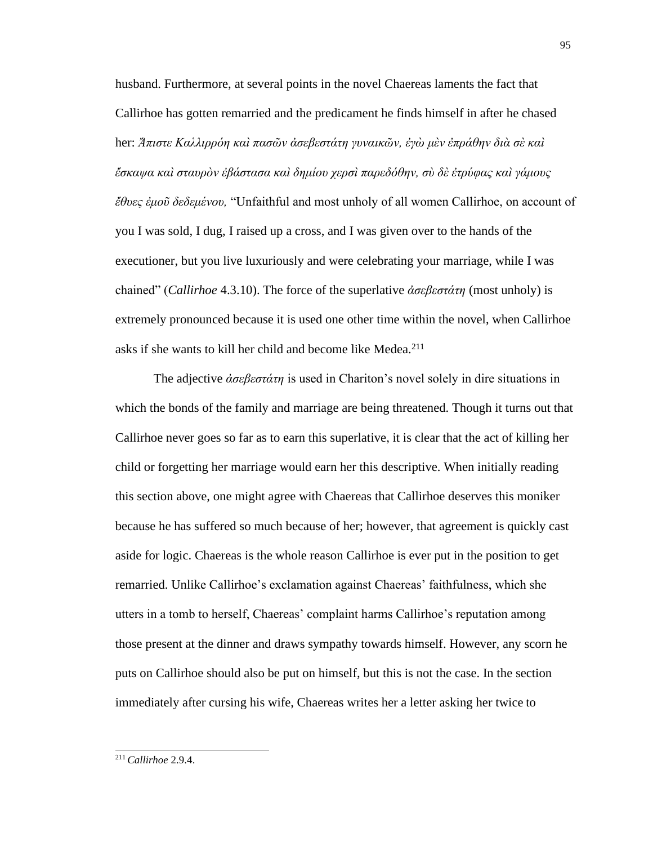husband. Furthermore, at several points in the novel Chaereas laments the fact that Callirhoe has gotten remarried and the predicament he finds himself in after he chased her: *Ἄπιστε Καλλιρρόη καὶ πασῶν ἀσεβεστάτη γυναικῶν, ἐγὼ μὲν ἐπράθην διὰ σὲ καὶ ἔσκαψα καὶ σταυρὸν ἐβάστασα καὶ δημίου χερσὶ παρεδόθην, σὺ δὲ ἐτρύφας καὶ γάμους ἔθυες ἐμοῦ δεδεμένου,* "Unfaithful and most unholy of all women Callirhoe, on account of you I was sold, I dug, I raised up a cross, and I was given over to the hands of the executioner, but you live luxuriously and were celebrating your marriage, while I was chained" (*Callirhoe* 4.3.10). The force of the superlative *ἀσεβεστάτη* (most unholy) is extremely pronounced because it is used one other time within the novel, when Callirhoe asks if she wants to kill her child and become like Medea.<sup>211</sup>

The adjective *ἀσεβεστάτη* is used in Chariton's novel solely in dire situations in which the bonds of the family and marriage are being threatened. Though it turns out that Callirhoe never goes so far as to earn this superlative, it is clear that the act of killing her child or forgetting her marriage would earn her this descriptive. When initially reading this section above, one might agree with Chaereas that Callirhoe deserves this moniker because he has suffered so much because of her; however, that agreement is quickly cast aside for logic. Chaereas is the whole reason Callirhoe is ever put in the position to get remarried. Unlike Callirhoe's exclamation against Chaereas' faithfulness, which she utters in a tomb to herself, Chaereas' complaint harms Callirhoe's reputation among those present at the dinner and draws sympathy towards himself. However, any scorn he puts on Callirhoe should also be put on himself, but this is not the case. In the section immediately after cursing his wife, Chaereas writes her a letter asking her twice to

<sup>211</sup> *Callirhoe* 2.9.4.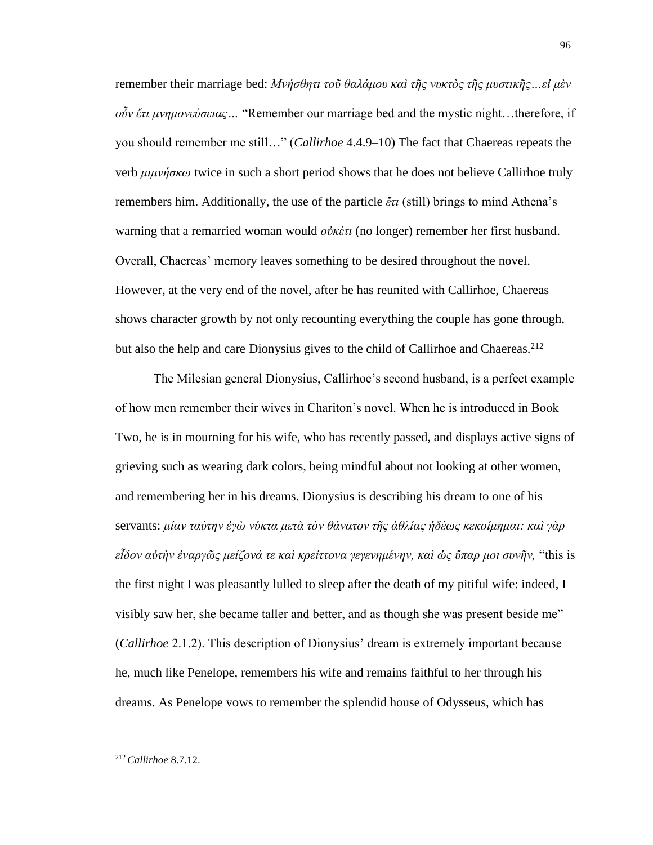remember their marriage bed: *Μνήσθητι τοῦ θαλάμου καὶ τῆς νυκτὸς τῆς μυστικῆς…εἰ μὲν οὖν ἔτι μνημονεύσειας…* "Remember our marriage bed and the mystic night…therefore, if you should remember me still…" (*Callirhoe* 4.4.9–10) The fact that Chaereas repeats the verb *μιμνήσκω* twice in such a short period shows that he does not believe Callirhoe truly remembers him. Additionally, the use of the particle *ἔτι* (still) brings to mind Athena's warning that a remarried woman would *οὐκέτι* (no longer) remember her first husband. Overall, Chaereas' memory leaves something to be desired throughout the novel. However, at the very end of the novel, after he has reunited with Callirhoe, Chaereas shows character growth by not only recounting everything the couple has gone through, but also the help and care Dionysius gives to the child of Callirhoe and Chaereas.<sup>212</sup>

The Milesian general Dionysius, Callirhoe's second husband, is a perfect example of how men remember their wives in Chariton's novel. When he is introduced in Book Two, he is in mourning for his wife, who has recently passed, and displays active signs of grieving such as wearing dark colors, being mindful about not looking at other women, and remembering her in his dreams. Dionysius is describing his dream to one of his servants: *μίαν ταύτην ἐγὼ νύκτα μετὰ τὸν θάνατον τῆς ἀθλίας ἡδέως κεκοίμημαι: καὶ γὰρ εἶδον αὐτὴν ἐναργῶς μείζονά τε καὶ κρείττονα γεγενημένην, καὶ ὡς ὕπαρ μοι συνῆν,* "this is the first night I was pleasantly lulled to sleep after the death of my pitiful wife: indeed, I visibly saw her, she became taller and better, and as though she was present beside me" (*Callirhoe* 2.1.2). This description of Dionysius' dream is extremely important because he, much like Penelope, remembers his wife and remains faithful to her through his dreams. As Penelope vows to remember the splendid house of Odysseus, which has

<sup>96</sup>

<sup>212</sup> *Callirhoe* 8.7.12.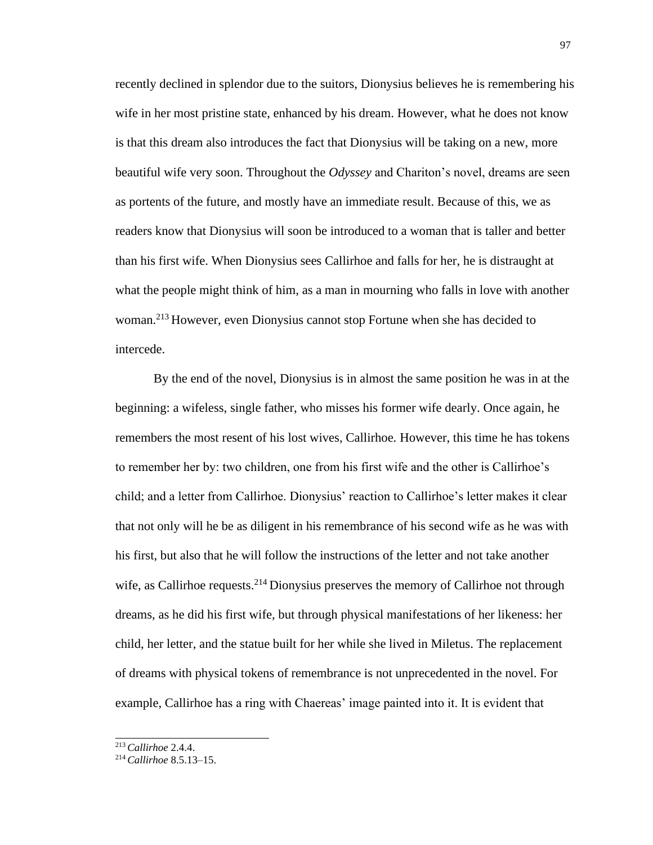recently declined in splendor due to the suitors, Dionysius believes he is remembering his wife in her most pristine state, enhanced by his dream. However, what he does not know is that this dream also introduces the fact that Dionysius will be taking on a new, more beautiful wife very soon. Throughout the *Odyssey* and Chariton's novel, dreams are seen as portents of the future, and mostly have an immediate result. Because of this, we as readers know that Dionysius will soon be introduced to a woman that is taller and better than his first wife. When Dionysius sees Callirhoe and falls for her, he is distraught at what the people might think of him, as a man in mourning who falls in love with another woman.<sup>213</sup> However, even Dionysius cannot stop Fortune when she has decided to intercede.

By the end of the novel, Dionysius is in almost the same position he was in at the beginning: a wifeless, single father, who misses his former wife dearly. Once again, he remembers the most resent of his lost wives, Callirhoe. However, this time he has tokens to remember her by: two children, one from his first wife and the other is Callirhoe's child; and a letter from Callirhoe. Dionysius' reaction to Callirhoe's letter makes it clear that not only will he be as diligent in his remembrance of his second wife as he was with his first, but also that he will follow the instructions of the letter and not take another wife, as Callirhoe requests.<sup>214</sup> Dionysius preserves the memory of Callirhoe not through dreams, as he did his first wife, but through physical manifestations of her likeness: her child, her letter, and the statue built for her while she lived in Miletus. The replacement of dreams with physical tokens of remembrance is not unprecedented in the novel. For example, Callirhoe has a ring with Chaereas' image painted into it. It is evident that

<sup>213</sup>*Callirhoe* 2.4.4.

<sup>214</sup> *Callirhoe* 8.5.13–15.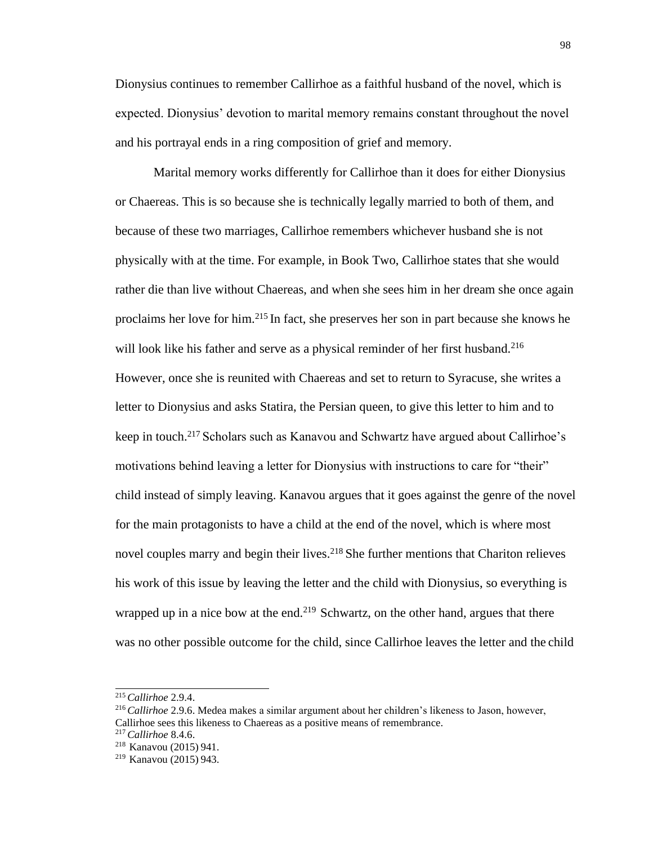Dionysius continues to remember Callirhoe as a faithful husband of the novel, which is expected. Dionysius' devotion to marital memory remains constant throughout the novel and his portrayal ends in a ring composition of grief and memory.

Marital memory works differently for Callirhoe than it does for either Dionysius or Chaereas. This is so because she is technically legally married to both of them, and because of these two marriages, Callirhoe remembers whichever husband she is not physically with at the time. For example, in Book Two, Callirhoe states that she would rather die than live without Chaereas, and when she sees him in her dream she once again proclaims her love for him.<sup>215</sup>In fact, she preserves her son in part because she knows he will look like his father and serve as a physical reminder of her first husband.<sup>216</sup> However, once she is reunited with Chaereas and set to return to Syracuse, she writes a letter to Dionysius and asks Statira, the Persian queen, to give this letter to him and to keep in touch.<sup>217</sup> Scholars such as Kanavou and Schwartz have argued about Callirhoe's motivations behind leaving a letter for Dionysius with instructions to care for "their" child instead of simply leaving. Kanavou argues that it goes against the genre of the novel for the main protagonists to have a child at the end of the novel, which is where most novel couples marry and begin their lives.<sup>218</sup> She further mentions that Chariton relieves his work of this issue by leaving the letter and the child with Dionysius, so everything is wrapped up in a nice bow at the end.<sup>219</sup> Schwartz, on the other hand, argues that there was no other possible outcome for the child, since Callirhoe leaves the letter and the child

<sup>215</sup>*Callirhoe* 2.9.4.

<sup>216</sup>*Callirhoe* 2.9.6. Medea makes a similar argument about her children's likeness to Jason, however, Callirhoe sees this likeness to Chaereas as a positive means of remembrance.

<sup>217</sup>*Callirhoe* 8.4.6.

<sup>&</sup>lt;sup>218</sup> Kanavou (2015) 941.

<sup>&</sup>lt;sup>219</sup> Kanavou (2015) 943.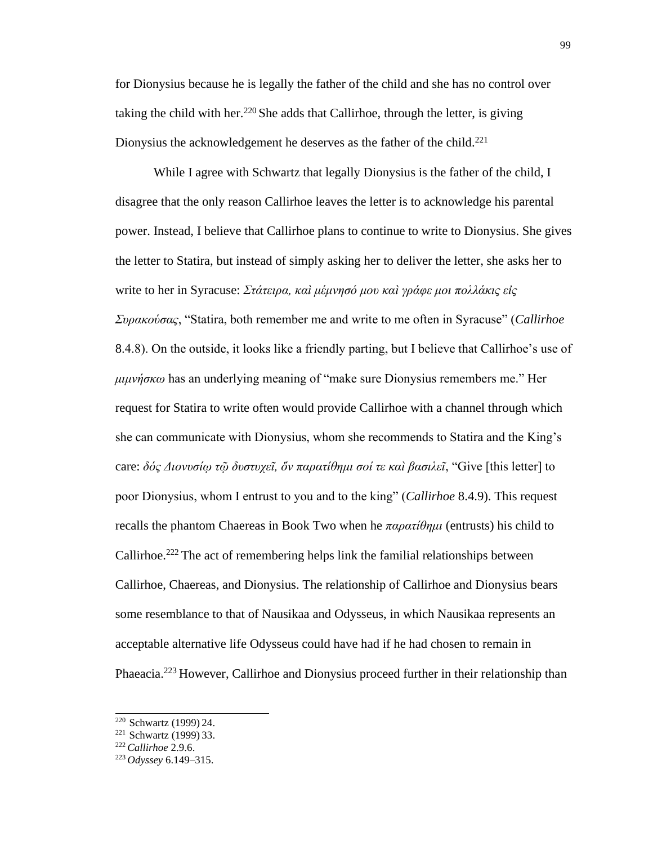for Dionysius because he is legally the father of the child and she has no control over taking the child with her.<sup>220</sup> She adds that Callirhoe, through the letter, is giving Dionysius the acknowledgement he deserves as the father of the child.<sup>221</sup>

While I agree with Schwartz that legally Dionysius is the father of the child, I disagree that the only reason Callirhoe leaves the letter is to acknowledge his parental power. Instead, I believe that Callirhoe plans to continue to write to Dionysius. She gives the letter to Statira, but instead of simply asking her to deliver the letter, she asks her to write to her in Syracuse: *Στάτειρα, καὶ μέμνησό μου καὶ γράφε μοι πολλάκις εἰς Συρακούσας*, "Statira, both remember me and write to me often in Syracuse" (*Callirhoe*  8.4.8). On the outside, it looks like a friendly parting, but I believe that Callirhoe's use of *μιμνήσκω* has an underlying meaning of "make sure Dionysius remembers me." Her request for Statira to write often would provide Callirhoe with a channel through which she can communicate with Dionysius, whom she recommends to Statira and the King's care: *δός Διονυσίῳ τῷ δυστυχεῖ, ὅν παρατίθημι σοί τε καὶ βασιλεῖ*, "Give [this letter] to poor Dionysius, whom I entrust to you and to the king" (*Callirhoe* 8.4.9). This request recalls the phantom Chaereas in Book Two when he *παρατίθημι* (entrusts) his child to Callirhoe.<sup>222</sup> The act of remembering helps link the familial relationships between Callirhoe, Chaereas, and Dionysius. The relationship of Callirhoe and Dionysius bears some resemblance to that of Nausikaa and Odysseus, in which Nausikaa represents an acceptable alternative life Odysseus could have had if he had chosen to remain in Phaeacia.<sup>223</sup> However, Callirhoe and Dionysius proceed further in their relationship than

<sup>&</sup>lt;sup>220</sup> Schwartz (1999) 24.

 $221$  Schwartz (1999) 33.

<sup>222</sup>*Callirhoe* 2.9.6.

<sup>223</sup> *Odyssey* 6.149–315.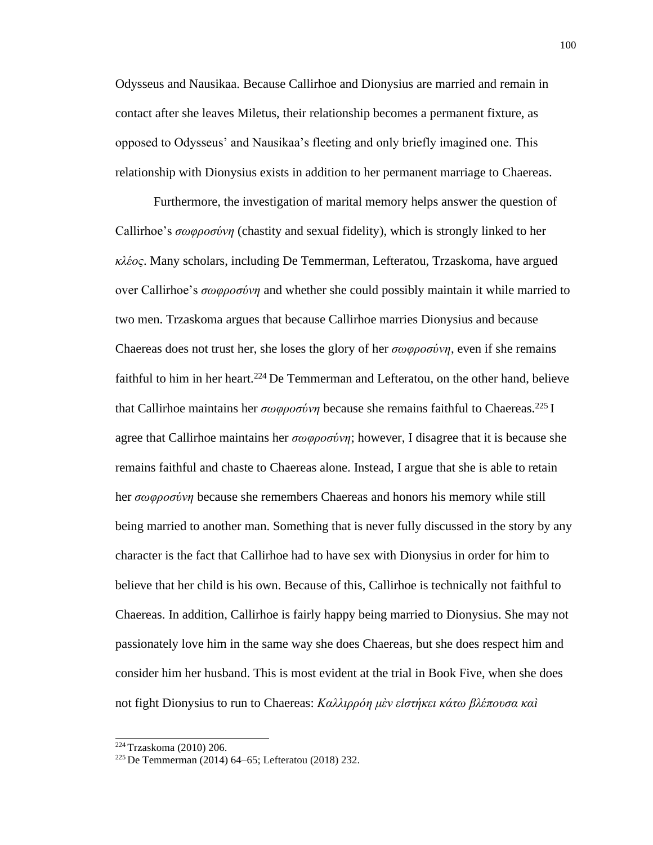Odysseus and Nausikaa. Because Callirhoe and Dionysius are married and remain in contact after she leaves Miletus, their relationship becomes a permanent fixture, as opposed to Odysseus' and Nausikaa's fleeting and only briefly imagined one. This relationship with Dionysius exists in addition to her permanent marriage to Chaereas.

Furthermore, the investigation of marital memory helps answer the question of Callirhoe's *σωφροσύνη* (chastity and sexual fidelity), which is strongly linked to her *κλέος*. Many scholars, including De Temmerman, Lefteratou, Trzaskoma, have argued over Callirhoe's *σωφροσύνη* and whether she could possibly maintain it while married to two men. Trzaskoma argues that because Callirhoe marries Dionysius and because Chaereas does not trust her, she loses the glory of her *σωφροσύνη*, even if she remains faithful to him in her heart.<sup>224</sup> De Temmerman and Lefteratou, on the other hand, believe that Callirhoe maintains her *σωφροσύνη* because she remains faithful to Chaereas.<sup>225</sup> I agree that Callirhoe maintains her *σωφροσύνη*; however, I disagree that it is because she remains faithful and chaste to Chaereas alone. Instead, I argue that she is able to retain her *σωφροσύνη* because she remembers Chaereas and honors his memory while still being married to another man. Something that is never fully discussed in the story by any character is the fact that Callirhoe had to have sex with Dionysius in order for him to believe that her child is his own. Because of this, Callirhoe is technically not faithful to Chaereas. In addition, Callirhoe is fairly happy being married to Dionysius. She may not passionately love him in the same way she does Chaereas, but she does respect him and consider him her husband. This is most evident at the trial in Book Five, when she does not fight Dionysius to run to Chaereas: *Καλλιρρόη μὲν εἱστήκει κάτω βλέπουσα καὶ*

<sup>224</sup>Trzaskoma (2010) 206.

<sup>225</sup> De Temmerman (2014) 64–65; Lefteratou (2018) 232.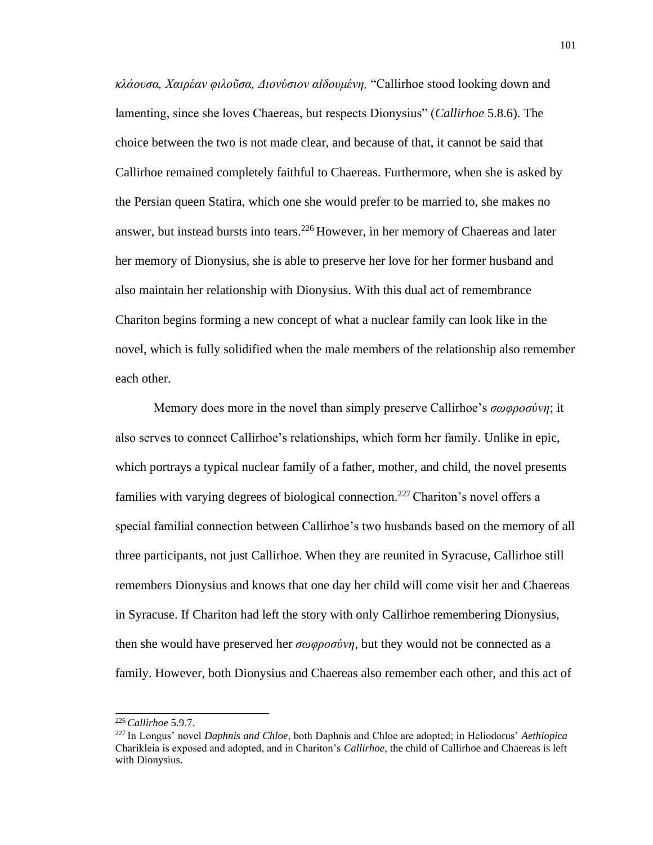*κλάουσα, Χαιρέαν φιλοῦσα, Διονύσιον αἰδουμένη,* "Callirhoe stood looking down and lamenting, since she loves Chaereas, but respects Dionysius" (*Callirhoe* 5.8.6). The choice between the two is not made clear, and because of that, it cannot be said that Callirhoe remained completely faithful to Chaereas. Furthermore, when she is asked by the Persian queen Statira, which one she would prefer to be married to, she makes no answer, but instead bursts into tears.<sup>226</sup> However, in her memory of Chaereas and later her memory of Dionysius, she is able to preserve her love for her former husband and also maintain her relationship with Dionysius. With this dual act of remembrance Chariton begins forming a new concept of what a nuclear family can look like in the novel, which is fully solidified when the male members of the relationship also remember each other.

Memory does more in the novel than simply preserve Callirhoe's *σωφροσύνη*; it also serves to connect Callirhoe's relationships, which form her family. Unlike in epic, which portrays a typical nuclear family of a father, mother, and child, the novel presents families with varying degrees of biological connection.<sup>227</sup> Chariton's novel offers a special familial connection between Callirhoe's two husbands based on the memory of all three participants, not just Callirhoe. When they are reunited in Syracuse, Callirhoe still remembers Dionysius and knows that one day her child will come visit her and Chaereas in Syracuse. If Chariton had left the story with only Callirhoe remembering Dionysius, then she would have preserved her *σωφροσύνη*, but they would not be connected as a family. However, both Dionysius and Chaereas also remember each other, and this act of

<sup>226</sup>*Callirhoe* 5.9.7.

<sup>227</sup>In Longus' novel *Daphnis and Chloe*, both Daphnis and Chloe are adopted; in Heliodorus' *Aethiopica*  Charikleia is exposed and adopted, and in Chariton's *Callirhoe*, the child of Callirhoe and Chaereas is left with Dionysius.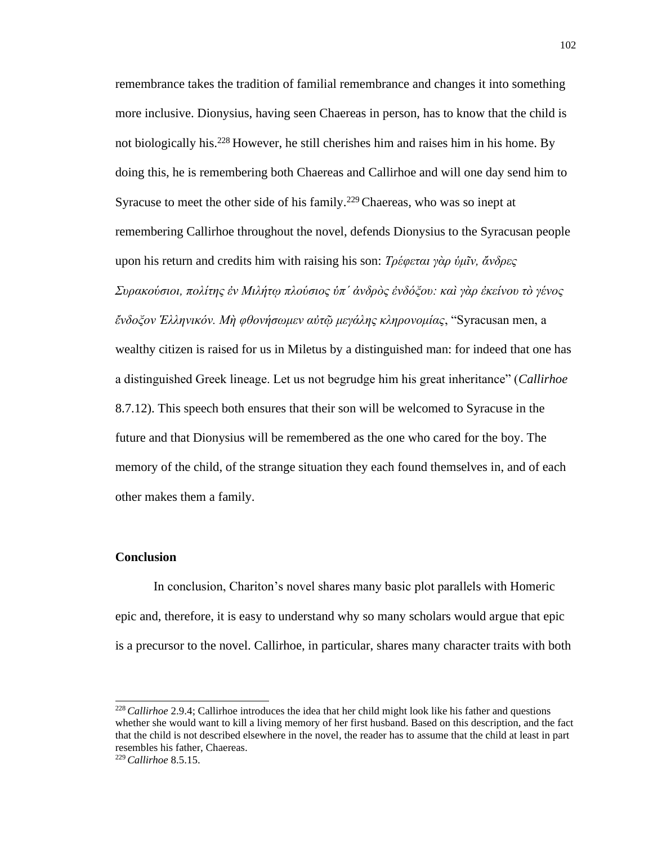remembrance takes the tradition of familial remembrance and changes it into something more inclusive. Dionysius, having seen Chaereas in person, has to know that the child is not biologically his.<sup>228</sup> However, he still cherishes him and raises him in his home. By doing this, he is remembering both Chaereas and Callirhoe and will one day send him to Syracuse to meet the other side of his family.<sup>229</sup> Chaereas, who was so inept at remembering Callirhoe throughout the novel, defends Dionysius to the Syracusan people upon his return and credits him with raising his son: *Τρέφεται γὰρ ὑμῖν, ἄνδρες Συρακούσιοι, πολίτης ἐν Μιλήτῳ πλούσιος ὑπ΄ ἀνδρὸς ἐνδόξου: καὶ γὰρ ἐκείνου τὸ γένος ἔνδοξον Ἑλληνικόν. Μὴ φθονήσωμεν αὐτῷ μεγάλης κληρονομίας*, "Syracusan men, a wealthy citizen is raised for us in Miletus by a distinguished man: for indeed that one has a distinguished Greek lineage. Let us not begrudge him his great inheritance" (*Callirhoe*  8.7.12). This speech both ensures that their son will be welcomed to Syracuse in the future and that Dionysius will be remembered as the one who cared for the boy. The memory of the child, of the strange situation they each found themselves in, and of each other makes them a family.

## **Conclusion**

In conclusion, Chariton's novel shares many basic plot parallels with Homeric epic and, therefore, it is easy to understand why so many scholars would argue that epic is a precursor to the novel. Callirhoe, in particular, shares many character traits with both

<sup>228</sup>*Callirhoe* 2.9.4; Callirhoe introduces the idea that her child might look like his father and questions whether she would want to kill a living memory of her first husband. Based on this description, and the fact that the child is not described elsewhere in the novel, the reader has to assume that the child at least in part resembles his father, Chaereas.

<sup>229</sup> *Callirhoe* 8.5.15.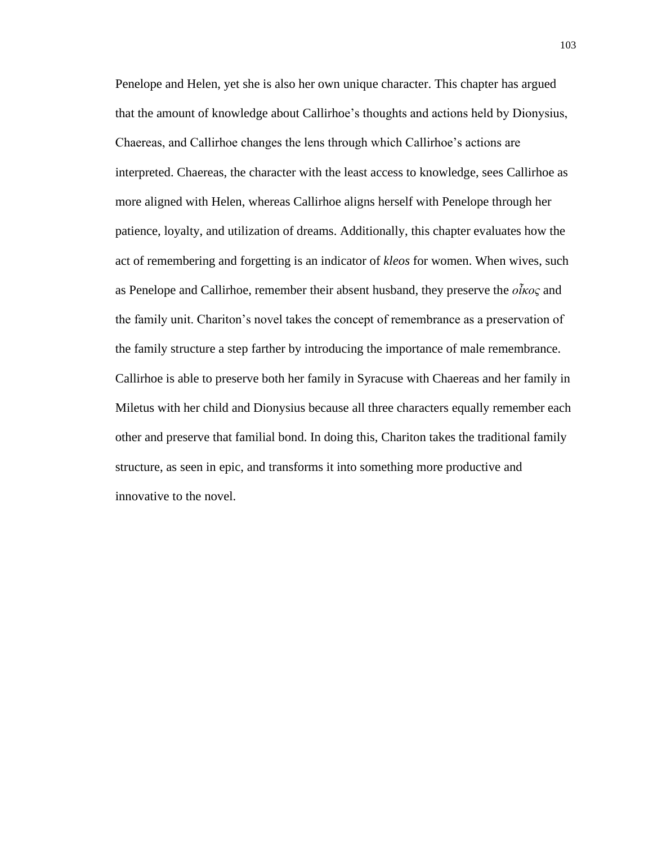Penelope and Helen, yet she is also her own unique character. This chapter has argued that the amount of knowledge about Callirhoe's thoughts and actions held by Dionysius, Chaereas, and Callirhoe changes the lens through which Callirhoe's actions are interpreted. Chaereas, the character with the least access to knowledge, sees Callirhoe as more aligned with Helen, whereas Callirhoe aligns herself with Penelope through her patience, loyalty, and utilization of dreams. Additionally, this chapter evaluates how the act of remembering and forgetting is an indicator of *kleos* for women. When wives, such as Penelope and Callirhoe, remember their absent husband, they preserve the *οἶκος* and the family unit. Chariton's novel takes the concept of remembrance as a preservation of the family structure a step farther by introducing the importance of male remembrance. Callirhoe is able to preserve both her family in Syracuse with Chaereas and her family in Miletus with her child and Dionysius because all three characters equally remember each other and preserve that familial bond. In doing this, Chariton takes the traditional family structure, as seen in epic, and transforms it into something more productive and innovative to the novel.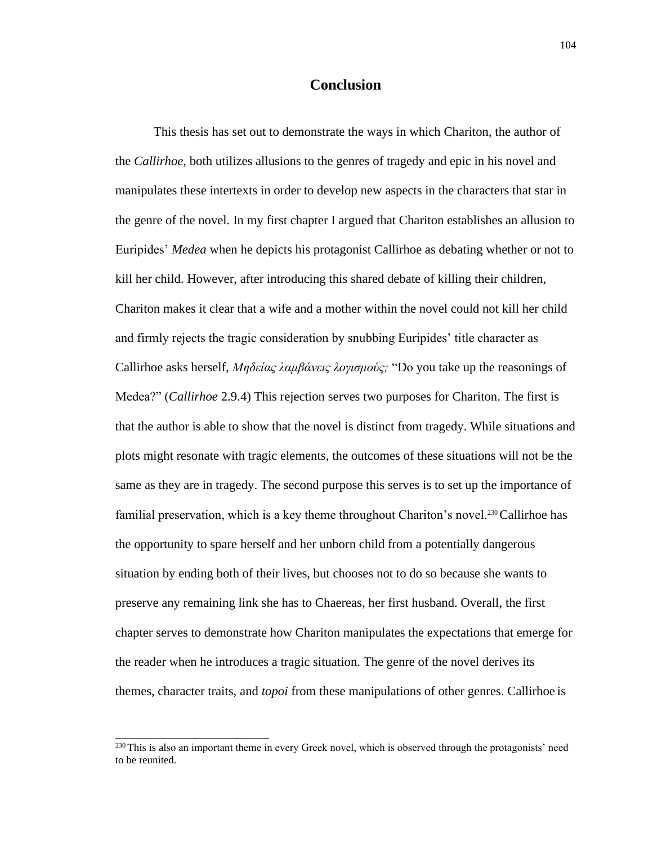## **Conclusion**

This thesis has set out to demonstrate the ways in which Chariton, the author of the *Callirhoe*, both utilizes allusions to the genres of tragedy and epic in his novel and manipulates these intertexts in order to develop new aspects in the characters that star in the genre of the novel. In my first chapter I argued that Chariton establishes an allusion to Euripides' *Medea* when he depicts his protagonist Callirhoe as debating whether or not to kill her child. However, after introducing this shared debate of killing their children, Chariton makes it clear that a wife and a mother within the novel could not kill her child and firmly rejects the tragic consideration by snubbing Euripides' title character as Callirhoe asks herself, *Μηδείας λαμβάνεις λογισμούς;* "Do you take up the reasonings of Medea?" (*Callirhoe* 2.9.4) This rejection serves two purposes for Chariton. The first is that the author is able to show that the novel is distinct from tragedy. While situations and plots might resonate with tragic elements, the outcomes of these situations will not be the same as they are in tragedy. The second purpose this serves is to set up the importance of familial preservation, which is a key theme throughout Chariton's novel.230 Callirhoe has the opportunity to spare herself and her unborn child from a potentially dangerous situation by ending both of their lives, but chooses not to do so because she wants to preserve any remaining link she has to Chaereas, her first husband. Overall, the first chapter serves to demonstrate how Chariton manipulates the expectations that emerge for the reader when he introduces a tragic situation. The genre of the novel derives its themes, character traits, and *topoi* from these manipulations of other genres. Callirhoe is

<sup>&</sup>lt;sup>230</sup> This is also an important theme in every Greek novel, which is observed through the protagonists' need to be reunited.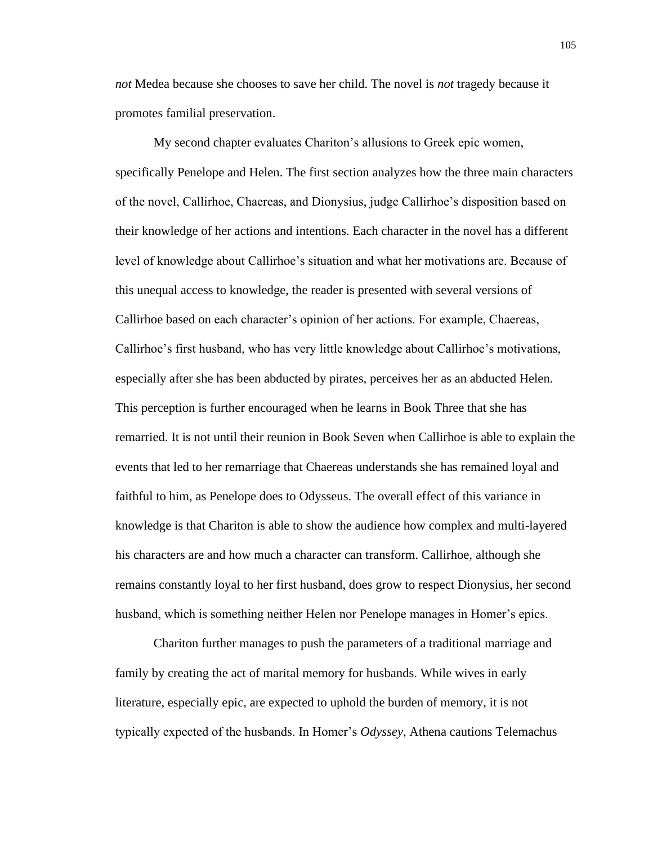*not* Medea because she chooses to save her child. The novel is *not* tragedy because it promotes familial preservation.

My second chapter evaluates Chariton's allusions to Greek epic women, specifically Penelope and Helen. The first section analyzes how the three main characters of the novel, Callirhoe, Chaereas, and Dionysius, judge Callirhoe's disposition based on their knowledge of her actions and intentions. Each character in the novel has a different level of knowledge about Callirhoe's situation and what her motivations are. Because of this unequal access to knowledge, the reader is presented with several versions of Callirhoe based on each character's opinion of her actions. For example, Chaereas, Callirhoe's first husband, who has very little knowledge about Callirhoe's motivations, especially after she has been abducted by pirates, perceives her as an abducted Helen. This perception is further encouraged when he learns in Book Three that she has remarried. It is not until their reunion in Book Seven when Callirhoe is able to explain the events that led to her remarriage that Chaereas understands she has remained loyal and faithful to him, as Penelope does to Odysseus. The overall effect of this variance in knowledge is that Chariton is able to show the audience how complex and multi-layered his characters are and how much a character can transform. Callirhoe, although she remains constantly loyal to her first husband, does grow to respect Dionysius, her second husband, which is something neither Helen nor Penelope manages in Homer's epics.

Chariton further manages to push the parameters of a traditional marriage and family by creating the act of marital memory for husbands. While wives in early literature, especially epic, are expected to uphold the burden of memory, it is not typically expected of the husbands. In Homer's *Odyssey*, Athena cautions Telemachus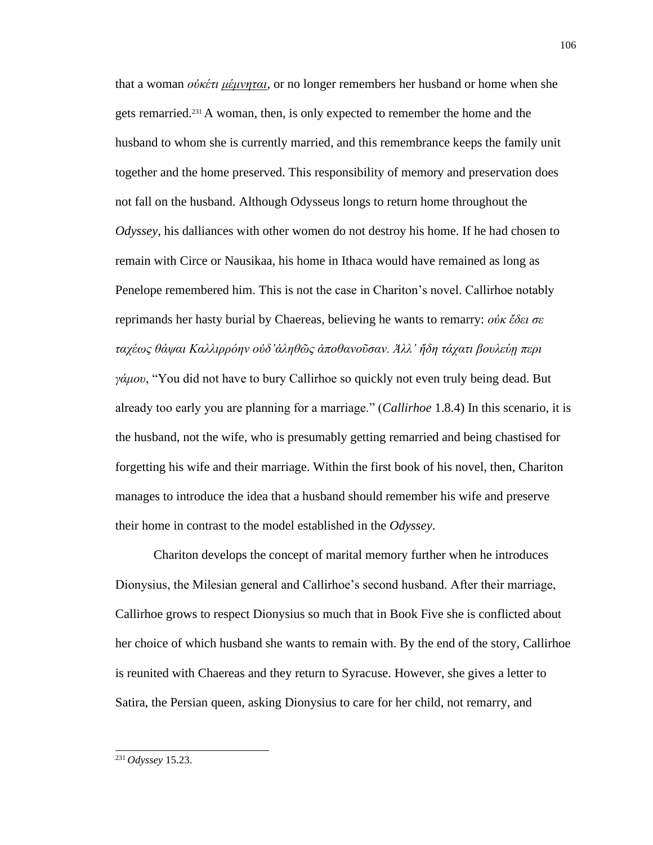that a woman *οὐκέτι μέμνηται*, or no longer remembers her husband or home when she gets remarried.231 A woman, then, is only expected to remember the home and the husband to whom she is currently married, and this remembrance keeps the family unit together and the home preserved. This responsibility of memory and preservation does not fall on the husband. Although Odysseus longs to return home throughout the *Odyssey*, his dalliances with other women do not destroy his home. If he had chosen to remain with Circe or Nausikaa, his home in Ithaca would have remained as long as Penelope remembered him. This is not the case in Chariton's novel. Callirhoe notably reprimands her hasty burial by Chaereas, believing he wants to remarry: *οὐκ ἔδει σε ταχέως θάψαι Καλλιρρόην οὐδ'ἀληθῶς ἀποθανοῦσαν. Ἀλλ' ἤδη τάχατι βουλεύῃ περι γάμου*, "You did not have to bury Callirhoe so quickly not even truly being dead. But already too early you are planning for a marriage." (*Callirhoe* 1.8.4) In this scenario, it is the husband, not the wife, who is presumably getting remarried and being chastised for forgetting his wife and their marriage. Within the first book of his novel, then, Chariton manages to introduce the idea that a husband should remember his wife and preserve their home in contrast to the model established in the *Odyssey*.

Chariton develops the concept of marital memory further when he introduces Dionysius, the Milesian general and Callirhoe's second husband. After their marriage, Callirhoe grows to respect Dionysius so much that in Book Five she is conflicted about her choice of which husband she wants to remain with. By the end of the story, Callirhoe is reunited with Chaereas and they return to Syracuse. However, she gives a letter to Satira, the Persian queen, asking Dionysius to care for her child, not remarry, and

<sup>231</sup> *Odyssey* 15.23.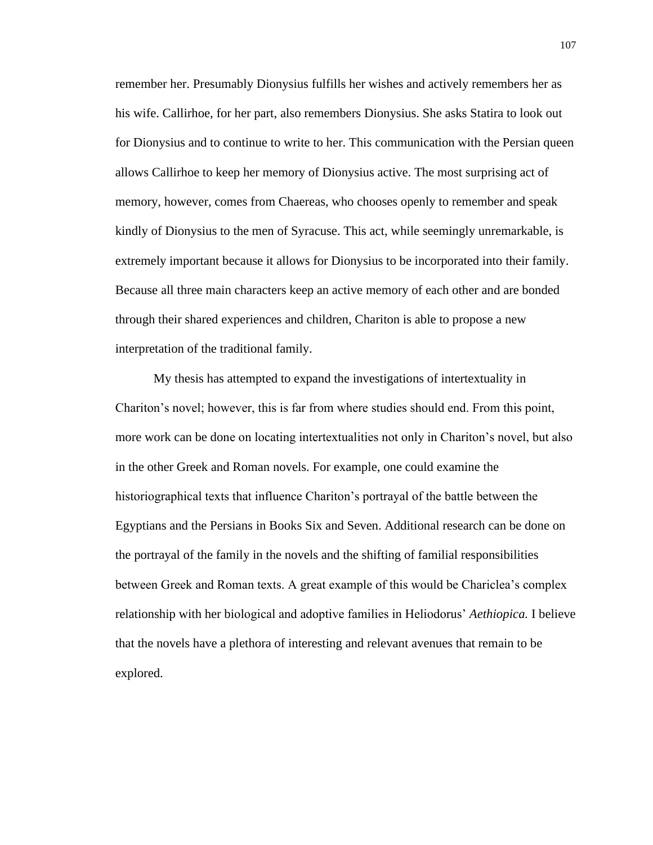remember her. Presumably Dionysius fulfills her wishes and actively remembers her as his wife. Callirhoe, for her part, also remembers Dionysius. She asks Statira to look out for Dionysius and to continue to write to her. This communication with the Persian queen allows Callirhoe to keep her memory of Dionysius active. The most surprising act of memory, however, comes from Chaereas, who chooses openly to remember and speak kindly of Dionysius to the men of Syracuse. This act, while seemingly unremarkable, is extremely important because it allows for Dionysius to be incorporated into their family. Because all three main characters keep an active memory of each other and are bonded through their shared experiences and children, Chariton is able to propose a new interpretation of the traditional family.

My thesis has attempted to expand the investigations of intertextuality in Chariton's novel; however, this is far from where studies should end. From this point, more work can be done on locating intertextualities not only in Chariton's novel, but also in the other Greek and Roman novels. For example, one could examine the historiographical texts that influence Chariton's portrayal of the battle between the Egyptians and the Persians in Books Six and Seven. Additional research can be done on the portrayal of the family in the novels and the shifting of familial responsibilities between Greek and Roman texts. A great example of this would be Chariclea's complex relationship with her biological and adoptive families in Heliodorus' *Aethiopica.* I believe that the novels have a plethora of interesting and relevant avenues that remain to be explored.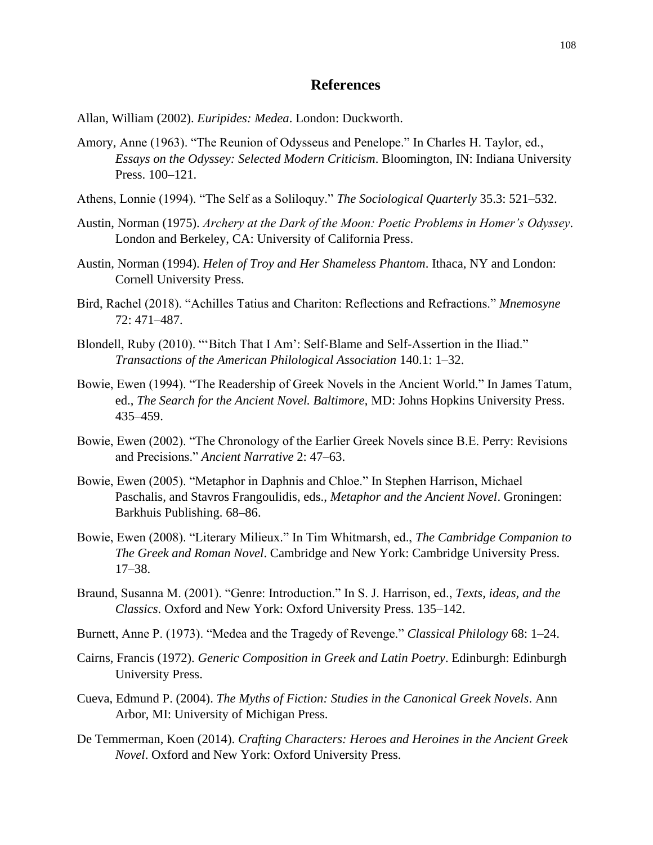## **References**

Allan, William (2002). *Euripides: Medea*. London: Duckworth.

- Amory, Anne (1963). "The Reunion of Odysseus and Penelope." In Charles H. Taylor, ed., *Essays on the Odyssey: Selected Modern Criticism*. Bloomington, IN: Indiana University Press. 100–121.
- Athens, Lonnie (1994). "The Self as a Soliloquy." *The Sociological Quarterly* 35.3: 521–532.
- Austin, Norman (1975). *Archery at the Dark of the Moon: Poetic Problems in Homer's Odyssey*. London and Berkeley, CA: University of California Press.
- Austin, Norman (1994). *Helen of Troy and Her Shameless Phantom*. Ithaca, NY and London: Cornell University Press.
- Bird, Rachel (2018). "Achilles Tatius and Chariton: Reflections and Refractions." *Mnemosyne* 72: 471–487.
- Blondell, Ruby (2010). "'Bitch That I Am': Self-Blame and Self-Assertion in the Iliad." *Transactions of the American Philological Association* 140.1: 1–32.
- Bowie, Ewen (1994). "The Readership of Greek Novels in the Ancient World." In James Tatum, ed., *The Search for the Ancient Novel. Baltimore*, MD: Johns Hopkins University Press. 435–459.
- Bowie, Ewen (2002). "The Chronology of the Earlier Greek Novels since B.E. Perry: Revisions and Precisions." *Ancient Narrative* 2: 47–63.
- Bowie, Ewen (2005). "Metaphor in Daphnis and Chloe." In Stephen Harrison, Michael Paschalis, and Stavros Frangoulidis, eds., *Metaphor and the Ancient Novel*. Groningen: Barkhuis Publishing. 68–86.
- Bowie, Ewen (2008). "Literary Milieux." In Tim Whitmarsh, ed., *The Cambridge Companion to The Greek and Roman Novel*. Cambridge and New York: Cambridge University Press. 17–38.
- Braund, Susanna M. (2001). "Genre: Introduction." In S. J. Harrison, ed., *Texts, ideas, and the Classics*. Oxford and New York: Oxford University Press. 135–142.
- Burnett, Anne P. (1973). "Medea and the Tragedy of Revenge." *Classical Philology* 68: 1–24.
- Cairns, Francis (1972). *Generic Composition in Greek and Latin Poetry*. Edinburgh: Edinburgh University Press.
- Cueva, Edmund P. (2004). *The Myths of Fiction: Studies in the Canonical Greek Novels*. Ann Arbor, MI: University of Michigan Press.
- De Temmerman, Koen (2014). *Crafting Characters: Heroes and Heroines in the Ancient Greek Novel*. Oxford and New York: Oxford University Press.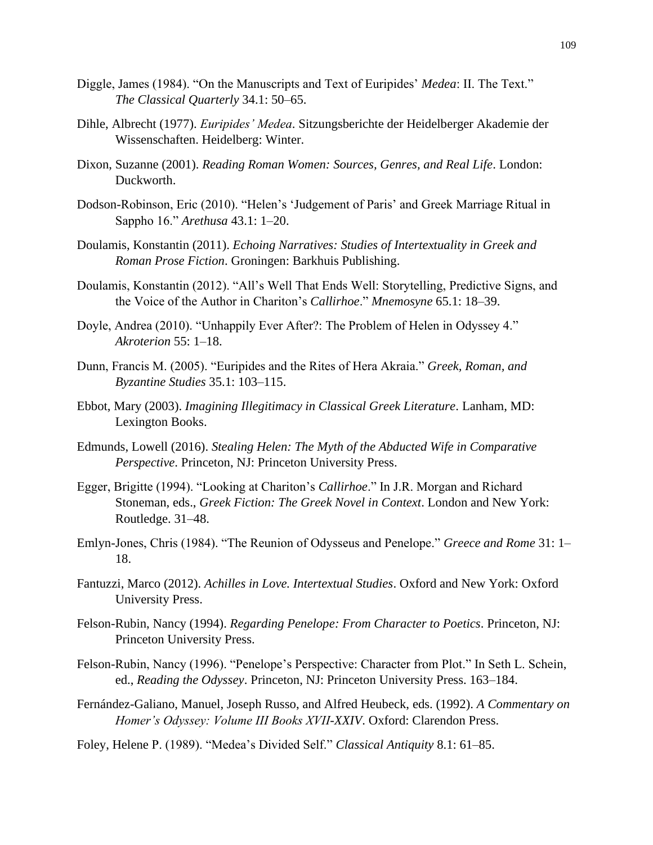- Diggle, James (1984). "On the Manuscripts and Text of Euripides' *Medea*: II. The Text." *The Classical Quarterly* 34.1: 50–65.
- Dihle, Albrecht (1977). *Euripides' Medea*. Sitzungsberichte der Heidelberger Akademie der Wissenschaften. Heidelberg: Winter.
- Dixon, Suzanne (2001). *Reading Roman Women: Sources, Genres, and Real Life*. London: Duckworth.
- Dodson-Robinson, Eric (2010). "Helen's 'Judgement of Paris' and Greek Marriage Ritual in Sappho 16." *Arethusa* 43.1: 1–20.
- Doulamis, Konstantin (2011). *Echoing Narratives: Studies of Intertextuality in Greek and Roman Prose Fiction*. Groningen: Barkhuis Publishing.
- Doulamis, Konstantin (2012). "All's Well That Ends Well: Storytelling, Predictive Signs, and the Voice of the Author in Chariton's *Callirhoe*." *Mnemosyne* 65.1: 18–39.
- Doyle, Andrea (2010). "Unhappily Ever After?: The Problem of Helen in Odyssey 4." *Akroterion* 55: 1–18.
- Dunn, Francis M. (2005). "Euripides and the Rites of Hera Akraia." *Greek, Roman, and Byzantine Studies* 35.1: 103–115.
- Ebbot, Mary (2003). *Imagining Illegitimacy in Classical Greek Literature*. Lanham, MD: Lexington Books.
- Edmunds, Lowell (2016). *Stealing Helen: The Myth of the Abducted Wife in Comparative Perspective*. Princeton, NJ: Princeton University Press.
- Egger, Brigitte (1994). "Looking at Chariton's *Callirhoe*." In J.R. Morgan and Richard Stoneman, eds., *Greek Fiction: The Greek Novel in Context*. London and New York: Routledge. 31–48.
- Emlyn-Jones, Chris (1984). "The Reunion of Odysseus and Penelope." *Greece and Rome* 31: 1– 18.
- Fantuzzi, Marco (2012). *Achilles in Love. Intertextual Studies*. Oxford and New York: Oxford University Press.
- Felson-Rubin, Nancy (1994). *Regarding Penelope: From Character to Poetics*. Princeton, NJ: Princeton University Press.
- Felson-Rubin, Nancy (1996). "Penelope's Perspective: Character from Plot." In Seth L. Schein, ed., *Reading the Odyssey*. Princeton, NJ: Princeton University Press. 163–184.
- Fernández-Galiano, Manuel, Joseph Russo, and Alfred Heubeck, eds. (1992). *A Commentary on Homer's Odyssey: Volume III Books XVII-XXIV*. Oxford: Clarendon Press.
- Foley, Helene P. (1989). "Medea's Divided Self." *Classical Antiquity* 8.1: 61–85.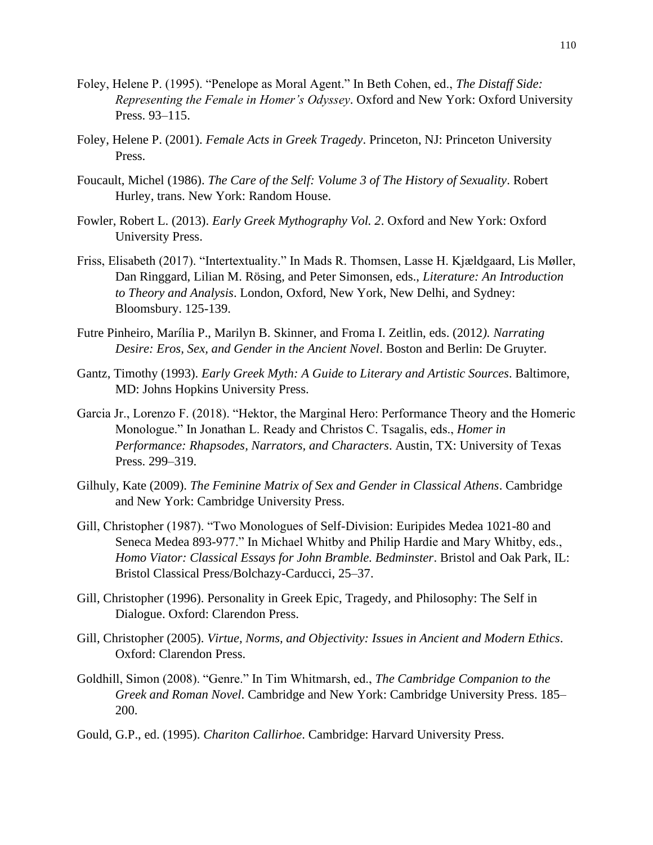- Foley, Helene P. (1995). "Penelope as Moral Agent." In Beth Cohen, ed., *The Distaff Side: Representing the Female in Homer's Odyssey*. Oxford and New York: Oxford University Press. 93–115.
- Foley, Helene P. (2001). *Female Acts in Greek Tragedy*. Princeton, NJ: Princeton University Press.
- Foucault, Michel (1986). *The Care of the Self: Volume 3 of The History of Sexuality*. Robert Hurley, trans. New York: Random House.
- Fowler, Robert L. (2013). *Early Greek Mythography Vol. 2*. Oxford and New York: Oxford University Press.
- Friss, Elisabeth (2017). "Intertextuality." In Mads R. Thomsen, Lasse H. Kjældgaard, Lis Møller, Dan Ringgard, Lilian M. Rösing, and Peter Simonsen, eds., *Literature: An Introduction to Theory and Analysis*. London, Oxford, New York, New Delhi, and Sydney: Bloomsbury. 125-139.
- Futre Pinheiro, Marília P., Marilyn B. Skinner, and Froma I. Zeitlin, eds. (2012*). Narrating Desire: Eros, Sex, and Gender in the Ancient Novel*. Boston and Berlin: De Gruyter.
- Gantz, Timothy (1993). *Early Greek Myth: A Guide to Literary and Artistic Sources*. Baltimore, MD: Johns Hopkins University Press.
- Garcia Jr., Lorenzo F. (2018). "Hektor, the Marginal Hero: Performance Theory and the Homeric Monologue." In Jonathan L. Ready and Christos C. Tsagalis, eds., *Homer in Performance: Rhapsodes, Narrators, and Characters*. Austin, TX: University of Texas Press. 299–319.
- Gilhuly, Kate (2009). *The Feminine Matrix of Sex and Gender in Classical Athens*. Cambridge and New York: Cambridge University Press.
- Gill, Christopher (1987). "Two Monologues of Self-Division: Euripides Medea 1021-80 and Seneca Medea 893-977." In Michael Whitby and Philip Hardie and Mary Whitby, eds., *Homo Viator: Classical Essays for John Bramble. Bedminster*. Bristol and Oak Park, IL: Bristol Classical Press/Bolchazy-Carducci, 25–37.
- Gill, Christopher (1996). Personality in Greek Epic, Tragedy, and Philosophy: The Self in Dialogue. Oxford: Clarendon Press.
- Gill, Christopher (2005). *Virtue, Norms, and Objectivity: Issues in Ancient and Modern Ethics*. Oxford: Clarendon Press.
- Goldhill, Simon (2008). "Genre." In Tim Whitmarsh, ed., *The Cambridge Companion to the Greek and Roman Novel*. Cambridge and New York: Cambridge University Press. 185– 200.
- Gould, G.P., ed. (1995). *Chariton Callirhoe*. Cambridge: Harvard University Press.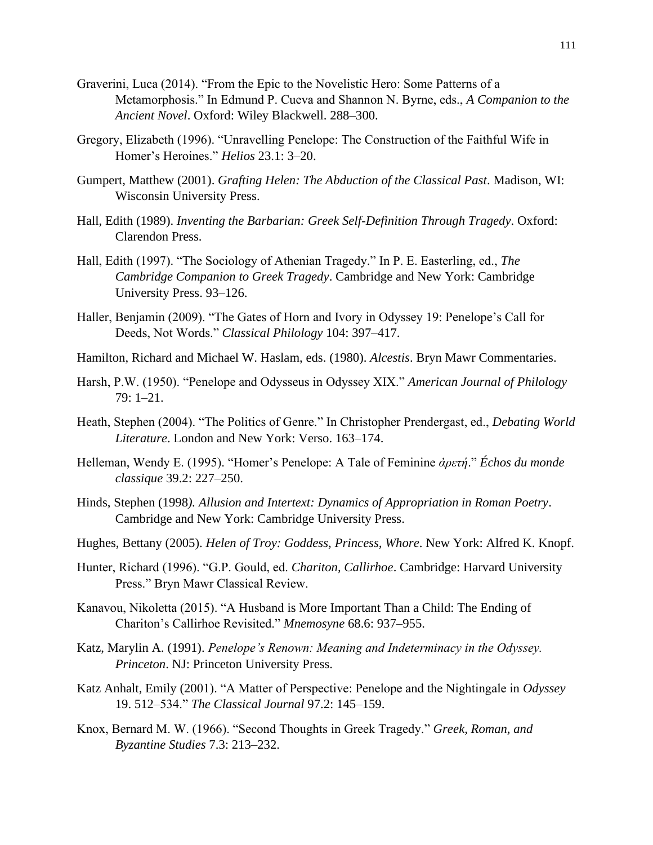- Graverini, Luca (2014). "From the Epic to the Novelistic Hero: Some Patterns of a Metamorphosis." In Edmund P. Cueva and Shannon N. Byrne, eds., *A Companion to the Ancient Novel*. Oxford: Wiley Blackwell. 288–300.
- Gregory, Elizabeth (1996). "Unravelling Penelope: The Construction of the Faithful Wife in Homer's Heroines." *Helios* 23.1: 3–20.
- Gumpert, Matthew (2001). *Grafting Helen: The Abduction of the Classical Past*. Madison, WI: Wisconsin University Press.
- Hall, Edith (1989). *Inventing the Barbarian: Greek Self-Definition Through Tragedy*. Oxford: Clarendon Press.
- Hall, Edith (1997). "The Sociology of Athenian Tragedy." In P. E. Easterling, ed., *The Cambridge Companion to Greek Tragedy*. Cambridge and New York: Cambridge University Press. 93–126.
- Haller, Benjamin (2009). "The Gates of Horn and Ivory in Odyssey 19: Penelope's Call for Deeds, Not Words." *Classical Philology* 104: 397–417.
- Hamilton, Richard and Michael W. Haslam, eds. (1980). *Alcestis*. Bryn Mawr Commentaries.
- Harsh, P.W. (1950). "Penelope and Odysseus in Odyssey XIX." *American Journal of Philology* 79: 1–21.
- Heath, Stephen (2004). "The Politics of Genre." In Christopher Prendergast, ed., *Debating World Literature*. London and New York: Verso. 163–174.
- Helleman, Wendy E. (1995). "Homer's Penelope: A Tale of Feminine *ἀρετή*." *Échos du monde classique* 39.2: 227–250.
- Hinds, Stephen (1998*). Allusion and Intertext: Dynamics of Appropriation in Roman Poetry*. Cambridge and New York: Cambridge University Press.
- Hughes, Bettany (2005). *Helen of Troy: Goddess, Princess, Whore*. New York: Alfred K. Knopf.
- Hunter, Richard (1996). "G.P. Gould, ed. *Chariton, Callirhoe*. Cambridge: Harvard University Press." Bryn Mawr Classical Review.
- Kanavou, Nikoletta (2015). "A Husband is More Important Than a Child: The Ending of Chariton's Callirhoe Revisited." *Mnemosyne* 68.6: 937–955.
- Katz, Marylin A. (1991). *Penelope's Renown: Meaning and Indeterminacy in the Odyssey. Princeton*. NJ: Princeton University Press.
- Katz Anhalt, Emily (2001). "A Matter of Perspective: Penelope and the Nightingale in *Odyssey* 19. 512–534." *The Classical Journal* 97.2: 145–159.
- Knox, Bernard M. W. (1966). "Second Thoughts in Greek Tragedy." *Greek, Roman, and Byzantine Studies* 7.3: 213–232.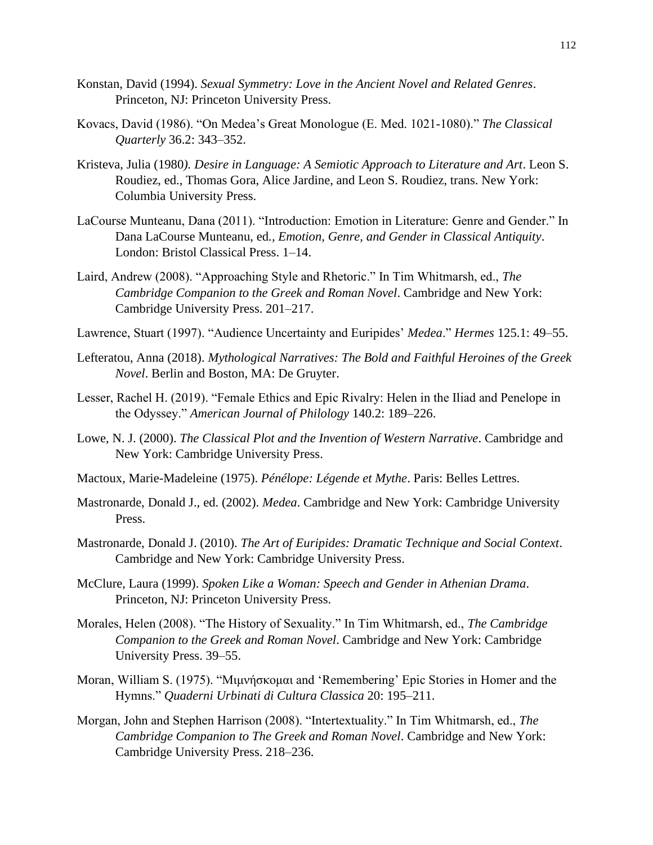- Konstan, David (1994). *Sexual Symmetry: Love in the Ancient Novel and Related Genres*. Princeton, NJ: Princeton University Press.
- Kovacs, David (1986). "On Medea's Great Monologue (E. Med. 1021-1080)." *The Classical Quarterly* 36.2: 343–352.
- Kristeva, Julia (1980*). Desire in Language: A Semiotic Approach to Literature and Art*. Leon S. Roudiez, ed., Thomas Gora, Alice Jardine, and Leon S. Roudiez, trans. New York: Columbia University Press.
- LaCourse Munteanu, Dana (2011). "Introduction: Emotion in Literature: Genre and Gender." In Dana LaCourse Munteanu, ed*., Emotion, Genre, and Gender in Classical Antiquity*. London: Bristol Classical Press. 1–14.
- Laird, Andrew (2008). "Approaching Style and Rhetoric." In Tim Whitmarsh, ed., *The Cambridge Companion to the Greek and Roman Novel*. Cambridge and New York: Cambridge University Press. 201–217.
- Lawrence, Stuart (1997). "Audience Uncertainty and Euripides' *Medea*." *Hermes* 125.1: 49–55.
- Lefteratou, Anna (2018). *Mythological Narratives: The Bold and Faithful Heroines of the Greek Novel*. Berlin and Boston, MA: De Gruyter.
- Lesser, Rachel H. (2019). "Female Ethics and Epic Rivalry: Helen in the Iliad and Penelope in the Odyssey." *American Journal of Philology* 140.2: 189–226.
- Lowe, N. J. (2000). *The Classical Plot and the Invention of Western Narrative*. Cambridge and New York: Cambridge University Press.
- Mactoux, Marie-Madeleine (1975). *Pénélope: Légende et Mythe*. Paris: Belles Lettres.
- Mastronarde, Donald J., ed. (2002). *Medea*. Cambridge and New York: Cambridge University Press.
- Mastronarde, Donald J. (2010). *The Art of Euripides: Dramatic Technique and Social Context*. Cambridge and New York: Cambridge University Press.
- McClure, Laura (1999). *Spoken Like a Woman: Speech and Gender in Athenian Drama*. Princeton, NJ: Princeton University Press.
- Morales, Helen (2008). "The History of Sexuality." In Tim Whitmarsh, ed., *The Cambridge Companion to the Greek and Roman Novel*. Cambridge and New York: Cambridge University Press. 39–55.
- Moran, William S. (1975). "Μιμνήσκομαι and 'Remembering' Epic Stories in Homer and the Hymns." *Quaderni Urbinati di Cultura Classica* 20: 195–211.
- Morgan, John and Stephen Harrison (2008). "Intertextuality." In Tim Whitmarsh, ed., *The Cambridge Companion to The Greek and Roman Novel*. Cambridge and New York: Cambridge University Press. 218–236.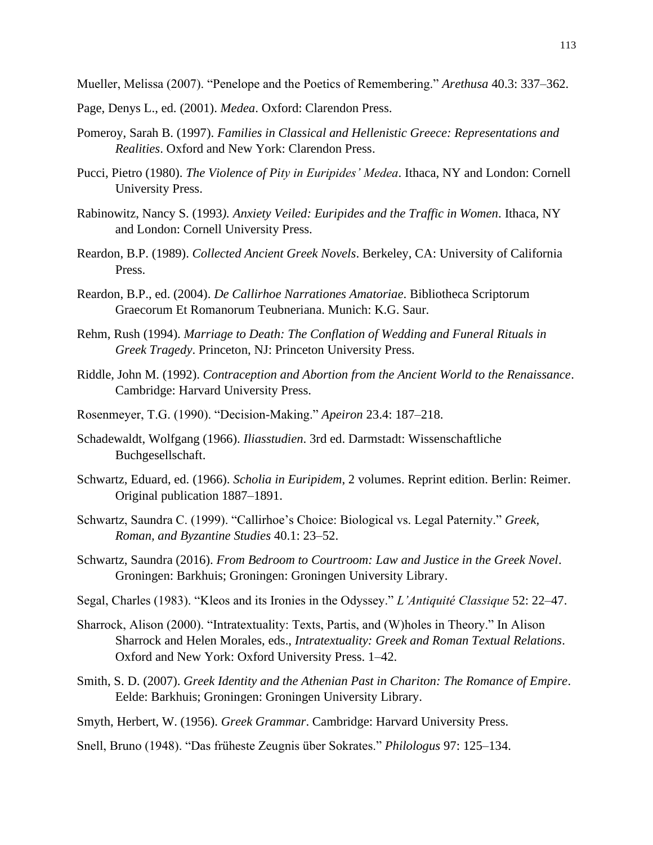Mueller, Melissa (2007). "Penelope and the Poetics of Remembering." *Arethusa* 40.3: 337–362.

- Page, Denys L., ed. (2001). *Medea*. Oxford: Clarendon Press.
- Pomeroy, Sarah B. (1997). *Families in Classical and Hellenistic Greece: Representations and Realities*. Oxford and New York: Clarendon Press.
- Pucci, Pietro (1980). *The Violence of Pity in Euripides' Medea*. Ithaca, NY and London: Cornell University Press.
- Rabinowitz, Nancy S. (1993*). Anxiety Veiled: Euripides and the Traffic in Women*. Ithaca, NY and London: Cornell University Press.
- Reardon, B.P. (1989). *Collected Ancient Greek Novels*. Berkeley, CA: University of California Press.
- Reardon, B.P., ed. (2004). *De Callirhoe Narrationes Amatoriae*. Bibliotheca Scriptorum Graecorum Et Romanorum Teubneriana. Munich: K.G. Saur.
- Rehm, Rush (1994). *Marriage to Death: The Conflation of Wedding and Funeral Rituals in Greek Tragedy*. Princeton, NJ: Princeton University Press.
- Riddle, John M. (1992). *Contraception and Abortion from the Ancient World to the Renaissance*. Cambridge: Harvard University Press.
- Rosenmeyer, T.G. (1990). "Decision-Making." *Apeiron* 23.4: 187–218.
- Schadewaldt, Wolfgang (1966). *Iliasstudien*. 3rd ed. Darmstadt: Wissenschaftliche Buchgesellschaft.
- Schwartz, Eduard, ed. (1966). *Scholia in Euripidem*, 2 volumes. Reprint edition. Berlin: Reimer. Original publication 1887–1891.
- Schwartz, Saundra C. (1999). "Callirhoe's Choice: Biological vs. Legal Paternity." *Greek, Roman, and Byzantine Studies* 40.1: 23–52.
- Schwartz, Saundra (2016). *From Bedroom to Courtroom: Law and Justice in the Greek Novel*. Groningen: Barkhuis; Groningen: Groningen University Library.
- Segal, Charles (1983). "Kleos and its Ironies in the Odyssey." *L'Antiquité Classique* 52: 22–47.
- Sharrock, Alison (2000). "Intratextuality: Texts, Partis, and (W)holes in Theory." In Alison Sharrock and Helen Morales, eds., *Intratextuality: Greek and Roman Textual Relations*. Oxford and New York: Oxford University Press. 1–42.
- Smith, S. D. (2007). *Greek Identity and the Athenian Past in Chariton: The Romance of Empire*. Eelde: Barkhuis; Groningen: Groningen University Library.
- Smyth, Herbert, W. (1956). *Greek Grammar*. Cambridge: Harvard University Press.
- Snell, Bruno (1948). "Das früheste Zeugnis über Sokrates." *Philologus* 97: 125–134.